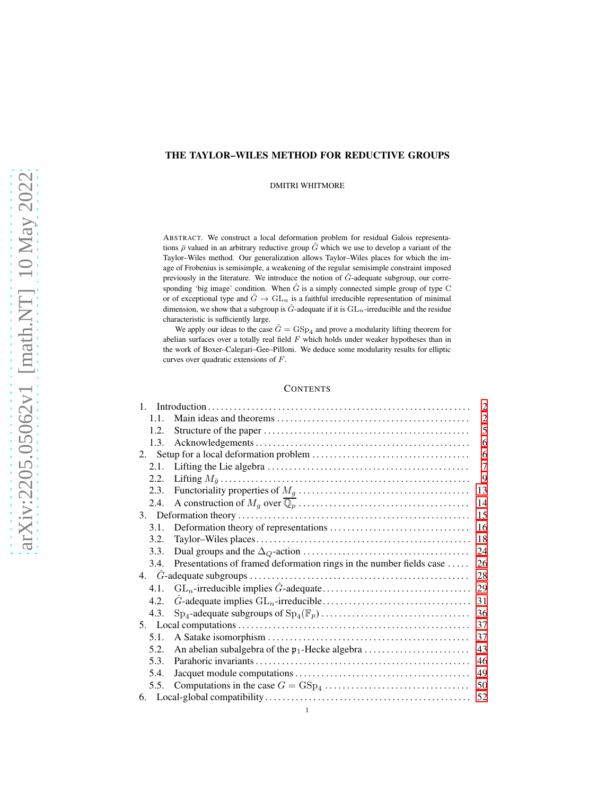# THE TAYLOR–WILES METHOD FOR REDUCTIVE GROUPS

DMITRI WHITMORE

ABSTRACT. We construct a local deformation problem for residual Galois representations  $\bar{\rho}$  valued in an arbitrary reductive group  $\hat{G}$  which we use to develop a variant of the Taylor–Wiles method. Our generalization allows Taylor–Wiles places for which the image of Frobenius is semisimple, a weakening of the regular semisimple constraint imposed previously in the literature. We introduce the notion of  $\hat{G}$ -adequate subgroup, our corresponding 'big image' condition. When  $\hat{G}$  is a simply connected simple group of type C or of exceptional type and  $\hat{G} \rightarrow GL_n$  is a faithful irreducible representation of minimal dimension, we show that a subgroup is  $\hat{G}$ -adequate if it is  $GL_n$ -irreducible and the residue characteristic is sufficiently large.

We apply our ideas to the case  $\hat{G} = \text{GSp}_4$  and prove a modularity lifting theorem for abelian surfaces over a totally real field  $F$  which holds under weaker hypotheses than in the work of Boxer–Calegari–Gee–Pilloni. We deduce some modularity results for elliptic curves over quadratic extensions of F.

## **CONTENTS**

| $\mathbf{1}$ |                                                                                      | 2              |  |  |  |
|--------------|--------------------------------------------------------------------------------------|----------------|--|--|--|
| 1.1.         |                                                                                      | $\overline{2}$ |  |  |  |
| 1.2.         |                                                                                      | 5              |  |  |  |
| 1.3.         |                                                                                      | 6              |  |  |  |
| 2.           |                                                                                      |                |  |  |  |
| 2.1.         |                                                                                      | $\overline{7}$ |  |  |  |
| 2.2.         |                                                                                      | 9              |  |  |  |
| 2.3.         |                                                                                      | 13             |  |  |  |
| 2.4.         |                                                                                      | 14             |  |  |  |
|              |                                                                                      | 15             |  |  |  |
| 3.1.         |                                                                                      | 16             |  |  |  |
| 3.2.         |                                                                                      | 18             |  |  |  |
| 3.3.         |                                                                                      | 24             |  |  |  |
| 3.4.         | Presentations of framed deformation rings in the number fields case                  | 26             |  |  |  |
|              |                                                                                      |                |  |  |  |
| 4.1.         |                                                                                      | 29             |  |  |  |
| 4.2.         |                                                                                      | 31             |  |  |  |
| 4.3.         |                                                                                      | 36             |  |  |  |
|              |                                                                                      |                |  |  |  |
| 5.1.         |                                                                                      | 37             |  |  |  |
| 5.2.         |                                                                                      | 43             |  |  |  |
| 5.3.         |                                                                                      | 46             |  |  |  |
| 5.4.         |                                                                                      | 49             |  |  |  |
| 5.5.         | Computations in the case $G = GSp_4 \dots \dots \dots \dots \dots \dots \dots \dots$ | 50             |  |  |  |
| 52           |                                                                                      |                |  |  |  |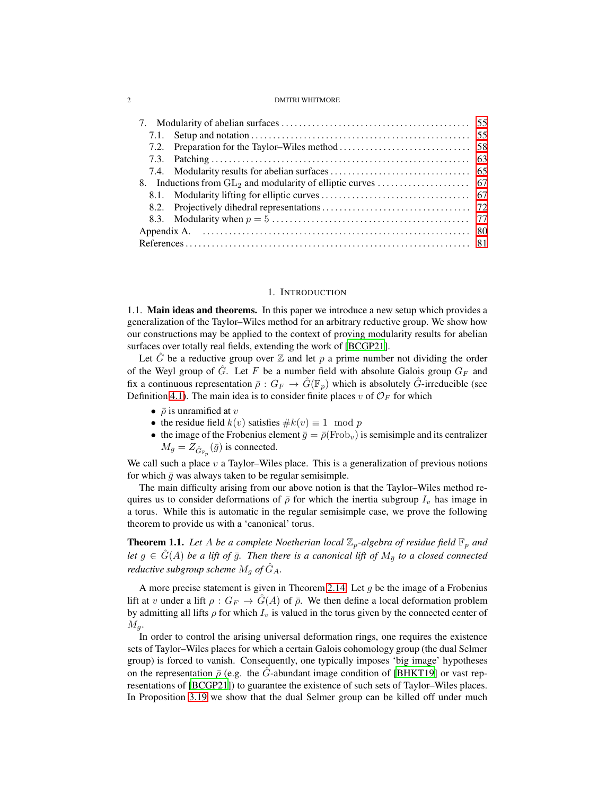## 1. INTRODUCTION

<span id="page-1-1"></span><span id="page-1-0"></span>1.1. Main ideas and theorems. In this paper we introduce a new setup which provides a generalization of the Taylor–Wiles method for an arbitrary reductive group. We show how our constructions may be applied to the context of proving modularity results for abelian surfaces over totally real fields, extending the work of [\[BCGP21\]](#page-81-0).

Let  $\hat{G}$  be a reductive group over  $\mathbb Z$  and let p a prime number not dividing the order of the Weyl group of  $\hat{G}$ . Let F be a number field with absolute Galois group  $G_F$  and fix a continuous representation  $\bar{\rho}: G_F \to \hat{G}(\mathbb{F}_p)$  which is absolutely  $\hat{G}$ -irreducible (see Definition [4.1\)](#page-27-1). The main idea is to consider finite places v of  $\mathcal{O}_F$  for which

- $\bar{\rho}$  is unramified at v
- the residue field  $k(v)$  satisfies  $\#k(v) \equiv 1 \mod p$
- the image of the Frobenius element  $\bar{g} = \bar{\rho}$ (Frob<sub>v</sub>) is semisimple and its centralizer  $M_{\bar{g}} = Z_{\hat{G}_{\mathbb{F}_p}}(\bar{g})$  is connected.

We call such a place  $v$  a Taylor–Wiles place. This is a generalization of previous notions for which  $\bar{g}$  was always taken to be regular semisimple.

The main difficulty arising from our above notion is that the Taylor–Wiles method requires us to consider deformations of  $\bar{\rho}$  for which the inertia subgroup  $I_v$  has image in a torus. While this is automatic in the regular semisimple case, we prove the following theorem to provide us with a 'canonical' torus.

<span id="page-1-2"></span>**Theorem 1.1.** Let A be a complete Noetherian local  $\mathbb{Z}_p$ -algebra of residue field  $\mathbb{F}_p$  and *let*  $g \in \hat{G}(A)$  *be a lift of*  $\bar{g}$ *. Then there is a canonical lift of*  $M_{\bar{g}}$  *to a closed connected reductive subgroup scheme*  $M_q$  *of*  $\hat{G}_A$ *.* 

A more precise statement is given in Theorem [2.14.](#page-11-0) Let  $q$  be the image of a Frobenius lift at v under a lift  $\rho: G_F \to G(A)$  of  $\overline{\rho}$ . We then define a local deformation problem by admitting all lifts  $\rho$  for which  $I_v$  is valued in the torus given by the connected center of  $M_q$ .

In order to control the arising universal deformation rings, one requires the existence sets of Taylor–Wiles places for which a certain Galois cohomology group (the dual Selmer group) is forced to vanish. Consequently, one typically imposes 'big image' hypotheses on the representation  $\bar{\rho}$  (e.g. the G-abundant image condition of [\[BHKT19](#page-81-1)] or vast representations of [\[BCGP21\]](#page-81-0)) to guarantee the existence of such sets of Taylor–Wiles places. In Proposition [3.19](#page-21-0) we show that the dual Selmer group can be killed off under much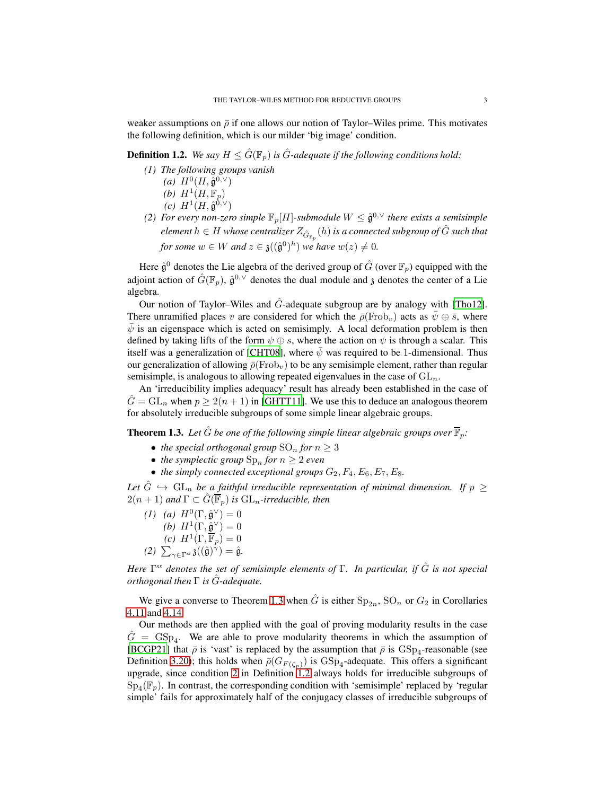weaker assumptions on  $\bar{\rho}$  if one allows our notion of Taylor–Wiles prime. This motivates the following definition, which is our milder 'big image' condition.

<span id="page-2-2"></span>**Definition 1.2.** *We say*  $H \leq \hat{G}(\mathbb{F}_p)$  *is*  $\hat{G}$ *-adequate if the following conditions hold:* 

- *(1) The following groups vanish*
	- $(a)$   $H^0(H, \hat{\mathfrak{g}}^{0,\vee})$
	- (b)  $H^1(H, \mathbb{F}_p)$
	- $(c)$   $H^1(H, \hat{\mathfrak{g}}^{0,\vee})$
- <span id="page-2-1"></span>(2) For every non-zero simple  $\mathbb{F}_p[H]$ -submodule  $W \leq \hat{\mathfrak{g}}^{0,\vee}$  there exists a semisimple  $e$ lement  $h \in H$  whose centralizer  $Z_{\hat{G}_{\mathbb{F}_p}}(h)$  is a connected subgroup of  $\hat{G}$  such that *for some*  $w \in W$  *and*  $z \in \mathfrak{z}((\hat{\mathfrak{g}}^0)^h)$  *we have*  $w(z) \neq 0$ *.*

Here  $\hat{\mathfrak{g}}^0$  denotes the Lie algebra of the derived group of  $\hat{G}$  (over  $\mathbb{F}_p$ ) equipped with the adjoint action of  $\hat{G}(\mathbb{F}_p)$ ,  $\hat{\mathfrak{g}}^{0,\vee}$  denotes the dual module and  $\mathfrak z$  denotes the center of a Lie algebra.

Our notion of Taylor–Wiles and  $\hat{G}$ -adequate subgroup are by analogy with [\[Tho12\]](#page-83-0). There unramified places v are considered for which the  $\bar{\rho}$ (Frob<sub>v</sub>) acts as  $\bar{\psi} \oplus \bar{s}$ , where  $\psi$  is an eigenspace which is acted on semisimply. A local deformation problem is then defined by taking lifts of the form  $\psi \oplus s$ , where the action on  $\psi$  is through a scalar. This itself was a generalization of [\[CHT08\]](#page-81-2), where  $\psi$  was required to be 1-dimensional. Thus our generalization of allowing  $\bar{\rho}$ (Frob<sub>v</sub>) to be any semisimple element, rather than regular semisimple, is analogous to allowing repeated eigenvalues in the case of  $GL_n$ .

An 'irreducibility implies adequacy' result has already been established in the case of  $\hat{G} = GL_n$  when  $p \ge 2(n+1)$  in [\[GHTT11](#page-82-0)]. We use this to deduce an analogous theorem for absolutely irreducible subgroups of some simple linear algebraic groups.

<span id="page-2-0"></span>**Theorem 1.3.** Let  $\hat{G}$  be one of the following simple linear algebraic groups over  $\overline{\mathbb{F}}_p$ .

- *the special orthogonal group*  $SO_n$  *for*  $n \geq 3$
- *the symplectic group*  $\text{Sp}_n$  *for*  $n \geq 2$  *even*
- *the simply connected exceptional groups*  $G_2$ ,  $F_4$ ,  $E_6$ ,  $E_7$ ,  $E_8$ .

Let  $\hat{G} \hookrightarrow GL_n$  *be a faithful irreducible representation of minimal dimension. If*  $p \geq$  $2(n+1)$  and  $\Gamma \subset \hat{G}(\overline{\mathbb{F}}_p)$  is  $\mathrm{GL}_n$ -irreducible, then

(1) (a)  $H^0(\Gamma, \hat{\mathfrak{g}}^\vee) = 0$ (*b*)  $H^1(\Gamma, \hat{\mathfrak{g}}^\vee) = 0$  $(c)$   $H^1(\Gamma, \overline{\mathbb{F}}_p) = 0$ 

 $(2)$   $\sum_{\gamma \in \Gamma^{ss}} \mathfrak{z}((\hat{\mathfrak{g}})^{\hat{\gamma}}) = \hat{\mathfrak{g}}.$ 

*Here* Γ *ss denotes the set of semisimple elements of* Γ*. In particular, if* Gˆ *is not special orthogonal then* Γ *is* Gˆ*-adequate.*

We give a converse to Theorem [1.3](#page-2-0) when  $\hat{G}$  is either  $Sp_{2n}$ ,  $SO_n$  or  $G_2$  in Corollaries [4.11](#page-32-0) and [4.14.](#page-34-0)

Our methods are then applied with the goal of proving modularity results in the case  $\hat{G}$  = GSp<sub>4</sub>. We are able to prove modularity theorems in which the assumption of [\[BCGP21\]](#page-81-0) that  $\bar{\rho}$  is 'vast' is replaced by the assumption that  $\bar{\rho}$  is  $GSp_4$ -reasonable (see Definition [3.20\)](#page-22-0); this holds when  $\bar{\rho}(G_{F(\zeta_p)})$  is  $\text{GSp}_4$ -adequate. This offers a significant upgrade, since condition [2](#page-2-1) in Definition [1.2](#page-2-2) always holds for irreducible subgroups of  $Sp_4(\mathbb{F}_p)$ . In contrast, the corresponding condition with 'semisimple' replaced by 'regular simple' fails for approximately half of the conjugacy classes of irreducible subgroups of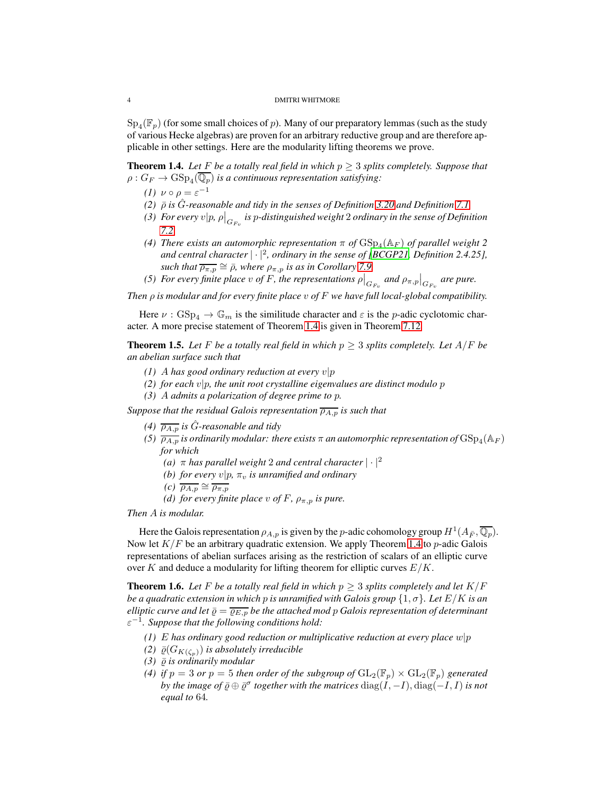$\mathrm{Sp}_4(\mathbb{F}_p)$  (for some small choices of  $p$ ). Many of our preparatory lemmas (such as the study of various Hecke algebras) are proven for an arbitrary reductive group and are therefore applicable in other settings. Here are the modularity lifting theorems we prove.

<span id="page-3-0"></span>**Theorem 1.4.** Let F be a totally real field in which  $p \geq 3$  splits completely. Suppose that  $\rho: G_F \to \mathrm{GSp}_4(\mathbb{Q}_p)$  is a continuous representation satisfying:

- *(1)*  $\nu \circ \rho = \varepsilon^{-1}$
- *(2)*  $\bar{\rho}$  *is*  $\hat{G}$ -reasonable and tidy in the senses of Definition [3.20](#page-22-0) and Definition [7.1](#page-55-0)
- *(3) For every*  $v|p$ *,*  $\rho|_{G_{F_v}}$  *is*  $p$ *-distinguished weight* 2 *ordinary in the sense of Definition [7.2](#page-55-1)*
- (4) There exists an automorphic representation  $\pi$  of  $\mathrm{GSp}_4(\mathbb{A}_F)$  of parallel weight 2 *and central character* | · |<sup>2</sup> *, ordinary in the sense of [\[BCGP21,](#page-81-0) Definition 2.4.25], such that*  $\overline{\rho_{\pi,p}} \cong \overline{\rho}$ *, where*  $\rho_{\pi,p}$  *is as in Corollary* [7.9.](#page-62-1)
- *(5) For every finite place v of F, the representations*  $\rho|_{G_{F_v}}$  and  $\rho_{\pi,p}|_{G_{F_v}}$  are pure.

*Then* ρ *is modular and for every finite place* v *of* F *we have full local-global compatibility.*

Here  $\nu$ :  $GSp_4 \to \mathbb{G}_m$  is the similitude character and  $\varepsilon$  is the p-adic cyclotomic character. A more precise statement of Theorem [1.4](#page-3-0) is given in Theorem [7.12](#page-64-1)

**Theorem 1.5.** Let F be a totally real field in which  $p \geq 3$  splits completely. Let  $A/F$  be *an abelian surface such that*

- *(1)* A has good ordinary reduction at every  $v|p$
- $(2)$  for each  $v|p$ , the unit root crystalline eigenvalues are distinct modulo p
- *(3)* A *admits a polarization of degree prime to* p*.*

*Suppose that the residual Galois representation*  $\overline{\rho_{A,p}}$  *is such that* 

- *(4)*  $\overline{\rho_{A,p}}$  *is G*-reasonable and *tidy*
- (5)  $\overline{\rho_{A,p}}$  is ordinarily modular: there exists  $\pi$  an automorphic representation of  $\mathrm{GSp}_4(\mathbb{A}_F)$ *for which*
	- *(a)*  $\pi$  *has parallel weight* 2 *and central character*  $|\cdot|^2$
	- *(b) for every*  $v|p, \pi_v$  *is unramified and ordinary*
	- *(c)*  $\overline{\rho_{A,p}} \cong \overline{\rho_{\pi,p}}$
	- *(d) for every finite place* v of F,  $\rho_{\pi, p}$  *is pure.*

*Then* A *is modular.*

Here the Galois representation  $\rho_{A,p}$  is given by the *p*-adic cohomology group  $H^1(A_{\bar{F}}, \overline{\mathbb{Q}_p})$ . Now let  $K/F$  be an arbitrary quadratic extension. We apply Theorem [1.4](#page-3-0) to p-adic Galois representations of abelian surfaces arising as the restriction of scalars of an elliptic curve over K and deduce a modularity for lifting theorem for elliptic curves  $E/K$ .

<span id="page-3-1"></span>**Theorem 1.6.** Let F be a totally real field in which  $p \geq 3$  splits completely and let  $K/F$ *be a quadratic extension in which p is unramified with Galois group*  $\{1, \sigma\}$ *. Let*  $E/K$  *is an elliptic curve and let*  $\bar{\varrho} = \overline{\varrho_{E,p}}$  *be the attached mod p Galois representation of determinant* ε −1 *. Suppose that the following conditions hold:*

- *(1)* E *has ordinary good reduction or multiplicative reduction at every place* w|p
- *(2)*  $\bar{\varrho}(G_{K(\zeta_p)})$  *is absolutely irreducible*
- $(3)$   $\bar{\varrho}$  *is ordinarily modular*
- *(4) if*  $p = 3$  *or*  $p = 5$  *then order of the subgroup of*  $GL_2(\mathbb{F}_p) \times GL_2(\mathbb{F}_p)$  *generated by the image of*  $\bar{\varrho} \oplus \bar{\varrho}^{\sigma}$  *together with the matrices*  $\mathrm{diag}(I, -I), \mathrm{diag}(-I, I)$  *is not equal to* 64*.*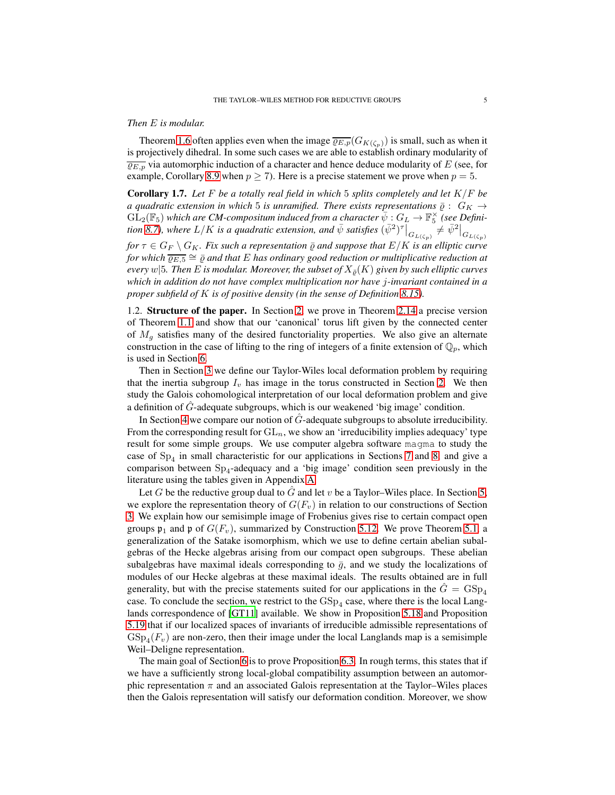## *Then* E *is modular.*

Theorem [1.6](#page-3-1) often applies even when the image  $\overline{\varrho_{E,p}}(G_{K(\zeta_p)})$  is small, such as when it is projectively dihedral. In some such cases we are able to establish ordinary modularity of  $\overline{\varrho_{E,p}}$  via automorphic induction of a character and hence deduce modularity of E (see, for example, Corollary [8.9](#page-73-0) when  $p \ge 7$ ). Here is a precise statement we prove when  $p = 5$ .

Corollary 1.7. *Let* F *be a totally real field in which* 5 *splits completely and let* K/F *be a quadratic extension in which* 5 *is unramified. There exists representations*  $\bar{\rho}$  :  $G_K \rightarrow$  $\widehat{\mathrm{GL}}_2(\mathbb{F}_5)$  which are CM-compositum induced from a character  $\overline{\psi}: G_L \to \mathbb{F}_5^{\times}$  (see Defini- $\frac{1}{2}$ ( $\frac{1}{2}$ ) which are CM-composition matted from a character  $\psi$  .  $GL \to \mathbb{F}_5$  (see Definition [8.7\)](#page-71-1), where  $L/K$  is a quadratic extension, and  $\bar{\psi}$  satisfies  $(\bar{\psi}^2)^{\tau} \big|_{G_{L(\zeta_p)}} \neq \bar{\psi}^2 \big|_{G_{L(\zeta_p)}}$ *for*  $\tau \in G_F \setminus G_K$ *. Fix such a representation*  $\overline{\varrho}$  *and suppose that*  $E/K$  *is an elliptic curve* 

*for which* ̺E,<sup>5</sup> ∼= ̺¯ *and that* E *has ordinary good reduction or multiplicative reduction at every*  $w|5$ *. Then* E *is modular. Moreover, the subset of*  $X_{\bar{\theta}}(K)$  *given by such elliptic curves which in addition do not have complex multiplication nor have* j*-invariant contained in a proper subfield of* K *is of positive density (in the sense of Definition [8.15\)](#page-77-0).*

<span id="page-4-0"></span>1.2. Structure of the paper. In Section [2,](#page-5-1) we prove in Theorem [2.14](#page-11-0) a precise version of Theorem [1.1](#page-1-2) and show that our 'canonical' torus lift given by the connected center of  $M<sub>g</sub>$  satisfies many of the desired functoriality properties. We also give an alternate construction in the case of lifting to the ring of integers of a finite extension of  $\mathbb{Q}_p$ , which is used in Section [6.](#page-51-0)

Then in Section [3](#page-14-0) we define our Taylor-Wiles local deformation problem by requiring that the inertia subgroup  $I_v$  has image in the torus constructed in Section [2.](#page-5-1) We then study the Galois cohomological interpretation of our local deformation problem and give a definition of  $\hat{G}$ -adequate subgroups, which is our weakened 'big image' condition.

In Section [4](#page-27-0) we compare our notion of  $\hat{G}$ -adequate subgroups to absolute irreducibility. From the corresponding result for  $GL_n$ , we show an 'irreducibility implies adequacy' type result for some simple groups. We use computer algebra software magma to study the case of  $Sp_4$  in small characteristic for our applications in Sections [7](#page-54-0) and [8,](#page-66-0) and give a comparison between  $Sp_4$ -adequacy and a 'big image' condition seen previously in the literature using the tables given in Appendix [A.](#page-79-0)

Let G be the reductive group dual to G and let v be a Taylor–Wiles place. In Section [5,](#page-36-0) we explore the representation theory of  $G(F_v)$  in relation to our constructions of Section [3.](#page-14-0) We explain how our semisimple image of Frobenius gives rise to certain compact open groups  $\mathfrak{p}_1$  and  $\mathfrak{p}$  of  $G(F_v)$ , summarized by Construction [5.12.](#page-47-0) We prove Theorem [5.1,](#page-37-0) a generalization of the Satake isomorphism, which we use to define certain abelian subalgebras of the Hecke algebras arising from our compact open subgroups. These abelian subalgebras have maximal ideals corresponding to  $\bar{g}$ , and we study the localizations of modules of our Hecke algebras at these maximal ideals. The results obtained are in full generality, but with the precise statements suited for our applications in the  $\tilde{G} = \text{GSp}_4$ case. To conclude the section, we restrict to the  $GSp_4$  case, where there is the local Langlands correspondence of [\[GT11\]](#page-82-1) available. We show in Proposition [5.18](#page-49-1) and Proposition [5.19](#page-50-0) that if our localized spaces of invariants of irreducible admissible representations of  $GSp_4(F_v)$  are non-zero, then their image under the local Langlands map is a semisimple Weil–Deligne representation.

The main goal of Section [6](#page-51-0) is to prove Proposition [6.3.](#page-53-0) In rough terms, this states that if we have a sufficiently strong local-global compatibility assumption between an automorphic representation  $\pi$  and an associated Galois representation at the Taylor–Wiles places then the Galois representation will satisfy our deformation condition. Moreover, we show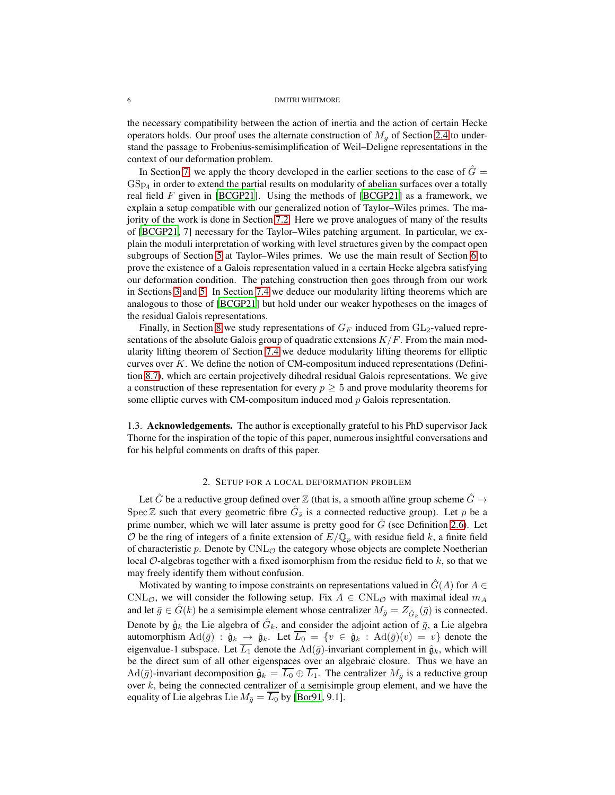the necessary compatibility between the action of inertia and the action of certain Hecke operators holds. Our proof uses the alternate construction of  $M<sub>q</sub>$  of Section [2.4](#page-13-0) to understand the passage to Frobenius-semisimplification of Weil–Deligne representations in the context of our deformation problem.

In Section [7,](#page-54-0) we apply the theory developed in the earlier sections to the case of  $\tilde{G}$  =  $\operatorname{GSp}_4$  in order to extend the partial results on modularity of abelian surfaces over a totally real field  $F$  given in [\[BCGP21\]](#page-81-0). Using the methods of [\[BCGP21](#page-81-0)] as a framework, we explain a setup compatible with our generalized notion of Taylor–Wiles primes. The majority of the work is done in Section [7.2.](#page-57-0) Here we prove analogues of many of the results of [\[BCGP21](#page-81-0), 7] necessary for the Taylor–Wiles patching argument. In particular, we explain the moduli interpretation of working with level structures given by the compact open subgroups of Section [5](#page-36-0) at Taylor–Wiles primes. We use the main result of Section [6](#page-51-0) to prove the existence of a Galois representation valued in a certain Hecke algebra satisfying our deformation condition. The patching construction then goes through from our work in Sections [3](#page-14-0) and [5.](#page-36-0) In Section [7.4](#page-64-0) we deduce our modularity lifting theorems which are analogous to those of [\[BCGP21](#page-81-0)] but hold under our weaker hypotheses on the images of the residual Galois representations.

Finally, in Section [8](#page-66-0) we study representations of  $G_F$  induced from  $GL_2$ -valued representations of the absolute Galois group of quadratic extensions  $K/F$ . From the main modularity lifting theorem of Section [7.4](#page-64-0) we deduce modularity lifting theorems for elliptic curves over  $K$ . We define the notion of CM-compositum induced representations (Definition [8.7\)](#page-71-1), which are certain projectively dihedral residual Galois representations. We give a construction of these representation for every  $p \geq 5$  and prove modularity theorems for some elliptic curves with CM-compositum induced mod  $p$  Galois representation.

<span id="page-5-0"></span>1.3. Acknowledgements. The author is exceptionally grateful to his PhD supervisor Jack Thorne for the inspiration of the topic of this paper, numerous insightful conversations and for his helpful comments on drafts of this paper.

## 2. SETUP FOR A LOCAL DEFORMATION PROBLEM

<span id="page-5-1"></span>Let G be a reductive group defined over  $\mathbb Z$  (that is, a smooth affine group scheme  $\ddot{G} \rightarrow$ Spec  $\mathbb Z$  such that every geometric fibre  $\hat G_{\bar s}$  is a connected reductive group). Let p be a prime number, which we will later assume is pretty good for  $\hat{G}$  (see Definition [2.6\)](#page-9-0). Let  $O$  be the ring of integers of a finite extension of  $E/\mathbb{Q}_p$  with residue field k, a finite field of characteristic  $p$ . Denote by  $\text{CNL}_{\mathcal{O}}$  the category whose objects are complete Noetherian local  $\mathcal{O}$ -algebras together with a fixed isomorphism from the residue field to k, so that we may freely identify them without confusion.

Motivated by wanting to impose constraints on representations valued in  $G(A)$  for  $A \in$ CNL<sub>O</sub>, we will consider the following setup. Fix  $A \in \text{CNL}_{\mathcal{O}}$  with maximal ideal  $m_A$ and let  $\bar{g} \in \hat{G}(k)$  be a semisimple element whose centralizer  $M_{\bar{g}} = Z_{\hat{G}_k}(\bar{g})$  is connected. Denote by  $\hat{g}_k$  the Lie algebra of  $\hat{G}_k$ , and consider the adjoint action of  $\bar{g}$ , a Lie algebra automorphism  $\text{Ad}(\bar{g})$  :  $\hat{g}_k \to \hat{g}_k$ . Let  $\overline{L_0} = \{v \in \hat{g}_k : \text{Ad}(\bar{g})(v) = v\}$  denote the eigenvalue-1 subspace. Let  $\overline{L_1}$  denote the Ad( $\overline{g}$ )-invariant complement in  $\hat{g}_k$ , which will be the direct sum of all other eigenspaces over an algebraic closure. Thus we have an Ad( $\bar{g}$ )-invariant decomposition  $\hat{g}_k = \overline{L_0} \oplus \overline{L_1}$ . The centralizer  $M_{\bar{g}}$  is a reductive group over  $k$ , being the connected centralizer of a semisimple group element, and we have the equality of Lie algebras Lie  $M_{\bar{q}} = \overline{L_0}$  by [\[Bor91,](#page-81-3) 9.1].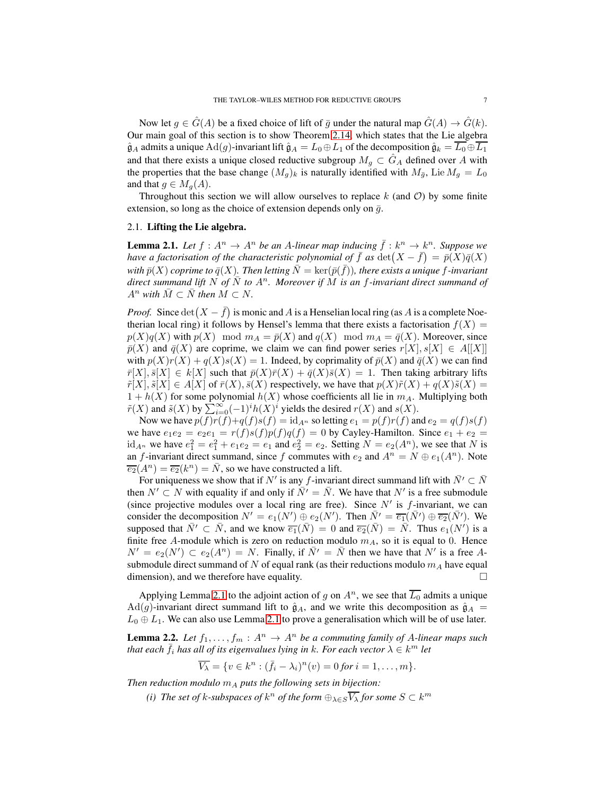Now let  $q \in \hat{G}(A)$  be a fixed choice of lift of  $\bar{q}$  under the natural map  $G(A) \to \hat{G}(k)$ . Our main goal of this section is to show Theorem [2.14,](#page-11-0) which states that the Lie algebra  $\hat{\mathfrak{g}}_A$  admits a unique  $\text{Ad}(g)$ -invariant lift  $\hat{\mathfrak{g}}_A = L_0 \oplus L_1$  of the decomposition  $\hat{\mathfrak{g}}_k = \overline{L_0} \oplus \overline{L_1}$ and that there exists a unique closed reductive subgroup  $M_g \subset \hat{G}_A$  defined over A with the properties that the base change  $(M_q)_k$  is naturally identified with  $M_{\bar{q}}$ , Lie  $M_q = L_0$ and that  $q \in M_q(A)$ .

Throughout this section we will allow ourselves to replace  $k$  (and  $\mathcal{O}$ ) by some finite extension, so long as the choice of extension depends only on  $\bar{g}$ .

### <span id="page-6-0"></span>2.1. Lifting the Lie algebra.

<span id="page-6-1"></span>**Lemma 2.1.** Let  $f : A^n \to A^n$  be an A-linear map inducing  $\bar{f} : k^n \to k^n$ . Suppose we *have a factorisation of the characteristic polynomial of*  $\bar{f}$  *as*  $\det(X - \bar{f}) = \bar{p}(X)\bar{q}(X)$ with  $\bar{p}(X)$  coprime to  $\bar{q}(X)$ . Then letting  $\bar{N} = \ker(\bar{p}(\bar{f}))$ , there exists a unique  $f$ -invariant *direct summand lift* N of  $\overline{N}$  to  $A^n$ . Moreover if M is an f-invariant direct summand of  $A^n$  *with*  $\overline{M} \subset \overline{N}$  *then*  $M \subset N$ *.* 

*Proof.* Since  $\det(X - \bar{f})$  is monic and A is a Henselian local ring (as A is a complete Noetherian local ring) it follows by Hensel's lemma that there exists a factorisation  $f(X)$  =  $p(X)q(X)$  with  $p(X) \mod m_A = \overline{p}(X)$  and  $q(X) \mod m_A = \overline{q}(X)$ . Moreover, since  $\bar{p}(X)$  and  $\bar{q}(X)$  are coprime, we claim we can find power series  $r[X], s[X] \in A[[X]]$ with  $p(X)r(X) + q(X)s(X) = 1$ . Indeed, by coprimality of  $\bar{p}(X)$  and  $\bar{q}(X)$  we can find  $\bar{r}[X], \bar{s}[X] \in k[X]$  such that  $\bar{p}(X)\bar{r}(X) + \bar{q}(X)\bar{s}(X) = 1$ . Then taking arbitrary lifts  $\tilde{r}[X], \tilde{s}[X] \in A[X]$  of  $\bar{r}(X), \bar{s}(X)$  respectively, we have that  $p(X)\tilde{r}(X) + q(X)\tilde{s}(X) =$  $1 + h(X)$  for some polynomial  $h(X)$  whose coefficients all lie in  $m<sub>A</sub>$ . Multiplying both  $\tilde{r}(X)$  and  $\tilde{s}(X)$  by  $\sum_{i=0}^{\infty} (-1)^i h(X)^i$  yields the desired  $r(X)$  and  $s(X)$ .

Now we have  $p(f)r(f)+q(f)s(f) = id_{A^n}$  so letting  $e_1 = p(f)r(f)$  and  $e_2 = q(f)s(f)$ we have  $e_1e_2 = e_2e_1 = r(f)s(f)p(f)q(f) = 0$  by Cayley-Hamilton. Since  $e_1 + e_2 =$  $\mathrm{id}_{A^n}$  we have  $e_1^2 = e_1^2 + e_1 e_2 = e_1$  and  $e_2^2 = e_2$ . Setting  $N = e_2(A^n)$ , we see that N is an f-invariant direct summand, since f commutes with  $e_2$  and  $A^n = N \oplus e_1(A^n)$ . Note  $\overline{e_2}(A^n) = \overline{e_2}(k^n) = \overline{N}$ , so we have constructed a lift.

For uniqueness we show that if N' is any f-invariant direct summand lift with  $\bar{N'} \subset \bar{N}$ then  $N' \subset N$  with equality if and only if  $\overline{N'} = \overline{N}$ . We have that  $N'$  is a free submodule (since projective modules over a local ring are free). Since  $N'$  is  $f$ -invariant, we can consider the decomposition  $N' = e_1(N') \oplus e_2(N')$ . Then  $\overline{N'} = \overline{e_1}(\overline{N'}) \oplus \overline{e_2}(\overline{N'})$ . We supposed that  $\overline{N'} \subset \overline{N}$ , and we know  $\overline{e_1}(\overline{N}) = 0$  and  $\overline{e_2}(\overline{N}) = \overline{N}$ . Thus  $e_1(N')$  is a finite free A-module which is zero on reduction modulo  $m_A$ , so it is equal to 0. Hence  $N' = e_2(N') \subset e_2(A^n) = N$ . Finally, if  $\overline{N'} = \overline{N}$  then we have that  $N'$  is a free Asubmodule direct summand of N of equal rank (as their reductions modulo  $m_A$  have equal dimension), and we therefore have equality.  $\Box$ 

Applying Lemma [2.1](#page-6-1) to the adjoint action of g on  $A<sup>n</sup>$ , we see that  $\overline{L_0}$  admits a unique Ad(g)-invariant direct summand lift to  $\hat{g}_A$ , and we write this decomposition as  $\hat{g}_A$  =  $L_0 \oplus L_1$ . We can also use Lemma [2.1](#page-6-1) to prove a generalisation which will be of use later.

<span id="page-6-3"></span>**Lemma 2.2.** Let  $f_1, \ldots, f_m : A^n \to A^n$  be a commuting family of A-linear maps such *that each*  $\bar{f}_i$  *has all of its eigenvalues lying in k. For each vector*  $\lambda \in k^m$  *let* 

$$
\overline{V_{\lambda}} = \{v \in k^n : (\overline{f_i} - \lambda_i)^n(v) = 0 \text{ for } i = 1, ..., m\}.
$$

<span id="page-6-2"></span>*Then reduction modulo*  $m_A$  *puts the following sets in bijection:* 

(*i*) The set of k-subspaces of  $k^n$  of the form  $\bigoplus_{\lambda \in S} \overline{V_{\lambda}}$  for some  $S \subset k^m$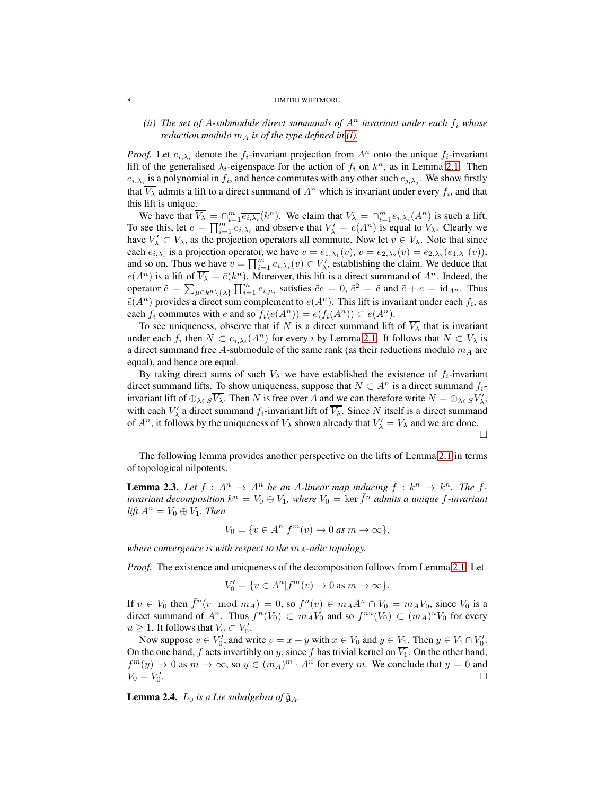## *(ii)* The set of A-submodule direct summands of  $A<sup>n</sup>$  invariant under each  $f<sub>i</sub>$  whose *reduction modulo*  $m_A$  *is of the type defined in [\(i\).](#page-6-2)*

*Proof.* Let  $e_{i,\lambda_i}$  denote the  $f_i$ -invariant projection from  $A^n$  onto the unique  $f_i$ -invariant lift of the generalised  $\lambda_i$ -eigenspace for the action of  $f_i$  on  $k^n$ , as in Lemma [2.1.](#page-6-1) Then  $e_{i,\lambda_i}$  is a polynomial in  $f_i$ , and hence commutes with any other such  $e_{j,\lambda_j}$ . We show firstly that  $\overline{V_{\lambda}}$  admits a lift to a direct summand of  $A^n$  which is invariant under every  $f_i$ , and that this lift is unique.

We have that  $\overline{V_{\lambda}} = \bigcap_{i=1}^{m} \overline{e_{i,\lambda_i}}(k^n)$ . We claim that  $V_{\lambda} = \bigcap_{i=1}^{m} e_{i,\lambda_i}(A^n)$  is such a lift. To see this, let  $e = \prod_{i=1}^{m} e_{i,\lambda_i}$  and observe that  $V'_{\lambda} = e(A^n)$  is equal to  $V_{\lambda}$ . Clearly we have  $V'_\lambda \subset V_\lambda$ , as the projection operators all commute. Now let  $v \in V_\lambda$ . Note that since each  $e_{i,\lambda_i}$  is a projection operator, we have  $v = e_{1,\lambda_1}(v)$ ,  $v = e_{2,\lambda_2}(v) = e_{2,\lambda_2}(e_{1,\lambda_1}(v))$ , and so on. Thus we have  $v = \prod_{i=1}^m e_{i,\lambda_i}(v) \in V'_{\lambda}$ , establishing the claim. We deduce that  $e(A^n)$  is a lift of  $\overline{V_{\lambda}} = \overline{e}(k^n)$ . Moreover, this lift is a direct summand of  $A^n$ . Indeed, the operator  $\tilde{e} = \sum_{\mu \in k^n \setminus \{\lambda\}} \prod_{i=1}^m e_{i,\mu_i}$  satisfies  $\tilde{e}e = 0$ ,  $\tilde{e}^2 = \tilde{e}$  and  $\tilde{e} + e = \text{id}_{A^n}$ . Thus  $\tilde{e}(A^n)$  provides a direct sum complement to  $e(A^n)$ . This lift is invariant under each  $f_i$ , as each  $f_i$  commutes with e and so  $f_i(e(A^n)) = e(f_i(A^n)) \subset e(A^n)$ .

To see uniqueness, observe that if N is a direct summand lift of  $\overline{V_{\lambda}}$  that is invariant under each  $f_i$  then  $N \subset e_{i,\lambda_i}(A^n)$  for every i by Lemma [2.1.](#page-6-1) It follows that  $N \subset V_\lambda$  is a direct summand free A-submodule of the same rank (as their reductions modulo  $m_A$  are equal), and hence are equal.

By taking direct sums of such  $V_{\lambda}$  we have established the existence of  $f_i$ -invariant direct summand lifts. To show uniqueness, suppose that  $N \subset A^n$  is a direct summand  $f_i$ invariant lift of  $\oplus_{\lambda \in S} \overline{V_{\lambda}}$ . Then N is free over A and we can therefore write  $N = \oplus_{\lambda \in S} V'_{\lambda}$ , with each  $V'_{\lambda}$  a direct summand  $f_i$ -invariant lift of  $\overline{V_{\lambda}}$ . Since N itself is a direct summand of  $A^n$ , it follows by the uniqueness of  $V_\lambda$  shown already that  $V'_\lambda = V_\lambda$  and we are done.  $\Box$ 

The following lemma provides another perspective on the lifts of Lemma [2.1](#page-6-1) in terms of topological nilpotents.

<span id="page-7-0"></span>**Lemma 2.3.** Let  $f : A^n \to \underline{A^n}$  be an A-linear map inducing  $\bar{f} : k^n \to k^n$ . The  $\bar{f}$ *invariant decomposition*  $k^n = \overline{V_0} \oplus \overline{V_1}$ , where  $\overline{V_0} = \ker \overline{f^n}$  *admits a unique f-invariant lift*  $A^n = V_0 \oplus V_1$ *. Then* 

$$
V_0 = \{ v \in A^n | f^m(v) \to 0 \text{ as } m \to \infty \},
$$

*where convergence is with respect to the*  $m_A$ -adic topology.

*Proof.* The existence and uniqueness of the decomposition follows from Lemma [2.1.](#page-6-1) Let

$$
V_0' = \{ v \in A^n | f^m(v) \to 0 \text{ as } m \to \infty \}.
$$

If  $v \in V_0$  then  $\bar{f}^n(v \mod m_A) = 0$ , so  $f^n(v) \in m_A A^n \cap V_0 = m_A V_0$ , since  $V_0$  is a direct summand of  $A^n$ . Thus  $f^n(V_0) \subset m_A V_0$  and so  $f^{nu}(V_0) \subset (m_A)^u V_0$  for every  $u \geq 1$ . It follows that  $V_0 \subset V'_0$ .

Now suppose  $v \in V'_0$ , and write  $v = x + y$  with  $x \in V_0$  and  $y \in V_1$ . Then  $y \in V_1 \cap V'_0$ . On the one hand, f acts invertibly on y, since  $\bar{f}$  has trivial kernel on  $\overline{V_1}$ . On the other hand,  $f^{m}(y) \to 0$  as  $m \to \infty$ , so  $y \in (m_A)^{m} \cdot A^{n}$  for every m. We conclude that  $y = 0$  and  $V_0 = V'_0$ .

**Lemma 2.4.**  $L_0$  *is a Lie subalgebra of*  $\hat{\mathfrak{g}}_A$ *.*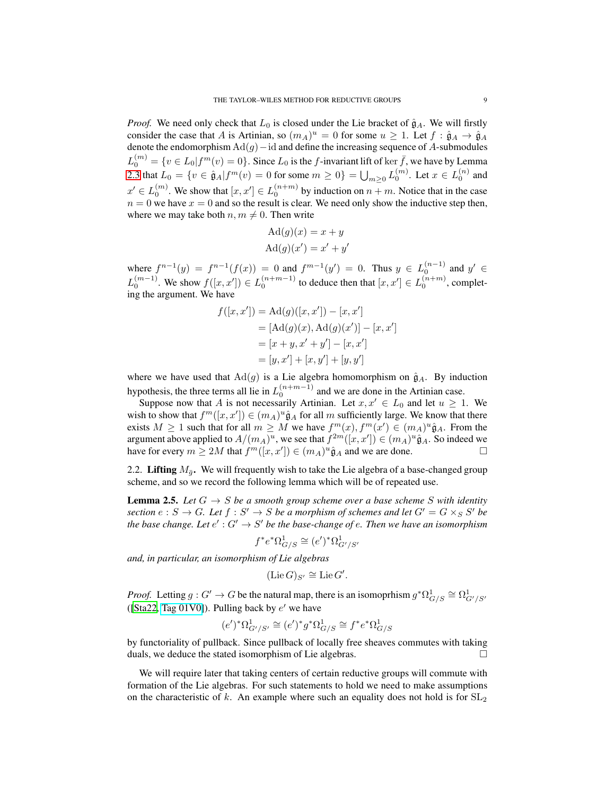*Proof.* We need only check that  $L_0$  is closed under the Lie bracket of  $\hat{g}_A$ . We will firstly consider the case that A is Artinian, so  $(m_A)^u = 0$  for some  $u \ge 1$ . Let  $f : \hat{\mathfrak{g}}_A \to \hat{\mathfrak{g}}_A$ denote the endomorphism  $\text{Ad}(g)$  – id and define the increasing sequence of A-submodules  $L_0^{(m)} = \{v \in L_0 | f^m(v) = 0\}$ . Since  $L_0$  is the f-invariant lift of ker  $\bar{f}$ , we have by Lemma [2.3](#page-7-0) that  $L_0 = \{v \in \hat{\mathfrak{g}}_A | f^m(v) = 0 \text{ for some } m \ge 0\} = \bigcup_{m \ge 0} L_0^{(m)}$ . Let  $x \in L_0^{(n)}$  and  $x' \in L_0^{(m)}$ . We show that  $[x, x'] \in L_0^{(n+m)}$  by induction on  $n+m$ . Notice that in the case  $n = 0$  we have  $x = 0$  and so the result is clear. We need only show the inductive step then, where we may take both  $n, m \neq 0$ . Then write

$$
Ad(g)(x) = x + y
$$

$$
Ad(g)(x') = x' + y'
$$

where  $f^{n-1}(y) = f^{n-1}(f(x)) = 0$  and  $f^{m-1}(y') = 0$ . Thus  $y \in L_0^{(n-1)}$  and  $y' \in L_0^{(n-1)}$  $L_0^{(m-1)}$ . We show  $f([x, x']) \in L_0^{(n+m-1)}$  to deduce then that  $[x, x'] \in L_0^{(n+m)}$ , completing the argument. We have

$$
f([x, x']) = \text{Ad}(g)([x, x']) - [x, x']
$$
  
=  $[\text{Ad}(g)(x), \text{Ad}(g)(x')] - [x, x']$   
=  $[x + y, x' + y'] - [x, x']$   
=  $[y, x'] + [x, y'] + [y, y']$ 

where we have used that  $Ad(g)$  is a Lie algebra homomorphism on  $\hat{g}_A$ . By induction hypothesis, the three terms all lie in  $L_0^{(n+m-1)}$  and we are done in the Artinian case.

Suppose now that A is not necessarily Artinian. Let  $x, x' \in L_0$  and let  $u \geq 1$ . We wish to show that  $f^m([x, x']) \in (m_A)^u \hat{\mathfrak{g}}_A$  for all m sufficiently large. We know that there exists  $M \ge 1$  such that for all  $m \ge M$  we have  $f^m(x)$ ,  $f^m(x') \in (m_A)^u \hat{\mathfrak{g}}_A$ . From the argument above applied to  $A/(m_A)^u$ , we see that  $f^{2m}([x, x']) \in (m_A)^u \hat{\mathfrak{g}}_A$ . So indeed we have for every  $m \ge 2M$  that  $f^m([x, x']) \in (m_A)^u \hat{\mathfrak{g}}_A$  and we are done.

<span id="page-8-0"></span>2.2. Lifting  $M_{\bar{q}}$ . We will frequently wish to take the Lie algebra of a base-changed group scheme, and so we record the following lemma which will be of repeated use.

**Lemma 2.5.** Let  $G \rightarrow S$  be a smooth group scheme over a base scheme S with identity section  $e : S \to G$ . Let  $f : S' \to S$  be a morphism of schemes and let  $G' = G \times_S S'$  be the base change. Let  $e' : G' \to S'$  be the base-change of  $e$ . Then we have an isomorphism

$$
f^*e^*\Omega^1_{G/S} \cong (e')^*\Omega^1_{G'/S'}
$$

*and, in particular, an isomorphism of Lie algebras*

$$
(\mathrm{Lie}\, G)_{S'} \cong \mathrm{Lie}\, G'.
$$

*Proof.* Letting  $g: G' \to G$  be the natural map, there is an isomoprhism  $g^* \Omega^1_{G/S} \cong \Omega^1_{G'/S'}$ ([\[Sta22](#page-83-1), [Tag 01V0\]](https://stacks.math.columbia.edu/tag/01V0)). Pulling back by  $e'$  we have

$$
(e')^* \Omega^1_{G'/S'} \cong (e')^* g^* \Omega^1_{G/S} \cong f^* e^* \Omega^1_{G/S}
$$

by functoriality of pullback. Since pullback of locally free sheaves commutes with taking duals, we deduce the stated isomorphism of Lie algebras.

We will require later that taking centers of certain reductive groups will commute with formation of the Lie algebras. For such statements to hold we need to make assumptions on the characteristic of k. An example where such an equality does not hold is for  $SL_2$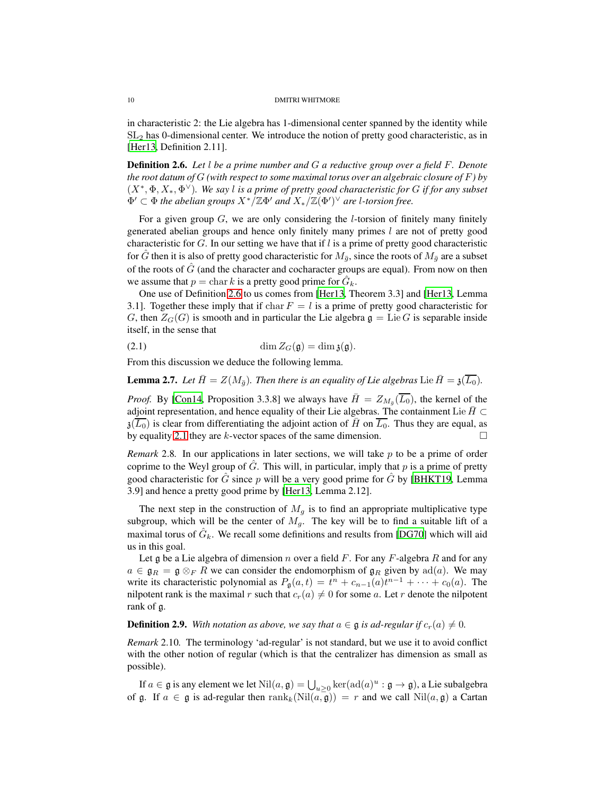in characteristic 2: the Lie algebra has 1-dimensional center spanned by the identity while  $SL<sub>2</sub>$  has 0-dimensional center. We introduce the notion of pretty good characteristic, as in [\[Her13,](#page-82-2) Definition 2.11].

<span id="page-9-0"></span>Definition 2.6. *Let* l *be a prime number and* G *a reductive group over a field* F*. Denote the root datum of* G *(with respect to some maximal torus over an algebraic closure of* F*) by* (X<sup>∗</sup> , Φ, X∗, Φ <sup>∨</sup>)*. We say* l *is a prime of pretty good characteristic for* G *if for any subset*  $\Phi' \subset \Phi$  *the abelian groups*  $X^*/\mathbb{Z}\Phi'$  *and*  $X_*/\mathbb{Z}(\Phi')^\vee$  *are l-torsion free.* 

For a given group  $G$ , we are only considering the *l*-torsion of finitely many finitely generated abelian groups and hence only finitely many primes  $l$  are not of pretty good characteristic for  $G$ . In our setting we have that if  $l$  is a prime of pretty good characteristic for G then it is also of pretty good characteristic for  $M_{\bar{q}}$ , since the roots of  $M_{\bar{q}}$  are a subset of the roots of  $\hat{G}$  (and the character and cocharacter groups are equal). From now on then we assume that  $p = \text{char } k$  is a pretty good prime for  $\hat{G}_k$ .

One use of Definition [2.6](#page-9-0) to us comes from [\[Her13,](#page-82-2) Theorem 3.3] and [\[Her13,](#page-82-2) Lemma 3.1]. Together these imply that if char  $F = l$  is a prime of pretty good characteristic for G, then  $Z_G(G)$  is smooth and in particular the Lie algebra  $\mathfrak{g} = \text{Lie }G$  is separable inside itself, in the sense that

<span id="page-9-1"></span>(2.1) 
$$
\dim Z_G(\mathfrak{g}) = \dim \mathfrak{z}(\mathfrak{g}).
$$

From this discussion we deduce the following lemma.

<span id="page-9-3"></span>**Lemma 2.7.** Let  $\bar{H} = Z(M_{\bar{q}})$ . Then there is an equality of Lie algebras Lie  $\bar{H} = \mathfrak{z}(\overline{L_0})$ .

*Proof.* By [\[Con14](#page-81-4), Proposition 3.3.8] we always have  $\bar{H} = Z_{M_{\bar{g}}}(\overline{L_0})$ , the kernel of the adjoint representation, and hence equality of their Lie algebras. The containment Lie  $\bar{H} \subset$  $\overline{\mathfrak{z}(\overline{L_0})}$  is clear from differentiating the adjoint action of  $\overline{H}$  on  $\overline{L_0}$ . Thus they are equal, as by equality [2.1](#page-9-1) they are k-vector spaces of the same dimension.  $\square$ 

*Remark* 2.8. In our applications in later sections, we will take p to be a prime of order coprime to the Weyl group of  $G$ . This will, in particular, imply that p is a prime of pretty good characteristic for  $\hat{G}$  since p will be a very good prime for  $\hat{G}$  by [\[BHKT19](#page-81-1), Lemma 3.9] and hence a pretty good prime by [\[Her13](#page-82-2), Lemma 2.12].

The next step in the construction of  $M<sub>q</sub>$  is to find an appropriate multiplicative type subgroup, which will be the center of  $M<sub>q</sub>$ . The key will be to find a suitable lift of a maximal torus of  $\hat{G}_k$ . We recall some definitions and results from [\[DG70\]](#page-81-5) which will aid us in this goal.

Let g be a Lie algebra of dimension n over a field F. For any F-algebra R and for any  $a \in \mathfrak{g}_R = \mathfrak{g} \otimes_F R$  we can consider the endomorphism of  $\mathfrak{g}_R$  given by ad(a). We may write its characteristic polynomial as  $P_{\mathfrak{g}}(a,t) = t^{n} + c_{n-1}(a)t^{n-1} + \cdots + c_{0}(a)$ . The nilpotent rank is the maximal r such that  $c_r(a) \neq 0$  for some a. Let r denote the nilpotent rank of g.

## <span id="page-9-2"></span>**Definition 2.9.** With notation as above, we say that  $a \in \mathfrak{g}$  is ad-regular if  $c_r(a) \neq 0$ .

*Remark* 2.10*.* The terminology 'ad-regular' is not standard, but we use it to avoid conflict with the other notion of regular (which is that the centralizer has dimension as small as possible).

If  $a \in \mathfrak{g}$  is any element we let  $\text{Nil}(a,\mathfrak{g}) = \bigcup_{u \geq 0} \ker(\text{ad}(a)^u : \mathfrak{g} \to \mathfrak{g})$ , a Lie subalgebra of g. If  $a \in \mathfrak{g}$  is ad-regular then  $\text{rank}_k(\text{Nil}(a, \overline{\mathfrak{g}})) = r$  and we call  $\text{Nil}(a, \mathfrak{g})$  a Cartan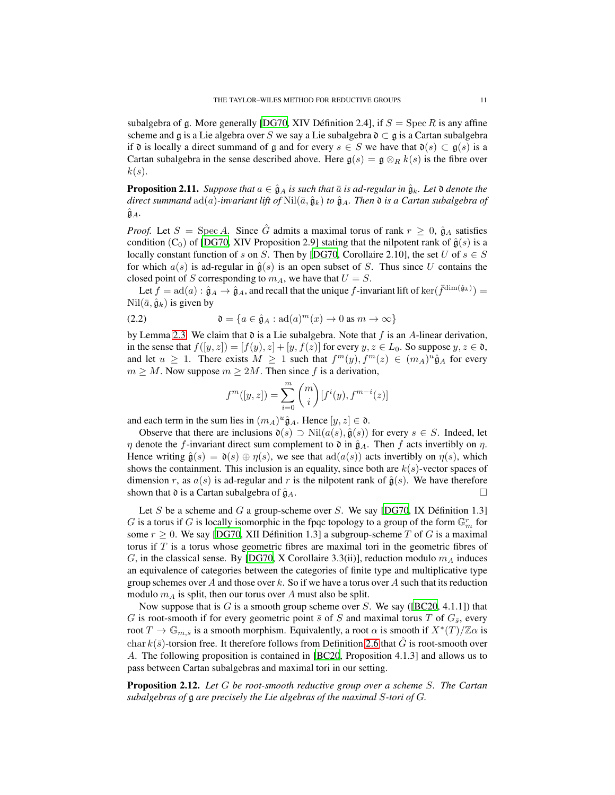subalgebra of g. More generally [\[DG70,](#page-81-5) XIV Définition 2.4], if  $S = \text{Spec } R$  is any affine scheme and g is a Lie algebra over S we say a Lie subalgebra  $\mathfrak{d} \subset \mathfrak{g}$  is a Cartan subalgebra if  $\mathfrak d$  is locally a direct summand of  $\mathfrak g$  and for every  $s \in S$  we have that  $\mathfrak d(s) \subset \mathfrak g(s)$  is a Cartan subalgebra in the sense described above. Here  $\mathfrak{g}(s) = \mathfrak{g} \otimes_R k(s)$  is the fibre over  $k(s)$ .

<span id="page-10-0"></span>**Proposition 2.11.** *Suppose that*  $a \in \hat{\mathfrak{g}}_A$  *is such that*  $\bar{a}$  *is ad-regular in*  $\hat{\mathfrak{g}}_k$ *. Let*  $\mathfrak{d}$  *denote the direct summand*  $ad(a)$ *-invariant lift of*  $Nil(\bar{a}, \hat{g}_k)$  *to*  $\hat{g}_A$ *. Then*  $\mathfrak{d}$  *is a Cartan subalgebra of*  $\hat{\mathfrak{g}}_A$ .

*Proof.* Let  $S = \text{Spec } A$ . Since  $\hat{G}$  admits a maximal torus of rank  $r \geq 0$ ,  $\hat{\mathfrak{g}}_A$  satisfies condition (C<sub>0</sub>) of [\[DG70](#page-81-5), XIV Proposition 2.9] stating that the nilpotent rank of  $\hat{g}(s)$  is a locally constant function of s on S. Then by [\[DG70](#page-81-5), Corollaire 2.10], the set U of  $s \in S$ for which  $a(s)$  is ad-regular in  $\hat{g}(s)$  is an open subset of S. Thus since U contains the closed point of S corresponding to  $m_A$ , we have that  $U = S$ .

Let  $\hat{f} = \text{ad}(a) : \hat{\mathfrak{g}}_A \to \hat{\mathfrak{g}}_A$ , and recall that the unique f-invariant lift of ker $(\bar{f}^{\text{dim}(\hat{\mathfrak{g}}_k)}) =$  $\text{Nil}(\bar{a}, \hat{\mathfrak{g}}_k)$  is given by

(2.2) 
$$
\mathfrak{d} = \{a \in \hat{\mathfrak{g}}_A : \mathrm{ad}(a)^m(x) \to 0 \text{ as } m \to \infty\}
$$

by Lemma [2.3.](#page-7-0) We claim that  $\mathfrak d$  is a Lie subalgebra. Note that f is an A-linear derivation, in the sense that  $f([y, z]) = [f(y), z] + [y, f(z)]$  for every  $y, z \in L_0$ . So suppose  $y, z \in \mathfrak{d}$ , and let  $u \ge 1$ . There exists  $M \ge 1$  such that  $f^m(y), f^m(z) \in (m_A)^u \hat{\mathfrak{g}}_A$  for every  $m \geq M$ . Now suppose  $m \geq 2M$ . Then since f is a derivation,

$$
f^{m}([y,z]) = \sum_{i=0}^{m} {m \choose i} [f^{i}(y), f^{m-i}(z)]
$$

and each term in the sum lies in  $(m_A)^u \hat{\mathfrak{g}}_A$ . Hence  $[y, z] \in \mathfrak{d}$ .

Observe that there are inclusions  $\mathfrak{d}(s) \supset \text{Nil}(a(s), \hat{\mathfrak{g}}(s))$  for every  $s \in S$ . Indeed, let  $\eta$  denote the f-invariant direct sum complement to  $\mathfrak{d}$  in  $\hat{\mathfrak{g}}_A$ . Then f acts invertibly on  $\eta$ . Hence writing  $\hat{\mathfrak{g}}(s) = \mathfrak{d}(s) \oplus \eta(s)$ , we see that  $\text{ad}(a(s))$  acts invertibly on  $\eta(s)$ , which shows the containment. This inclusion is an equality, since both are  $k(s)$ -vector spaces of dimension r, as  $a(s)$  is ad-regular and r is the nilpotent rank of  $\hat{g}(s)$ . We have therefore shown that  $\mathfrak d$  is a Cartan subalgebra of  $\hat{\mathfrak g}_A$ .

Let S be a scheme and G a group-scheme over S. We say [\[DG70,](#page-81-5) IX Définition 1.3]  $G$  is a torus if  $G$  is locally isomorphic in the fpqc topology to a group of the form  $\mathbb{G}_m^r$  for some  $r \geq 0$ . We say [\[DG70,](#page-81-5) XII Définition 1.3] a subgroup-scheme T of G is a maximal torus if  $T$  is a torus whose geometric fibres are maximal tori in the geometric fibres of G, in the classical sense. By [\[DG70,](#page-81-5) X Corollaire 3.3(ii)], reduction modulo  $m_A$  induces an equivalence of categories between the categories of finite type and multiplicative type group schemes over A and those over k. So if we have a torus over A such that its reduction modulo  $m_A$  is split, then our torus over A must also be split.

Now suppose that is  $G$  is a smooth group scheme over  $S$ . We say ([\[BC20,](#page-81-6) 4.1.1]) that G is root-smooth if for every geometric point  $\bar{s}$  of S and maximal torus T of  $G_{\bar{s}}$ , every root  $T \to \mathbb{G}_{m,\bar{s}}$  is a smooth morphism. Equivalently, a root  $\alpha$  is smooth if  $X^*(T)/\mathbb{Z}\alpha$  is char  $k(\bar{s})$ -torsion free. It therefore follows from Definition [2.6](#page-9-0) that  $\tilde{G}$  is root-smooth over A. The following proposition is contained in [\[BC20,](#page-81-6) Proposition 4.1.3] and allows us to pass between Cartan subalgebras and maximal tori in our setting.

<span id="page-10-1"></span>Proposition 2.12. *Let* G *be root-smooth reductive group over a scheme* S*. The Cartan subalgebras of* g *are precisely the Lie algebras of the maximal* S*-tori of* G*.*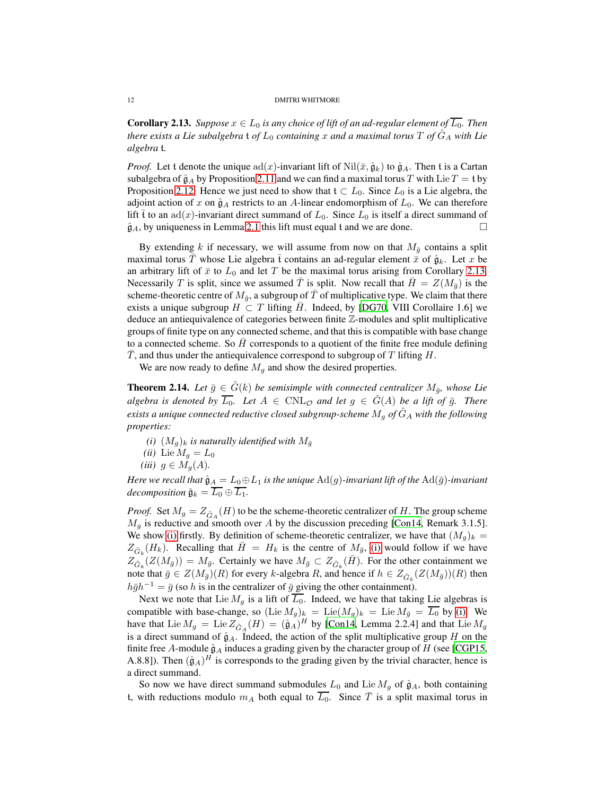<span id="page-11-1"></span>**Corollary 2.13.** *Suppose*  $x \in L_0$  *is any choice of lift of an ad-regular element of*  $\overline{L_0}$ *. Then there exists a Lie subalgebra* t *of*  $L_0$  *containing* x *and a maximal torus* T *of*  $G_A$  *with Lie algebra* t*.*

*Proof.* Let t denote the unique  $ad(x)$ -invariant lift of  $Nil(\bar{x}, \hat{g}_k)$  to  $\hat{g}_A$ . Then t is a Cartan subalgebra of  $\hat{g}_A$  by Proposition [2.11](#page-10-0) and we can find a maximal torus T with Lie T = t by Proposition [2.12.](#page-10-1) Hence we just need to show that  $t \subset L_0$ . Since  $L_0$  is a Lie algebra, the adjoint action of x on  $\hat{g}_A$  restricts to an A-linear endomorphism of  $L_0$ . We can therefore lift  $\bar{t}$  to an ad(x)-invariant direct summand of  $L_0$ . Since  $L_0$  is itself a direct summand of  $\hat{\mathfrak{g}}_A$ , by uniqueness in Lemma [2.1](#page-6-1) this lift must equal t and we are done.

By extending k if necessary, we will assume from now on that  $M_{\bar{g}}$  contains a split maximal torus T whose Lie algebra  $\overline{t}$  contains an ad-regular element  $\overline{x}$  of  $\hat{g}_k$ . Let x be an arbitrary lift of  $\bar{x}$  to  $L_0$  and let T be the maximal torus arising from Corollary [2.13.](#page-11-1) Necessarily T is split, since we assumed T is split. Now recall that  $H = Z(M_{\bar{q}})$  is the scheme-theoretic centre of  $M_{\bar{q}}$ , a subgroup of T of multiplicative type. We claim that there exists a unique subgroup  $H \subset T$  lifting H. Indeed, by [\[DG70,](#page-81-5) VIII Corollaire 1.6] we deduce an antiequivalence of categories between finite Z-modules and split multiplicative groups of finite type on any connected scheme, and that this is compatible with base change to a connected scheme. So  $H$  corresponds to a quotient of the finite free module defining T, and thus under the antiequivalence correspond to subgroup of  $T$  lifting  $H$ .

We are now ready to define  $M<sub>g</sub>$  and show the desired properties.

<span id="page-11-0"></span>**Theorem 2.14.** Let  $\bar{g} \in \hat{G}(k)$  be semisimple with connected centralizer  $M_{\bar{q}}$ *, whose Lie algebra is denoted by*  $\overline{L_0}$ *. Let*  $A \in CNL_{\mathcal{O}}$  *and let*  $g \in \hat{G}(A)$  *be a lift of*  $\overline{g}$ *. There exists a unique connected reductive closed subgroup-scheme*  $M_q$  *of*  $\hat{G}_A$  *with the following properties:*

<span id="page-11-4"></span><span id="page-11-3"></span><span id="page-11-2"></span>*(i)*  $(M_g)_k$  *is naturally identified with*  $M_{\bar{g}}$ (*ii*) Lie  $M_q = L_0$ *(iii)*  $g \in M_q(A)$ .

*Here we recall that*  $\hat{g}_A = L_0 \oplus L_1$  *is the unique*  $\text{Ad}(g)$ *-invariant lift of the*  $\text{Ad}(\bar{g})$ *-invariant decomposition*  $\hat{\mathfrak{g}}_k = \overline{L_0} \oplus \overline{L_1}$ .

*Proof.* Set  $M_g = Z_{\hat{G}_A}(H)$  to be the scheme-theoretic centralizer of H. The group scheme  $M<sub>g</sub>$  is reductive and smooth over A by the discussion preceding [\[Con14,](#page-81-4) Remark 3.1.5]. We show [\(i\)](#page-11-2) firstly. By definition of scheme-theoretic centralizer, we have that  $(M_q)_k =$  $Z_{\hat{G}_k}(H_k)$ . Recalling that  $\bar{H} = H_k$  is the centre of  $M_{\bar{g}}$ , [\(i\)](#page-11-2) would follow if we have  $Z_{\hat{G}_{k}}(Z(M_{\bar{g}})) = M_{\bar{g}}$ . Certainly we have  $M_{\bar{g}} \subset Z_{\hat{G}_{k}}(\bar{H})$ . For the other containment we note that  $\bar{g} \in Z(M_{\bar{g}})(R)$  for every k-algebra R, and hence if  $h \in Z_{\hat{G}_k}(Z(M_{\bar{g}}))(R)$  then  $h\bar{g}h^{-1} = \bar{g}$  (so h is in the centralizer of  $\bar{g}$  giving the other containment).

Next we note that Lie  $M<sub>g</sub>$  is a lift of  $\overline{L_0}$ . Indeed, we have that taking Lie algebras is compatible with base-change, so  $(\text{Lie }M_g)_k = \text{Lie}(M_g)_k = \text{Lie }M_{\bar{g}} = L_0$  by [\(i\).](#page-11-2) We have that Lie  $M_g = \text{Lie } Z_{\hat{G}_A}(H) = (\hat{\mathfrak{g}}_A)^H$  by [\[Con14,](#page-81-4) Lemma 2.2.4] and that Lie  $M_g$ is a direct summand of  $\hat{g}_A$ . Indeed, the action of the split multiplicative group H on the finite free A-module  $\hat{\mathfrak{g}}_A$  induces a grading given by the character group of H (see [\[CGP15,](#page-81-7) A.8.8]). Then  $(\hat{\mathfrak{g}}_A)^H$  is corresponds to the grading given by the trivial character, hence is a direct summand.

So now we have direct summand submodules  $L_0$  and Lie  $M_q$  of  $\hat{g}_A$ , both containing t, with reductions modulo  $m_A$  both equal to  $\overline{L_0}$ . Since  $\overline{T}$  is a split maximal torus in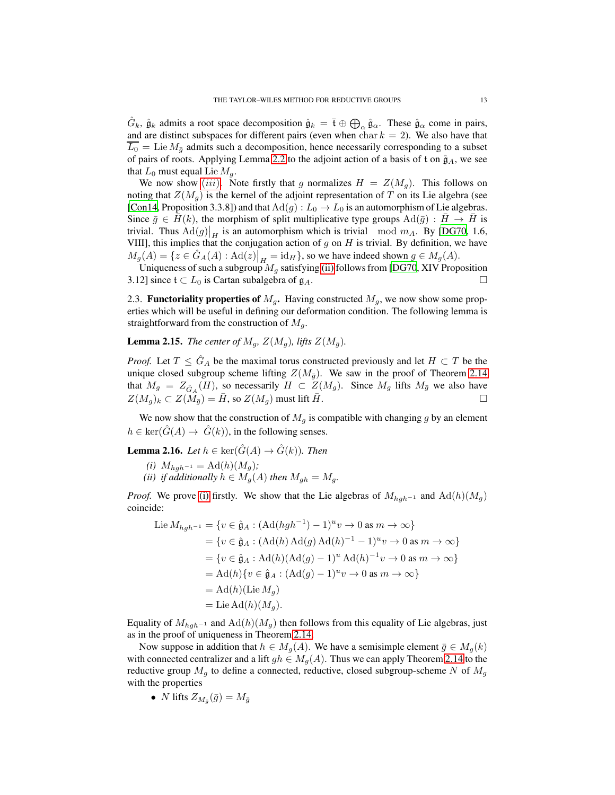$\hat{G}_k$ ,  $\hat{\mathfrak{g}}_k$  admits a root space decomposition  $\hat{\mathfrak{g}}_k = \overline{\mathfrak{t}} \oplus \bigoplus_\alpha \hat{\mathfrak{g}}_\alpha$ . These  $\hat{\mathfrak{g}}_\alpha$  come in pairs, and are distinct subspaces for different pairs (even when  $char k = 2$ ). We also have that  $\overline{L_0}$  = Lie  $M_{\overline{q}}$  admits such a decomposition, hence necessarily corresponding to a subset of pairs of roots. Applying Lemma [2.2](#page-6-3) to the adjoint action of a basis of t on  $\hat{g}_A$ , we see that  $L_0$  must equal Lie  $M_a$ .

We now show ([iii](#page-11-3)). Note firstly that g normalizes  $H = Z(M_q)$ . This follows on noting that  $Z(M_q)$  is the kernel of the adjoint representation of T on its Lie algebra (see [\[Con14,](#page-81-4) Proposition 3.3.8]) and that  $Ad(g) : L_0 \to L_0$  is an automorphism of Lie algebras. Since  $\bar{g} \in H(k)$ , the morphism of split multiplicative type groups  $\text{Ad}(\bar{g}) : H \to H$  is trivial. Thus  $\text{Ad}(g)|_H$  is an automorphism which is trivial mod  $m_A$ . By [\[DG70,](#page-81-5) 1.6, VIII], this implies that the conjugation action of  $g$  on  $H$  is trivial. By definition, we have  $M_g(A) = \{ z \in \hat{G}_A(A) : \text{Ad}(z) \big|_H = \text{id}_H \}$ , so we have indeed shown  $g \in M_g(A)$ .

Uniqueness of such a subgroup  $M_g$  satisfying [\(ii\)](#page-11-4) follows from [\[DG70](#page-81-5), XIV Proposition 3.12] since  $t \subset L_0$  is Cartan subalgebra of  $g_A$ .

<span id="page-12-0"></span>2.3. **Functoriality properties of**  $M<sub>g</sub>$ . Having constructed  $M<sub>g</sub>$ , we now show some properties which will be useful in defining our deformation condition. The following lemma is straightforward from the construction of  $M_q$ .

**Lemma 2.15.** *The center of*  $M_q$ ,  $Z(M_q)$ *, lifts*  $Z(M_{\bar{q}})$ *.* 

*Proof.* Let  $T \leq \hat{G}_A$  be the maximal torus constructed previously and let  $H \subset T$  be the unique closed subgroup scheme lifting  $Z(M_{\bar{q}})$ . We saw in the proof of Theorem [2.14](#page-11-0) that  $M_g = Z_{\hat{G}_A}(H)$ , so necessarily  $H \subset Z(M_g)$ . Since  $M_g$  lifts  $M_{\bar{g}}$  we also have  $Z(M_q)_k \subset Z(M_{\bar{q}}) = H$ , so  $Z(M_q)$  must lift H.

We now show that the construction of  $M<sub>g</sub>$  is compatible with changing g by an element  $h \in \text{ker}(\hat{G}(A) \to \hat{G}(k))$ , in the following senses.

<span id="page-12-3"></span><span id="page-12-1"></span>**Lemma 2.16.** *Let*  $h \in \text{ker}(\hat{G}(A) \rightarrow \hat{G}(k))$ *. Then* 

- <span id="page-12-2"></span> $(i)$   $M_{hgh^{-1}} = \text{Ad}(h)(M_g);$
- *(ii) if additionally*  $h \in M_g(A)$  *then*  $M_{gh} = M_g$ .

*Proof.* We prove [\(i\)](#page-12-1) firstly. We show that the Lie algebras of  $M_{hgh^{-1}}$  and  $\text{Ad}(h)(M_g)$ coincide:

$$
\begin{aligned}\n\text{Lie } M_{hgh^{-1}} &= \{ v \in \hat{\mathfrak{g}}_A : (\text{Ad}(hgh^{-1}) - 1)^u v \to 0 \text{ as } m \to \infty \} \\
&= \{ v \in \hat{\mathfrak{g}}_A : (\text{Ad}(h) \text{Ad}(g) \text{Ad}(h)^{-1} - 1)^u v \to 0 \text{ as } m \to \infty \} \\
&= \{ v \in \hat{\mathfrak{g}}_A : \text{Ad}(h)(\text{Ad}(g) - 1)^u \text{Ad}(h)^{-1} v \to 0 \text{ as } m \to \infty \} \\
&= \text{Ad}(h) \{ v \in \hat{\mathfrak{g}}_A : (\text{Ad}(g) - 1)^u v \to 0 \text{ as } m \to \infty \} \\
&= \text{Ad}(h) (\text{Lie } M_g) \\
&= \text{Lie } \text{Ad}(h) (M_g).\n\end{aligned}
$$

Equality of  $M_{hgh^{-1}}$  and  $\text{Ad}(h)(M_g)$  then follows from this equality of Lie algebras, just as in the proof of uniqueness in Theorem [2.14.](#page-11-0)

Now suppose in addition that  $h \in M_q(A)$ . We have a semisimple element  $\bar{g} \in M_q(k)$ with connected centralizer and a lift  $gh \in M_q(A)$ . Thus we can apply Theorem [2.14](#page-11-0) to the reductive group  $M<sub>g</sub>$  to define a connected, reductive, closed subgroup-scheme N of  $M<sub>g</sub>$ with the properties

• *N* lifts  $Z_{M_{\bar{g}}}(\bar{g}) = M_{\bar{g}}$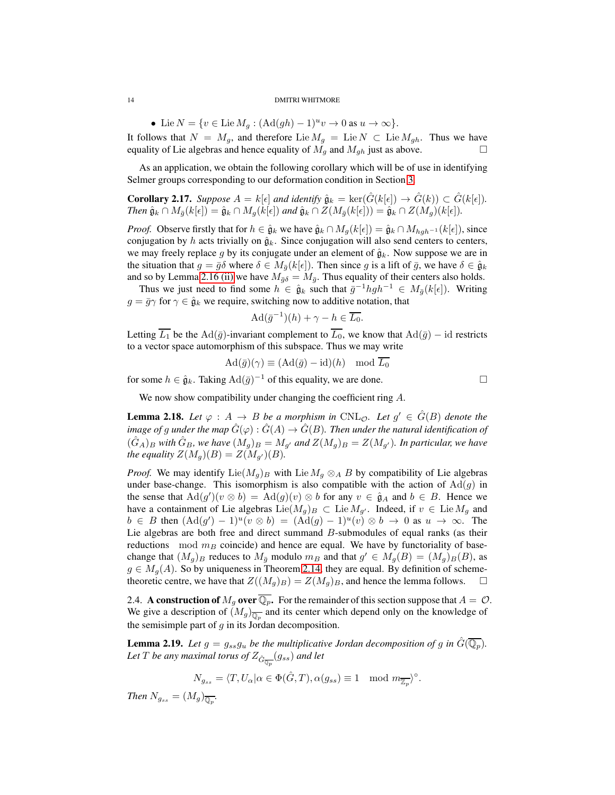• Lie  $N = \{v \in \text{Lie } M_g : (\text{Ad}(gh) - 1)^u v \to 0 \text{ as } u \to \infty\}.$ It follows that  $N = M_g$ , and therefore Lie  $M_g = \text{Lie } N \subset \text{Lie } M_{gh}$ . Thus we have equality of Lie algebras and hence equality of  $M_g$  and  $M_{gh}$  just as above. □ equality of Lie algebras and hence equality of  $M<sub>g</sub>$  and  $M<sub>gh</sub>$  just as above.

As an application, we obtain the following corollary which will be of use in identifying Selmer groups corresponding to our deformation condition in Section [3.](#page-14-0)

<span id="page-13-2"></span>**Corollary 2.17.** *Suppose*  $A = k[\epsilon]$  *and identify*  $\hat{\mathfrak{g}}_k = \text{ker}(\hat{G}(k[\epsilon]) \to \hat{G}(k)) \subset \hat{G}(k[\epsilon])$ *. Then*  $\hat{\mathfrak{g}}_k \cap M_{\overline{q}}(k[\epsilon]) = \hat{\mathfrak{g}}_k \cap M_q(k[\epsilon])$  *and*  $\hat{\mathfrak{g}}_k \cap Z(M_{\overline{q}}(k[\epsilon])) = \hat{\mathfrak{g}}_k \cap Z(M_q)(k[\epsilon]).$ 

*Proof.* Observe firstly that for  $h \in \hat{\mathfrak{g}}_k$  we have  $\hat{\mathfrak{g}}_k \cap M_q(k[\epsilon]) = \hat{\mathfrak{g}}_k \cap M_{hgh^{-1}}(k[\epsilon])$ , since conjugation by h acts trivially on  $\hat{g}_k$ . Since conjugation will also send centers to centers, we may freely replace g by its conjugate under an element of  $\hat{g}_k$ . Now suppose we are in the situation that  $g = \bar{g}\delta$  where  $\delta \in M_{\bar{g}}(k[\epsilon])$ . Then since g is a lift of  $\bar{g}$ , we have  $\delta \in \hat{g}_k$ and so by Lemma [2.16 \(ii\)](#page-12-2) we have  $M_{\bar{g}\delta} = M_{\bar{g}}$ . Thus equality of their centers also holds.

Thus we just need to find some  $h \in \hat{\mathfrak{g}}_k$  such that  $\bar{g}^{-1} hgh^{-1} \in M_{\bar{g}}(k[\epsilon])$ . Writing  $g = \bar{g}\gamma$  for  $\gamma \in \hat{g}_k$  we require, switching now to additive notation, that

$$
\operatorname{Ad}(\bar{g}^{-1})(h) + \gamma - h \in \overline{L_0}.
$$

Letting  $\overline{L_1}$  be the Ad( $\overline{g}$ )-invariant complement to  $\overline{L_0}$ , we know that Ad( $\overline{g}$ ) – id restricts to a vector space automorphism of this subspace. Thus we may write

$$
\mathrm{Ad}(\bar{g})(\gamma) \equiv (\mathrm{Ad}(\bar{g}) - \mathrm{id})(h) \mod \overline{L_0}
$$

for some  $h \in \hat{\mathfrak{g}}_k$ . Taking  $\text{Ad}(\bar{g})^{-1}$  of this equality, we are done.  $□$ 

We now show compatibility under changing the coefficient ring A.

<span id="page-13-1"></span>**Lemma 2.18.** Let  $\varphi : A \rightarrow B$  be a morphism in CNL $\varphi$ . Let  $g' \in \hat{G}(B)$  denote the *image of g under the map*  $\hat{G}(\varphi) : \hat{G}(A) \to \hat{G}(B)$ *. Then under the natural identification of*  $(G_A)_B$  *with*  $\hat{G}_B$ *, we have*  $(M_q)_B = M_{q'}$  *and*  $Z(M_q)_B = Z(M_{q'})$ *. In particular, we have the equality*  $Z(M_q)(B) = Z(M_{q'})(B)$ *.* 

*Proof.* We may identify Lie $(M_q)_B$  with Lie  $M_q \otimes_A B$  by compatibility of Lie algebras under base-change. This isomorphism is also compatible with the action of  $\text{Ad}(g)$  in the sense that  $\text{Ad}(g')(v \otimes b) = \text{Ad}(g)(v) \otimes b$  for any  $v \in \hat{\mathfrak{g}}_A$  and  $b \in B$ . Hence we have a containment of Lie algebras  $\text{Lie}(M_g)_B \subset \text{Lie} M_{g'}$ . Indeed, if  $v \in \text{Lie} M_g$  and  $b \in B$  then  $(Ad(g') - 1)^u (v \otimes b) = (Ad(g) - 1)^u (v) \otimes b \to 0$  as  $u \to \infty$ . The Lie algebras are both free and direct summand B-submodules of equal ranks (as their reductions  $mod m_B$  coincide) and hence are equal. We have by functoriality of basechange that  $(M_g)_B$  reduces to  $M_{\bar{g}}$  modulo  $m_B$  and that  $g' \in M_g(B) = (M_g)_B(B)$ , as  $g \in M_g(A)$ . So by uniqueness in Theorem [2.14,](#page-11-0) they are equal. By definition of scheme-<br>theoretic centre, we have that  $Z((M_a)_B) = Z(M_a)_B$ , and hence the lemma follows. theoretic centre, we have that  $Z((M_g)_B) = Z(M_g)_B$ , and hence the lemma follows.

<span id="page-13-0"></span>2.4. A construction of  $M_g$  over  $\overline{\mathbb{Q}_p}$ . For the remainder of this section suppose that  $A = \mathcal{O}$ . We give a description of  $(M_g)_{\overline{\mathbb{Q}_p}}$  and its center which depend only on the knowledge of the semisimple part of  $q$  in its Jordan decomposition.

**Lemma 2.19.** Let  $g = g_{ss}g_u$  be the multiplicative Jordan decomposition of g in  $G(\mathbb{Q}_p)$ . Let  $T$  be any maximal torus of  $Z_{\hat{G}_{\overline{\mathbb{Q}_p}}}(g_{ss})$  and let

$$
N_{g_{ss}} = \langle T, U_{\alpha} | \alpha \in \Phi(\hat{G}, T), \alpha(g_{ss}) \equiv 1 \mod m_{\overline{\mathbb{Z}_p}} \rangle^{\circ}.
$$

*Then*  $N_{g_{ss}} = (M_g)_{\overline{\mathbb{Q}_p}}$ *.*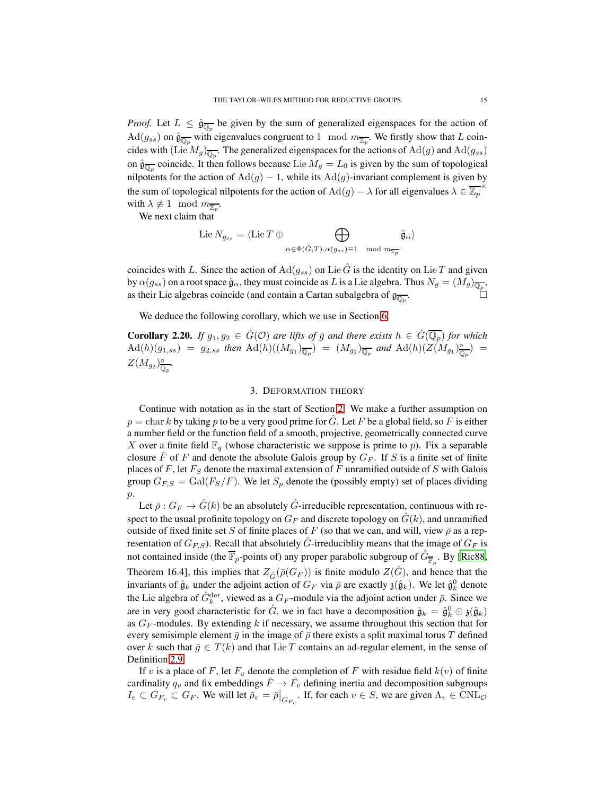*Proof.* Let  $L \leq \hat{\mathfrak{g}}_{\overline{\mathbb{Q}_p}}$  be given by the sum of generalized eigenspaces for the action of  $\text{Ad}(g_{ss})$  on  $\hat{\mathfrak{g}}_{\overline{\mathbb{Q}_p}}$  with eigenvalues congruent to 1 mod  $m_{\overline{\mathbb{Z}_p}}$ . We firstly show that L coincides with (Lie  $M_g)_{\overline{\mathbb{Q}_p}}$ . The generalized eigenspaces for the actions of  $\mathrm{Ad}(g)$  and  $\mathrm{Ad}(g_{ss})$ on  $\hat{\mathfrak{g}}_{\overline{\mathbb{Q}_p}}$  coincide. It then follows because Lie  $M_g = L_0$  is given by the sum of topological nilpotents for the action of  $\text{Ad}(g) - 1$ , while its  $\text{Ad}(g)$ -invariant complement is given by the sum of topological nilpotents for the action of  $\text{Ad}(g) - \lambda$  for all eigenvalues  $\lambda \in \overline{\mathbb{Z}_p}$ × with  $\lambda \not\equiv 1 \mod m_{\overline{\mathbb{Z}_p}}$ .

We next claim that

$$
\mathrm{Lie}\,N_{g_{ss}}=\langle\mathrm{Lie}\,T\oplus\bigoplus_{\alpha\in\Phi(\hat G,T),\alpha(g_{ss})\equiv 1\mod m_{\overline{\mathbb{Z}_p}}}\hat{\mathfrak g}_\alpha\rangle
$$

coincides with L. Since the action of  $\text{Ad}(g_{ss})$  on Lie G is the identity on Lie T and given by  $\alpha(g_{ss})$  on a root space  $\hat{\mathfrak{g}}_\alpha$ , they must coincide as  $L$  is a Lie algebra. Thus  $N_g=(M_g)_{\overline{\mathbb{Q}_p}},$ as their Lie algebras coincide (and contain a Cartan subalgebra of  $\mathfrak{g}_{\overline{\mathbb{Q}_p}}$ .  $\begin{bmatrix} 1 & 1 \\ 1 & 1 \end{bmatrix}$ 

We deduce the following corollary, which we use in Section [6.](#page-51-0)

**Corollary 2.20.** *If*  $g_1, g_2 \in \hat{G}(\mathcal{O})$  *are lifts of*  $\bar{g}$  *and there exists*  $h \in \hat{G}(\overline{\mathbb{Q}_p})$  *for which*  $\mathrm{Ad}(h)(g_{1,ss}) = g_{2,ss}$  then  $\mathrm{Ad}(h)((M_{g_1})_{\overline{\mathbb{Q}_p}}) = (M_{g_2})_{\overline{\mathbb{Q}_p}}$  and  $\mathrm{Ad}(h)(Z(M_{g_1})_{\overline{\mathbb{Q}_p}})$  $\frac{\circ}{\mathbb{Q}_p}$ ) =  $Z(M_{g_2})_{\overline{\mathbb{Q}}}^{\circ}$ Q<sup>p</sup> *.*

## 3. DEFORMATION THEORY

<span id="page-14-0"></span>Continue with notation as in the start of Section [2.](#page-5-1) We make a further assumption on  $p = \text{char } k$  by taking p to be a very good prime for G. Let F be a global field, so F is either a number field or the function field of a smooth, projective, geometrically connected curve X over a finite field  $\mathbb{F}_q$  (whose characteristic we suppose is prime to p). Fix a separable closure F of F and denote the absolute Galois group by  $G_F$ . If S is a finite set of finite places of F, let  $F<sub>S</sub>$  denote the maximal extension of F unramified outside of S with Galois group  $G_{F,S} = \text{Gal}(F_S/F)$ . We let  $S_p$  denote the (possibly empty) set of places dividing  $p$ .

Let  $\bar{\rho}: G_F \to \hat{G}(k)$  be an absolutely  $\hat{G}$ -irreducible representation, continuous with respect to the usual profinite topology on  $G_F$  and discrete topology on  $\hat{G}(k)$ , and unramified outside of fixed finite set S of finite places of F (so that we can, and will, view  $\bar{\rho}$  as a representation of  $G_{F,S}$ ). Recall that absolutely  $\hat{G}$ -irreduciblity means that the image of  $G_F$  is not contained inside (the  $\overline{\mathbb{F}}_p$ -points of) any proper parabolic subgroup of  $\hat{G}_{\overline{\mathbb{F}}_p}$ . By [\[Ric88,](#page-82-3) Theorem 16.4], this implies that  $Z_{\hat{G}}(\bar{\rho}(G_F))$  is finite modulo  $Z(\hat{G})$ , and hence that the invariants of  $\hat{\mathfrak{g}}_k$  under the adjoint action of  $G_F$  via  $\bar{\rho}$  are exactly  $\mathfrak{z}(\hat{\mathfrak{g}}_k)$ . We let  $\hat{\mathfrak{g}}_k^0$  denote the Lie algebra of  $\hat{G}_k^{\text{der}}$ , viewed as a  $G_F$ -module via the adjoint action under  $\bar{\rho}$ . Since we are in very good characteristic for  $\hat{G}$ , we in fact have a decomposition  $\hat{\mathfrak{g}}_k = \hat{\mathfrak{g}}_k^0 \oplus \mathfrak{z}(\hat{\mathfrak{g}}_k)$ as  $G_F$ -modules. By extending k if necessary, we assume throughout this section that for every semisimple element  $\bar{g}$  in the image of  $\bar{\rho}$  there exists a split maximal torus T defined over k such that  $\bar{g} \in T(k)$  and that Lie T contains an ad-regular element, in the sense of Definition [2.9.](#page-9-2)

If v is a place of F, let  $F_v$  denote the completion of F with residue field  $k(v)$  of finite cardinality  $q_v$  and fix embeddings  $\bar{F} \to \bar{F}_v$  defining inertia and decomposition subgroups  $I_v \subset G_{F_v} \subset G_F$ . We will let  $\bar{\rho}_v = \bar{\rho}|_{G_{F_v}}$ . If, for each  $v \in S$ , we are given  $\Lambda_v \in \text{CNL}_{\mathcal{O}}$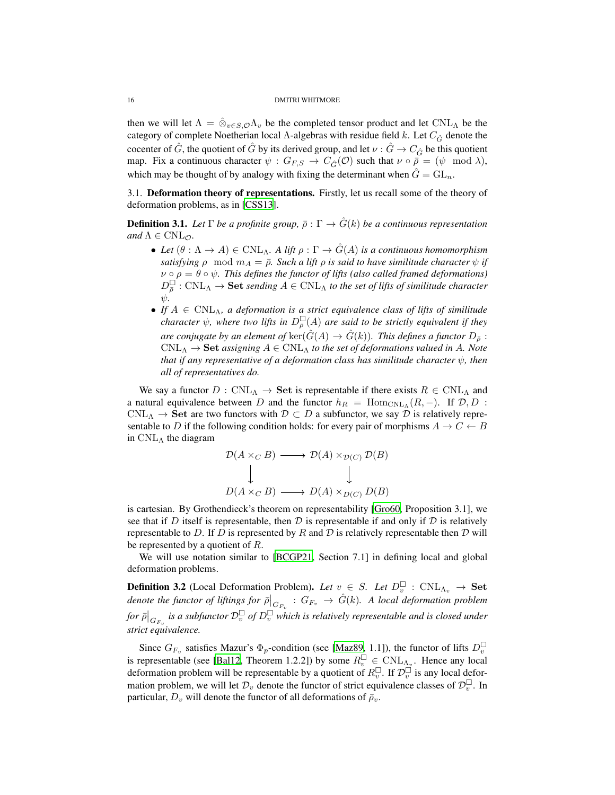then we will let  $\Lambda = \hat{\otimes}_{v \in S, \mathcal{O}} \Lambda_v$  be the completed tensor product and let CNL<sub>A</sub> be the category of complete Noetherian local Λ-algebras with residue field k. Let  $C_{\hat{G}}$  denote the cocenter of  $\hat{G}$ , the quotient of  $\hat{G}$  by its derived group, and let  $\nu : \hat{G} \to C_{\hat{G}}$  be this quotient map. Fix a continuous character  $\psi : G_{F,S} \to C_{\hat{G}}(\mathcal{O})$  such that  $\nu \circ \bar{\rho} = (\psi \mod \lambda)$ , which may be thought of by analogy with fixing the determinant when  $\hat{G} = GL_n$ .

<span id="page-15-0"></span>3.1. Deformation theory of representations. Firstly, let us recall some of the theory of deformation problems, as in [\[CSS13\]](#page-81-8).

**Definition 3.1.** Let  $\Gamma$  *be a profinite group,*  $\bar{\rho} : \Gamma \to \hat{G}(k)$  *be a continuous representation and*  $\Lambda \in \text{CNL}_{\mathcal{O}}$ *.* 

- Let  $(\theta : \Lambda \to A) \in \text{CNL}_{\Lambda}$ . A lift  $\rho : \Gamma \to \hat{G}(A)$  is a continuous homomorphism *satisfying*  $\rho$  mod  $m_A = \overline{\rho}$ *. Such a lift*  $\rho$  *is said to have similitude character*  $\psi$  *if*  $\nu \circ \rho = \theta \circ \psi$ . This defines the functor of lifts (also called framed deformations)  $D_{\overline{\rho}}^{\square}$ :  $\text{CNL}_{\Lambda} \to \textbf{Set}$  *sending*  $A \in \text{CNL}_{\Lambda}$  *to the set of lifts of similitude character* ψ*.*
- *If*  $A \in \text{CNL}_{\Lambda}$ , a deformation is a strict equivalence class of lifts of similitude *character*  $\psi$ , where two lifts in  $D_{\overline{\rho}}^{\square}(A)$  are said to be strictly equivalent if they *are conjugate by an element of*  $\ker(\hat{G}(A) \to \hat{G}(k))$ *. This defines a functor*  $D_{\bar{\rho}}$  :  $\text{CNL}_{\Lambda} \to \text{Set}$  *assigning*  $A \in \text{CNL}_{\Lambda}$  *to the set of deformations valued in A. Note that if any representative of a deformation class has similitude character*  $\psi$ *, then all of representatives do.*

We say a functor  $D: \text{CNL}_{\Lambda} \to \text{Set}$  is representable if there exists  $R \in \text{CNL}_{\Lambda}$  and a natural equivalence between D and the functor  $h_R$  = Hom<sub>CNLA</sub>(R,-). If  $\mathcal{D}, D$  :  $\text{CNL}_{\Lambda} \to \text{Set}$  are two functors with  $\mathcal{D} \subset D$  a subfunctor, we say  $\mathcal{D}$  is relatively representable to D if the following condition holds: for every pair of morphisms  $A \to C \leftarrow B$ in  $\text{CNL}_{\Lambda}$  the diagram

$$
\mathcal{D}(A \times_C B) \longrightarrow \mathcal{D}(A) \times_{\mathcal{D}(C)} \mathcal{D}(B)
$$
  
\n
$$
\downarrow \qquad \qquad \downarrow
$$
  
\n
$$
D(A \times_C B) \longrightarrow D(A) \times_{D(C)} D(B)
$$

is cartesian. By Grothendieck's theorem on representability [\[Gro60,](#page-82-4) Proposition 3.1], we see that if D itself is representable, then D is representable if and only if D is relatively representable to D. If D is represented by R and D is relatively representable then D will be represented by a quotient of R.

We will use notation similar to [\[BCGP21,](#page-81-0) Section 7.1] in defining local and global deformation problems.

**Definition 3.2** (Local Deformation Problem). Let  $v \in S$ . Let  $D_v^{\square}$  : CNL<sub> $\Lambda_v \to \mathbf{Set}$ </sub> denote the functor of liftings for  $\bar{\rho}|_{G_{F_v}}$  :  $G_{F_v} \to \hat{G}(k)$ . A local deformation problem for  $\bar{\rho}|_{G_{F_v}}$  is a subfunctor  $\mathcal{D}_v^{\Box}$  of  $D_v^{\Box}$  which is relatively representable and is closed under *strict equivalence.*

Since  $G_{F_v}$  satisfies Mazur's  $\Phi_p$ -condition (see [\[Maz89,](#page-82-5) 1.1]), the functor of lifts  $D_v^{\square}$ is representable (see [\[Bal12](#page-81-9), Theorem 1.2.2]) by some  $R_v^{\square} \in \text{CNL}_{\Lambda_v}$ . Hence any local deformation problem will be representable by a quotient of  $R_v^{\Box}$ . If  $\mathcal{D}_v^{\Box}$  is any local deformation problem, we will let  $\mathcal{D}_v$  denote the functor of strict equivalence classes of  $\mathcal{D}_v^{\square}$ . In particular,  $D_v$  will denote the functor of all deformations of  $\bar{\rho}_v$ .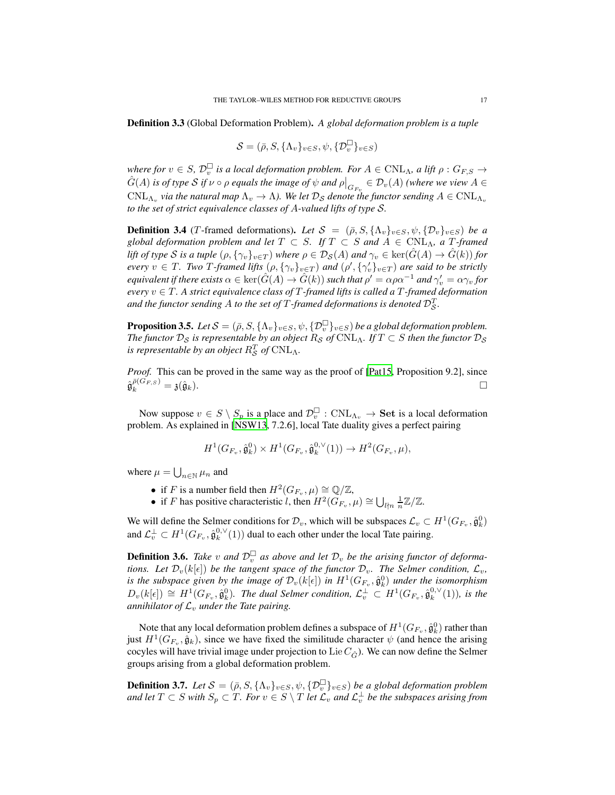Definition 3.3 (Global Deformation Problem). *A global deformation problem is a tuple*

$$
\mathcal{S} = (\bar{\rho}, S, \{\Lambda_v\}_{v \in S}, \psi, \{\mathcal{D}_v^{\square}\}_{v \in S})
$$

*where for*  $v \in S$ ,  $\mathcal{D}_v^{\square}$  is a local deformation problem. For  $A \in \text{CNL}_\Lambda$ , a lift  $\rho : G_{F,S} \to$  $\hat{G}(A)$  *is of type*  $S$  *if*  $\nu \circ \rho$  *equals the image of*  $\psi$  *and*  $\rho|_{G_{F_v}} \in \mathcal{D}_v(A)$  (where we view  $A \in$  $\text{CNL}_{\Lambda_v}$  via the natural map  $\Lambda_v \to \Lambda$ ). We let  $\mathcal{D}_S$  denote the functor sending  $A \in \text{CNL}_{\Lambda_v}$ *to the set of strict equivalence classes of* A*-valued lifts of type* S*.*

<span id="page-16-3"></span>**Definition 3.4** (T-framed deformations). Let  $S = (\bar{\rho}, S, {\Lambda_v}_{v \in S}, \psi, {\mathcal{D}_v}_{v \in S})$  be a *global deformation problem and let*  $T \subset S$ *. If*  $T \subset S$  *and*  $A \in \text{CNL}_\Lambda$ *, a*  $T$ *-framed lift of type* S *is a tuple*  $(\rho, \{\gamma_v\}_{v \in T})$  *where*  $\rho \in \mathcal{D}_{\mathcal{S}}(A)$  *and*  $\gamma_v \in \text{ker}(\hat{G}(A) \to \hat{G}(k))$  *for every*  $v \in T$ *. Two* T-framed lifts  $(\rho, {\{\gamma_v\}_{v \in T}})$  and  $(\rho', {\{\gamma'_v\}_{v \in T}})$  are said to be strictly *equivalent if there exists*  $\alpha \in \ker(\hat{G}(A) \to \hat{G}(k))$  *such that*  $\rho' = \alpha \rho \alpha^{-1}$  *and*  $\gamma'_v = \alpha \gamma_v$  *for every* v ∈ T *. A strict equivalence class of* T *-framed lifts is called a* T *-framed deformation* and the functor sending  $A$  to the set of  $T$  -framed deformations is denoted  $\mathcal{D}_{\mathcal{S}}^{T}.$ 

<span id="page-16-1"></span>**Proposition 3.5.** *Let*  $S = (\bar{\rho}, S, \{\Lambda_v\}_{v \in S}, \psi, {\{\mathcal{D}_v^{\square}\}}_{v \in S})$  *be a global deformation problem. The functor*  $D_S$  *is representable by an object*  $R_S$  *of* CNL<sub>Λ</sub>*. If*  $T \subset S$  *then the functor*  $D_S$ *is representable by an object*  $R_S^T$  *of*  $\text{CNL}_\Lambda$ .

*Proof.* This can be proved in the same way as the proof of [\[Pat15](#page-82-6), Proposition 9.2], since  $\hat{\mathfrak{g}}_{k}^{\bar{\rho}(G_{F,S})} = \mathfrak{z}(\hat{\mathfrak{g}}_{k}). \qquad \qquad \Box$ 

Now suppose  $v \in S \setminus S_p$  is a place and  $\mathcal{D}_v^{\square}$  :  $\text{CNL}_{\Lambda_v} \to \text{Set}$  is a local deformation problem. As explained in [\[NSW13,](#page-82-7) 7.2.6], local Tate duality gives a perfect pairing

$$
H^1(G_{F_v}, \hat{\mathfrak{g}}_k^0) \times H^1(G_{F_v}, \hat{\mathfrak{g}}_k^{0, \vee}(1)) \to H^2(G_{F_v}, \mu),
$$

where  $\mu = \bigcup_{n \in \mathbb{N}} \mu_n$  and

- if F is a number field then  $H^2(G_{F_v}, \mu) \cong \mathbb{Q}/\mathbb{Z}$ ,
- if *F* has positive characteristic *l*, then  $H^2(G_{F_v}, \mu) \cong \bigcup_{l \nmid n} \frac{1}{n} \mathbb{Z}/\mathbb{Z}$ .

We will define the Selmer conditions for  $\mathcal{D}_v$ , which will be subspaces  $\mathcal{L}_v \subset H^1(G_{F_v}, \hat{\mathfrak{g}}_k^0)$ and  $\mathcal{L}_v^{\perp} \subset H^1(G_{F_v}, \hat{\mathfrak{g}}_k^{0,\vee}(1))$  dual to each other under the local Tate pairing.

<span id="page-16-0"></span>**Definition 3.6.** Take v and  $\mathcal{D}_{\nu}^{\square}$  as above and let  $\mathcal{D}_{\nu}$  be the arising functor of deforma*tions. Let*  $\mathcal{D}_v(k[\epsilon])$  *be the tangent space of the functor*  $\mathcal{D}_v$ *. The Selmer condition,*  $\mathcal{L}_v$ *,* is the subspace given by the image of  $\mathcal{D}_v(k[\epsilon])$  in  $H^1(G_{F_v}, \hat{\mathfrak{g}}_k^0)$  under the isomorphism  $D_v(k[\epsilon]) \cong H^1(G_{F_v}, \hat{\mathfrak{g}}_k^0)$ . The dual Selmer condition,  $\mathcal{L}_v^{\perp} \subset H^1(G_{F_v}, \hat{\mathfrak{g}}_k^{0,\vee}(1))$ , is the *annihilator of*  $\mathcal{L}_v$  *under the Tate pairing.* 

Note that any local deformation problem defines a subspace of  $H^1(G_{F_v}, \hat{\mathfrak{g}}^0_k)$  rather than just  $H^1(G_{F_v}, \hat{g}_k)$ , since we have fixed the similitude character  $\psi$  (and hence the arising cocyles will have trivial image under projection to Lie  $C_{\hat{G}}$ ). We can now define the Selmer groups arising from a global deformation problem.

<span id="page-16-2"></span>**Definition 3.7.** *Let*  $S = (\bar{\rho}, S, {\Lambda_v}_{v \in S}, \psi, {\{\mathcal{D}_v^{\square}\}}_{v \in S})$  *be a global deformation problem* and let  $T \subset S$  with  $S_p \subset T$ *. For*  $v \in S \setminus T$  let  $\mathcal{L}_v$  and  $\mathcal{L}^\perp_v$  be the subspaces arising from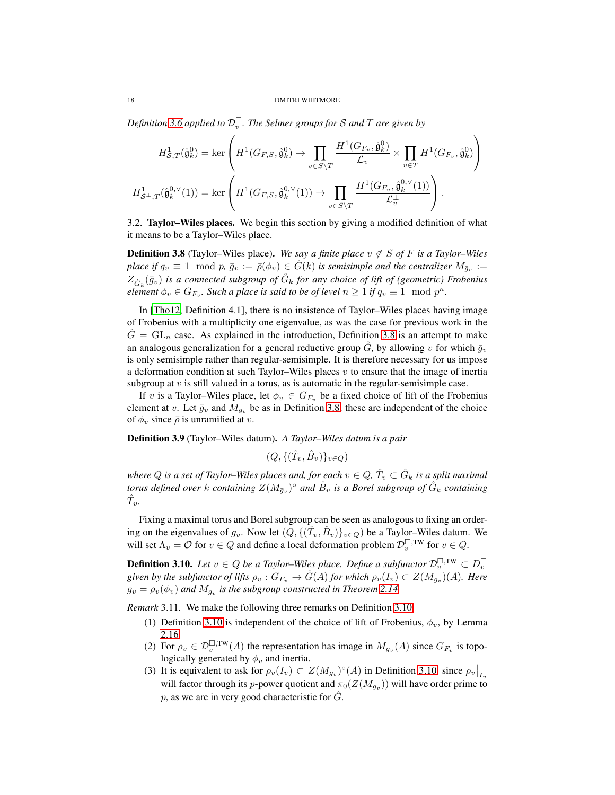Definition [3.6](#page-16-0) applied to  $\mathcal{D}_v^{\square}$  . The Selmer groups for S and T are given by

$$
H_{\mathcal{S},T}^1(\hat{\mathfrak{g}}_k^0) = \ker\left(H^1(G_{F,S},\hat{\mathfrak{g}}_k^0) \to \prod_{v \in S \backslash T} \frac{H^1(G_{F_v},\hat{\mathfrak{g}}_k^0)}{\mathcal{L}_v} \times \prod_{v \in T} H^1(G_{F_v},\hat{\mathfrak{g}}_k^0) \right)
$$

$$
H_{\mathcal{S}^\perp,T}^1(\hat{\mathfrak{g}}_k^{0,\vee}(1)) = \ker\left(H^1(G_{F,S},\hat{\mathfrak{g}}_k^{0,\vee}(1)) \to \prod_{v \in S \backslash T} \frac{H^1(G_{F_v},\hat{\mathfrak{g}}_k^{0,\vee}(1))}{\mathcal{L}_v^\perp} \right).
$$

<span id="page-17-0"></span>3.2. Taylor–Wiles places. We begin this section by giving a modified definition of what it means to be a Taylor–Wiles place.

<span id="page-17-1"></span>**Definition 3.8** (Taylor–Wiles place). *We say a finite place*  $v \notin S$  *of* F *is a Taylor–Wiles place if*  $q_v \equiv 1 \mod p$ ,  $\bar{g}_v := \bar{\rho}(\phi_v) \in \hat{G}(k)$  *is semisimple and the centralizer*  $M_{\bar{g}_v} :=$  $Z_{\hat{G}_k}(\bar{g}_v)$  is a connected subgroup of  $\hat{G}_k$  for any choice of lift of (geometric) Frobenius *element*  $\phi_v \in G_{F_v}$ . Such a place is said to be of level  $n \geq 1$  if  $q_v \equiv 1 \mod p^n$ .

In [\[Tho12](#page-83-0), Definition 4.1], there is no insistence of Taylor–Wiles places having image of Frobenius with a multiplicity one eigenvalue, as was the case for previous work in the  $\hat{G} = GL_n$  case. As explained in the introduction, Definition [3.8](#page-17-1) is an attempt to make an analogous generalization for a general reductive group  $\hat{G}$ , by allowing v for which  $\bar{g}_v$ is only semisimple rather than regular-semisimple. It is therefore necessary for us impose a deformation condition at such Taylor–Wiles places  $v$  to ensure that the image of inertia subgroup at  $v$  is still valued in a torus, as is automatic in the regular-semisimple case.

If v is a Taylor–Wiles place, let  $\phi_v \in G_{F_v}$  be a fixed choice of lift of the Frobenius element at v. Let  $\bar{g}_v$  and  $M_{\bar{g}_v}$  be as in Definition [3.8;](#page-17-1) these are independent of the choice of  $\phi_v$  since  $\bar{\rho}$  is unramified at v.

Definition 3.9 (Taylor–Wiles datum). *A Taylor–Wiles datum is a pair*

 $(Q, \{(\hat{T}_v, \hat{B}_v)\}_{v \in Q})$ 

where  $Q$  is a set of Taylor–Wiles places and, for each  $v \in Q,$   $\hat T_v \subset \hat G_k$  is a split maximal torus defined over  $k$  containing  $Z(M_{\bar{g}_v})^{\circ}$  and  $\hat{B}_v$  is a Borel subgroup of  $\hat{G}_k$  containing  $\hat{T}_v$ .

Fixing a maximal torus and Borel subgroup can be seen as analogous to fixing an ordering on the eigenvalues of  $g_v$ . Now let  $(Q, \{(\hat{T}_v, \hat{B}_v)\}_{v \in Q})$  be a Taylor–Wiles datum. We will set  $\Lambda_v = \mathcal{O}$  for  $v \in Q$  and define a local deformation problem  $\mathcal{D}_v^{\square,\text{TW}}$  for  $v \in Q$ .

<span id="page-17-2"></span>**Definition 3.10.** Let  $v \in Q$  be a Taylor–Wiles place. Define a subfunctor  $\mathcal{D}_v^{\square,\text{TW}} \subset D_v^{\square}$ given by the subfunctor of lifts  $\rho_v : G_{F_v} \to \hat{G}(A)$  for which  $\rho_v(I_v) \subset Z(M_{g_v})(A)$ *. Here*  $g_v = \rho_v(\phi_v)$  and  $M_{g_v}$  is the subgroup constructed in Theorem [2.14.](#page-11-0)

*Remark* 3.11*.* We make the following three remarks on Definition [3.10.](#page-17-2)

- (1) Definition [3.10](#page-17-2) is independent of the choice of lift of Frobenius,  $\phi_v$ , by Lemma [2.16.](#page-12-3)
- (2) For  $\rho_v \in \mathcal{D}_v^{\square,\text{TW}}(A)$  the representation has image in  $M_{g_v}(A)$  since  $G_{F_v}$  is topologically generated by  $\phi_v$  and inertia.
- (3) It is equivalent to ask for  $\rho_v(I_v) \subset Z(M_{g_v})^{\circ}(A)$  in Definition [3.10,](#page-17-2) since  $\rho_v|_{I_v}$ will factor through its  $p$ -power quotient and  $\pi_0(Z(M_{g_v}))$  will have order prime to p, as we are in very good characteristic for  $\hat{G}$ .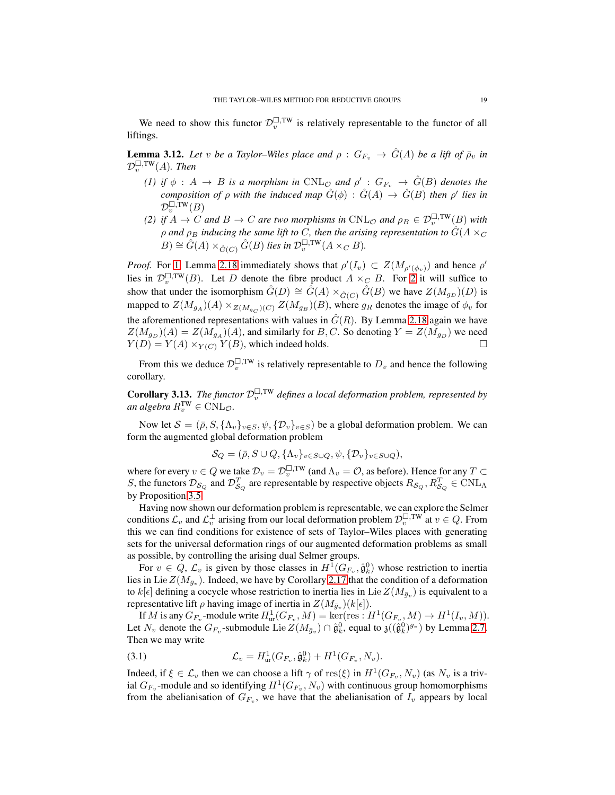We need to show this functor  $\mathcal{D}_v^{\square,\text{TW}}$  is relatively representable to the functor of all liftings.

<span id="page-18-0"></span>**Lemma 3.12.** Let v be a Taylor–Wiles place and  $\rho$  :  $G_{F_v} \to \hat{G}(A)$  be a lift of  $\bar{\rho}_v$  in  $\mathcal{D}_v^{\square,\mathrm{TW}}(A)$ . Then

- *(1)* if  $\phi$  :  $A \to B$  is a morphism in  $\text{CNL}_{\mathcal{O}_\phi}$  and  $\rho'$  :  $G_{F_v} \to \hat{G}(B)$  denotes the *composition of*  $\rho$  *with the induced map*  $\hat{G}(\phi)$  :  $\hat{G}(A) \rightarrow \hat{G}(B)$  *then*  $\rho'$  *lies in*  $\mathcal{D}_v^{\square,\mathrm{TW}}(B)$
- <span id="page-18-1"></span>*(2)* if  $A \to C$  and  $B \to C$  are two morphisms in  $\text{CNL}_{\mathcal{O}}$  and  $\rho_B \in \mathcal{D}_v^{\square,\text{TW}}(B)$  with  $\rho$  and  $\rho_B$  *inducing the same lift to C, then the arising representation to*  $\hat{G}(A \times_C B)$  $B) \cong \hat{G}(A) \times_{\hat{G}(C)} \hat{G}(B)$  *lies in*  $\mathcal{D}_v^{\square,\text{TW}}(A \times_C B)$ *.*

*Proof.* For [1,](#page-18-0) Lemma [2.18](#page-13-1) immediately shows that  $\rho'(I_v) \subset Z(M_{\rho'(\phi_v)})$  and hence  $\rho'$ lies in  $\mathcal{D}_v^{\square,\text{TW}}(B)$ . Let D denote the fibre product  $A \times_C B$ . For [2](#page-18-1) it will suffice to show that under the isomorphism  $\hat{G}(D) \cong \hat{G}(A) \times_{\hat{G}(C)} \hat{G}(B)$  we have  $Z(M_{g_D})(D)$  is mapped to  $Z(M_{g_A})(A) \times_{Z(M_{g_C})(C)} Z(M_{g_B})(B)$ , where  $g_R$  denotes the image of  $\phi_v$  for the aforementioned representations with values in  $\hat{G}(R)$ . By Lemma [2.18](#page-13-1) again we have  $Z(M_{g_D})$  $(A) = Z(M_{g_A})$  $(A)$ , and similarly for B, C. So denoting  $Y = Z(M_{g_D})$  we need  $Y(D) = Y(A) \times_{Y(C)} Y(B)$ , which indeed holds.

From this we deduce  $\mathcal{D}_v^{\square,\text{TW}}$  is relatively representable to  $D_v$  and hence the following corollary.

**Corollary 3.13.** *The functor*  $\mathcal{D}_v^{\square, \text{TW}}$  *defines a local deformation problem, represented by an algebra*  $R_v^{\text{TW}} \in \text{CNL}_{\mathcal{O}}$ .

Now let  $S = (\bar{\rho}, S, \{\Lambda_v\}_{v \in S}, \psi, {\{\mathcal{D}_v\}_{v \in S}})$  be a global deformation problem. We can form the augmented global deformation problem

$$
\mathcal{S}_Q = (\bar{\rho}, S \cup Q, \{\Lambda_v\}_{v \in S \cup Q}, \psi, \{\mathcal{D}_v\}_{v \in S \cup Q}),
$$

where for every  $v \in Q$  we take  $\mathcal{D}_v = \mathcal{D}_v^{\square,\text{TW}}$  (and  $\Lambda_v = \mathcal{O}$ , as before). Hence for any  $T \subset \mathbb{R}$ S, the functors  $\mathcal{D}_{S_Q}$  and  $\mathcal{D}_{S_Q}^T$  are representable by respective objects  $R_{S_Q}, R_{S_Q}^T \in \text{CNL}_{\Lambda}$ by Proposition [3.5.](#page-16-1)

Having now shown our deformation problem is representable, we can explore the Selmer conditions  $\mathcal{L}_v$  and  $\mathcal{L}_v^{\perp}$  arising from our local deformation problem  $\mathcal{D}_v^{\square,\text{TW}}$  at  $v \in Q$ . From this we can find conditions for existence of sets of Taylor–Wiles places with generating sets for the universal deformation rings of our augmented deformation problems as small as possible, by controlling the arising dual Selmer groups.

For  $v \in Q$ ,  $\mathcal{L}_v$  is given by those classes in  $H^1(G_{F_v}, \hat{\mathfrak{g}}_k^0)$  whose restriction to inertia lies in Lie  $Z(M_{\bar{g}_v})$ . Indeed, we have by Corollary [2.17](#page-13-2) that the condition of a deformation to  $k[\epsilon]$  defining a cocycle whose restriction to inertia lies in Lie  $Z(M_{\bar{g}_v})$  is equivalent to a representative lift  $\rho$  having image of inertia in  $Z(M_{\bar{g}_v})(k[\epsilon]).$ 

If M is any  $G_{F_v}$ -module write  $H^1_{ur}(G_{F_v}, M) = \ker(\text{res}: H^1(G_{F_v}, M) \to H^1(I_v, M)).$ Let  $N_v$  denote the  $G_{F_v}$ -submodule Lie  $Z(M_{\bar{g}_v}) \cap \hat{\mathfrak{g}}_k^0$ , equal to  $\mathfrak{z}((\hat{\mathfrak{g}}_k^0)^{\bar{g}_v})$  by Lemma [2.7.](#page-9-3) Then we may write

(3.1) 
$$
\mathcal{L}_v = H^1_{\text{ur}}(G_{F_v}, \hat{\mathfrak{g}}_k^0) + H^1(G_{F_v}, N_v).
$$

Indeed, if  $\xi \in \mathcal{L}_v$  then we can choose a lift  $\gamma$  of res( $\xi$ ) in  $H^1(G_{F_v}, N_v)$  (as  $N_v$  is a trivial  $G_{F_v}$ -module and so identifying  $H^1(G_{F_v}, N_v)$  with continuous group homomorphisms from the abelianisation of  $G_{F_v}$ , we have that the abelianisation of  $I_v$  appears by local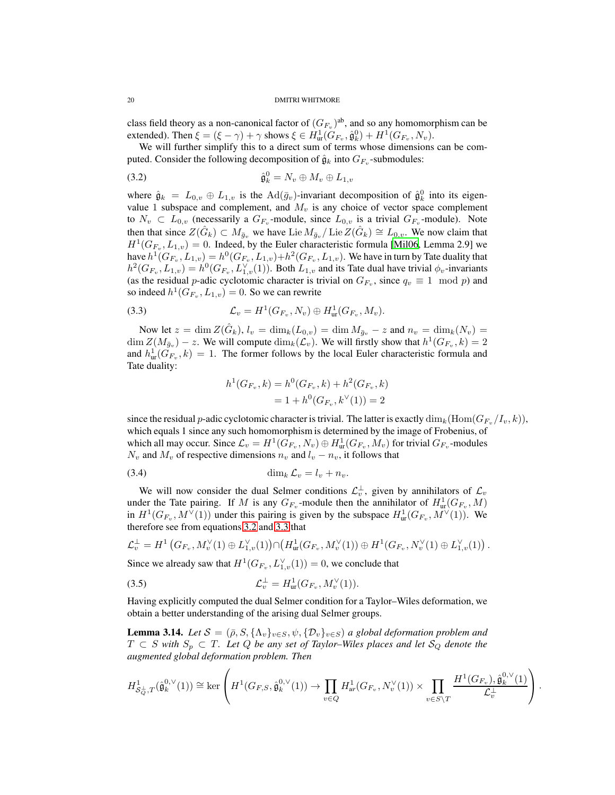class field theory as a non-canonical factor of  $(G_{F_v})^{\text{ab}}$ , and so any homomorphism can be extended). Then  $\xi = (\xi - \gamma) + \gamma$  shows  $\xi \in H^1_{ur}(G_{F_v}, \hat{\mathfrak{g}}_k^0) + H^1(G_{F_v}, N_v)$ .

We will further simplify this to a direct sum of terms whose dimensions can be computed. Consider the following decomposition of  $\hat{\mathfrak{g}}_k$  into  $G_{F_v}$ -submodules:

<span id="page-19-0"></span>
$$
\hat{\mathfrak{g}}_k^0 = N_v \oplus M_v \oplus L_{1,v}
$$

where  $\hat{\mathfrak{g}}_k = L_{0,v} \oplus L_{1,v}$  is the  $\text{Ad}(\bar{g}_v)$ -invariant decomposition of  $\hat{\mathfrak{g}}_k^0$  into its eigenvalue 1 subspace and complement, and  $M_v$  is any choice of vector space complement to  $N_v \subset L_{0,v}$  (necessarily a  $G_{F_v}$ -module, since  $L_{0,v}$  is a trivial  $G_{F_v}$ -module). Note then that since  $Z(\hat{G}_k) \subset M_{\bar{g}_v}$  we have Lie  $M_{\bar{g}_v}/\text{Lie } Z(\hat{G}_k) \cong L_{0,v}$ . We now claim that  $H^1(G_{F_v}, L_{1,v}) = 0$ . Indeed, by the Euler characteristic formula [\[Mil06,](#page-82-8) Lemma 2.9] we have  $h^1(G_{F_v}, L_{1,v}) = h^0(G_{F_v}, L_{1,v}) + h^2(G_{F_v}, L_{1,v})$ . We have in turn by Tate duality that  $h^2(G_{F_v}, L_{1,v}) = h^0(G_{F_v}, L_{1,v}^{\vee}(1))$ . Both  $L_{1,v}$  and its Tate dual have trivial  $\phi_v$ -invariants (as the residual p-adic cyclotomic character is trivial on  $G_{F_v}$ , since  $q_v \equiv 1 \mod p$ ) and so indeed  $h^1(G_{F_v}, L_{1,v}) = 0$ . So we can rewrite

(3.3) 
$$
\mathcal{L}_v = H^1(G_{F_v}, N_v) \oplus H^1_{\text{ur}}(G_{F_v}, M_v).
$$

Now let  $z = \dim Z(\hat{G}_k)$ ,  $l_v = \dim_k(L_{0,v}) = \dim M_{\bar{g}_v} - z$  and  $n_v = \dim_k(N_v) =$  $\dim Z(M_{\bar{g}_v}) - z$ . We will compute  $\dim_k(\mathcal{L}_v)$ . We will firstly show that  $h^1(G_{F_v}, k) = 2$ and  $h_{\text{ur}}^1(\tilde{G}_{F_v}, k) = 1$ . The former follows by the local Euler characteristic formula and Tate duality:

<span id="page-19-1"></span>
$$
h^1(G_{F_v}, k) = h^0(G_{F_v}, k) + h^2(G_{F_v}, k)
$$
  
= 1 + h^0(G\_{F\_v}, k^{\vee}(1)) = 2

since the residual p-adic cyclotomic character is trivial. The latter is exactly  $\dim_k(\text{Hom}(G_{F_v}/I_v,k))$ , which equals 1 since any such homomorphism is determined by the image of Frobenius, of which all may occur. Since  $\mathcal{L}_v = H^1(G_{F_v}, N_v) \oplus H^1_{ur}(G_{F_v}, M_v)$  for trivial  $G_{F_v}$ -modules  $N_v$  and  $M_v$  of respective dimensions  $n_v$  and  $l_v - n_v$ , it follows that

$$
\dim_k \mathcal{L}_v = l_v + n_v.
$$

We will now consider the dual Selmer conditions  $\mathcal{L}_v^{\perp}$ , given by annihilators of  $\mathcal{L}_v$ under the Tate pairing. If M is any  $G_{F_v}$ -module then the annihilator of  $H^1_{ur}(G_{F_v}, M)$ in  $H^1(G_{F_v}, M^{\vee}(1))$  under this pairing is given by the subspace  $H^1_{ur}(G_{F_v}, M^{\vee}(1))$ . We therefore see from equations [3.2](#page-19-0) and [3.3](#page-19-1) that

$$
\mathcal{L}_v^{\perp} = H^1 \left( G_{F_v}, M_v^{\vee}(1) \oplus L_{1,v}^{\vee}(1) \right) \cap \left( H^1_{\text{ur}}(G_{F_v}, M_v^{\vee}(1)) \oplus H^1(G_{F_v}, N_v^{\vee}(1) \oplus L_{1,v}^{\vee}(1) \right)
$$

.

Since we already saw that  $H^1(G_{F_v}, L_{1,v}^{\vee}(1)) = 0$ , we conclude that

(3.5) 
$$
\mathcal{L}_v^{\perp} = H_{\text{ur}}^1(G_{F_v}, M_v^{\vee}(1)).
$$

Having explicitly computed the dual Selmer condition for a Taylor–Wiles deformation, we obtain a better understanding of the arising dual Selmer groups.

<span id="page-19-2"></span>**Lemma 3.14.** Let  $S = (\bar{\rho}, S, \{\Lambda_v\}_{v \in S}, \psi, \{\mathcal{D}_v\}_{v \in S})$  a global deformation problem and  $T ⊂ S$  with  $S_p ⊂ T$ *. Let*  $Q$  *be any set of Taylor–Wiles places and let*  $S_Q$  *denote the augmented global deformation problem. Then*

$$
H^1_{\mathcal{S}_Q^{\perp},T}(\hat{\mathfrak{g}}_k^{0,\vee}(1)) \cong \ker\left(H^1(G_{F,S},\hat{\mathfrak{g}}_k^{0,\vee}(1)) \to \prod_{v \in Q} H^1_{ur}(G_{F_v},N_v^{\vee}(1)) \times \prod_{v \in S \setminus T} \frac{H^1(G_{F_v}),\hat{\mathfrak{g}}_k^{0,\vee}(1)}{\mathcal{L}_v^{\perp}}\right).
$$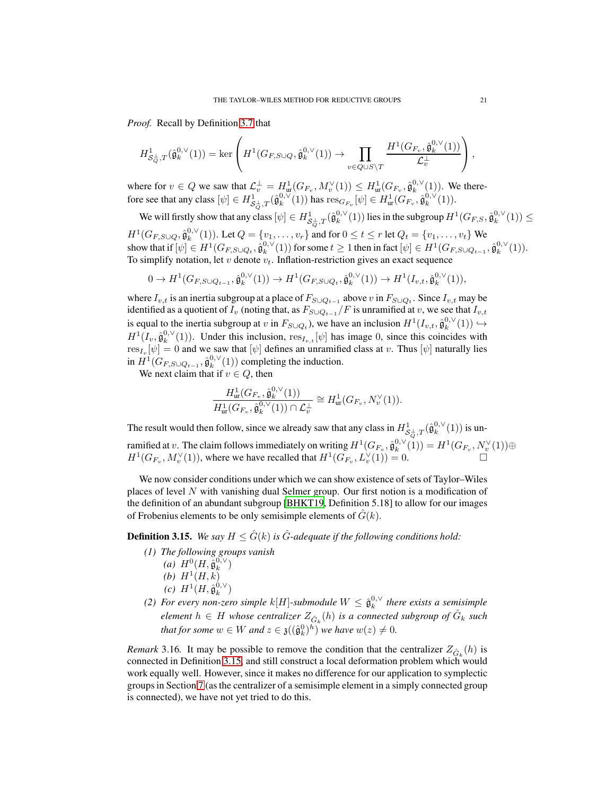*Proof.* Recall by Definition [3.7](#page-16-2) that

$$
H^1_{\mathcal{S}_Q^{\perp},T}(\hat{\mathfrak{g}}_k^{0,\vee}(1))=\ker\left(H^1(G_{F,S\cup Q},\hat{\mathfrak{g}}_k^{0,\vee}(1))\to\prod_{v\in Q\cup S\backslash T}\frac{H^1(G_{F_v},\hat{\mathfrak{g}}_k^{0,\vee}(1))}{\mathcal{L}_v^{\perp}}\right),
$$

where for  $v \in Q$  we saw that  $\mathcal{L}_v^{\perp} = H^1_{ur}(G_{F_v}, M_v^{\vee}(1)) \leq H^1_{ur}(G_{F_v}, \hat{\mathfrak{g}}_k^{0,\vee}(1))$ . We therefore see that any class  $[\psi] \in H^1_{\mathcal{S}_Q^{\perp},T}(\hat{\mathfrak{g}}_k^{0,\vee}(1))$  has  $\text{res}_{G_{F_v}}[\psi] \in H^1_\mathrm{ur}(G_{F_v},\hat{\mathfrak{g}}_k^{0,\vee}(1)).$ 

We will firstly show that any class  $[\psi] \in H^1_{\mathcal{S}^{\perp}_{Q},T}(\hat{\mathfrak{g}}_k^{0,\vee}(1))$  lies in the subgroup  $H^1(G_{F,S},\hat{\mathfrak{g}}_k^{0,\vee}(1)) \leq$  $H^1(G_{F,S\cup Q}, \hat{\mathfrak{g}}_k^{0,\vee}(1))$ . Let  $Q = \{v_1, \ldots, v_r\}$  and for  $0 \le t \le r$  let  $Q_t = \{v_1, \ldots, v_t\}$  We show that if  $[\psi] \in H^1(G_{F, S \cup Q_t}, \hat{\mathfrak{g}}_k^{0, \vee}(1))$  for some  $t \geq 1$  then in fact  $[\psi] \in H^1(G_{F, S \cup Q_{t-1}}, \hat{\mathfrak{g}}_k^{0, \vee}(1)).$ To simplify notation, let  $v$  denote  $v_t$ . Inflation-restriction gives an exact sequence

$$
0 \to H^1(G_{F,S\cup Q_{t-1}}, \hat{{\mathfrak g}}_k^{0,\vee}(1)) \to H^1(G_{F,S\cup Q_t}, \hat{{\mathfrak g}}_k^{0,\vee}(1)) \to H^1(I_{v,t}, \hat{{\mathfrak g}}_k^{0,\vee}(1)),
$$

where  $I_{v,t}$  is an inertia subgroup at a place of  $F_{S\cup Q_{t-1}}$  above  $v$  in  $F_{S\cup Q_t}$ . Since  $I_{v,t}$  may be identified as a quotient of  $I_v$  (noting that, as  $F_{S\cup Q_{t-1}}/F$  is unramified at v, we see that  $I_{v,t}$ is equal to the inertia subgroup at v in  $F_{S\cup Q_t}$ ), we have an inclusion  $H^1(I_{v,t}, \hat{\mathfrak{g}}_k^{0,\vee}(1)) \hookrightarrow$  $H^1(I_v, \hat{\mathfrak{g}}_k^{0,\vee}(1))$ . Under this inclusion,  $res_{I_v,t}[\psi]$  has image 0, since this coincides with  ${\rm res}_{I_v}[\psi]=0$  and we saw that  $[\psi]$  defines an unramified class at  $v.$  Thus  $[\psi]$  naturally lies in  $H^1(G_{F,S\cup Q_{t-1}}, \hat{\mathfrak{g}}_k^{0,\vee}(1))$  completing the induction.

We next claim that if  $v \in Q$ , then

$$
\frac{H^1_{\text{ur}}(G_{F_v}, \hat{\mathfrak{g}}_{k}^{0, \vee}(1))}{H^1_{\text{ur}}(G_{F_v}, \hat{\mathfrak{g}}_{k}^{0, \vee}(1)) \cap \mathcal{L}_{v}^{\perp}} \cong H^1_{\text{ur}}(G_{F_v}, N_v^{\vee}(1)).
$$

The result would then follow, since we already saw that any class in  $H^1_{\mathcal{S}_Q^{\perp},T}(\hat{\mathfrak{g}}_k^{0,\vee}(1))$  is unramified at v. The claim follows immediately on writing  $H^1(G_{F_v}, \hat{\mathfrak{g}}_k^{0,\vee}(1)) = H^1(G_{F_v}, N_v^{\vee}(1)) \oplus$  $H^1(G_{F_v}, M_v^{\vee}(1))$ , where we have recalled that  $H^1(G_{F_v}, L_v^{\vee}(1)) = 0$ .

We now consider conditions under which we can show existence of sets of Taylor–Wiles places of level N with vanishing dual Selmer group. Our first notion is a modification of the definition of an abundant subgroup [\[BHKT19,](#page-81-1) Definition 5.18] to allow for our images of Frobenius elements to be only semisimple elements of  $G(k)$ .

<span id="page-20-0"></span>**Definition 3.15.** *We say*  $H \leq \hat{G}(k)$  *is*  $\hat{G}$ *-adequate if the following conditions hold:* 

- <span id="page-20-2"></span>*(1) The following groups vanish*
	- *(a)*  $H^0(H, \hat{\mathfrak{g}}_k^{0,\vee})$ (*b*)  $H^1(H, k)$
	-
	- $(c) H^{1}(H, \hat{\mathfrak{g}}_{k}^{0,\vee})$
- <span id="page-20-1"></span>(2) For every non-zero simple  $k[H]$ -submodule  $W \leq \hat{\mathfrak{g}}_k^{0,\vee}$  there exists a semisimple  $e$ *lement*  $h \in H$  whose centralizer  $Z_{\hat{G}_k}(h)$  is a connected subgroup of  $\hat{G}_k$  such *that for some*  $w \in W$  *and*  $z \in \mathfrak{z}((\hat{\mathfrak{g}}_k^0)^h)$  *we have*  $w(z) \neq 0$ *.*

*Remark* 3.16. It may be possible to remove the condition that the centralizer  $Z_{\hat{G}_k}(h)$  is connected in Definition [3.15,](#page-20-0) and still construct a local deformation problem which would work equally well. However, since it makes no difference for our application to symplectic groups in Section [7](#page-54-0) (as the centralizer of a semisimple element in a simply connected group is connected), we have not yet tried to do this.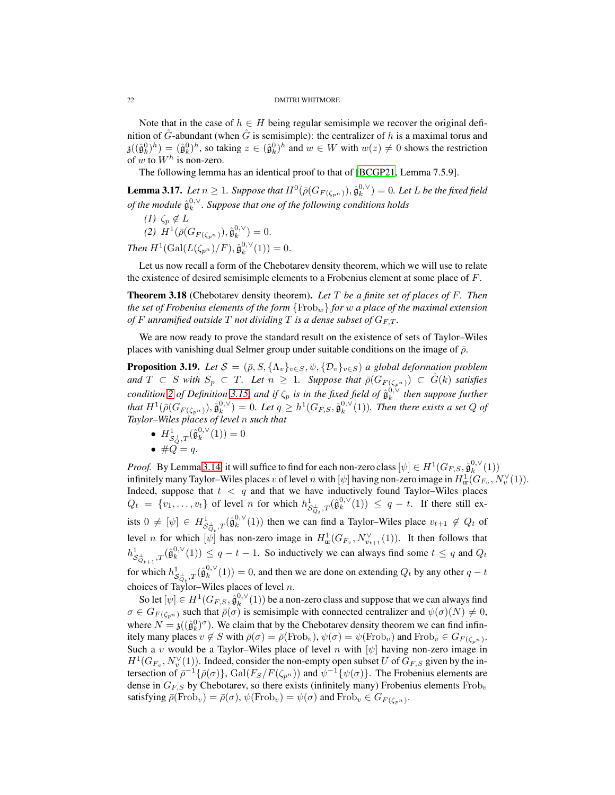Note that in the case of  $h \in H$  being regular semisimple we recover the original definition of  $\hat{G}$ -abundant (when  $\hat{G}$  is semisimple): the centralizer of h is a maximal torus and  $\mathfrak{z}((\hat{\mathfrak{g}}_k^0)^h) = (\hat{\mathfrak{g}}_k^0)^h$ , so taking  $z \in (\hat{\mathfrak{g}}_k^0)^h$  and  $w \in W$  with  $w(z) \neq 0$  shows the restriction of w to  $W^h$  is non-zero.

The following lemma has an identical proof to that of [\[BCGP21,](#page-81-0) Lemma 7.5.9].

<span id="page-21-1"></span>**Lemma 3.17.** Let  $n \geq 1$ . Suppose that  $H^0(\bar{\rho}(G_{F(\zeta_{p^n})}), \hat{\mathfrak{g}}_k^{0, \vee}) = 0$ . Let L be the fixed field of the module  $\hat{\mathfrak{g}}^{0,\vee}_k$ . Suppose that one of the following conditions holds

*(1)*  $\zeta_p \notin L$ 

(2)  $H^1(\bar{\rho}(G_{F(\zeta_{p^n})}), \hat{\mathfrak{g}}_k^{0,\vee}) = 0.$ *Then*  $H^1(\text{Gal}(L(\zeta_{p^n})/F), \hat{\mathfrak{g}}_k^{0,\vee}(1)) = 0.$ 

Let us now recall a form of the Chebotarev density theorem, which we will use to relate the existence of desired semisimple elements to a Frobenius element at some place of  $F$ .

Theorem 3.18 (Chebotarev density theorem). *Let* T *be a finite set of places of* F*. Then the set of Frobenius elements of the form* {Frobw} *for* w *a place of the maximal extension of* F unramified outside T not dividing T is a dense subset of  $G_{F,T}$ .

We are now ready to prove the standard result on the existence of sets of Taylor–Wiles places with vanishing dual Selmer group under suitable conditions on the image of  $\bar{\rho}$ .

<span id="page-21-0"></span>**Proposition 3.19.** *Let*  $S = (\bar{\rho}, S, {\Lambda_v}_{v \in S}, \psi, {\mathcal{D}_v}_{v \in S})$  *a global deformation problem and*  $T \subset S$  *with*  $S_p \subset T$ *. Let*  $n \geq 1$ *. Suppose that*  $\bar{\rho}(G_{F(\zeta_{p^n})}) \subset \hat{G}(k)$  *satisfies condition* [2](#page-20-1) *of Definition* [3.15,](#page-20-0) and if  $\zeta_p$  is in the fixed field of  $\hat{\mathfrak{g}}_k^{0,\vee}$  then suppose further that  $H^1(\bar{\rho}(G_{F(\zeta_{p^n})}), \hat{\mathfrak{g}}_k^{0,\vee}) = 0$ . Let  $q \geq h^1(G_{F,S}, \hat{\mathfrak{g}}_k^{0,\vee}(1))$ . Then there exists a set  $Q$  of *Taylor–Wiles places of level* n *such that*

- $H^1_{\mathcal{S}_Q^{\perp},T}(\hat{\mathfrak{g}}_k^{0,\vee}(1)) = 0$
- $\#Q = q$ .

*Proof.* By Lemma [3.14,](#page-19-2) it will suffice to find for each non-zero class  $[\psi] \in H^1(G_{F,S}, \hat{\mathfrak{g}}_k^{0,\vee}(1))$ infinitely many Taylor–Wiles places  $v$  of level  $n$  with  $[\psi]$  having non-zero image in  $H^1_{\rm ur}(G_{F_v},N_v^\vee(1)).$ Indeed, suppose that  $t < q$  and that we have inductively found Taylor–Wiles places  $Q_t = \{v_1, \ldots, v_t\}$  of level n for which  $h^1_{\mathcal{S}^{\perp}_{Q_t},T}(\hat{\mathfrak{g}}_k^{0,\vee}(1)) \leq q-t$ . If there still exists  $0 \neq [\psi] \in H^1_{\mathcal{S}^{\perp}_{\mathcal{O}},T}(\hat{\mathfrak{g}}_k^{0,\vee}(1))$  then we can find a Taylor–Wiles place  $v_{t+1} \notin Q_t$  of level *n* for which  $[\psi]$  has non-zero image in  $H^1_{ur}(G_{F_v}, N_{v_{t+1}}^{\vee}(1))$ . It then follows that  $h^1_{\mathcal{S}_{Q_{t+1}}^{\perp},T}(\hat{\mathfrak{g}}_k^{0,\vee}(1)) \leq q-t-1$ . So inductively we can always find some  $t \leq q$  and  $Q_t$ for which  $h^1_{\mathcal{S}_{Q_t}^{\perp},T}(\hat{\mathfrak{g}}_k^{0,\vee}(1)) = 0$ , and then we are done on extending  $Q_t$  by any other  $q-t$ choices of Taylor–Wiles places of level  $n$ .

So let  $[\psi] \in H^1(G_{F,S}, \hat{\mathfrak{g}}_k^{0,\vee}(1))$  be a non-zero class and suppose that we can always find  $\sigma \in G_{F(\zeta_{p^n})}$  such that  $\bar{\rho}(\sigma)$  is semisimple with connected centralizer and  $\psi(\sigma)(N) \neq 0$ , where  $N = \mathfrak{z}((\hat{\mathfrak{g}}_k^0)^\sigma)$ . We claim that by the Chebotarev density theorem we can find infinitely many places  $v \notin S$  with  $\bar{\rho}(\sigma) = \bar{\rho}(\text{Frob}_v), \psi(\sigma) = \psi(\text{Frob}_v)$  and  $\text{Frob}_v \in G_{F(\zeta_{p^n})}$ . Such a v would be a Taylor–Wiles place of level n with  $[\psi]$  having non-zero image in  $H^1(G_{F_v}, N_v^{\vee}(1))$ . Indeed, consider the non-empty open subset U of  $G_{F,S}$  given by the intersection of  $\bar{\rho}^{-1}\{\bar{\rho}(\sigma)\}\$ ,  $Gal(F_S/F(\zeta_{p^n}))$  and  $\psi^{-1}\{\psi(\sigma)\}\$ . The Frobenius elements are dense in  $G_{FS}$  by Chebotarev, so there exists (infinitely many) Frobenius elements  $Frob$ <sub>v</sub> satisfying  $\bar{\rho}(\text{Frob}_v) = \bar{\rho}(\sigma)$ ,  $\psi(\text{Frob}_v) = \psi(\sigma)$  and  $\text{Frob}_v \in G_{F(\zeta_{p^n})}$ .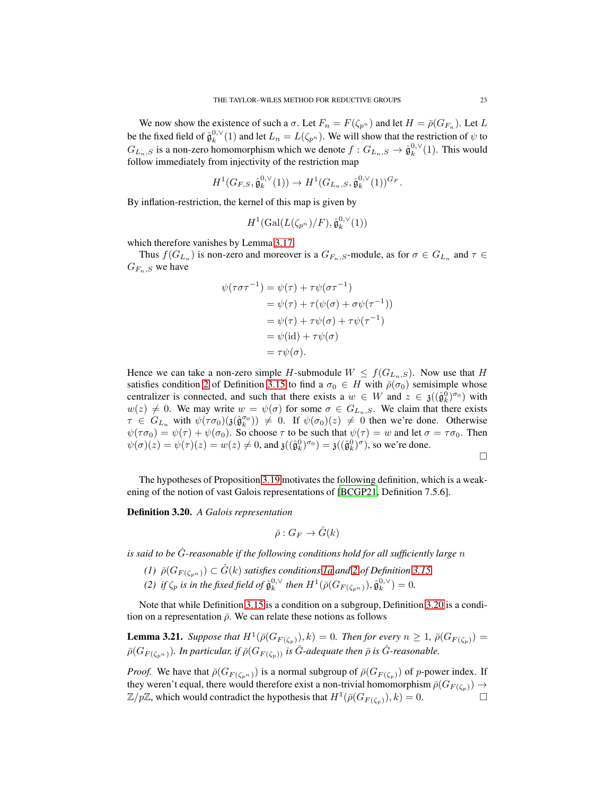We now show the existence of such a  $\sigma$ . Let  $F_n = F(\zeta_{p^n})$  and let  $H = \bar{\rho}(G_{F_n})$ . Let  $L$ be the fixed field of  $\hat{\mathfrak{g}}_k^{0,\vee}(1)$  and let  $L_n = L(\zeta_{p^n})$ . We will show that the restriction of  $\psi$  to  $G_{L_n, S}$  is a non-zero homomorphism which we denote  $f: G_{L_n, S} \to \hat{\mathfrak{g}}_k^{0, \vee}(1)$ . This would follow immediately from injectivity of the restriction map

$$
H^1(G_{F,S}, \hat{\mathfrak{g}}_k^{0,\vee}(1)) \to H^1(G_{L_n,S}, \hat{\mathfrak{g}}_k^{0,\vee}(1))^{G_F}.
$$

By inflation-restriction, the kernel of this map is given by

$$
H^1(\mathrm{Gal}(L(\zeta_{p^n})/F),\hat{\mathfrak{g}}_k^{0,\vee}(1))
$$

which therefore vanishes by Lemma [3.17.](#page-21-1)

Thus  $f(G_{L_n})$  is non-zero and moreover is a  $G_{F_n, S}$ -module, as for  $\sigma \in G_{L_n}$  and  $\tau \in$  $G_{F_n, S}$  we have

$$
\psi(\tau \sigma \tau^{-1}) = \psi(\tau) + \tau \psi(\sigma \tau^{-1})
$$
  
=  $\psi(\tau) + \tau(\psi(\sigma) + \sigma \psi(\tau^{-1}))$   
=  $\psi(\tau) + \tau \psi(\sigma) + \tau \psi(\tau^{-1})$   
=  $\psi(\text{id}) + \tau \psi(\sigma)$   
=  $\tau \psi(\sigma)$ .

Hence we can take a non-zero simple H-submodule  $W \leq f(G_{L_n,S})$ . Now use that H satisfies condition [2](#page-20-1) of Definition [3.15](#page-20-0) to find a  $\sigma_0 \in H$  with  $\bar{\rho}(\sigma_0)$  semisimple whose centralizer is connected, and such that there exists a  $w \in W$  and  $z \in \mathfrak{z}((\hat{\mathfrak{g}}_k^0)^{\sigma_0})$  with  $w(z) \neq 0$ . We may write  $w = \psi(\sigma)$  for some  $\sigma \in G_{L_n, S}$ . We claim that there exists  $\tau \in G_{L_n}$  with  $\psi(\tau \sigma_0)(\mathfrak{z}(\hat{\mathfrak{g}}_k^{\sigma_0})) \neq 0$ . If  $\psi(\sigma_0)(z) \neq 0$  then we're done. Otherwise  $\psi(\tau\sigma_0) = \psi(\tau) + \psi(\sigma_0)$ . So choose  $\tau$  to be such that  $\psi(\tau) = w$  and let  $\sigma = \tau\sigma_0$ . Then  $\psi(\sigma)(z) = \psi(\tau)(z) = w(z) \neq 0$ , and  $\mathfrak{z}((\hat{\mathfrak{g}}_k^0)^{\sigma_0}) = \mathfrak{z}((\hat{\mathfrak{g}}_k^0)^{\sigma})$ , so we're done.

 $\Box$ 

The hypotheses of Proposition [3.19](#page-21-0) motivates the following definition, which is a weakening of the notion of vast Galois representations of [\[BCGP21](#page-81-0), Definition 7.5.6].

<span id="page-22-0"></span>Definition 3.20. *A Galois representation*

$$
\bar{\rho}:G_F\to \hat{G}(k)
$$

*is said to be* Gˆ*-reasonable if the following conditions hold for all sufficiently large* n

 $(1)$   $\bar{\rho}(G_{F(\zeta_{n})}) \subset \hat{G}(k)$  *satisfies conditions [1a](#page-20-2) and [2](#page-20-1) of Definition [3.15](#page-20-0) (2)* if  $\zeta_p$  is in the fixed field of  $\hat{\mathfrak{g}}_k^{0,\vee}$  then  $H^1(\bar{\rho}(G_{F(\zeta_{p^n})}), \hat{\mathfrak{g}}_k^{0,\vee}) = 0$ .

Note that while Definition [3.15](#page-20-0) is a condition on a subgroup, Definition [3.20](#page-22-0) is a condition on a representation  $\bar{\rho}$ . We can relate these notions as follows

**Lemma 3.21.** *Suppose that*  $H^1(\bar{\rho}(G_{F(\zeta_p)}), k) = 0$ *. Then for every*  $n \geq 1$ *,*  $\bar{\rho}(G_{F(\zeta_p)}) = 1$  $\bar{\rho}(G_{F(\zeta_{nn})})$ *. In particular, if*  $\bar{\rho}(G_{F(\zeta_{nn})})$  *is*  $\hat{G}$ *-adequate then*  $\bar{\rho}$  *is*  $\hat{G}$ *-reasonable.* 

*Proof.* We have that  $\bar{\rho}(G_{F(\zeta_{p^n})})$  is a normal subgroup of  $\bar{\rho}(G_{F(\zeta_p)})$  of p-power index. If they weren't equal, there would therefore exist a non-trivial homomorphism  $\bar{\rho}(G_{F(\zeta_p)}) \to$  $\mathbb{Z}/p\mathbb{Z}$ , which would contradict the hypothesis that  $H^1(\bar{\rho}(G_{F(\zeta_p)}), k) = 0$ .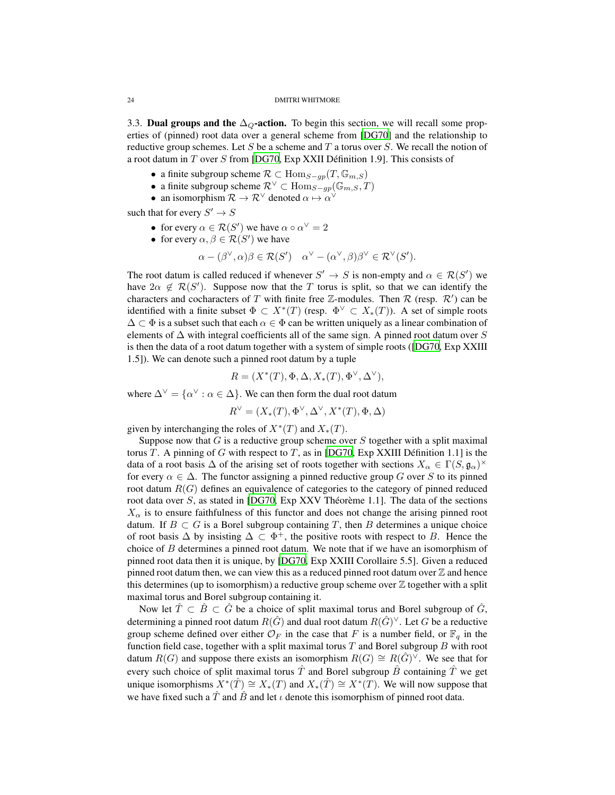<span id="page-23-0"></span>3.3. Dual groups and the  $\Delta_{\mathcal{Q}}$ -action. To begin this section, we will recall some properties of (pinned) root data over a general scheme from [\[DG70\]](#page-81-5) and the relationship to reductive group schemes. Let S be a scheme and T a torus over S. We recall the notion of a root datum in  $T$  over  $S$  from [\[DG70](#page-81-5), Exp XXII Définition 1.9]. This consists of

- a finite subgroup scheme  $\mathcal{R} \subset \text{Hom}_{S-gp}(T, \mathbb{G}_{m,S})$
- a finite subgroup scheme  $\mathcal{R}^{\vee} \subset \text{Hom}_{S-gp}(\mathbb{G}_{m,S},T)$
- an isomorphism  $\mathcal{R} \to \mathcal{R}^{\vee}$  denoted  $\alpha \mapsto \alpha^{\vee}$

such that for every  $S' \to S$ 

- for every  $\alpha \in \mathcal{R}(S')$  we have  $\alpha \circ \alpha^{\vee} = 2$
- for every  $\alpha, \beta \in \mathcal{R}(S')$  we have

$$
\alpha - (\beta^{\vee}, \alpha)\beta \in \mathcal{R}(S') \quad \alpha^{\vee} - (\alpha^{\vee}, \beta)\beta^{\vee} \in \mathcal{R}^{\vee}(S').
$$

The root datum is called reduced if whenever  $S' \to S$  is non-empty and  $\alpha \in \mathcal{R}(S')$  we have  $2\alpha \notin \mathcal{R}(S')$ . Suppose now that the T torus is split, so that we can identify the characters and cocharacters of T with finite free  $\mathbb{Z}$ -modules. Then R (resp. R') can be identified with a finite subset  $\Phi \subset X^*(T)$  (resp.  $\Phi^{\vee} \subset X_*(T)$ ). A set of simple roots  $\Delta \subset \Phi$  is a subset such that each  $\alpha \in \Phi$  can be written uniquely as a linear combination of elements of  $\Delta$  with integral coefficients all of the same sign. A pinned root datum over S is then the data of a root datum together with a system of simple roots ([\[DG70,](#page-81-5) Exp XXIII 1.5]). We can denote such a pinned root datum by a tuple

$$
R = (X^*(T), \Phi, \Delta, X_*(T), \Phi^{\vee}, \Delta^{\vee}),
$$

where  $\Delta^{\vee} = {\alpha^{\vee} : \alpha \in \Delta}$ . We can then form the dual root datum

$$
R^{\vee} = (X_*(T), \Phi^{\vee}, \Delta^{\vee}, X^*(T), \Phi, \Delta)
$$

given by interchanging the roles of  $X^*(T)$  and  $X_*(T)$ .

Suppose now that  $G$  is a reductive group scheme over  $S$  together with a split maximal torus T. A pinning of G with respect to T, as in [\[DG70,](#page-81-5) Exp XXIII Définition 1.1] is the data of a root basis  $\Delta$  of the arising set of roots together with sections  $X_{\alpha} \in \Gamma(S, \mathfrak{g}_{\alpha})^{\times}$ for every  $\alpha \in \Delta$ . The functor assigning a pinned reductive group G over S to its pinned root datum  $R(G)$  defines an equivalence of categories to the category of pinned reduced root data over  $S$ , as stated in [\[DG70,](#page-81-5) Exp XXV Théorème 1.1]. The data of the sections  $X_\alpha$  is to ensure faithfulness of this functor and does not change the arising pinned root datum. If  $B \subset G$  is a Borel subgroup containing T, then B determines a unique choice of root basis  $\Delta$  by insisting  $\Delta \subset \Phi^+$ , the positive roots with respect to B. Hence the choice of B determines a pinned root datum. We note that if we have an isomorphism of pinned root data then it is unique, by [\[DG70](#page-81-5), Exp XXIII Corollaire 5.5]. Given a reduced pinned root datum then, we can view this as a reduced pinned root datum over  $\mathbb Z$  and hence this determines (up to isomorphism) a reductive group scheme over  $\mathbb Z$  together with a split maximal torus and Borel subgroup containing it.

Now let  $\hat{T} \subset \hat{B} \subset \hat{G}$  be a choice of split maximal torus and Borel subgroup of  $\hat{G}$ , determining a pinned root datum  $R(\hat{G})$  and dual root datum  $R(\hat{G})^\vee$ . Let  $G$  be a reductive group scheme defined over either  $\mathcal{O}_F$  in the case that F is a number field, or  $\mathbb{F}_q$  in the function field case, together with a split maximal torus  $T$  and Borel subgroup  $B$  with root datum  $R(G)$  and suppose there exists an isomorphism  $R(G) \cong R(\hat{G})^{\vee}$ . We see that for every such choice of split maximal torus  $\hat{T}$  and Borel subgroup  $\hat{B}$  containing  $\hat{T}$  we get unique isomorphisms  $X^*(\hat{T}) \cong X_*(T)$  and  $X_*(\hat{T}) \cong X^*(T)$ . We will now suppose that we have fixed such a  $\hat{T}$  and  $\hat{B}$  and let  $\iota$  denote this isomorphism of pinned root data.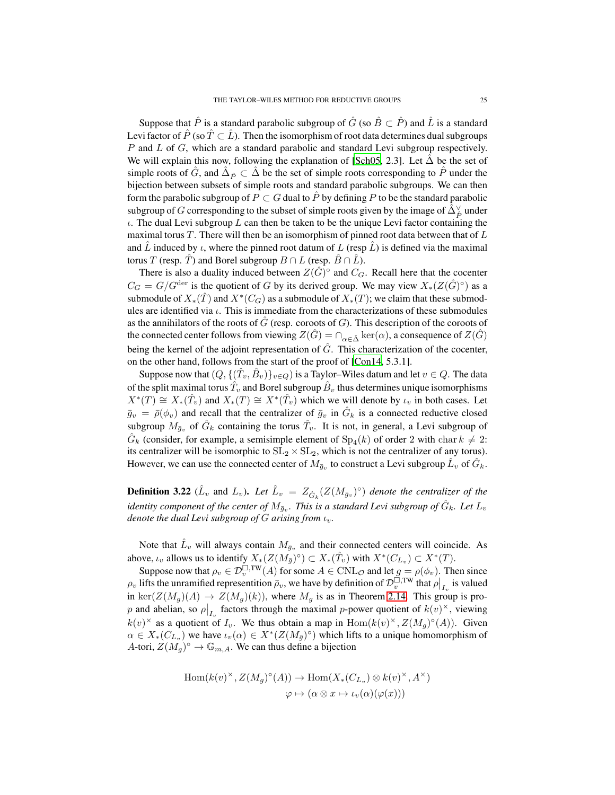Suppose that  $\hat{P}$  is a standard parabolic subgroup of  $\hat{G}$  (so  $\hat{B} \subset \hat{P}$ ) and  $\hat{L}$  is a standard Levi factor of  $\hat{P}$  (so  $\hat{T} \subset \hat{L}$ ). Then the isomorphism of root data determines dual subgroups P and L of G, which are a standard parabolic and standard Levi subgroup respectively. We will explain this now, following the explanation of [\[Sch05,](#page-83-2) 2.3]. Let  $\Delta$  be the set of simple roots of  $\hat{G}$ , and  $\hat{\Delta}_{\hat{P}} \subset \hat{\Delta}$  be the set of simple roots corresponding to  $\hat{P}$  under the bijection between subsets of simple roots and standard parabolic subgroups. We can then form the parabolic subgroup of  $P \subset G$  dual to  $\hat{P}$  by defining P to be the standard parabolic subgroup of  $G$  corresponding to the subset of simple roots given by the image of  $\hat{\Delta}_{\hat{P}}^{\vee}$  under  $\iota$ . The dual Levi subgroup  $L$  can then be taken to be the unique Levi factor containing the maximal torus T. There will then be an isomorphism of pinned root data between that of  $L$ and  $\hat{L}$  induced by  $\iota$ , where the pinned root datum of  $L$  (resp  $\hat{L}$ ) is defined via the maximal torus T (resp. T) and Borel subgroup  $B \cap L$  (resp.  $\overline{B} \cap L$ ).

There is also a duality induced between  $Z(\hat{G})^{\circ}$  and  $C_G$ . Recall here that the cocenter  $C_G = G/G^{\text{der}}$  is the quotient of G by its derived group. We may view  $X_*(Z(\hat{G})^{\circ})$  as a submodule of  $X_*(\hat{T})$  and  $X^*(C_G)$  as a submodule of  $X_*(T)$ ; we claim that these submodules are identified via  $\iota$ . This is immediate from the characterizations of these submodules as the annihilators of the roots of  $G$  (resp. coroots of  $G$ ). This description of the coroots of the connected center follows from viewing  $Z(\widehat{G}) = \bigcap_{\alpha \in \widehat{\Delta}} \ker(\alpha)$ , a consequence of  $Z(\widehat{G})$ being the kernel of the adjoint representation of  $\hat{G}$ . This characterization of the cocenter, on the other hand, follows from the start of the proof of [\[Con14,](#page-81-4) 5.3.1].

Suppose now that  $(Q, \{(\hat{T}_v, \hat{B}_v)\}_{v \in Q})$  is a Taylor–Wiles datum and let  $v \in Q$ . The data of the split maximal torus  $\hat T_v$  and Borel subgroup  $\hat B_v$  thus determines unique isomorphisms  $X^*(T) \cong X_*(\hat{T}_v)$  and  $X_*(T) \cong X^*(\hat{T}_v)$  which we will denote by  $\iota_v$  in both cases. Let  $\bar{g}_v = \bar{\rho}(\phi_v)$  and recall that the centralizer of  $\bar{g}_v$  in  $\hat{G}_k$  is a connected reductive closed subgroup  $M_{\bar{g}_v}$  of  $\hat{G}_k$  containing the torus  $\hat{T}_v$ . It is not, in general, a Levi subgroup of  $\hat{G}_k$  (consider, for example, a semisimple element of  $Sp_4(k)$  of order 2 with char  $k \neq 2$ : its centralizer will be isomorphic to  $SL_2 \times SL_2$ , which is not the centralizer of any torus). However, we can use the connected center of  $M_{\bar{g}_v}$  to construct a Levi subgroup  $\hat{L}_v$  of  $\hat{G}_k$ .

**Definition 3.22**  $(\hat{L}_v$  and  $L_v)$ . Let  $\hat{L}_v = Z_{\hat{G}_k}(Z(M_{\bar{g}_v})^{\circ})$  denote the centralizer of the identity component of the center of  $M_{\bar{g}_v}$ . This is a standard Levi subgroup of  $\hat{G}_k$ . Let  $L_v$ *denote the dual Levi subgroup of G arising from*  $\iota_v$ .

Note that  $\hat{L}_v$  will always contain  $M_{\bar{g}_v}$  and their connected centers will coincide. As above,  $\iota_v$  allows us to identify  $X_*(Z(M_{\bar{g}})^\circ) \subset X_*(\hat{T}_v)$  with  $X^*(C_{L_v}) \subset X^*(T)$ .

Suppose now that  $\rho_v \in \mathcal{D}_v^{\square,\mathrm{TW}}(A)$  for some  $A \in \mathrm{CNL}_{\mathcal{O}}$  and let  $g = \rho(\phi_v)$ . Then since  $\rho_v$  lifts the unramified representition  $\bar{\rho}_v$ , we have by definition of  $\mathcal{D}_v^{\square,\text{TW}}$  that  $\rho|_{I_v}$  is valued in ker $(Z(M_g)(A) \to Z(M_g)(k)$ , where  $M_g$  is as in Theorem [2.14.](#page-11-0) This group is prop and abelian, so  $\rho|_{I_v}$  factors through the maximal p-power quotient of  $k(v)^\times$ , viewing  $k(v)^\times$  as a quotient of  $I_v$ . We thus obtain a map in  $Hom(k(v)^\times, Z(M_g)^\circ(A))$ . Given  $\alpha \in X_*(C_{L_v})$  we have  $\iota_v(\alpha) \in X^*(Z(M_{\bar{g}})^{\circ})$  which lifts to a unique homomorphism of A-tori,  $Z(M_g)^\circ \to \mathbb{G}_{m,A}$ . We can thus define a bijection

$$
Hom(k(v)^{\times}, Z(M_g)^{\circ}(A)) \to Hom(X_*(C_{L_v}) \otimes k(v)^{\times}, A^{\times})
$$
  

$$
\varphi \mapsto (\alpha \otimes x \mapsto \iota_v(\alpha)(\varphi(x)))
$$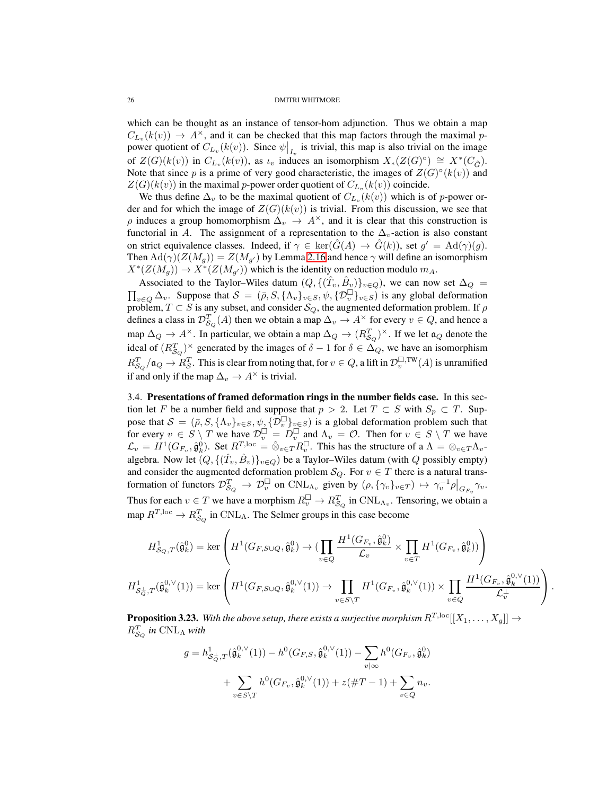which can be thought as an instance of tensor-hom adjunction. Thus we obtain a map  $C_{L_v}(k(v)) \to A^{\times}$ , and it can be checked that this map factors through the maximal ppower quotient of  $C_{L_v}(k(v))$ . Since  $\psi|_{I_v}$  is trivial, this map is also trivial on the image of  $Z(G)(k(v))$  in  $C_{L_v}(k(v))$ , as  $\iota_v$  induces an isomorphism  $X_*(Z(G)^{\circ}) \cong X^*(C_{\hat{G}})$ . Note that since p is a prime of very good characteristic, the images of  $Z(G)^{\circ}(k(v))$  and  $Z(G)(k(v))$  in the maximal p-power order quotient of  $C_{L_v}(k(v))$  coincide.

We thus define  $\Delta_v$  to be the maximal quotient of  $C_{L_v}(k(v))$  which is of p-power order and for which the image of  $Z(G)(k(v))$  is trivial. From this discussion, we see that  $\rho$  induces a group homomorphism  $\Delta_v \to A^{\times}$ , and it is clear that this construction is functorial in A. The assignment of a representation to the  $\Delta_v$ -action is also constant on strict equivalence classes. Indeed, if  $\gamma \in \text{ker}(\hat{G}(A) \to \hat{G}(k))$ , set  $g' = \text{Ad}(\gamma)(g)$ . Then  $\text{Ad}(\gamma)(Z(M_g)) = Z(M_{g'})$  by Lemma [2.16](#page-12-3) and hence  $\gamma$  will define an isomorphism  $X^*(Z(M_g)) \to X^*(Z(M_{g'}))$  which is the identity on reduction modulo  $m_A$ .

Associated to the Taylor–Wiles datum  $(Q, \{(\hat{T}_v, \hat{B}_v)\}_{v \in Q})$ , we can now set  $\Delta_Q = \prod_{v \in Q} \Delta_v$ . Suppose that  $S = (\bar{\rho}, S, \{\Lambda_v\}_{v \in S}, \psi, \{\mathcal{D}_v^{\square}\}_{v \in S})$  is any global deformation  $v \in Q$   $\Delta_v$ . Suppose that  $S = (\bar{\rho}, S, {\{\Lambda_v\}}_{v \in S}, \psi, {\{\mathcal{D}_v^{\Box}\}}_{v \in S})$  is any global deformation problem,  $T \subset S$  is any subset, and consider  $\mathcal{S}_Q$ , the augmented deformation problem. If  $\rho$ defines a class in  $\mathcal{D}_{\mathcal{S}_Q}^T(A)$  then we obtain a map  $\Delta_v \to A^\times$  for every  $v \in Q$ , and hence a map  $\Delta_Q \to A^{\times}$ . In particular, we obtain a map  $\Delta_Q \to (R_{S_Q}^T)^{\times}$ . If we let  $\mathfrak{a}_Q$  denote the ideal of  $(R_{\mathcal{S}_Q}^T)^\times$  generated by the images of  $\delta - 1$  for  $\delta \in \Delta_Q$ , we have an isomorphism  $R_{\mathcal{S}_{Q}}^{T}/\mathfrak{a}_{Q} \to R_{\mathcal{S}}^{T}.$  This is clear from noting that, for  $v \in Q,$  a lift in  $\mathcal{D}_v^{\square,\text{TW}}(A)$  is unramified if and only if the map  $\Delta_v \to A^\times$  is trivial.

<span id="page-25-0"></span>3.4. Presentations of framed deformation rings in the number fields case. In this section let F be a number field and suppose that  $p > 2$ . Let  $T \subset S$  with  $S_p \subset T$ . Suppose that  $S = (\bar{\rho}, S, \{\Lambda_v\}_{v \in S}, \psi, \{\mathcal{D}_v^{\square}\}_{v \in S})$  is a global deformation problem such that for every  $v \in S \setminus T$  we have  $\mathcal{D}_v^{\square} = D_v^{\square}$  and  $\Lambda_v = \mathcal{O}$ . Then for  $v \in S \setminus T$  we have  $\mathcal{L}_v = H^1(G_{F_v}, \hat{\mathfrak{g}}_k^0)$ . Set  $R^{T,\text{loc}} = \hat{\otimes}_{v \in T} R_v^{\square}$ . This has the structure of a  $\Lambda = \otimes_{v \in T} \Lambda_v$ . algebra. Now let  $(Q, \{(\hat{T}_v, \hat{B}_v)\}_{v \in Q})$  be a Taylor–Wiles datum (with  $Q$  possibly empty) and consider the augmented deformation problem  $\mathcal{S}_Q$ . For  $v \in T$  there is a natural transformation of functors  $\mathcal{D}_{S_Q}^T \to \mathcal{D}_v^{\square}$  on  $\text{CNL}_{\Lambda_v}$  given by  $(\rho, {\{\gamma_v\}_{v \in T}}) \mapsto {\gamma_v^{-1}\rho|_{G_{F_v}}} {\gamma_v}$ . Thus for each  $v \in T$  we have a morphism  $R_v^{\square} \to R_{S_Q}^T$  in  $\text{CNL}_{\Lambda_v}$ . Tensoring, we obtain a map  $R^{T,\text{loc}} \to R_{\mathcal{S}_{Q}}^{T}$  in  $\text{CNL}_{\Lambda}$ . The Selmer groups in this case become

$$
H^1_{\mathcal{S}_Q,T}(\hat{\mathfrak{g}}_k^0) = \ker\left(H^1(G_{F,S\cup Q},\hat{\mathfrak{g}}_k^0) \to \left(\prod_{v\in Q} \frac{H^1(G_{F_v},\hat{\mathfrak{g}}_k^0)}{\mathcal{L}_v} \times \prod_{v\in T} H^1(G_{F_v},\hat{\mathfrak{g}}_k^0)\right)\right)
$$
  

$$
H^1_{\mathcal{S}_Q^{\perp},T}(\hat{\mathfrak{g}}_k^{0,\vee}(1)) = \ker\left(H^1(G_{F,S\cup Q},\hat{\mathfrak{g}}_k^{0,\vee}(1)) \to \prod_{v\in S\setminus T} H^1(G_{F_v},\hat{\mathfrak{g}}_k^{0,\vee}(1)) \times \prod_{v\in Q} \frac{H^1(G_{F_v},\hat{\mathfrak{g}}_k^{0,\vee}(1))}{\mathcal{L}_v^{\perp}}\right).
$$

<span id="page-25-1"></span>**Proposition 3.23.** With the above setup, there exists a surjective morphism  $R^{T,\text{loc}}[[X_1,\ldots,X_q]] \rightarrow$  $R_{\mathcal{S}_{Q}}^{T}$  in  $\mathrm{CNL}_{\Lambda}$  with

$$
g = h_{\mathcal{S}_{Q}^{\perp},T}^{1}(\hat{\mathfrak{g}}_{k}^{0,\vee}(1)) - h^{0}(G_{F,S},\hat{\mathfrak{g}}_{k}^{0,\vee}(1)) - \sum_{v|\infty} h^{0}(G_{F_{v}},\hat{\mathfrak{g}}_{k}^{0})
$$

$$
+ \sum_{v \in S\backslash T} h^{0}(G_{F_{v}},\hat{\mathfrak{g}}_{k}^{0,\vee}(1)) + z(\#T - 1) + \sum_{v \in Q} n_{v}.
$$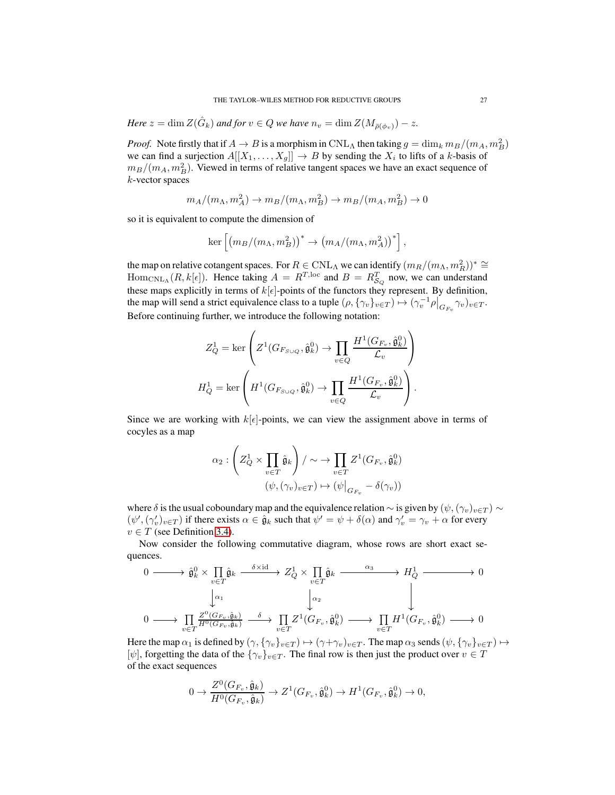*Here*  $z = \dim Z(\hat{G}_k)$  *and for*  $v \in Q$  *we have*  $n_v = \dim Z(M_{\bar{\rho}(\phi_v)}) - z$ *.* 

*Proof.* Note firstly that if  $A \to B$  is a morphism in CNL<sub>A</sub> then taking  $g = \dim_k m_B/(m_A, m_B^2)$ we can find a surjection  $A[[X_1, \ldots, X_g]] \to B$  by sending the  $X_i$  to lifts of a k-basis of  $m_B/(m_A, m_B^2)$ . Viewed in terms of relative tangent spaces we have an exact sequence of k-vector spaces

$$
m_A/(m_A, m_A^2) \to m_B/(m_A, m_B^2) \to m_B/(m_A, m_B^2) \to 0
$$

so it is equivalent to compute the dimension of

$$
\ker \left[ \left( m_B/(m_\Lambda,m_B^2) \right)^* \to \left( m_A/(m_\Lambda,m_A^2) \right)^* \right],
$$

the map on relative cotangent spaces. For  $R \in \text{CNL}_\Lambda$  we can identify  $(m_R/(m_\Lambda, m_R^2))^* \cong$  $\text{Hom}_{\text{CNL}_{\Lambda}}(R, k[\epsilon])$ . Hence taking  $A = R^{T, \text{loc}}$  and  $B = R^{T}_{\mathcal{S}_{Q}}$  now, we can understand these maps explicitly in terms of  $k[\epsilon]$ -points of the functors they represent. By definition, the map will send a strict equivalence class to a tuple  $(\rho, {\gamma_v}_{v \in T}) \mapsto (\gamma_v^{-1} \rho \big|_{G_{F_v}} \gamma_v)_{v \in T}$ . Before continuing further, we introduce the following notation:

$$
Z_Q^1 = \ker\left(Z^1(G_{F_{S\cup Q}}, \hat{\mathfrak{g}}_k^0) \to \prod_{v \in Q} \frac{H^1(G_{F_v}, \hat{\mathfrak{g}}_k^0)}{\mathcal{L}_v}\right)
$$

$$
H_Q^1 = \ker\left(H^1(G_{F_{S\cup Q}}, \hat{\mathfrak{g}}_k^0) \to \prod_{v \in Q} \frac{H^1(G_{F_v}, \hat{\mathfrak{g}}_k^0)}{\mathcal{L}_v}\right).
$$

Since we are working with  $k[\epsilon]$ -points, we can view the assignment above in terms of cocyles as a map

$$
\alpha_2 : \left( Z_Q^1 \times \prod_{v \in T} \hat{\mathfrak{g}}_k \right) / \sim \to \prod_{v \in T} Z^1(G_{F_v}, \hat{\mathfrak{g}}_k^0)
$$

$$
(\psi, (\gamma_v)_{v \in T}) \mapsto (\psi|_{G_{F_v}} - \delta(\gamma_v))
$$

where  $\delta$  is the usual coboundary map and the equivalence relation  $\sim$  is given by  $(\psi,(\gamma_v)_{v\in T}) \sim$  $(\psi', (\gamma'_v)_{v \in T})$  if there exists  $\alpha \in \hat{\mathfrak{g}}_k$  such that  $\psi' = \psi + \delta(\alpha)$  and  $\gamma'_v = \gamma_v + \alpha$  for every  $v \in T$  (see Definition [3.4\)](#page-16-3).

Now consider the following commutative diagram, whose rows are short exact sequences.

$$
\begin{array}{ccccccc}\n0 & \xrightarrow{\hspace{15mm}} & \hat{\mathfrak{g}}_{k}^{0} \times \prod_{v \in T} \hat{\mathfrak{g}}_{k} & \xrightarrow{\delta \times \mathrm{id}} & Z_{Q}^{1} \times \prod_{v \in T} \hat{\mathfrak{g}}_{k} & \xrightarrow{\hspace{15mm}} & H_{Q}^{1} & \xrightarrow{\hspace{15mm}} & 0 \\
& & \downarrow^{\alpha_{1}} & & \downarrow^{\alpha_{2}} & & \downarrow^{\alpha_{3}} \\
0 & \xrightarrow{\hspace{15mm}} & \prod_{v \in T} \frac{Z^{0}(G_{F_{v}}, \hat{\mathfrak{g}}_{k})}{H^{0}(G_{F_{v}}, \hat{\mathfrak{g}}_{k})} & \xrightarrow{\delta} & \prod_{v \in T} Z^{1}(G_{F_{v}}, \hat{\mathfrak{g}}_{k}^{0}) & \xrightarrow{\hspace{15mm}} & \prod_{v \in T} H^{1}(G_{F_{v}}, \hat{\mathfrak{g}}_{k}^{0}) & \xrightarrow{\hspace{15mm}} & 0\n\end{array}
$$

Here the map  $\alpha_1$  is defined by  $(\gamma, \{\gamma_v\}_{v \in T}) \mapsto (\gamma + \gamma_v)_{v \in T}$ . The map  $\alpha_3$  sends  $(\psi, \{\gamma_v\}_{v \in T}) \mapsto$  $[\psi]$ , forgetting the data of the  $\{\gamma_v\}_{v \in T}$ . The final row is then just the product over  $v \in T$ of the exact sequences

$$
0 \to \frac{Z^0(G_{F_v}, \hat{\mathfrak{g}}_k)}{H^0(G_{F_v}, \hat{\mathfrak{g}}_k)} \to Z^1(G_{F_v}, \hat{\mathfrak{g}}_k^0) \to H^1(G_{F_v}, \hat{\mathfrak{g}}_k^0) \to 0,
$$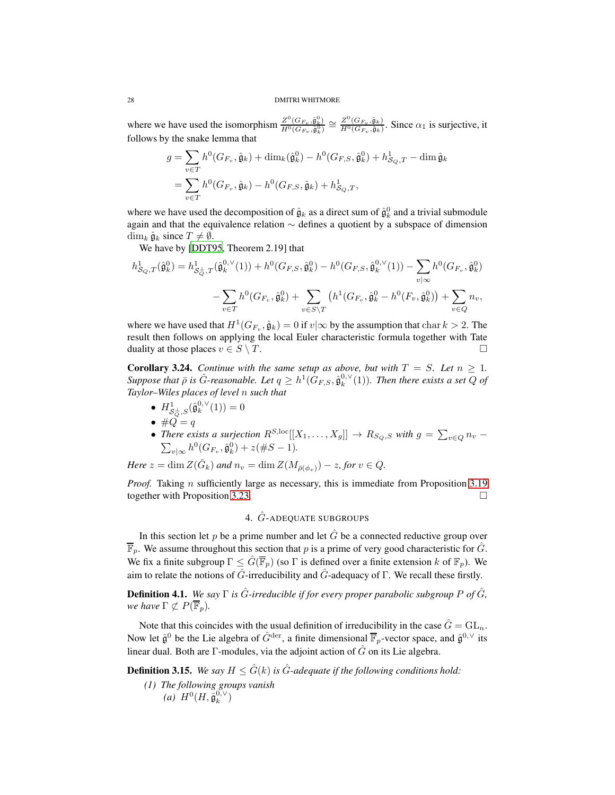where we have used the isomorphism  $\frac{Z^0(G_{F_v}, \hat{\mathfrak{g}}_k^0)}{H^0(G_v, \hat{\mathfrak{g}}_k^0)}$  $\frac{Z^0(G_{F_v},\hat{\mathfrak{g}}_k^0)}{H^0(G_{F_v},\hat{\mathfrak{g}}_k^0)}\cong \frac{Z^0(G_{F_v},\hat{\mathfrak{g}}_k)}{H^0(G_{F_v},\hat{\mathfrak{g}}_k)}$  $\frac{Z(\mathbf{G}_{F_v}, \mathbf{g}_k)}{H^0(G_{F_v}, \hat{\mathbf{g}}_k)}$ . Since  $\alpha_1$  is surjective, it follows by the snake lemma that

$$
g = \sum_{v \in T} h^0(G_{F_v}, \hat{\mathfrak{g}}_k) + \dim_k(\hat{\mathfrak{g}}_k^0) - h^0(G_{F,S}, \hat{\mathfrak{g}}_k^0) + h^1_{S_Q, T} - \dim \hat{\mathfrak{g}}_k
$$
  
= 
$$
\sum_{v \in T} h^0(G_{F_v}, \hat{\mathfrak{g}}_k) - h^0(G_{F,S}, \hat{\mathfrak{g}}_k) + h^1_{S_Q, T},
$$

where we have used the decomposition of  $\hat{g}_k$  as a direct sum of  $\hat{g}_k^0$  and a trivial submodule again and that the equivalence relation ∼ defines a quotient by a subspace of dimension  $\dim_k \hat{\mathfrak{g}}_k$  since  $T \neq \emptyset$ .

We have by [\[DDT95,](#page-81-10) Theorem 2.19] that

$$
h_{\mathcal{S}_Q,T}^1(\hat{\mathfrak{g}}_k^0) = h_{\mathcal{S}_Q^{\perp},T}^1(\hat{\mathfrak{g}}_k^{0,\vee}(1)) + h^0(G_{F,S},\hat{\mathfrak{g}}_k^0) - h^0(G_{F,S},\hat{\mathfrak{g}}_k^{0,\vee}(1)) - \sum_{v|\infty} h^0(G_{F_v},\hat{\mathfrak{g}}_k^0)
$$

$$
- \sum_{v\in T} h^0(G_{F_v},\hat{\mathfrak{g}}_k^0) + \sum_{v\in S\setminus T} \left( h^1(G_{F_v},\hat{\mathfrak{g}}_k^0 - h^0(F_v,\hat{\mathfrak{g}}_k^0)) + \sum_{v\in Q} n_v,
$$

where we have used that  $H^1(G_{F_v}, \hat{g}_k) = 0$  if  $v | \infty$  by the assumption that char  $k > 2$ . The result then follows on applying the local Euler characteristic formula together with Tate duality at those places  $v \in S \setminus T$ .

**Corollary 3.24.** *Continue with the same setup as above, but with*  $T = S$ *. Let*  $n \ge 1$ *.*  $Suppose$  that  $\bar{\rho}$  is  $\hat{G}$ -reasonable. Let  $q \geq h^1(G_{F,S}, \hat{\mathfrak{g}}_k^{0,\vee}(1))$ . Then there exists a set  $Q$  of *Taylor–Wiles places of level* n *such that*

• 
$$
H^1_{\mathcal{S}_Q^{\perp},S}(\hat{\mathfrak{g}}_k^{0,\vee}(1)) = 0
$$

- $\bullet$  # $Q = q$
- *There exists a surjection*  $R^{S,loc}[[X_1, \ldots, X_g]] \to R_{S_Q,S}$  *with*  $g = \sum_{v \in Q} n_v \sum_{v \in Q} n_v$   $(n_v + \sum_{v \in Q} n_v + \sum_{v \in Q} n_v + \sum_{v \in Q} n_v + \sum_{v \in Q} n_v + \sum_{v \in Q} n_v + \sum_{v \in Q} n_v + \sum_{v \in Q} n_v + \sum_{v \in Q} n_v + \sum_{v \in Q} n_v + \sum_{v \in Q} n_v + \sum_{v \in Q} n_v + \sum_{v$  $v_{\infty} h^0(G_{F_v}, \hat{\mathfrak{g}}_k^0) + z(\#S - 1).$

*Here*  $z = \dim Z(\hat{G}_k)$  *and*  $n_v = \dim Z(M_{\bar{\rho}(\phi_v)}) - z$ *, for*  $v \in Q$ *.* 

<span id="page-27-0"></span>*Proof.* Taking *n* sufficiently large as necessary, this is immediate from Proposition [3.19](#page-21-0) together with Proposition [3.23.](#page-25-1)

# 4. Gˆ-ADEQUATE SUBGROUPS

In this section let p be a prime number and let  $\hat{G}$  be a connected reductive group over  $\overline{\mathbb{F}}_p$ . We assume throughout this section that p is a prime of very good characteristic for  $\hat{G}$ . We fix a finite subgroup  $\Gamma \leq G(\overline{\mathbb{F}}_p)$  (so  $\Gamma$  is defined over a finite extension k of  $\mathbb{F}_p$ ). We aim to relate the notions of  $\hat{G}$ -irreducibility and  $\hat{G}$ -adequacy of Γ. We recall these firstly.

<span id="page-27-1"></span>**Definition 4.1.** We say  $\Gamma$  is  $\hat{G}$ -irreducible if for every proper parabolic subgroup P of  $\hat{G}$ , *we have*  $\Gamma \not\subset P(\overline{\mathbb{F}}_n)$ *.* 

Note that this coincides with the usual definition of irreducibility in the case  $\hat{G} = GL_n$ . Now let  $\hat{\mathfrak{g}}^0$  be the Lie algebra of  $\hat{G}^{\text{der}}$ , a finite dimensional  $\overline{\mathbb{F}}_p$ -vector space, and  $\hat{\mathfrak{g}}^{0,\vee}$  its linear dual. Both are Γ-modules, via the adjoint action of  $\hat{G}$  on its Lie algebra.

**Definition 3.15.** *We say*  $H \leq G(k)$  *is G*-adequate if the following conditions hold:

*(1) The following groups vanish (a)*  $H^0(H, \hat{\mathfrak{g}}_k^{0,\vee})$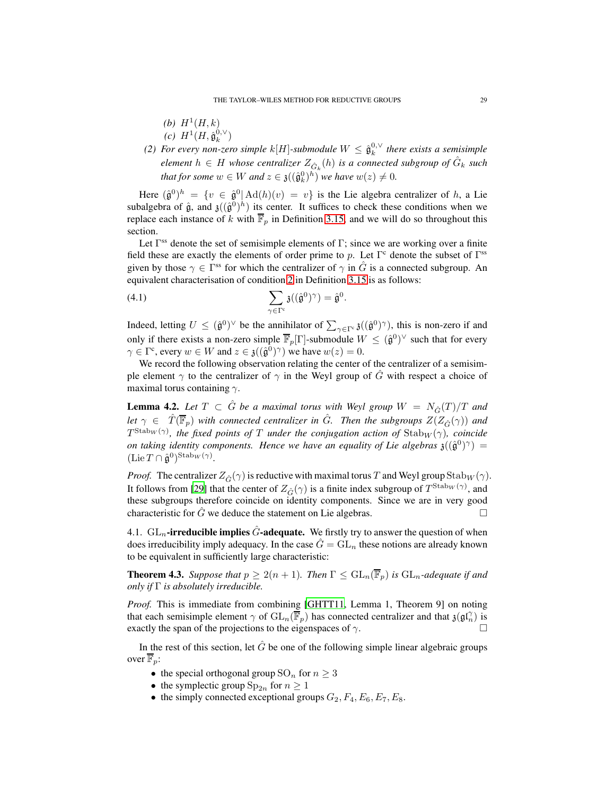- (*b*)  $H^1(H, k)$
- $(c) H^{1}(H, \hat{\mathfrak{g}}_{k}^{0,\vee})$
- (2) For every non-zero simple  $k[H]$ -submodule  $W \leq \hat{\mathfrak{g}}_k^{0,\vee}$  there exists a semisimple  $e$ *lement*  $h \in H$  whose centralizer  $Z_{\hat{G}_k}(h)$  is a connected subgroup of  $\hat{G}_k$  such *that for some*  $w \in W$  *and*  $z \in \mathfrak{z}((\hat{\mathfrak{g}}_k^0)^h)$  *we have*  $w(z) \neq 0$ *.*

Here  $(\hat{\mathfrak{g}}^0)^h = \{v \in \hat{\mathfrak{g}}^0 | \text{Ad}(h)(v) = v\}$  is the Lie algebra centralizer of h, a Lie subalgebra of  $\hat{g}$ , and  $\mathfrak{z}((\hat{g}^0)^h)$  its center. It suffices to check these conditions when we replace each instance of k with  $\overline{\mathbb{F}}_p$  in Definition [3.15,](#page-20-0) and we will do so throughout this section.

Let  $\Gamma$ <sup>ss</sup> denote the set of semisimple elements of  $\Gamma$ ; since we are working over a finite field these are exactly the elements of order prime to p. Let  $\Gamma^c$  denote the subset of  $\Gamma^{ss}$ given by those  $\gamma \in \Gamma^{ss}$  for which the centralizer of  $\gamma$  in  $\hat{G}$  is a connected subgroup. An equivalent characterisation of condition [2](#page-20-1) in Definition [3.15](#page-20-0) is as follows:

(4.1) 
$$
\sum_{\gamma \in \Gamma^c} \mathfrak{z}((\hat{\mathfrak{g}}^0)^\gamma) = \hat{\mathfrak{g}}^0.
$$

Indeed, letting  $U \leq (\hat{\mathfrak{g}}^0)^\vee$  be the annihilator of  $\sum_{\gamma \in \Gamma^c} \mathfrak{z}((\hat{\mathfrak{g}}^0)^\gamma)$ , this is non-zero if and only if there exists a non-zero simple  $\overline{\mathbb{F}}_p[\Gamma]$ -submodule  $W \leq (\hat{\mathfrak{g}}^0)^\vee$  such that for every  $\gamma \in \Gamma^c$ , every  $w \in W$  and  $z \in \mathfrak{z}((\hat{\mathfrak{g}}^0)^\gamma)$  we have  $w(z) = 0$ .

We record the following observation relating the center of the centralizer of a semisimple element  $\gamma$  to the centralizer of  $\gamma$  in the Weyl group of  $\ddot{G}$  with respect a choice of maximal torus containing  $\gamma$ .

<span id="page-28-2"></span>**Lemma 4.2.** Let  $T \subset \hat{G}$  be a maximal torus with Weyl group  $W = N_{\hat{G}}(T)/T$  and *let*  $\gamma \in \hat{T}(\overline{\mathbb{F}}_p)$  *with connected centralizer in*  $\hat{G}$ *. Then the subgroups*  $Z(Z_{\hat{G}}(\gamma))$  *and*  $T^{\text{Stab}_W(\gamma)}$ , the fixed points of T under the conjugation action of  $\text{Stab}_W(\gamma)$ , coincide *on taking identity components. Hence we have an equality of Lie algebras*  $\mathfrak{z}((\hat{\mathfrak{g}}^0)^\gamma) =$  $(\text{Lie } T \cap \hat{\mathfrak{g}}^0)^{\text{Stab}_W(\gamma)}.$ 

*Proof.* The centralizer  $Z_{\hat{G}}(\gamma)$  is reductive with maximal torus T and Weyl group Stab<sub>W</sub> ( $\gamma$ ). It follows from [\[29\]](#page-82-9) that the center of  $Z_{\hat{G}}(\gamma)$  is a finite index subgroup of  $T^{\text{Stab}_W(\gamma)}$ , and these subgroups therefore coincide on identity components. Since we are in very good characteristic for  $\hat{G}$  we deduce the statement on Lie algebras.

<span id="page-28-0"></span>4.1.  $GL_n$ -irreducible implies  $\tilde{G}$ -adequate. We firstly try to answer the question of when does irreducibility imply adequacy. In the case  $\hat{G} = GL_n$  these notions are already known to be equivalent in sufficiently large characteristic:

<span id="page-28-1"></span>**Theorem 4.3.** *Suppose that*  $p \geq 2(n+1)$ *. Then*  $\Gamma \leq \mathrm{GL}_n(\overline{\mathbb{F}}_p)$  *is*  $\mathrm{GL}_n$ *-adequate if and only if* Γ *is absolutely irreducible.*

*Proof.* This is immediate from combining [\[GHTT11,](#page-82-0) Lemma 1, Theorem 9] on noting that each semisimple element  $\gamma$  of  $GL_n(\overline{\mathbb{F}}_p)$  has connected centralizer and that  $\mathfrak{z}(\mathfrak{gl}_n^{\gamma})$  is exactly the span of the projections to the eigenspaces of  $\gamma$ .

In the rest of this section, let  $\hat{G}$  be one of the following simple linear algebraic groups over  $\overline{\mathbb{F}}_p$ :

- the special orthogonal group  $SO_n$  for  $n \geq 3$
- the symplectic group  $\text{Sp}_{2n}$  for  $n \geq 1$
- the simply connected exceptional groups  $G_2, F_4, E_6, E_7, E_8$ .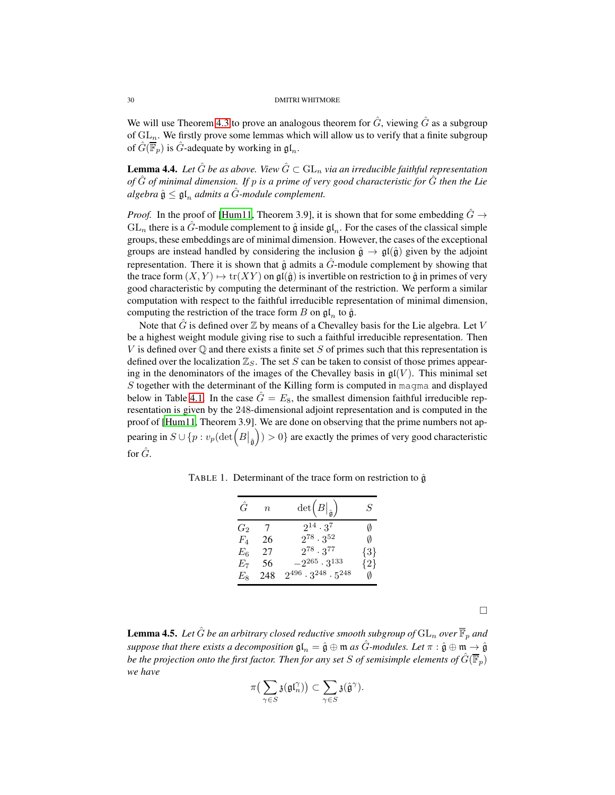We will use Theorem [4.3](#page-28-1) to prove an analogous theorem for  $\hat{G}$ , viewing  $\hat{G}$  as a subgroup of  $GL_n$ . We firstly prove some lemmas which will allow us to verify that a finite subgroup of  $\hat{G}(\overline{\mathbb{F}}_p)$  is  $\hat{G}$ -adequate by working in  $\mathfrak{gl}_n$ .

<span id="page-29-0"></span>**Lemma 4.4.** Let  $\hat{G}$  be as above. View  $\hat{G} \subset GL_n$  via an irreducible faithful representation *of* Gˆ *of minimal dimension. If* p *is a prime of very good characteristic for* Gˆ *then the Lie*  $a$ *lgebra*  $\hat{\mathfrak{g}} \leq \mathfrak{gl}_n$  *admits a*  $\hat{G}$ *-module complement.* 

*Proof.* In the proof of [\[Hum11,](#page-82-10) Theorem 3.9], it is shown that for some embedding  $\hat{G} \rightarrow$  $GL_n$  there is a G-module complement to  $\hat{\mathfrak{g}}$  inside  $\mathfrak{gl}_n$ . For the cases of the classical simple groups, these embeddings are of minimal dimension. However, the cases of the exceptional groups are instead handled by considering the inclusion  $\hat{\mathfrak{g}} \to \mathfrak{gl}(\hat{\mathfrak{g}})$  given by the adjoint representation. There it is shown that  $\hat{g}$  admits a  $\hat{G}$ -module complement by showing that the trace form  $(X, Y) \mapsto \text{tr}(XY)$  on  $\mathfrak{gl}(\hat{\mathfrak{g}})$  is invertible on restriction to  $\hat{\mathfrak{g}}$  in primes of very good characteristic by computing the determinant of the restriction. We perform a similar computation with respect to the faithful irreducible representation of minimal dimension, computing the restriction of the trace form B on  $\mathfrak{gl}_n$  to  $\hat{\mathfrak{g}}$ .

Note that  $\hat{G}$  is defined over  $\mathbb Z$  by means of a Chevalley basis for the Lie algebra. Let V be a highest weight module giving rise to such a faithful irreducible representation. Then V is defined over  $\mathbb Q$  and there exists a finite set S of primes such that this representation is defined over the localization  $\mathbb{Z}_S$ . The set S can be taken to consist of those primes appearing in the denominators of the images of the Chevalley basis in  $\mathfrak{gl}(V)$ . This minimal set  $S$  together with the determinant of the Killing form is computed in magma and displayed below in Table [4.1.](#page-29-0) In the case  $\hat{G} = E_8$ , the smallest dimension faithful irreducible representation is given by the 248-dimensional adjoint representation and is computed in the proof of [\[Hum11,](#page-82-10) Theorem 3.9]. We are done on observing that the prime numbers not appearing in  $S \cup \{p : v_p(\det\left(B\right)_{\hat{\mathfrak{g}}}$  $() > 0$ } are exactly the primes of very good characteristic for  $\hat{G}$ .

TABLE 1. Determinant of the trace form on restriction to  $\hat{g}$ 

| Ĝ           | $\eta$ | $\det(B _{\hat{\mathfrak{g}}})$       | S       |
|-------------|--------|---------------------------------------|---------|
| G2          | 7      | $2^{14} \cdot 3^7$                    |         |
| $F_{\rm A}$ | 26     | $2^{78} \cdot 3^{52}$                 | Ø       |
| $E_6$       | 27     | $2^{78} \cdot 3^{77}$                 | $\{3\}$ |
| Ŀ7          | 56     | $-2^{265} \cdot 3^{133}$              | $\{2\}$ |
| Еs          | 248    | $2^{496} \cdot 3^{248} \cdot 5^{248}$ | Ø       |

<span id="page-29-1"></span>**Lemma 4.5.** Let  $\hat{G}$  be an arbitrary closed reductive smooth subgroup of  $GL_n$  over  $\overline{\mathbb{F}}_p$  and *suppose that there exists a decomposition*  $\mathfrak{gl}_n = \hat{\mathfrak{g}} \oplus \mathfrak{m}$  *as*  $\hat{G}$ *-modules. Let*  $\pi : \hat{\mathfrak{g}} \oplus \mathfrak{m} \to \hat{\mathfrak{g}}$ *be the projection onto the first factor. Then for any set* S *of semisimple elements of*  $\hat{G}(\overline{\mathbb{F}}_n)$ *we have*

$$
\pi\big(\sum_{\gamma\in S}\mathfrak{z}(\mathfrak{gl}_n^\gamma)\big)\subset \sum_{\gamma\in S}\mathfrak{z}(\hat{\mathfrak{g}}^\gamma).
$$

 $\Box$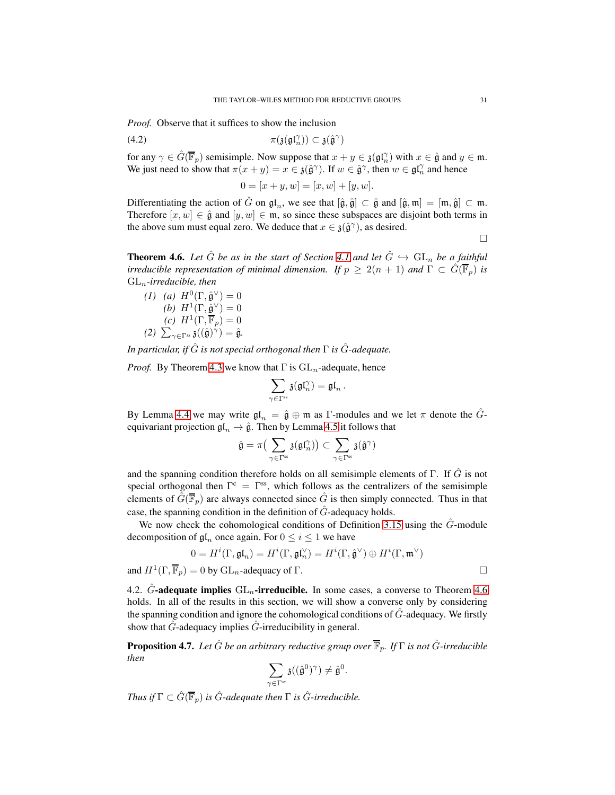*Proof.* Observe that it suffices to show the inclusion

$$
\pi(\mathfrak{z}(\mathfrak{gl}_n^{\gamma})) \subset \mathfrak{z}(\hat{\mathfrak{g}}^{\gamma})
$$

for any  $\gamma \in \hat{G}(\overline{\mathbb{F}}_p)$  semisimple. Now suppose that  $x + y \in \mathfrak{z}(\mathfrak{gl}_n^{\gamma})$  with  $x \in \hat{\mathfrak{g}}$  and  $y \in \mathfrak{m}$ . We just need to show that  $\pi(x + y) = x \in \mathfrak{z}(\hat{\mathfrak{g}}^{\gamma})$ . If  $w \in \hat{\mathfrak{g}}^{\gamma}$ , then  $w \in \mathfrak{gl}_n^{\gamma}$  and hence

<span id="page-30-2"></span>
$$
0 = [x + y, w] = [x, w] + [y, w].
$$

Differentiating the action of  $\hat{G}$  on  $\mathfrak{gl}_n$ , we see that  $[\hat{\mathfrak{g}}, \hat{\mathfrak{g}}] \subset \hat{\mathfrak{g}}$  and  $[\hat{\mathfrak{g}}, \mathfrak{m}] = [\mathfrak{m}, \hat{\mathfrak{g}}] \subset \mathfrak{m}$ . Therefore  $[x, w] \in \hat{\mathfrak{g}}$  and  $[y, w] \in \mathfrak{m}$ , so since these subspaces are disjoint both terms in the above sum must equal zero. We deduce that  $x \in \mathfrak{z}(\hat{\mathfrak{g}}^{\gamma})$ , as desired.

 $\Box$ 

<span id="page-30-1"></span>**Theorem 4.6.** Let  $\hat{G}$  be as in the start of Section [4.1](#page-28-0) and let  $\hat{G} \hookrightarrow GL_n$  be a faithful *irreducible representation of minimal dimension. If*  $p \geq 2(n + 1)$  *and*  $\Gamma \subset \hat{G}(\overline{\mathbb{F}}_p)$  *is* GLn*-irreducible, then*

(1) (a) 
$$
H^0(\Gamma, \hat{\mathfrak{g}}^{\vee}) = 0
$$
  
\n(b)  $H^1(\Gamma, \hat{\mathfrak{g}}^{\vee}) = 0$   
\n(c)  $H^1(\Gamma, \overline{\mathbb{F}}_p) = 0$   
\n(2)  $\sum_{\gamma \in \Gamma^{ss}} \mathfrak{z}((\hat{\mathfrak{g}})^{\gamma}) = \hat{\mathfrak{g}}$ .

*In particular, if*  $\hat{G}$  *is not special orthogonal then*  $\Gamma$  *is*  $\hat{G}$ *-adequate.* 

*Proof.* By Theorem [4.3](#page-28-1) we know that  $\Gamma$  is  $GL_n$ -adequate, hence

$$
\sum_{\gamma\in \Gamma^{\text{ss}}} \mathfrak{z}(\mathfrak{gl}_n^\gamma)=\mathfrak{gl}_n\,.
$$

By Lemma [4.4](#page-29-0) we may write  $\mathfrak{gl}_n = \hat{\mathfrak{g}} \oplus \mathfrak{m}$  as  $\Gamma$ -modules and we let  $\pi$  denote the  $\hat{G}$ equivariant projection  $\mathfrak{gl}_n \to \hat{\mathfrak{g}}$ . Then by Lemma [4.5](#page-29-1) it follows that

$$
\hat{\mathfrak{g}}=\pi\big(\sum_{\gamma\in\Gamma^{\text{ss}}}\mathfrak{z}(\mathfrak{gl}_n^\gamma)\big)\subset\sum_{\gamma\in\Gamma^{\text{ss}}}\mathfrak{z}(\hat{\mathfrak{g}}^\gamma)
$$

and the spanning condition therefore holds on all semisimple elements of Γ. If  $\hat{G}$  is not special orthogonal then  $\Gamma^c = \Gamma^{ss}$ , which follows as the centralizers of the semisimple elements of  $\hat{G}(\overline{\mathbb{F}}_p)$  are always connected since  $\hat{G}$  is then simply connected. Thus in that case, the spanning condition in the definition of  $\hat{G}$ -adequacy holds.

We now check the cohomological conditions of Definition [3.15](#page-20-0) using the  $\hat{G}$ -module decomposition of  $\mathfrak{gl}_n$  once again. For  $0 \le i \le 1$  we have

$$
0 = H^i(\Gamma, \mathfrak{gl}_n) = H^i(\Gamma, \mathfrak{gl}_n^{\vee}) = H^i(\Gamma, \hat{\mathfrak{g}}^{\vee}) \oplus H^i(\Gamma, \mathfrak{m}^{\vee})
$$
  
and 
$$
H^1(\Gamma, \overline{\mathbb{F}}_p) = 0
$$
 by  $GL_n$ -adequacy of  $\Gamma$ .

<span id="page-30-0"></span>4.2.  $\hat{G}$ -adequate implies  $GL_n$ -irreducible. In some cases, a converse to Theorem [4.6](#page-30-1) holds. In all of the results in this section, we will show a converse only by considering the spanning condition and ignore the cohomological conditions of  $\tilde{G}$ -adequacy. We firstly show that  $\hat{G}$ -adequacy implies  $\hat{G}$ -irreducibility in general.

<span id="page-30-3"></span>**Proposition 4.7.** *Let*  $\hat{G}$  *be an arbitrary reductive group over*  $\overline{\mathbb{F}}_p$ *. If*  $\Gamma$  *is not*  $\hat{G}$ *-irreducible then*

$$
\sum_{\gamma\in\Gamma^{ss}}\mathfrak{z}((\hat{\mathfrak{g}}^{0})^{\gamma})\neq \hat{\mathfrak{g}}^{0}.
$$

*Thus if*  $\Gamma \subset \hat{G}(\overline{\mathbb{F}}_p)$  *is*  $\hat{G}$ *-adequate then*  $\Gamma$  *is*  $\hat{G}$ *-irreducible.*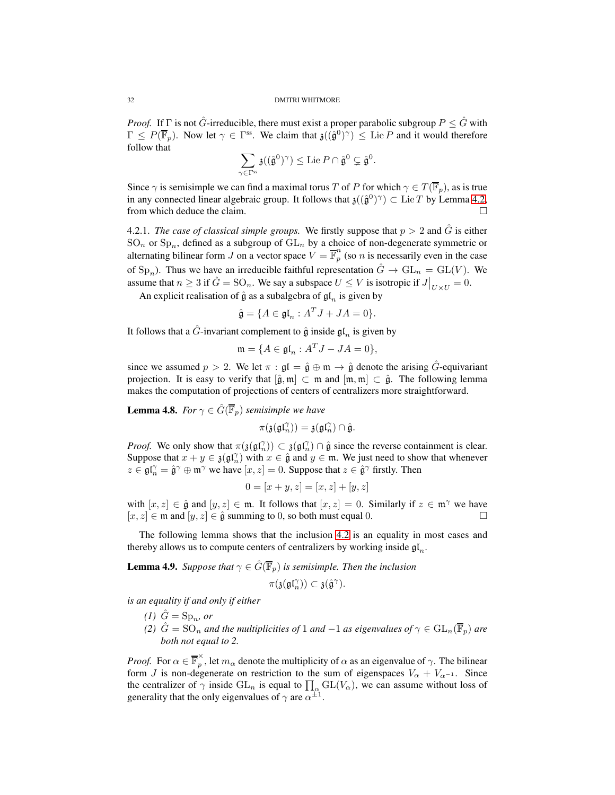*Proof.* If  $\Gamma$  is not  $\hat{G}$ -irreducible, there must exist a proper parabolic subgroup  $P \leq \hat{G}$  with  $\Gamma \leq P(\overline{\mathbb{F}}_p)$ . Now let  $\gamma \in \Gamma^{ss}$ . We claim that  $\mathfrak{z}((\hat{\mathfrak{g}}^0)^\gamma) \leq \text{Lie } P$  and it would therefore follow that

$$
\sum_{\gamma \in \Gamma^{\text{ss}}} \mathfrak{z}((\hat{\mathfrak{g}}^0)^\gamma) \leq \operatorname{Lie} P \cap \hat{\mathfrak{g}}^0 \subsetneq \hat{\mathfrak{g}}^0.
$$

Since  $\gamma$  is semisimple we can find a maximal torus T of P for which  $\gamma \in T(\overline{\mathbb{F}}_p)$ , as is true in any connected linear algebraic group. It follows that  $\mathfrak{z}((\hat{\mathfrak{g}}^0)^\gamma) \subset \text{Lie } T$  by Lemma [4.2,](#page-28-2) from which deduce the claim.

4.2.1. *The case of classical simple groups*. We firstly suppose that  $p > 2$  and  $\hat{G}$  is either  $\text{SO}_n$  or  $\text{Sp}_n$ , defined as a subgroup of  $\text{GL}_n$  by a choice of non-degenerate symmetric or alternating bilinear form J on a vector space  $V = \overline{\mathbb{F}}_p^n$  $\int_{p}^{b}$  (so *n* is necessarily even in the case of Sp<sub>n</sub>). Thus we have an irreducible faithful representation  $\hat{G} \to GL_n = GL(V)$ . We assume that  $n \geq 3$  if  $\hat{G} = SO_n$ . We say a subspace  $U \leq V$  is isotropic if  $J|_{U \times U} = 0$ .

An explicit realisation of  $\hat{\mathfrak{g}}$  as a subalgebra of  $\mathfrak{gl}_n$  is given by

$$
\hat{\mathfrak{g}} = \{ A \in \mathfrak{gl}_n : A^T J + JA = 0 \}.
$$

It follows that a  $\hat{G}$ -invariant complement to  $\hat{\mathfrak{g}}$  inside  $\mathfrak{gl}_n$  is given by

$$
\mathfrak{m} = \{ A \in \mathfrak{gl}_n : A^T J - JA = 0 \},
$$

since we assumed  $p > 2$ . We let  $\pi : \mathfrak{gl} = \hat{\mathfrak{g}} \oplus \mathfrak{m} \to \hat{\mathfrak{g}}$  denote the arising  $\hat{G}$ -equivariant projection. It is easy to verify that  $[\hat{\mathfrak{g}}, \mathfrak{m}] \subset \mathfrak{m}$  and  $[\mathfrak{m}, \mathfrak{m}] \subset \hat{\mathfrak{g}}$ . The following lemma makes the computation of projections of centers of centralizers more straightforward.

**Lemma 4.8.** *For*  $\gamma \in \hat{G}(\overline{\mathbb{F}}_p)$  *semisimple we have* 

$$
\pi(\mathfrak{z}(\mathfrak{gl}_n^{\gamma})) = \mathfrak{z}(\mathfrak{gl}_n^{\gamma}) \cap \hat{\mathfrak{g}}.
$$

*Proof.* We only show that  $\pi(\mathfrak{z}(\mathfrak{gl}_n^{\gamma})) \subset \mathfrak{z}(\mathfrak{gl}_n^{\gamma}) \cap \hat{\mathfrak{g}}$  since the reverse containment is clear. Suppose that  $x + y \in \mathfrak{z}(\mathfrak{gl}_n^{\gamma})$  with  $x \in \hat{\mathfrak{g}}$  and  $y \in \mathfrak{m}$ . We just need to show that whenever  $z \in \mathfrak{gl}_n^{\gamma} = \hat{\mathfrak{g}}^{\gamma} \oplus \mathfrak{m}^{\gamma}$  we have  $[x, z] = 0$ . Suppose that  $z \in \hat{\mathfrak{g}}^{\gamma}$  firstly. Then

$$
0 = [x + y, z] = [x, z] + [y, z]
$$

with  $[x, z] \in \hat{\mathfrak{g}}$  and  $[y, z] \in \mathfrak{m}$ . It follows that  $[x, z] = 0$ . Similarly if  $z \in \mathfrak{m}^{\gamma}$  we have  $[x, z] \in \mathfrak{m}$  and  $[y, z] \in \hat{\mathfrak{g}}$  summing to 0, so both must equal 0.  $[x, z] \in \mathfrak{m}$  and  $[y, z] \in \hat{\mathfrak{g}}$  summing to 0, so both must equal 0.

The following lemma shows that the inclusion [4.2](#page-30-2) is an equality in most cases and thereby allows us to compute centers of centralizers by working inside  $\mathfrak{gl}_n$ .

<span id="page-31-0"></span>**Lemma 4.9.** *Suppose that*  $\gamma \in \hat{G}(\overline{\mathbb{F}}_p)$  *is semisimple. Then the inclusion* 

$$
\pi(\mathfrak{z}(\mathfrak{gl}_n^{\gamma})) \subset \mathfrak{z}(\hat{\mathfrak{g}}^{\gamma}).
$$

*is an equality if and only if either*

- $(1)$   $\hat{G} = \text{Sp}_n$ , or
- *(2)*  $\hat{G} = SO_n$  *and the multiplicities of* 1 *and* −1 *as eigenvalues of*  $\gamma \in GL_n(\overline{\mathbb{F}}_p)$  *are both not equal to 2.*

*Proof.* For  $\alpha \in \overline{\mathbb{F}}_p^{\times}$  $\hat{p}$ , let  $m_{\alpha}$  denote the multiplicity of  $\alpha$  as an eigenvalue of  $\gamma$ . The bilinear form J is non-degenerate on restriction to the sum of eigenspaces  $V_{\alpha} + V_{\alpha^{-1}}$ . Since the centralizer of  $\gamma$  inside  $GL_n$  is equal to  $\prod_{\alpha} GL(V_{\alpha})$ , we can assume without loss of generality that the only eigenvalues of  $\gamma$  are  $\alpha^{\pm 1}$ .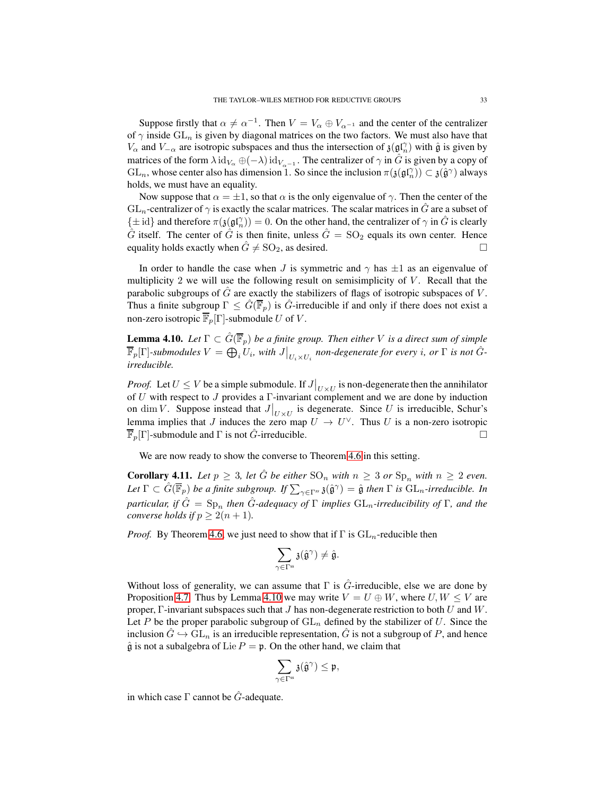Suppose firstly that  $\alpha \neq \alpha^{-1}$ . Then  $V = V_{\alpha} \oplus V_{\alpha^{-1}}$  and the center of the centralizer of  $\gamma$  inside  $GL_n$  is given by diagonal matrices on the two factors. We must also have that  $V_{\alpha}$  and  $V_{-\alpha}$  are isotropic subspaces and thus the intersection of  $\mathfrak{z}(\mathfrak{gl}_n^{\gamma})$  with  $\hat{\mathfrak{g}}$  is given by matrices of the form  $\lambda \text{id}_{V_{\alpha}} \oplus (-\lambda) \text{id}_{V_{\alpha^{-1}}}$ . The centralizer of  $\gamma$  in  $\hat{G}$  is given by a copy of  $GL_n$ , whose center also has dimension 1. So since the inclusion  $\pi(j(\mathfrak{gl}_n^{\gamma})) \subset j(\hat{\mathfrak{g}}^{\gamma})$  always holds, we must have an equality.

Now suppose that  $\alpha = \pm 1$ , so that  $\alpha$  is the only eigenvalue of  $\gamma$ . Then the center of the  $GL_n$ -centralizer of  $\gamma$  is exactly the scalar matrices. The scalar matrices in  $\hat{G}$  are a subset of  $\{\pm \operatorname{id}\}$  and therefore  $\pi(\mathfrak{z}(\mathfrak{gl}_n^{\gamma})) = 0$ . On the other hand, the centralizer of  $\gamma$  in  $\hat{G}$  is clearly  $\hat{G}$  itself. The center of  $\hat{G}$  is then finite, unless  $\hat{G} = SO_2$  equals its own center. Hence equality holds exactly when  $\hat{G} \neq SO_2$ , as desired.

In order to handle the case when J is symmetric and  $\gamma$  has  $\pm 1$  as an eigenvalue of multiplicity 2 we will use the following result on semisimplicity of  $V$ . Recall that the parabolic subgroups of  $\hat{G}$  are exactly the stabilizers of flags of isotropic subspaces of  $V$ . Thus a finite subgroup  $\Gamma \leq \hat{G}(\overline{\mathbb{F}}_p)$  is  $\hat{G}$ -irreducible if and only if there does not exist a non-zero isotropic  $\overline{\mathbb{F}}_p[\Gamma]$ -submodule U of V.

<span id="page-32-1"></span>**Lemma 4.10.** *Let*  $\Gamma \subset \hat{G}(\overline{\mathbb{F}}_p)$  *be a finite group. Then either V is a direct sum of simple*  $\overline{\mathbb{F}}_p[\Gamma]$ -submodules  $V = \bigoplus_i U_i$ , with  $J\big|_{U_i \times U_i}$  non-degenerate for every i, or  $\Gamma$  is not  $\hat{G}$ *irreducible.*

*Proof.* Let  $U \leq V$  be a simple submodule. If  $J|_{U \times U}$  is non-degenerate then the annihilator of U with respect to J provides a Γ-invariant complement and we are done by induction on dim V. Suppose instead that  $J|_{U\times U}$  is degenerate. Since U is irreducible, Schur's lemma implies that J induces the zero map  $U \to U^{\vee}$ . Thus U is a non-zero isotropic  $\overline{\mathbb{F}}_p[\Gamma]$ -submodule and  $\Gamma$  is not  $\hat{G}$ -irreducible.

We are now ready to show the converse to Theorem [4.6](#page-30-1) in this setting.

<span id="page-32-0"></span>**Corollary 4.11.** Let  $p \geq 3$ , let  $\hat{G}$  be either  $SO_n$  with  $n \geq 3$  or  $Sp_n$  with  $n \geq 2$  even.  $Let \Gamma \subset \hat{G}(\overline{\mathbb{F}}_p)$  *be a finite subgroup. If*  $\sum_{\gamma \in \Gamma^{\text{ss}}} \mathfrak{z}(\hat{\mathfrak{g}}^{\gamma}) = \hat{\mathfrak{g}}$  *then*  $\Gamma$  *is*  $\text{GL}_n$ -irreducible. In *particular, if*  $\hat{G} = \text{Sp}_n$  *then*  $\hat{G}$ -adequacy of  $\Gamma$  *implies*  $\text{GL}_n$ -irreducibility of  $\Gamma$ *, and the converse holds if*  $p \geq 2(n + 1)$ *.* 

*Proof.* By Theorem [4.6,](#page-30-1) we just need to show that if  $\Gamma$  is  $GL_n$ -reducible then

$$
\sum_{\gamma\in\Gamma^{ss}}\mathfrak{z}(\hat{\mathfrak{g}}^{\gamma})\neq\hat{\mathfrak{g}}.
$$

Without loss of generality, we can assume that  $\Gamma$  is  $\hat{G}$ -irreducible, else we are done by Proposition [4.7.](#page-30-3) Thus by Lemma [4.10](#page-32-1) we may write  $V = U \oplus W$ , where  $U, W \leq V$  are proper, Γ-invariant subspaces such that  $J$  has non-degenerate restriction to both  $U$  and  $W$ . Let P be the proper parabolic subgroup of  $GL_n$  defined by the stabilizer of U. Since the inclusion  $\hat{G} \hookrightarrow GL_n$  is an irreducible representation,  $\hat{G}$  is not a subgroup of P, and hence  $\hat{\mathfrak{g}}$  is not a subalgebra of Lie  $P = \mathfrak{p}$ . On the other hand, we claim that

$$
\sum_{\gamma\in\Gamma^{ss}}\mathfrak{z}(\hat{\mathfrak{g}}^{\gamma})\leq\mathfrak{p},
$$

in which case  $\Gamma$  cannot be  $\hat{G}$ -adequate.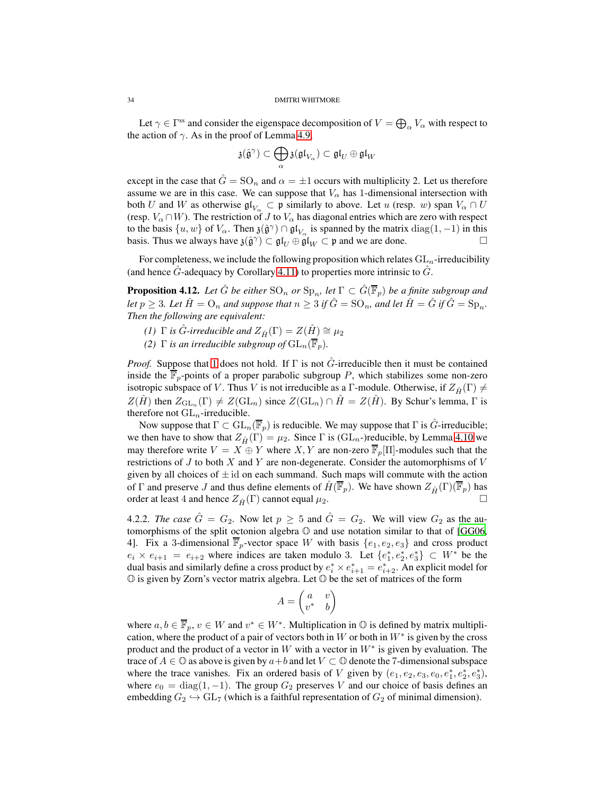Let  $\gamma \in \Gamma$ <sup>ss</sup> and consider the eigenspace decomposition of  $V = \bigoplus_{\alpha} V_{\alpha}$  with respect to the action of  $\gamma$ . As in the proof of Lemma [4.9,](#page-31-0)

$$
\mathfrak{z}(\widehat{\mathfrak{g}}^{\gamma})\subset \bigoplus_{\alpha}\mathfrak{z}(\mathfrak{gl}_{V_{\alpha}})\subset \mathfrak{gl}_{U}\oplus \mathfrak{gl}_{W}
$$

except in the case that  $\hat{G} = SO_n$  and  $\alpha = \pm 1$  occurs with multiplicity 2. Let us therefore assume we are in this case. We can suppose that  $V_{\alpha}$  has 1-dimensional intersection with both U and W as otherwise  $\mathfrak{gl}_{V_{\alpha}} \subset \mathfrak{p}$  similarly to above. Let u (resp. w) span  $V_{\alpha} \cap U$ (resp.  $V_\alpha \cap W$ ). The restriction of J to  $V_\alpha$  has diagonal entries which are zero with respect to the basis  $\{u, w\}$  of  $V_\alpha$ . Then  $\mathfrak{z}(\hat{\mathfrak{g}}^\gamma) \cap \mathfrak{gl}_{V_\alpha}$  is spanned by the matrix  $diag(1, -1)$  in this basis. Thus we always have  $\mathfrak{z}(\hat{\mathfrak{g}}^{\gamma}) \subset \mathfrak{gl}_U \oplus \mathfrak{gl}_W \subset \mathfrak{p}$  and we are done.

For completeness, we include the following proposition which relates  $GL_n$ -irreducibility (and hence  $\hat{G}$ -adequacy by Corollary [4.11\)](#page-32-0) to properties more intrinsic to  $\hat{G}$ .

**Proposition 4.12.** Let  $\hat{G}$  be either  $\text{SO}_n$  or  $\text{Sp}_n$ , let  $\Gamma \subset \hat{G}(\overline{\mathbb{F}}_p)$  be a finite subgroup and *let*  $p \geq 3$ *. Let*  $\hat{H} = \mathcal{O}_n$  *and suppose that*  $n \geq 3$  *if*  $\hat{G} = \text{SO}_n$ *, and let*  $\hat{H} = \hat{G}$  *if*  $\hat{G} = \text{Sp}_n$ *. Then the following are equivalent:*

- <span id="page-33-0"></span>*(1)*  $\Gamma$  *is*  $\hat{G}$ -*irreducible and*  $Z_{\hat{H}}(\Gamma) = Z(\hat{H}) \cong \mu_2$
- *(2)*  $\Gamma$  *is an irreducible subgroup of*  $GL_n(\overline{\mathbb{F}}_n)$ *.*

*Proof.* Suppose that [1](#page-33-0) does not hold. If  $\Gamma$  is not  $\hat{G}$ -irreducible then it must be contained inside the  $\overline{\mathbb{F}}_p$ -points of a proper parabolic subgroup P, which stabilizes some non-zero isotropic subspace of V. Thus V is not irreducible as a Γ-module. Otherwise, if  $Z_{\hat{H}}(\Gamma) \neq$  $Z(\hat{H})$  then  $Z_{\mathrm{GL}_n}(\Gamma) \neq Z(\mathrm{GL}_n)$  since  $Z(\mathrm{GL}_n) \cap \hat{H} = Z(\hat{H})$ . By Schur's lemma,  $\Gamma$  is therefore not  $GL_n$ -irreducible.

Now suppose that  $\Gamma \subset GL_n(\overline{\mathbb{F}}_p)$  is reducible. We may suppose that  $\Gamma$  is  $\hat{G}$ -irreducible; we then have to show that  $Z_{\hat{H}}(\Gamma) = \mu_2$ . Since  $\Gamma$  is (GL<sub>n</sub>-)reducible, by Lemma [4.10](#page-32-1) we may therefore write  $V = X \oplus Y$  where  $X, Y$  are non-zero  $\overline{\mathbb{F}}_p[\Pi]$ -modules such that the restrictions of  $J$  to both  $X$  and  $Y$  are non-degenerate. Consider the automorphisms of  $V$ given by all choices of  $\pm$  id on each summand. Such maps will commute with the action of Γ and preserve J and thus define elements of  $\hat{H}(\overline{\mathbb{F}}_p)$ . We have shown  $Z_{\hat{H}}(\Gamma)(\overline{\mathbb{F}}_p)$  has order at least 4 and hence  $Z_{\hat{H}}(\Gamma)$  cannot equal  $\mu_2$ .

4.2.2. *The case*  $\hat{G} = G_2$ . Now let  $p \geq 5$  and  $\hat{G} = G_2$ . We will view  $G_2$  as the automorphisms of the split octonion algebra O and use notation similar to that of [\[GG06,](#page-82-11) 4]. Fix a 3-dimensional  $\overline{\mathbb{F}}_p$ -vector space W with basis  $\{e_1, e_2, e_3\}$  and cross product  $e_i \times e_{i+1} = e_{i+2}$  where indices are taken modulo 3. Let  $\{e_1^*, e_2^*, e_3^*\} \subset W^*$  be the dual basis and similarly define a cross product by  $e_i^* \times e_{i+1}^* = e_{i+2}^*$ . An explicit model for  $\mathbb O$  is given by Zorn's vector matrix algebra. Let  $\mathbb O$  be the set of matrices of the form

$$
A=\begin{pmatrix} a & v \\ v^* & b \end{pmatrix}
$$

where  $a, b \in \overline{\mathbb{F}}_p$ ,  $v \in W$  and  $v^* \in W^*$ . Multiplication in  $\mathbb{O}$  is defined by matrix multiplication, where the product of a pair of vectors both in W or both in  $W^*$  is given by the cross product and the product of a vector in W with a vector in  $W^*$  is given by evaluation. The trace of  $A \in \mathbb{O}$  as above is given by  $a+b$  and let  $V \subset \mathbb{O}$  denote the 7-dimensional subspace where the trace vanishes. Fix an ordered basis of V given by  $(e_1, e_2, e_3, e_0, e_1^*, e_2^*, e_3^*)$ , where  $e_0 = \text{diag}(1, -1)$ . The group  $G_2$  preserves V and our choice of basis defines an embedding  $G_2 \hookrightarrow GL_7$  (which is a faithful representation of  $G_2$  of minimal dimension).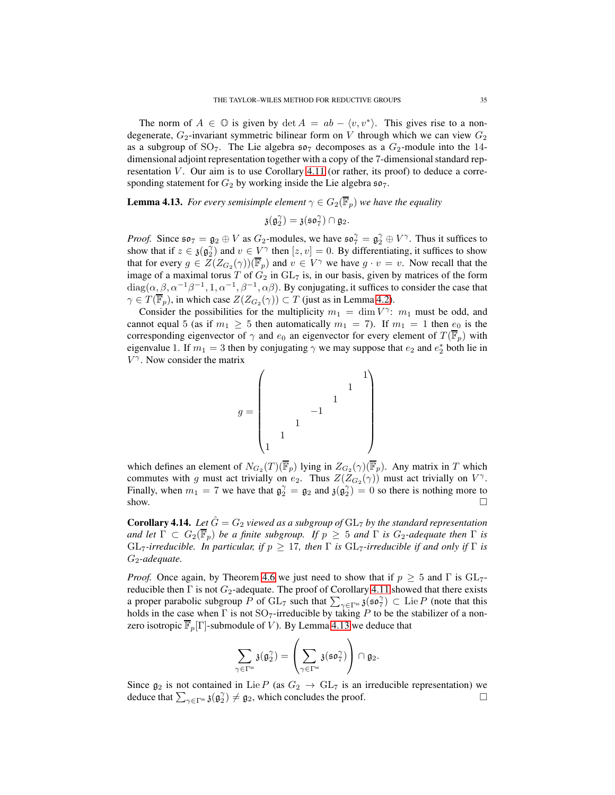The norm of  $A \in \mathbb{O}$  is given by  $\det A = ab - \langle v, v^* \rangle$ . This gives rise to a nondegenerate,  $G_2$ -invariant symmetric bilinear form on V through which we can view  $G_2$ as a subgroup of SO<sub>7</sub>. The Lie algebra  $\mathfrak{so}_7$  decomposes as a  $G_2$ -module into the 14dimensional adjoint representation together with a copy of the 7-dimensional standard representation  $V$ . Our aim is to use Corollary [4.11](#page-32-0) (or rather, its proof) to deduce a corresponding statement for  $G_2$  by working inside the Lie algebra  $\mathfrak{so}_7$ .

<span id="page-34-1"></span>**Lemma 4.13.** *For every semisimple element*  $\gamma \in G_2(\overline{\mathbb{F}}_p)$  *we have the equality* 

$$
\mathfrak{z}(\mathfrak{g}_2^{\gamma}) = \mathfrak{z}(\mathfrak{so}_7^{\gamma}) \cap \mathfrak{g}_2.
$$

*Proof.* Since  $\mathfrak{so}_7 = \mathfrak{g}_2 \oplus V$  as  $G_2$ -modules, we have  $\mathfrak{so}_7^\gamma = \mathfrak{g}_2^\gamma \oplus V^\gamma$ . Thus it suffices to show that if  $z \in \mathfrak{z}(\mathfrak{g}_2)$  and  $v \in V^\gamma$  then  $[z, v] = 0$ . By differentiating, it suffices to show that for every  $g \in Z(Z_{G_2}(\gamma))(\overline{\mathbb{F}}_p)$  and  $v \in V^{\gamma}$  we have  $g \cdot v = v$ . Now recall that the image of a maximal torus T of  $G_2$  in  $GL_7$  is, in our basis, given by matrices of the form  $diag(\alpha, \beta, \alpha^{-1}\beta^{-1}, 1, \alpha^{-1}, \beta^{-1}, \alpha\beta)$ . By conjugating, it suffices to consider the case that  $\gamma \in T(\mathbb{F}_p)$ , in which case  $Z(Z_{G_2}(\gamma)) \subset T$  (just as in Lemma [4.2\)](#page-28-2).

Consider the possibilities for the multiplicity  $m_1 = \dim V^{\gamma}$ :  $m_1$  must be odd, and cannot equal 5 (as if  $m_1 \geq 5$  then automatically  $m_1 = 7$ ). If  $m_1 = 1$  then  $e_0$  is the corresponding eigenvector of  $\gamma$  and  $e_0$  an eigenvector for every element of  $T(\overline{\mathbb{F}}_p)$  with eigenvalue 1. If  $m_1 = 3$  then by conjugating  $\gamma$  we may suppose that  $e_2$  and  $e_2^*$  both lie in  $V^{\gamma}$ . Now consider the matrix



which defines an element of  $N_{G_2}(T)(\mathbb{F}_p)$  lying in  $Z_{G_2}(\gamma)(\mathbb{F}_p)$ . Any matrix in T which commutes with g must act trivially on  $e_2$ . Thus  $Z(Z_{G_2}(\gamma))$  must act trivially on  $V^{\gamma}$ . Finally, when  $m_1 = 7$  we have that  $\mathfrak{g}_2^{\gamma} = \mathfrak{g}_2$  and  $\mathfrak{z}(\mathfrak{g}_2^{\gamma}) = 0$  so there is nothing more to show.  $\Box$ 

<span id="page-34-0"></span>**Corollary 4.14.** Let  $\hat{G} = G_2$  viewed as a subgroup of  $GL_7$  by the standard representation *and let*  $\Gamma \subset G_2(\overline{\mathbb{F}}_p)$  *be a finite subgroup. If*  $p \geq 5$  *and*  $\Gamma$  *is*  $G_2$ *-adequate then*  $\Gamma$  *is* GL<sub>7</sub>-irreducible. In particular, if  $p \geq 17$ , then  $\Gamma$  is GL<sub>7</sub>-irreducible if and only if  $\Gamma$  is G2*-adequate.*

*Proof.* Once again, by Theorem [4.6](#page-30-1) we just need to show that if  $p > 5$  and  $\Gamma$  is  $GL_7$ reducible then  $\Gamma$  is not  $G_2$ -adequate. The proof of Corollary [4.11](#page-32-0) showed that there exists a proper parabolic subgroup P of  $GL_7$  such that  $\sum_{\gamma \in \Gamma^{ss}} \mathfrak{z}(\mathfrak{so}_7^\gamma) \subset \text{Lie } P$  (note that this holds in the case when  $\Gamma$  is not  $SO_7$ -irreducible by taking P to be the stabilizer of a nonzero isotropic  $\overline{\mathbb{F}}_p[\Gamma]$ -submodule of V). By Lemma [4.13](#page-34-1) we deduce that

$$
\sum_{\gamma\in\Gamma^{ss}}\mathfrak{z}(\mathfrak{g}_2^{\gamma})=\left(\sum_{\gamma\in\Gamma^{ss}}\mathfrak{z}(\mathfrak{so}_7^{\gamma})\right)\cap\mathfrak{g}_2.
$$

Since  $\mathfrak{g}_2$  is not contained in Lie P (as  $G_2 \to GL_7$  is an irreducible representation) we deduce that  $\sum_{\alpha \in \Gamma S} \mathfrak{z}(\mathfrak{g}_2^{\gamma}) \neq \mathfrak{g}_2$ , which concludes the proof. deduce that  $\sum_{\gamma \in \Gamma^{ss}} \mathfrak{z}(\mathfrak{g}_2^{\gamma}) \neq \mathfrak{g}_2$ , which concludes the proof.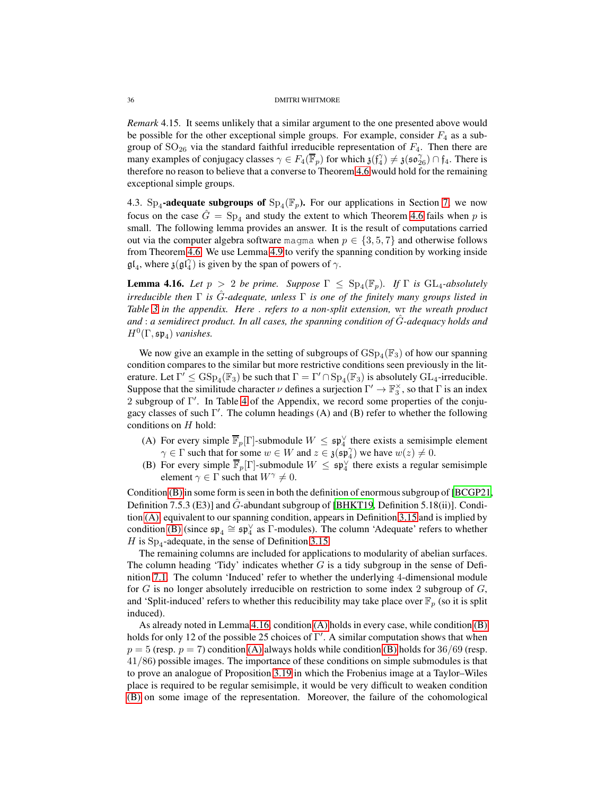*Remark* 4.15*.* It seems unlikely that a similar argument to the one presented above would be possible for the other exceptional simple groups. For example, consider  $F_4$  as a subgroup of  $SO_{26}$  via the standard faithful irreducible representation of  $F_4$ . Then there are many examples of conjugacy classes  $\gamma \in F_4(\overline{\mathbb{F}}_p)$  for which  $\mathfrak{z}(\mathfrak{f}_4^{\gamma}) \neq \mathfrak{z}(\mathfrak{so}_{26}^{\gamma}) \cap \mathfrak{f}_4$ . There is therefore no reason to believe that a converse to Theorem [4.6](#page-30-1) would hold for the remaining exceptional simple groups.

<span id="page-35-0"></span>4.3. Sp<sub>4</sub>-adequate subgroups of  $Sp_4(\mathbb{F}_p)$ . For our applications in Section [7,](#page-54-0) we now focus on the case  $\hat{G} = \text{Sp}_4$  and study the extent to which Theorem [4.6](#page-30-1) fails when p is small. The following lemma provides an answer. It is the result of computations carried out via the computer algebra software magma when  $p \in \{3, 5, 7\}$  and otherwise follows from Theorem [4.6.](#page-30-1) We use Lemma [4.9](#page-31-0) to verify the spanning condition by working inside  $\mathfrak{gl}_4$ , where  $\mathfrak{z}(\mathfrak{gl}_4^{\gamma})$  is given by the span of powers of  $\gamma$ .

<span id="page-35-3"></span>**Lemma 4.16.** Let  $p > 2$  be prime. Suppose  $\Gamma \leq \text{Sp}_4(\mathbb{F}_p)$ . If  $\Gamma$  is GL<sub>4</sub>-absolutely *irreducible then* Γ *is* Gˆ*-adequate, unless* Γ *is one of the finitely many groups listed in Table [3](#page-80-1) in the appendix. Here* . *refers to a non-split extension,* wr *the wreath product and* : *a semidirect product. In all cases, the spanning condition of* Gˆ*-adequacy holds and*  $H^0(\Gamma, \mathfrak{sp}_4)$  *vanishes.* 

We now give an example in the setting of subgroups of  $GSp_4(\mathbb{F}_3)$  of how our spanning condition compares to the similar but more restrictive conditions seen previously in the literature. Let  $\Gamma' \leq GSp_4(\mathbb{F}_3)$  be such that  $\Gamma = \Gamma' \cap Sp_4(\mathbb{F}_3)$  is absolutely  $GL_4$ -irreducible. Suppose that the similitude character  $\nu$  defines a surjection  $\Gamma' \to \mathbb{F}_3^{\times}$ , so that  $\Gamma$  is an index 2 subgroup of Γ ′ . In Table [4](#page-80-2) of the Appendix, we record some properties of the conjugacy classes of such Γ ′ . The column headings (A) and (B) refer to whether the following conditions on  $H$  hold:

- <span id="page-35-2"></span>(A) For every simple  $\overline{\mathbb{F}}_p[\Gamma]$ -submodule  $W \leq \mathfrak{sp}_4^{\vee}$  there exists a semisimple element  $\gamma \in \Gamma$  such that for some  $w \in W$  and  $z \in \mathfrak{z}(\mathfrak{sp}_4^{\gamma})$  we have  $w(z) \neq 0$ .
- <span id="page-35-1"></span>(B) For every simple  $\overline{\mathbb{F}}_p[\Gamma]$ -submodule  $W \leq \mathfrak{sp}_4^{\vee}$  there exists a regular semisimple element  $\gamma \in \Gamma$  such that  $W^{\gamma} \neq 0$ .

Condition [\(B\)](#page-35-1) in some form is seen in both the definition of enormous subgroup of [\[BCGP21,](#page-81-0) Definition 7.5.3 (E3)] and  $G$ -abundant subgroup of [\[BHKT19,](#page-81-1) Definition 5.18(ii)]. Condition [\(A\),](#page-35-2) equivalent to our spanning condition, appears in Definition [3.15](#page-20-0) and is implied by condition [\(B\)](#page-35-1) (since  $\mathfrak{sp}_4 \cong \mathfrak{sp}_4^{\vee}$  as  $\Gamma$ -modules). The column 'Adequate' refers to whether *H* is  $Sp_4$ -adequate, in the sense of Definition [3.15.](#page-20-0)

The remaining columns are included for applications to modularity of abelian surfaces. The column heading 'Tidy' indicates whether  $G$  is a tidy subgroup in the sense of Definition [7.1.](#page-55-0) The column 'Induced' refer to whether the underlying 4-dimensional module for  $G$  is no longer absolutely irreducible on restriction to some index 2 subgroup of  $G$ , and 'Split-induced' refers to whether this reducibility may take place over  $\mathbb{F}_p$  (so it is split induced).

As already noted in Lemma [4.16,](#page-35-3) condition [\(A\)](#page-35-2) holds in every case, while condition [\(B\)](#page-35-1) holds for only 12 of the possible 25 choices of Γ ′ . A similar computation shows that when  $p = 5$  (resp.  $p = 7$ ) condition [\(A\)](#page-35-2) always holds while condition [\(B\)](#page-35-1) holds for 36/69 (resp. 41/86) possible images. The importance of these conditions on simple submodules is that to prove an analogue of Proposition [3.19](#page-21-0) in which the Frobenius image at a Taylor–Wiles place is required to be regular semisimple, it would be very difficult to weaken condition [\(B\)](#page-35-1) on some image of the representation. Moreover, the failure of the cohomological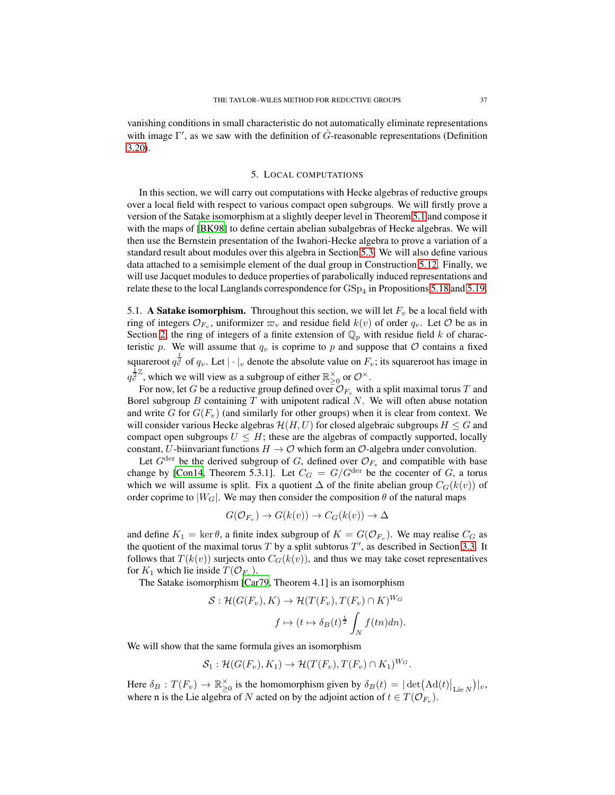vanishing conditions in small characteristic do not automatically eliminate representations with image  $\Gamma'$ , as we saw with the definition of  $\hat{G}$ -reasonable representations (Definition [3.20\)](#page-22-0).

## 5. LOCAL COMPUTATIONS

<span id="page-36-1"></span>In this section, we will carry out computations with Hecke algebras of reductive groups over a local field with respect to various compact open subgroups. We will firstly prove a version of the Satake isomorphism at a slightly deeper level in Theorem [5.1](#page-37-0) and compose it with the maps of [\[BK98](#page-81-0)] to define certain abelian subalgebras of Hecke algebras. We will then use the Bernstein presentation of the Iwahori-Hecke algebra to prove a variation of a standard result about modules over this algebra in Section [5.3.](#page-45-0) We will also define various data attached to a semisimple element of the dual group in Construction [5.12.](#page-47-0) Finally, we will use Jacquet modules to deduce properties of parabolically induced representations and relate these to the local Langlands correspondence for  $\mathrm{GSp}_4$  in Propositions [5.18](#page-49-0) and [5.19.](#page-50-0)

<span id="page-36-0"></span>5.1. A Satake isomorphism. Throughout this section, we will let  $F_v$  be a local field with ring of integers  $\mathcal{O}_{F_v}$ , uniformizer  $\varpi_v$  and residue field  $k(v)$  of order  $q_v$ . Let  $\mathcal O$  be as in Section [2,](#page-5-0) the ring of integers of a finite extension of  $\mathbb{Q}_p$  with residue field k of characteristic p. We will assume that  $q_v$  is coprime to p and suppose that  $\mathcal O$  contains a fixed squareroot  $q_v^{\frac{1}{2}}$  of  $q_v$ . Let  $|\cdot|_v$  denote the absolute value on  $F_v$ ; its squareroot has image in  $q_v^{\frac{1}{2}\mathbb{Z}}$ , which we will view as a subgroup of either  $\mathbb{R}_{\geq 0}^{\times}$  or  $\mathcal{O}^{\times}$ .

For now, let G be a reductive group defined over  $\mathcal{O}_{F_v}$  with a split maximal torus T and Borel subgroup  $B$  containing  $T$  with unipotent radical  $N$ . We will often abuse notation and write G for  $G(F_v)$  (and similarly for other groups) when it is clear from context. We will consider various Hecke algebras  $\mathcal{H}(H, U)$  for closed algebraic subgroups  $H \leq G$  and compact open subgroups  $U \leq H$ ; these are the algebras of compactly supported, locally constant, U-biinvariant functions  $H \to \mathcal{O}$  which form an  $\mathcal{O}$ -algebra under convolution.

Let  $G^{\text{der}}$  be the derived subgroup of G, defined over  $\mathcal{O}_{F_v}$  and compatible with base change by [\[Con14](#page-81-1), Theorem 5.3.1]. Let  $C_G = G/G^{\text{der}}$  be the cocenter of G, a torus which we will assume is split. Fix a quotient  $\Delta$  of the finite abelian group  $C_G(k(v))$  of order coprime to  $|W_G|$ . We may then consider the composition  $\theta$  of the natural maps

$$
G(\mathcal{O}_{F_v}) \to G(k(v)) \to C_G(k(v)) \to \Delta
$$

and define  $K_1 = \ker \theta$ , a finite index subgroup of  $K = G(\mathcal{O}_{F_v})$ . We may realise  $C_G$  as the quotient of the maximal torus  $T$  by a split subtorus  $T'$ , as described in Section [3.3.](#page-23-0) It follows that  $T(k(v))$  surjects onto  $C_G(k(v))$ , and thus we may take coset representatives for  $K_1$  which lie inside  $T(\mathcal{O}_{F_v})$ .

The Satake isomorphism [\[Car79,](#page-81-2) Theorem 4.1] is an isomorphism

$$
S: \mathcal{H}(G(F_v), K) \to \mathcal{H}(T(F_v), T(F_v) \cap K)^{W_G}
$$

$$
f \mapsto (t \mapsto \delta_B(t)^{\frac{1}{2}} \int_N f(tn) dn).
$$

We will show that the same formula gives an isomorphism

$$
S_1: \mathcal{H}(G(F_v), K_1) \to \mathcal{H}(T(F_v), T(F_v) \cap K_1)^{W_G}.
$$

Here  $\delta_B: T(F_v) \to \mathbb{R}_{\geq 0}^\times$  is the homomorphism given by  $\delta_B(t) = |\det(\text{Ad}(t)|_{\text{Lie }N})|_v$ , where n is the Lie algebra of N acted on by the adjoint action of  $t \in T(\mathcal{O}_{F_v})$ .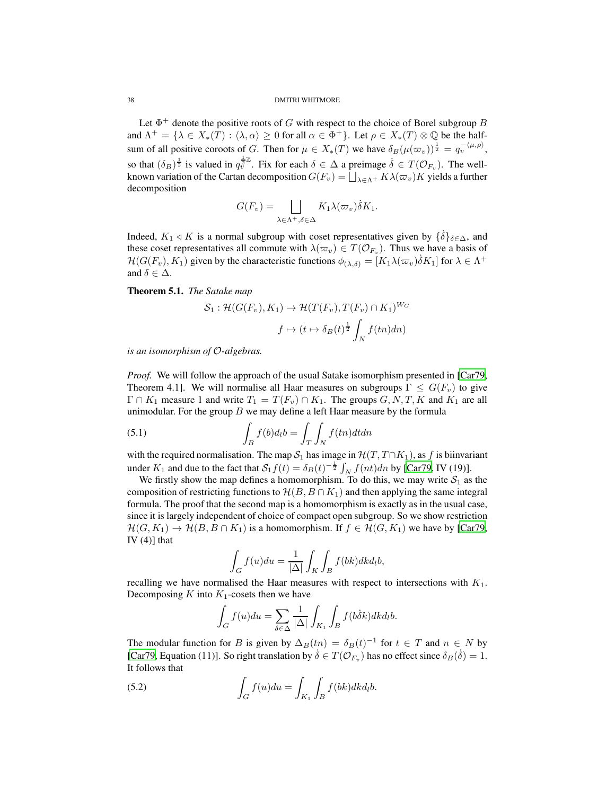Let  $\Phi^+$  denote the positive roots of G with respect to the choice of Borel subgroup B and  $\Lambda^+ = \{ \lambda \in X_*(T) : \langle \lambda, \alpha \rangle \geq 0 \text{ for all } \alpha \in \Phi^+ \}.$  Let  $\rho \in X_*(T) \otimes \mathbb{Q}$  be the halfsum of all positive coroots of G. Then for  $\mu \in X_*(T)$  we have  $\delta_B(\mu(\varpi_v))^{\frac{1}{2}} = q_v^{-\langle \mu, \rho \rangle},$ so that  $(\delta_B)^{\frac{1}{2}}$  is valued in  $q_v^{\frac{1}{2}\mathbb{Z}}$ . Fix for each  $\delta \in \Delta$  a preimage  $\delta \in T(\mathcal{O}_{F_v})$ . The wellknown variation of the Cartan decomposition  $G(F_v) = \bigsqcup_{\lambda \in \Lambda^+} K \lambda(\varpi_v) K$  yields a further decomposition

$$
G(F_v) = \bigsqcup_{\lambda \in \Lambda^+, \delta \in \Delta} K_1 \lambda(\varpi_v) \dot{\delta} K_1.
$$

Indeed,  $K_1 \triangleleft K$  is a normal subgroup with coset representatives given by  $\{\delta\}_{\delta \in \Delta}$ , and these coset representatives all commute with  $\lambda(\varpi_v) \in T(\mathcal{O}_{F_v})$ . Thus we have a basis of  $H(G(F_v), K_1)$  given by the characteristic functions  $\phi_{(\lambda, \delta)} = [K_1 \lambda(\varpi_v) \dot{\delta} K_1]$  for  $\lambda \in \Lambda^+$ and  $\delta \in \Delta$ .

<span id="page-37-0"></span>Theorem 5.1. *The Satake map*

$$
S_1: \mathcal{H}(G(F_v), K_1) \to \mathcal{H}(T(F_v), T(F_v) \cap K_1)^{W_G}
$$

$$
f \mapsto (t \mapsto \delta_B(t)^{\frac{1}{2}} \int_N f(tn)dn)
$$

*is an isomorphism of* O*-algebras.*

*Proof.* We will follow the approach of the usual Satake isomorphism presented in [\[Car79,](#page-81-2) Theorem 4.1]. We will normalise all Haar measures on subgroups  $\Gamma \leq G(F_v)$  to give  $\Gamma \cap K_1$  measure 1 and write  $T_1 = T(F_v) \cap K_1$ . The groups  $G, N, T, K$  and  $K_1$  are all unimodular. For the group  $B$  we may define a left Haar measure by the formula

<span id="page-37-2"></span>(5.1) 
$$
\int_{B} f(b) d_{l}b = \int_{T} \int_{N} f(tn) dt dn
$$

with the required normalisation. The map  $S_1$  has image in  $\mathcal{H}(T, T \cap K_1)$ , as f is biinvariant under  $K_1$  and due to the fact that  $S_1 f(t) = \delta_B(t)^{-\frac{1}{2}} \int_N f(nt)dn$  by [\[Car79,](#page-81-2) IV (19)].

We firstly show the map defines a homomorphism. To do this, we may write  $S_1$  as the composition of restricting functions to  $\mathcal{H}(B, B \cap K_1)$  and then applying the same integral formula. The proof that the second map is a homomorphism is exactly as in the usual case, since it is largely independent of choice of compact open subgroup. So we show restriction  $\mathcal{H}(G, K_1) \to \mathcal{H}(B, B \cap K_1)$  is a homomorphism. If  $f \in \mathcal{H}(G, K_1)$  we have by [\[Car79,](#page-81-2) IV $(4)$ ] that

$$
\int_G f(u)du = \frac{1}{|\Delta|} \int_K \int_B f(bk)dkd_l b,
$$

recalling we have normalised the Haar measures with respect to intersections with  $K_1$ . Decomposing  $K$  into  $K_1$ -cosets then we have

$$
\int_G f(u)du = \sum_{\delta \in \Delta} \frac{1}{|\Delta|} \int_{K_1} \int_B f(b\dot{\delta}k)dk d_b.
$$

The modular function for B is given by  $\Delta_B(tn) = \delta_B(t)^{-1}$  for  $t \in T$  and  $n \in N$  by [\[Car79,](#page-81-2) Equation (11)]. So right translation by  $\dot{\delta} \in T(\mathcal{O}_{F_v})$  has no effect since  $\delta_B(\dot{\delta}) = 1$ . It follows that

<span id="page-37-1"></span>(5.2) 
$$
\int_G f(u) du = \int_{K_1} \int_B f(bk) dk d_l b.
$$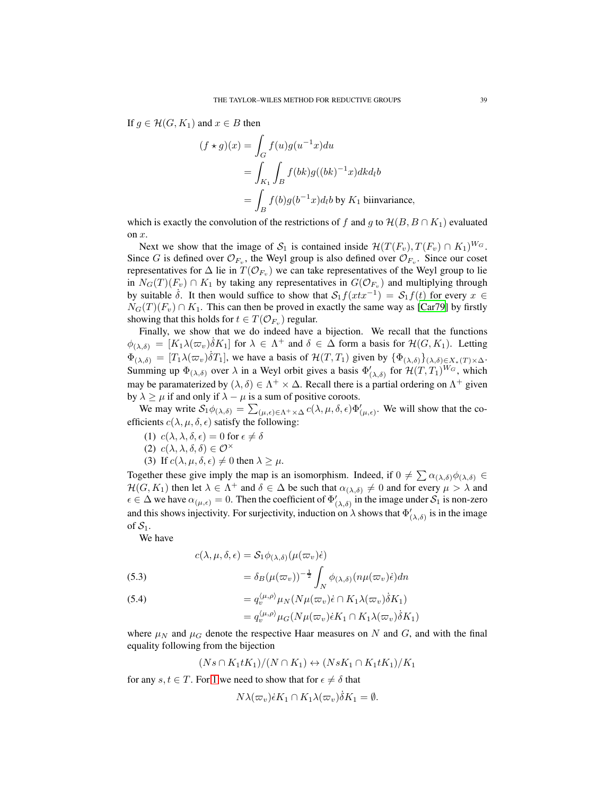If  $g \in \mathcal{H}(G, K_1)$  and  $x \in B$  then

$$
(f \star g)(x) = \int_G f(u)g(u^{-1}x)du
$$
  
= 
$$
\int_{K_1} \int_B f(bk)g((bk)^{-1}x)dkd_lb
$$
  
= 
$$
\int_B f(b)g(b^{-1}x)d_lb
$$
 by  $K_1$  biinvariance,

which is exactly the convolution of the restrictions of f and g to  $\mathcal{H}(B, B \cap K_1)$  evaluated on x.

Next we show that the image of  $S_1$  is contained inside  $\mathcal{H}(T(F_v), T(F_v) \cap K_1)^{W_G}$ . Since G is defined over  $\mathcal{O}_{F_v}$ , the Weyl group is also defined over  $\mathcal{O}_{F_v}$ . Since our coset representatives for  $\Delta$  lie in  $T(\mathcal{O}_{F_v})$  we can take representatives of the Weyl group to lie in  $N_G(T)(F_v) \cap K_1$  by taking any representatives in  $G(\mathcal{O}_{F_v})$  and multiplying through by suitable  $\dot{\delta}$ . It then would suffice to show that  $S_1f(xtx^{-1}) = S_1f(t)$  for every  $x \in$  $N_G(T)(F_v) \cap K_1$ . This can then be proved in exactly the same way as [\[Car79](#page-81-2)] by firstly showing that this holds for  $t \in T(\mathcal{O}_{F_v})$  regular.

Finally, we show that we do indeed have a bijection. We recall that the functions  $\phi_{(\lambda,\delta)} = [K_1 \lambda(\varpi_v) \delta K_1]$  for  $\lambda \in \Lambda^+$  and  $\delta \in \Delta$  form a basis for  $\mathcal{H}(G, K_1)$ . Letting  $\Phi_{(\lambda,\delta)} = [T_1 \lambda(\varpi_v) \dot{\delta} T_1]$ , we have a basis of  $\mathcal{H}(T,T_1)$  given by  $\{\Phi_{(\lambda,\delta)}\}_{(\lambda,\delta) \in X_*(T) \times \Delta}$ . Summing up  $\Phi_{(\lambda,\delta)}$  over  $\lambda$  in a Weyl orbit gives a basis  $\Phi'_{(\lambda,\delta)}$  for  $\mathcal{H}(T,T_1)^{W_G}$ , which may be paramaterized by  $(\lambda, \delta) \in \Lambda^+ \times \Delta$ . Recall there is a partial ordering on  $\Lambda^+$  given by  $\lambda \ge \mu$  if and only if  $\lambda - \mu$  is a sum of positive coroots.

We may write  $S_1 \phi_{(\lambda,\delta)} = \sum_{(\mu,\epsilon) \in \Lambda^+ \times \Delta} c(\lambda,\mu,\delta,\epsilon) \Phi'_{(\mu,\epsilon)}$ . We will show that the coefficients  $c(\lambda, \mu, \delta, \epsilon)$  satisfy the following:

- <span id="page-38-1"></span><span id="page-38-0"></span>(1)  $c(\lambda, \lambda, \delta, \epsilon) = 0$  for  $\epsilon \neq \delta$
- <span id="page-38-2"></span>(2)  $c(\lambda, \lambda, \delta, \delta) \in \mathcal{O}^{\times}$
- (3) If  $c(\lambda, \mu, \delta, \epsilon) \neq 0$  then  $\lambda \geq \mu$ .

Together these give imply the map is an isomorphism. Indeed, if  $0 \neq \sum \alpha_{(\lambda,\delta)} \phi_{(\lambda,\delta)} \in$  $\mathcal{H}(G, K_1)$  then let  $\lambda \in \Lambda^+$  and  $\delta \in \Delta$  be such that  $\alpha_{(\lambda,\delta)} \neq 0$  and for every  $\mu > \lambda$  and  $\epsilon \in \Delta$  we have  $\alpha_{(\mu,\epsilon)} = 0$ . Then the coefficient of  $\Phi'_{(\lambda,\delta)}$  in the image under  $S_1$  is non-zero and this shows injectivity. For surjectivity, induction on  $\lambda$  shows that  $\Phi'_{(\lambda,\delta)}$  is in the image of  $S_1$ .

We have

<span id="page-38-4"></span>(5.3)  
\n
$$
c(\lambda, \mu, \delta, \epsilon) = S_1 \phi_{(\lambda, \delta)}(\mu(\varpi_v) \dot{\epsilon})
$$
\n
$$
= \delta_B(\mu(\varpi_v))^{-\frac{1}{2}} \int_N \phi_{(\lambda, \delta)}(n\mu(\varpi_v) \dot{\epsilon}) dn
$$

<span id="page-38-3"></span>(5.4)  
\n
$$
= q_v^{\langle \mu, \rho \rangle} \mu_N(N \mu(\varpi_v) \dot{\epsilon} \cap K_1 \lambda(\varpi_v) \dot{\delta} K_1)
$$
\n
$$
= q_v^{\langle \mu, \rho \rangle} \mu_G(N \mu(\varpi_v) \dot{\epsilon} K_1 \cap K_1 \lambda(\varpi_v) \dot{\delta} K_1)
$$

where  $\mu_N$  and  $\mu_G$  denote the respective Haar measures on N and G, and with the final equality following from the bijection

$$
(Ns \cap K_1 t K_1)/(N \cap K_1) \leftrightarrow (Ns K_1 \cap K_1 t K_1)/K_1
$$

for any  $s, t \in T$ . For [1](#page-38-0) we need to show that for  $\epsilon \neq \delta$  that

$$
N\lambda(\varpi_v)\dot{\epsilon}K_1 \cap K_1\lambda(\varpi_v)\dot{\delta}K_1 = \emptyset.
$$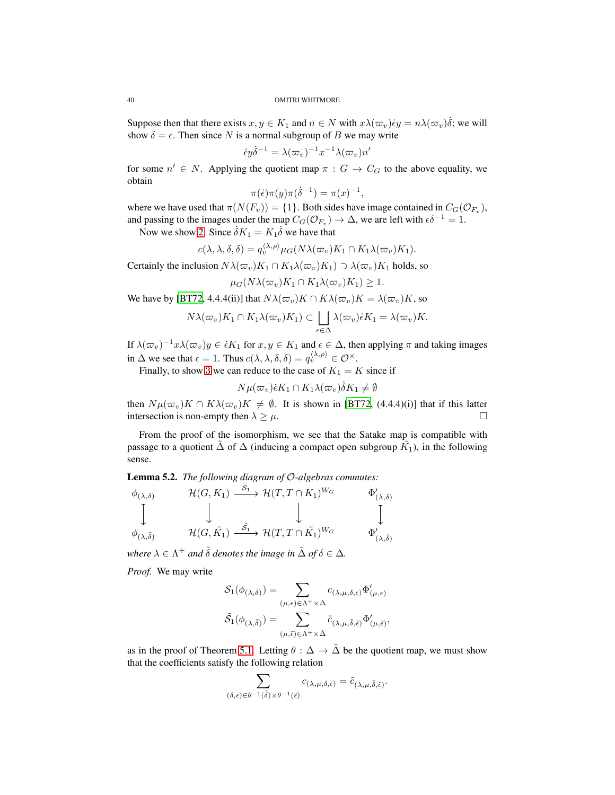Suppose then that there exists  $x, y \in K_1$  and  $n \in N$  with  $x\lambda(\varpi_v)\dot{e}y = n\lambda(\varpi_v)\dot{\delta}$ ; we will show  $\delta = \epsilon$ . Then since N is a normal subgroup of B we may write

$$
\dot{\epsilon}y\dot{\delta}^{-1} = \lambda(\varpi_v)^{-1}x^{-1}\lambda(\varpi_v)n'
$$

for some  $n' \in N$ . Applying the quotient map  $\pi : G \to C_G$  to the above equality, we obtain

$$
\pi(\dot{\epsilon})\pi(y)\pi(\dot{\delta}^{-1}) = \pi(x)^{-1},
$$

where we have used that  $\pi(N(F_v)) = \{1\}$ . Both sides have image contained in  $C_G(\mathcal{O}_{F_v})$ , and passing to the images under the map  $C_G(\mathcal{O}_{F_v}) \to \Delta$ , we are left with  $\epsilon \delta^{-1} = 1$ .

Now we show [2.](#page-38-1) Since  $\dot{\delta}K_1 = K_1 \dot{\delta}$  we have that

$$
c(\lambda, \lambda, \delta, \delta) = q_v^{\langle \lambda, \rho \rangle} \mu_G(N\lambda(\varpi_v) K_1 \cap K_1 \lambda(\varpi_v) K_1).
$$

Certainly the inclusion  $N\lambda(\varpi_v)K_1 \cap K_1\lambda(\varpi_v)K_1 \supset \lambda(\varpi_v)K_1$  holds, so

$$
\mu_G(N\lambda(\varpi_v)K_1\cap K_1\lambda(\varpi_v)K_1)\geq 1.
$$

We have by [\[BT72,](#page-81-3) 4.4.4(ii)] that  $N\lambda(\varpi_v)K \cap K\lambda(\varpi_v)K = \lambda(\varpi_v)K$ , so

$$
N\lambda(\varpi_v)K_1 \cap K_1\lambda(\varpi_v)K_1) \subset \bigsqcup_{\epsilon \in \Delta} \lambda(\varpi_v)\epsilon K_1 = \lambda(\varpi_v)K.
$$

If  $\lambda(\varpi_v)^{-1}x\lambda(\varpi_v)y \in \epsilon K_1$  for  $x, y \in K_1$  and  $\epsilon \in \Delta$ , then applying  $\pi$  and taking images in  $\Delta$  we see that  $\epsilon = 1$ . Thus  $c(\lambda, \lambda, \delta, \delta) = q_v^{\langle \lambda, \rho \rangle} \in \mathcal{O}^{\times}$ .

Finally, to show [3](#page-38-2) we can reduce to the case of  $K_1 = K$  since if

$$
N\mu(\varpi_v)\dot{\epsilon}K_1 \cap K_1\lambda(\varpi_v)\dot{\delta}K_1 \neq \emptyset
$$

then  $N\mu(\varpi_v)K \cap K\lambda(\varpi_v)K \neq \emptyset$ . It is shown in [\[BT72](#page-81-3), (4.4.4)(i)] that if this latter intersection is non-empty then  $\lambda > \mu$ . intersection is non-empty then  $\lambda > \mu$ .

From the proof of the isomorphism, we see that the Satake map is compatible with passage to a quotient  $\tilde{\Delta}$  of  $\Delta$  (inducing a compact open subgroup  $\tilde{K_1}$ ), in the following sense.

<span id="page-39-0"></span>Lemma 5.2. *The following diagram of* O*-algebras commutes:*

$$
\phi_{(\lambda,\delta)} \qquad \mathcal{H}(G,K_1) \xrightarrow{\mathcal{S}_1} \mathcal{H}(T,T \cap K_1)^{W_G} \qquad \Phi'_{(\lambda,\delta)}
$$
\n
$$
\downarrow \qquad \qquad \downarrow \qquad \qquad \downarrow
$$
\n
$$
\phi_{(\lambda,\tilde{\delta})} \qquad \mathcal{H}(G,\tilde{K_1}) \xrightarrow{\tilde{S}_1} \mathcal{H}(T,T \cap \tilde{K_1})^{W_G} \qquad \Phi'_{(\lambda,\tilde{\delta})}
$$

*where*  $\lambda \in \Lambda^+$  *and*  $\tilde{\delta}$  *denotes the image in*  $\tilde{\Delta}$  *of*  $\delta \in \Delta$ *.* 

*Proof.* We may write

$$
\mathcal{S}_1(\phi_{(\lambda,\delta)}) = \sum_{(\mu,\epsilon) \in \Lambda^+ \times \Delta} c_{(\lambda,\mu,\delta,\epsilon)} \Phi'_{(\mu,\epsilon)}
$$

$$
\tilde{\mathcal{S}}_1(\phi_{(\lambda,\tilde{\delta})}) = \sum_{(\mu,\tilde{\epsilon}) \in \Lambda^+ \times \tilde{\Delta}} \tilde{c}_{(\lambda,\mu,\tilde{\delta},\tilde{\epsilon})} \Phi'_{(\mu,\tilde{\epsilon})},
$$

as in the proof of Theorem [5.1.](#page-37-0) Letting  $\theta : \Delta \to \tilde{\Delta}$  be the quotient map, we must show that the coefficients satisfy the following relation

$$
\sum_{(\delta,\epsilon)\in \theta^{-1}(\tilde{\delta})\times \theta^{-1}(\tilde{\epsilon})}c_{(\lambda,\mu,\delta,\epsilon)}=\tilde{c}_{(\lambda,\mu,\tilde{\delta},\tilde{\epsilon})}.
$$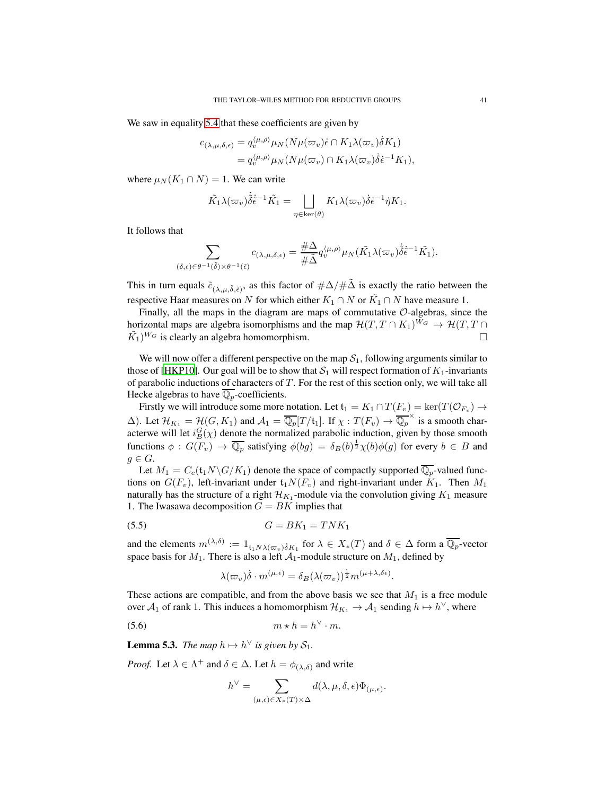We saw in equality [5.4](#page-38-3) that these coefficients are given by

$$
c_{(\lambda,\mu,\delta,\epsilon)} = q_v^{\langle\mu,\rho\rangle} \mu_N(N\mu(\varpi_v)\epsilon \cap K_1 \lambda(\varpi_v)\dot{\delta}K_1)
$$
  
=  $q_v^{\langle\mu,\rho\rangle} \mu_N(N\mu(\varpi_v) \cap K_1 \lambda(\varpi_v)\dot{\delta}\epsilon^{-1}K_1),$ 

where  $\mu_N(K_1 \cap N) = 1$ . We can write

$$
\tilde{K_1}\lambda(\varpi_v)\dot{\tilde{\delta}}\dot{\tilde{\epsilon}}^{-1}\tilde{K_1} = \bigsqcup_{\eta \in \ker(\theta)} K_1\lambda(\varpi_v)\dot{\delta}\dot{\epsilon}^{-1}\dot{\eta}K_1.
$$

It follows that

$$
\sum_{(\delta,\epsilon)\in\theta^{-1}(\tilde{\delta})\times\theta^{-1}(\tilde{\epsilon})}c_{(\lambda,\mu,\delta,\epsilon)}=\frac{\#\Delta}{\#\tilde{\Delta}}q_v^{\langle\mu,\rho\rangle}\mu_N(\tilde{K_1}\lambda(\varpi_v)\dot{\tilde{\delta}}\dot{\tilde{\epsilon}}^{-1}\tilde{K_1}).
$$

This in turn equals  $\tilde{c}_{(\lambda,\mu,\tilde{\delta},\tilde{\epsilon})}$ , as this factor of  $\#\Delta/\#\tilde{\Delta}$  is exactly the ratio between the respective Haar measures on N for which either  $K_1 \cap N$  or  $\tilde{K_1} \cap N$  have measure 1.

Finally, all the maps in the diagram are maps of commutative  $\mathcal{O}$ -algebras, since the horizontal maps are algebra isomorphisms and the map  $\mathcal{H}(T, T \cap K_1)^{W_G} \to \mathcal{H}(T, T \cap \tilde{K_1})^{W_G}$  is clearly an algebra homomorphism.  $(\tilde{K}_1)^{W_G}$  is clearly an algebra homomorphism.

We will now offer a different perspective on the map  $S_1$ , following arguments similar to those of [\[HKP10\]](#page-82-0). Our goal will be to show that  $S_1$  will respect formation of  $K_1$ -invariants of parabolic inductions of characters of  $T$ . For the rest of this section only, we will take all Hecke algebras to have  $\mathbb{Q}_p$ -coefficients.

Firstly we will introduce some more notation. Let  $\mathfrak{t}_1 = K_1 \cap T(F_v) = \ker(T(\mathcal{O}_{F_v}) \to$  $\Delta$ ). Let  $\mathcal{H}_{K_1} = \mathcal{H}(G, K_1)$  and  $\mathcal{A}_1 = \overline{\mathbb{Q}_p}[T/\mathfrak{t}_1]$ . If  $\chi : T(F_v) \to \overline{\mathbb{Q}_p}^{\times}$  is a smooth characterwe will let  $i_B^G(\chi)$  denote the normalized parabolic induction, given by those smooth functions  $\phi : G(F_v) \to \overline{\mathbb{Q}_p}$  satisfying  $\phi(bg) = \delta_B(b)^{\frac{1}{2}} \chi(b)\phi(g)$  for every  $b \in B$  and  $g \in G$ .

Let  $M_1 = C_c(\mathfrak{t}_1 N \backslash G / K_1)$  denote the space of compactly supported  $\overline{\mathbb{Q}_p}$ -valued functions on  $G(F_v)$ , left-invariant under  $t_1N(F_v)$  and right-invariant under  $K_1$ . Then  $M_1$ naturally has the structure of a right  $\mathcal{H}_{K_1}$ -module via the convolution giving  $K_1$  measure 1. The Iwasawa decomposition  $G = BK$  implies that

$$
(5.5) \tG = BK_1 = TNK_1
$$

and the elements  $m^{(\lambda,\delta)} := 1_{\mathfrak{t}_1 N \lambda(\varpi_v) \delta K_1}$  for  $\lambda \in X_*(T)$  and  $\delta \in \Delta$  form a  $\overline{\mathbb{Q}_p}$ -vector space basis for  $M_1$ . There is also a left  $A_1$ -module structure on  $M_1$ , defined by

<span id="page-40-1"></span><span id="page-40-0"></span>
$$
\lambda(\varpi_v)\dot{\delta} \cdot m^{(\mu,\epsilon)} = \delta_B(\lambda(\varpi_v))^{\frac{1}{2}} m^{(\mu+\lambda,\delta\epsilon)}.
$$

These actions are compatible, and from the above basis we see that  $M_1$  is a free module over  $A_1$  of rank 1. This induces a homomorphism  $\mathcal{H}_{K_1} \to \mathcal{A}_1$  sending  $h \mapsto h^{\vee}$ , where

$$
(5.6) \t\t m * h = h^{\vee} \cdot m.
$$

**Lemma 5.3.** *The map*  $h \mapsto h^{\vee}$  *is given by*  $S_1$ *.* 

*Proof.* Let  $\lambda \in \Lambda^+$  and  $\delta \in \Delta$ . Let  $h = \phi_{(\lambda,\delta)}$  and write

$$
h^\vee=\sum_{(\mu,\epsilon)\in X_*(T)\times\Delta}d(\lambda,\mu,\delta,\epsilon)\Phi_{(\mu,\epsilon)}.
$$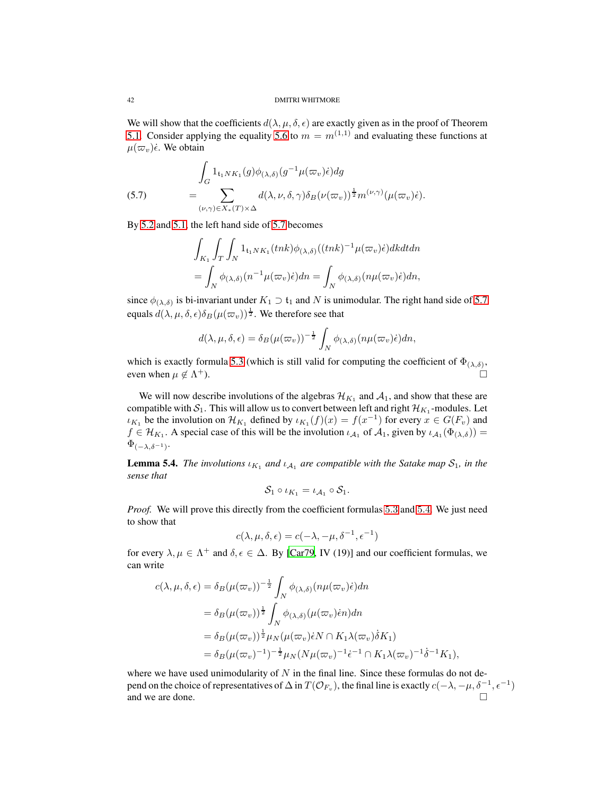We will show that the coefficients  $d(\lambda, \mu, \delta, \epsilon)$  are exactly given as in the proof of Theorem [5.1.](#page-37-0) Consider applying the equality [5.6](#page-40-0) to  $m = m^{(1,1)}$  and evaluating these functions at  $\mu(\varpi_v)\dot{\epsilon}$ . We obtain

<span id="page-41-0"></span>(5.7) 
$$
\int_{G} 1_{\mathfrak{t}_{1}NK_{1}}(g)\phi_{(\lambda,\delta)}(g^{-1}\mu(\varpi_{v})\epsilon)dg
$$

$$
= \sum_{(\nu,\gamma)\in X_{*}(T)\times\Delta} d(\lambda,\nu,\delta,\gamma)\delta_{B}(\nu(\varpi_{v}))^{\frac{1}{2}}m^{(\nu,\gamma)}(\mu(\varpi_{v})\epsilon).
$$

By [5.2](#page-37-1) and [5.1,](#page-37-2) the left hand side of [5.7](#page-41-0) becomes

$$
\int_{K_1} \int_T \int_N \mathbf{1}_{\mathfrak{t}_1 N K_1} (tnk) \phi_{(\lambda, \delta)}((tnk)^{-1} \mu(\varpi_v) \dot{\epsilon}) dk dt dn
$$
  
= 
$$
\int_N \phi_{(\lambda, \delta)}(n^{-1} \mu(\varpi_v) \dot{\epsilon}) dn = \int_N \phi_{(\lambda, \delta)}(n \mu(\varpi_v) \dot{\epsilon}) dn,
$$

since  $\phi_{(\lambda,\delta)}$  is bi-invariant under  $K_1 \supset \mathfrak{t}_1$  and N is unimodular. The right hand side of [5.7](#page-41-0) equals  $d(\lambda, \mu, \delta, \epsilon) \delta_B(\mu(\varpi_v))^{\frac{1}{2}}$ . We therefore see that

$$
d(\lambda, \mu, \delta, \epsilon) = \delta_B(\mu(\varpi_v))^{-\frac{1}{2}} \int_N \phi_{(\lambda, \delta)}(n\mu(\varpi_v)\dot{\epsilon})dn,
$$

which is exactly formula [5.3](#page-38-4) (which is still valid for computing the coefficient of  $\Phi_{(\lambda,\delta)}$ , even when  $\mu \notin \Lambda^{+}$ ).  $^{+}$ ).

We will now describe involutions of the algebras  $\mathcal{H}_{K_1}$  and  $\mathcal{A}_1$ , and show that these are compatible with  $S_1$ . This will allow us to convert between left and right  $\mathcal{H}_{K_1}$ -modules. Let  $\iota_{K_1}$  be the involution on  $\mathcal{H}_{K_1}$  defined by  $\iota_{K_1}(f)(x) = f(x^{-1})$  for every  $x \in G(F_v)$  and  $f \in \mathcal{H}_{K_1}$ . A special case of this will be the involution  $\iota_{\mathcal{A}_1}$  of  $\mathcal{A}_1$ , given by  $\iota_{\mathcal{A}_1}(\Phi_{(\lambda,\delta)}) =$  $\Phi_{(-\lambda,\delta^{-1})}$ .

<span id="page-41-1"></span>**Lemma 5.4.** *The involutions*  $\iota_{K_1}$  *and*  $\iota_{A_1}$  *are compatible with the Satake map*  $S_1$ *, in the sense that*

$$
\mathcal{S}_1 \circ \iota_{K_1} = \iota_{\mathcal{A}_1} \circ \mathcal{S}_1.
$$

*Proof.* We will prove this directly from the coefficient formulas [5](#page-38-3).3 and 5.4. We just need to show that

$$
c(\lambda, \mu, \delta, \epsilon) = c(-\lambda, -\mu, \delta^{-1}, \epsilon^{-1})
$$

for every  $\lambda, \mu \in \Lambda^+$  and  $\delta, \epsilon \in \Delta$ . By [\[Car79,](#page-81-2) IV (19)] and our coefficient formulas, we can write

$$
c(\lambda, \mu, \delta, \epsilon) = \delta_B(\mu(\varpi_v))^{-\frac{1}{2}} \int_N \phi_{(\lambda, \delta)}(n\mu(\varpi_v)\epsilon)dn
$$
  
\n
$$
= \delta_B(\mu(\varpi_v))^{\frac{1}{2}} \int_N \phi_{(\lambda, \delta)}(\mu(\varpi_v)\epsilon n)dn
$$
  
\n
$$
= \delta_B(\mu(\varpi_v))^{\frac{1}{2}} \mu_N(\mu(\varpi_v)\epsilon N \cap K_1\lambda(\varpi_v)\delta K_1)
$$
  
\n
$$
= \delta_B(\mu(\varpi_v)^{-1})^{-\frac{1}{2}} \mu_N(N\mu(\varpi_v)^{-1}\epsilon^{-1} \cap K_1\lambda(\varpi_v)^{-1}\delta^{-1}K_1),
$$

where we have used unimodularity of  $N$  in the final line. Since these formulas do not depend on the choice of representatives of  $\Delta$  in  $T(\mathcal{O}_{F_v})$ , the final line is exactly  $c(-\lambda, -\mu, \delta^{-1}, \epsilon^{-1})$ and we are done.  $\Box$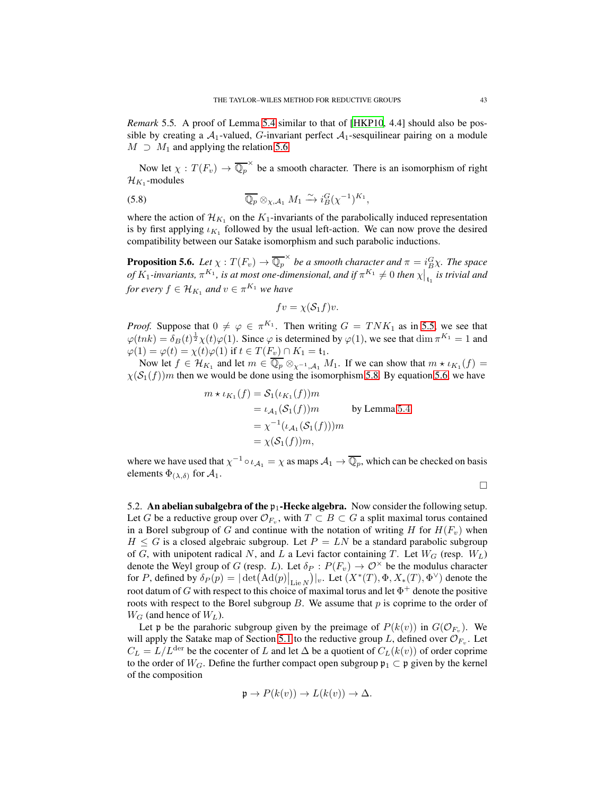*Remark* 5.5*.* A proof of Lemma [5.4](#page-41-1) similar to that of [\[HKP10,](#page-82-0) 4.4] should also be possible by creating a  $A_1$ -valued, G-invariant perfect  $A_1$ -sesquilinear pairing on a module  $M \supset M_1$  and applying the relation [5.6.](#page-40-0)

Now let  $\chi: T(F_v) \to \overline{\mathbb{Q}_p}^{\times}$  be a smooth character. There is an isomorphism of right  $\mathcal{H}_{K_1}$ -modules

(5.8) 
$$
\overline{\mathbb{Q}_p} \otimes_{\chi,A_1} M_1 \xrightarrow{\sim} i_B^G (\chi^{-1})^{K_1},
$$

where the action of  $\mathcal{H}_{K_1}$  on the  $K_1$ -invariants of the parabolically induced representation is by first applying  $\iota_{K_1}$  followed by the usual left-action. We can now prove the desired compatibility between our Satake isomorphism and such parabolic inductions.

<span id="page-42-1"></span>**Proposition 5.6.** Let  $\chi: T(F_v) \to \overline{\mathbb{Q}_p}^{\times}$  be a smooth character and  $\pi = i_B^G \chi$ . The space *of*  $K_1$ -invariants,  $\pi^{K_1}$ , is at most one-dimensional, and if  $\pi^{K_1} \neq 0$  then  $\chi\Big|_{\tau_1}$  is trivial and *for every*  $f \in \mathcal{H}_{K_1}$  and  $v \in \pi^{K_1}$  we have

<span id="page-42-0"></span>
$$
fv = \chi(\mathcal{S}_1 f)v.
$$

*Proof.* Suppose that  $0 \neq \varphi \in \pi^{K_1}$ . Then writing  $G = T N K_1$  as in [5.5,](#page-40-1) we see that  $\varphi(tnk) = \delta_B(t)^{\frac{1}{2}} \chi(t)\varphi(1)$ . Since  $\varphi$  is determined by  $\varphi(1)$ , we see that  $\dim \pi^{K_1} = 1$  and  $\varphi(1) = \varphi(t) = \chi(t)\varphi(1)$  if  $t \in T(F_v) \cap K_1 = \mathfrak{t}_1$ .

Now let  $f \in \mathcal{H}_{K_1}$  and let  $m \in \mathbb{Q}_p \otimes_{\chi^{-1}, \mathcal{A}_1} M_1$ . If we can show that  $m \star \iota_{K_1}(f) =$  $\chi(S_1(f))$ m then we would be done using the isomorphism [5.8.](#page-42-0) By equation [5.6,](#page-40-0) we have

$$
m * \iota_{K_1}(f) = S_1(\iota_{K_1}(f))m
$$
  
=  $\iota_{A_1}(S_1(f))m$  by Lemma 5.4  
=  $\chi^{-1}(\iota_{A_1}(S_1(f)))m$   
=  $\chi(S_1(f))m$ ,

where we have used that  $\chi^{-1} \circ \iota_{\mathcal{A}_1} = \chi$  as maps  $\mathcal{A}_1 \to \overline{\mathbb{Q}_p}$ , which can be checked on basis elements  $\Phi_{(\lambda,\delta)}$  for  $\mathcal{A}_1$ .

 $\Box$ 

5.2. An abelian subalgebra of the  $p_1$ -Hecke algebra. Now consider the following setup. Let G be a reductive group over  $\mathcal{O}_{F_v}$ , with  $T \subset B \subset G$  a split maximal torus contained in a Borel subgroup of G and continue with the notation of writing H for  $H(F_v)$  when  $H \leq G$  is a closed algebraic subgroup. Let  $P = LN$  be a standard parabolic subgroup of G, with unipotent radical N, and L a Levi factor containing T. Let  $W_G$  (resp.  $W_L$ ) denote the Weyl group of G (resp. L). Let  $\delta_P : P(F_v) \to \mathcal{O}^\times$  be the modulus character for P, defined by  $\delta_P(p) = |\det(\text{Ad}(p)|_{\text{Lie }N})|_v$ . Let  $(X^*(T), \Phi, X_*(T), \Phi^{\vee})$  denote the root datum of  $G$  with respect to this choice of maximal torus and let  $\Phi^+$  denote the positive roots with respect to the Borel subgroup  $B$ . We assume that  $p$  is coprime to the order of  $W_G$  (and hence of  $W_L$ ).

Let p be the parahoric subgroup given by the preimage of  $P(k(v))$  in  $G(\mathcal{O}_{F_v})$ . We will apply the Satake map of Section [5.1](#page-36-0) to the reductive group L, defined over  $\mathcal{O}_{F_v}$ . Let  $C_L = L/L^{der}$  be the cocenter of L and let  $\Delta$  be a quotient of  $C_L(k(v))$  of order coprime to the order of  $W_G$ . Define the further compact open subgroup  $\mathfrak{p}_1 \subset \mathfrak{p}$  given by the kernel of the composition

$$
\mathfrak{p} \to P(k(v)) \to L(k(v)) \to \Delta.
$$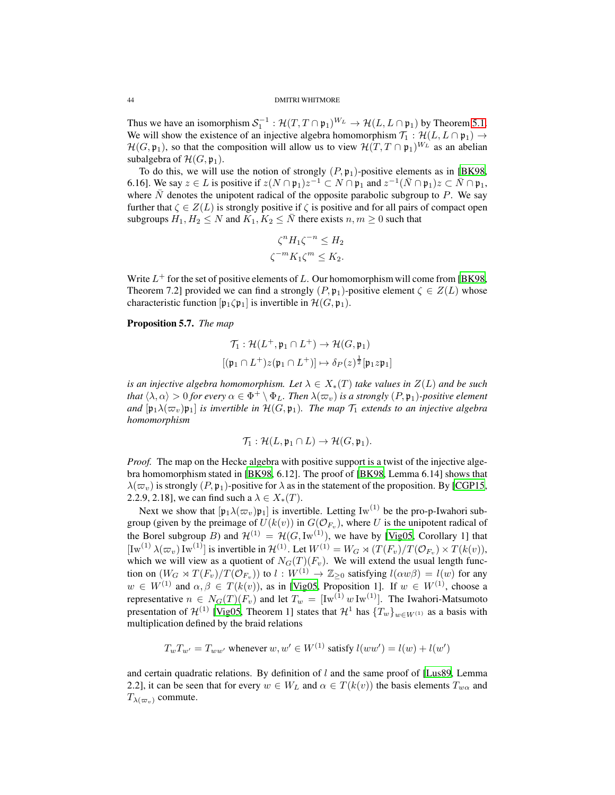Thus we have an isomorphism  $S_1^{-1}$ :  $\mathcal{H}(T, T \cap \mathfrak{p}_1)^{W_L} \to \mathcal{H}(L, L \cap \mathfrak{p}_1)$  by Theorem [5.1.](#page-37-0) We will show the existence of an injective algebra homomorphism  $\mathcal{T}_1 : \mathcal{H}(L, L \cap \mathfrak{p}_1) \to$  $\mathcal{H}(G, \mathfrak{p}_1)$ , so that the composition will allow us to view  $\mathcal{H}(T, T \cap \mathfrak{p}_1)^{W_L}$  as an abelian subalgebra of  $\mathcal{H}(G, \mathfrak{p}_1)$ .

To do this, we will use the notion of strongly  $(P, \mathfrak{p}_1)$ -positive elements as in [\[BK98,](#page-81-0) 6.16]. We say  $z \in L$  is positive if  $z(N \cap \mathfrak{p}_1)z^{-1} \subset N \cap \mathfrak{p}_1$  and  $z^{-1}(\bar{N} \cap \mathfrak{p}_1)z \subset \bar{N} \cap \mathfrak{p}_1$ , where  $\overline{N}$  denotes the unipotent radical of the opposite parabolic subgroup to  $\overline{P}$ . We say further that  $\zeta \in Z(L)$  is strongly positive if  $\zeta$  is positive and for all pairs of compact open subgroups  $H_1, H_2 \leq N$  and  $K_1, K_2 \leq \overline{N}$  there exists  $n, m \geq 0$  such that

$$
\zeta^n H_1 \zeta^{-n} \le H_2
$$
  

$$
\zeta^{-m} K_1 \zeta^m \le K_2.
$$

Write  $L^+$  for the set of positive elements of L. Our homomorphism will come from [\[BK98,](#page-81-0) Theorem 7.2] provided we can find a strongly  $(P, \mathfrak{p}_1)$ -positive element  $\zeta \in Z(L)$  whose characteristic function  $[\mathfrak{p}_1 \zeta \mathfrak{p}_1]$  is invertible in  $\mathcal{H}(G, \mathfrak{p}_1)$ .

# <span id="page-43-0"></span>Proposition 5.7. *The map*

$$
\mathcal{T}_1: \mathcal{H}(L^+, \mathfrak{p}_1 \cap L^+) \to \mathcal{H}(G, \mathfrak{p}_1)
$$

$$
[(\mathfrak{p}_1 \cap L^+)z(\mathfrak{p}_1 \cap L^+)] \mapsto \delta_P(z)^{\frac{1}{2}}[\mathfrak{p}_1 z \mathfrak{p}_1]
$$

*is an injective algebra homomorphism. Let*  $\lambda \in X_*(T)$  *take values in*  $Z(L)$  *and be such that*  $\langle \lambda, \alpha \rangle > 0$  *for every*  $\alpha \in \Phi^+ \setminus \Phi_L$ . Then  $\lambda(\varpi_v)$  is a strongly  $(P, \mathfrak{p}_1)$ *-positive element and*  $[\mathfrak{p}_1 \lambda(\varpi_v) \mathfrak{p}_1]$  *is invertible in*  $\mathcal{H}(G, \mathfrak{p}_1)$ *. The map*  $\mathcal{T}_1$  *extends to an injective algebra homomorphism*

$$
\mathcal{T}_1: \mathcal{H}(L, \mathfrak{p}_1 \cap L) \to \mathcal{H}(G, \mathfrak{p}_1).
$$

*Proof.* The map on the Hecke algebra with positive support is a twist of the injective algebra homomorphism stated in [\[BK98,](#page-81-0) 6.12]. The proof of [\[BK98,](#page-81-0) Lemma 6.14] shows that  $\lambda(\varpi_v)$  is strongly  $(P, \mathfrak{p}_1)$ -positive for  $\lambda$  as in the statement of the proposition. By [\[CGP15,](#page-81-4) 2.2.9, 2.18], we can find such a  $\lambda \in X_*(T)$ .

Next we show that  $[p_1\lambda(\varpi_v)p_1]$  is invertible. Letting Iw<sup>(1)</sup> be the pro-p-Iwahori subgroup (given by the preimage of  $U(k(v))$  in  $G(\mathcal{O}_{F_v})$ , where U is the unipotent radical of the Borel subgroup B) and  $\mathcal{H}^{(1)} = \mathcal{H}(G, Iw^{(1)})$ , we have by [\[Vig05,](#page-83-0) Corollary 1] that  $[\text{Iw}^{(1)} \lambda(\varpi_v) \text{Iw}^{(1)}]$  is invertible in  $\mathcal{H}^{(1)}$ . Let  $W^{(1)} = W_G \rtimes (T(F_v)/T(\mathcal{O}_{F_v}) \times T(k(v)),$ which we will view as a quotient of  $N_G(T)(F_v)$ . We will extend the usual length function on  $(W_G \rtimes T(F_v)/T(\mathcal{O}_{F_v}))$  to  $l: W^{(1)} \to \mathbb{Z}_{\geq 0}$  satisfying  $l(\alpha w \beta) = l(w)$  for any  $w \in W^{(1)}$  and  $\alpha, \beta \in T(k(v))$ , as in [\[Vig05](#page-83-0), Proposition 1]. If  $w \in W^{(1)}$ , choose a representative  $n \in N_G(T)(F_v)$  and let  $T_w = [\text{Iw}^{(1)} \ w \text{Iw}^{(1)}]$ . The Iwahori-Matsumoto presentation of  $\mathcal{H}^{(1)}$  [\[Vig05,](#page-83-0) Theorem 1] states that  $\mathcal{H}^1$  has  $\{T_w\}_{w\in W^{(1)}}$  as a basis with multiplication defined by the braid relations

$$
T_w T_{w'} = T_{ww'}
$$
 whenever  $w, w' \in W^{(1)}$  satisfy  $l(ww') = l(w) + l(w')$ 

and certain quadratic relations. By definition of  $l$  and the same proof of [\[Lus89,](#page-82-1) Lemma 2.2], it can be seen that for every  $w \in W_L$  and  $\alpha \in T(k(v))$  the basis elements  $T_{w\alpha}$  and  $T_{\lambda(\varpi_v)}$  commute.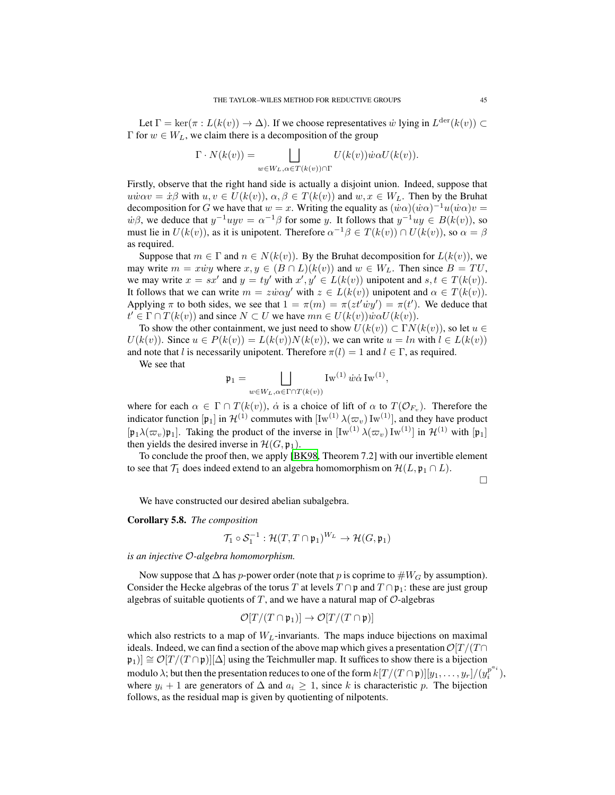Let  $\Gamma = \ker(\pi : L(k(v)) \to \Delta)$ . If we choose representatives w lying in  $L^{\text{der}}(k(v)) \subset$ Γ for  $w \in W_L$ , we claim there is a decomposition of the group

$$
\Gamma \cdot N(k(v)) = \bigsqcup_{w \in W_L, \alpha \in T(k(v)) \cap \Gamma} U(k(v)) \dot{w} \alpha U(k(v)).
$$

Firstly, observe that the right hand side is actually a disjoint union. Indeed, suppose that  $u\dot{w}\alpha v = \dot{x}\beta$  with  $u, v \in U(k(v))$ ,  $\alpha, \beta \in T(k(v))$  and  $w, x \in W_L$ . Then by the Bruhat decomposition for G we have that  $w = x$ . Writing the equality as  $(\dot{w}\alpha)(\dot{w}\alpha)^{-1}u(\dot{w}\alpha)v =$  $\dot{w}\beta$ , we deduce that  $y^{-1}uyv = \alpha^{-1}\beta$  for some y. It follows that  $y^{-1}uy \in B(k(v))$ , so must lie in  $U(k(v))$ , as it is unipotent. Therefore  $\alpha^{-1}\beta \in T(k(v)) \cap U(k(v))$ , so  $\alpha = \beta$ as required.

Suppose that  $m \in \Gamma$  and  $n \in N(k(v))$ . By the Bruhat decomposition for  $L(k(v))$ , we may write  $m = x\dot{w}y$  where  $x, y \in (B \cap L)(k(v))$  and  $w \in W_L$ . Then since  $B = TU$ , we may write  $x = sx'$  and  $y = ty'$  with  $x', y' \in L(k(v))$  unipotent and  $s, t \in T(k(v))$ . It follows that we can write  $m = z\dot{w}\alpha y'$  with  $z \in L(k(v))$  unipotent and  $\alpha \in T(k(v))$ . Applying  $\pi$  to both sides, we see that  $1 = \pi(m) = \pi(zt'wy') = \pi(t')$ . We deduce that  $t' \in \Gamma \cap T(k(v))$  and since  $N \subset U$  we have  $mn \in U(k(v))\dot{w}\alpha U(k(v))$ .

To show the other containment, we just need to show  $U(k(v)) \subset \Gamma N(k(v))$ , so let  $u \in$  $U(k(v))$ . Since  $u \in P(k(v)) = L(k(v))N(k(v))$ , we can write  $u = \ln \text{ with } l \in L(k(v))$ and note that l is necessarily unipotent. Therefore  $\pi(l) = 1$  and  $l \in \Gamma$ , as required.

We see that

$$
\mathfrak{p}_1 = \bigsqcup_{w \in W_L, \alpha \in \Gamma \cap T(k(v))} \text{Iw}^{(1)} \dot{w} \dot{\alpha} \text{Iw}^{(1)},
$$

where for each  $\alpha \in \Gamma \cap T(k(v))$ ,  $\dot{\alpha}$  is a choice of lift of  $\alpha$  to  $T(\mathcal{O}_{F_v})$ . Therefore the indicator function [p<sub>1</sub>] in  $\mathcal{H}^{(1)}$  commutes with  $\left[ \mathrm{Iw}^{(1)} \lambda(\varpi_v) \, \mathrm{Iw}^{(1)} \right]$ , and they have product  $[p_1\lambda(\varpi_v)p_1]$ . Taking the product of the inverse in  $[Iw^{(1)}\lambda(\varpi_v)Iw^{(1)}]$  in  $\mathcal{H}^{(1)}$  with  $[p_1]$ then yields the desired inverse in  $\mathcal{H}(G, \mathfrak{p}_1)$ .

To conclude the proof then, we apply [\[BK98](#page-81-0), Theorem 7.2] with our invertible element to see that  $\mathcal{T}_1$  does indeed extend to an algebra homomorphism on  $\mathcal{H}(L, \mathfrak{p}_1 \cap L)$ .

 $\Box$ 

We have constructed our desired abelian subalgebra.

Corollary 5.8. *The composition*

$$
\mathcal{T}_1 \circ \mathcal{S}_1^{-1} : \mathcal{H}(T, T \cap \mathfrak{p}_1)^{W_L} \to \mathcal{H}(G, \mathfrak{p}_1)
$$

*is an injective* O*-algebra homomorphism.*

Now suppose that  $\Delta$  has p-power order (note that p is coprime to  $#W_G$  by assumption). Consider the Hecke algebras of the torus T at levels  $T \cap \mathfrak{p}$  and  $T \cap \mathfrak{p}_1$ : these are just group algebras of suitable quotients of T, and we have a natural map of  $\mathcal{O}$ -algebras

$$
\mathcal{O}[T/(T\cap\mathfrak{p}_1)]\to\mathcal{O}[T/(T\cap\mathfrak{p})]
$$

which also restricts to a map of  $W_L$ -invariants. The maps induce bijections on maximal ideals. Indeed, we can find a section of the above map which gives a presentation  $\mathcal{O}[T/(T\cap$  $|\mathfrak{p}_1| \cong \mathcal{O}[T/(T \cap \mathfrak{p})] |\Delta|$  using the Teichmuller map. It suffices to show there is a bijection modulo  $\lambda$ ; but then the presentation reduces to one of the form  $k[T/(T \cap \mathfrak{p})][y_1, \ldots, y_r]/(y_i^{p^{a_i}})$  $i^{p-i}$ , where  $y_i + 1$  are generators of  $\Delta$  and  $a_i \geq 1$ , since k is characteristic p. The bijection follows, as the residual map is given by quotienting of nilpotents.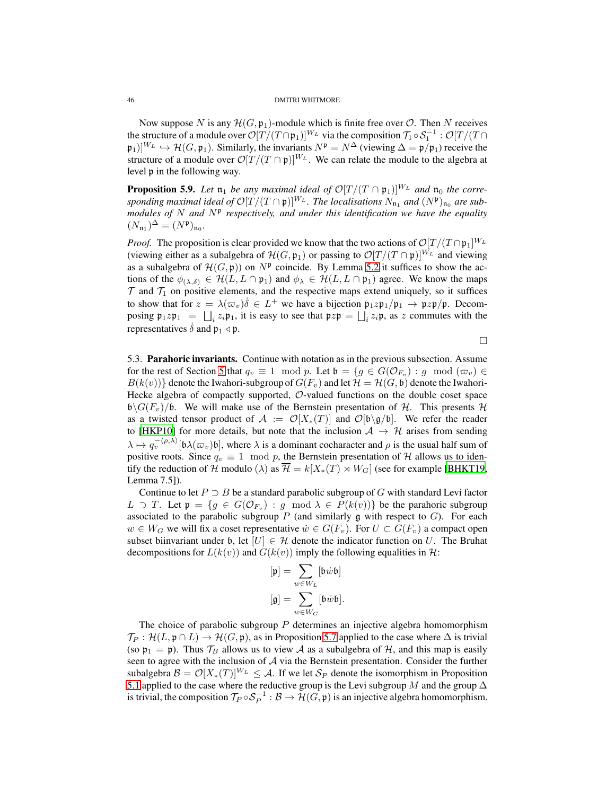Now suppose N is any  $\mathcal{H}(G, \mathfrak{p}_1)$ -module which is finite free over  $\mathcal{O}$ . Then N receives the structure of a module over  $\mathcal{O}[T/(T \cap \mathfrak{p}_1)]^{W_L}$  via the composition  $\mathcal{T}_1 \circ \mathcal{S}_1^{-1}$ :  $\mathcal{O}[T/(T \cap \mathfrak{p}_1)]^{W_L}$  $(\mathfrak{p}_1)|^{W_L} \hookrightarrow \mathcal{H}(G, \mathfrak{p}_1)$ . Similarly, the invariants  $N^{\mathfrak{p}} = N^{\Delta}$  (viewing  $\Delta = \mathfrak{p}/\mathfrak{p}_1$ ) receive the structure of a module over  $\mathcal{O}[T/(T \cap \mathfrak{p})]^{W_L}$ . We can relate the module to the algebra at level p in the following way.

**Proposition 5.9.** Let  $\mathfrak{n}_1$  be any maximal ideal of  $\mathcal{O}[T/(T \cap \mathfrak{p}_1)]^{W_L}$  and  $\mathfrak{n}_0$  the corre*sponding maximal ideal of*  $\mathcal{O}[T/(T \cap \mathfrak{p})]^{W_L}$ *. The localisations*  $N_{\mathfrak{n}_1}$  *and*  $(N^{\mathfrak{p}})_{\mathfrak{n}_0}$  *are sub*modules of N and N<sup>p</sup> respectively, and under this identification we have the equality  $(N_{\mathfrak{n}_1})^{\Delta} = (N^{\mathfrak{p}})_{\mathfrak{n}_0}.$ 

*Proof.* The proposition is clear provided we know that the two actions of  $\mathcal{O}[T/(T \cap \mathfrak{p}_1]^W_L$ (viewing either as a subalgebra of  $\mathcal{H}(G, \mathfrak{p}_1)$  or passing to  $\mathcal{O}[T/(T \cap \mathfrak{p})]^{W_L}$  and viewing as a subalgebra of  $\mathcal{H}(G, \mathfrak{p})$  on  $N^{\mathfrak{p}}$  coincide. By Lemma [5.2](#page-39-0) it suffices to show the actions of the  $\phi_{(\lambda,\delta)} \in \mathcal{H}(L, L \cap \mathfrak{p}_1)$  and  $\phi_{\lambda} \in \mathcal{H}(L, L \cap \mathfrak{p}_1)$  agree. We know the maps  $\mathcal T$  and  $\mathcal T_1$  on positive elements, and the respective maps extend uniquely, so it suffices to show that for  $z = \lambda(\varpi_v)\delta \in L^+$  we have a bijection  $\mathfrak{p}_1 z \mathfrak{p}_1/\mathfrak{p}_1 \to \mathfrak{p}_2 \mathfrak{p}/\mathfrak{p}$ . Decomposing  $\mathfrak{p}_1 z \mathfrak{p}_1 = \bigsqcup_i z_i \mathfrak{p}_1$ , it is easy to see that  $\mathfrak{p} z \mathfrak{p} = \bigsqcup_i z_i \mathfrak{p}$ , as z commutes with the representatives  $\delta$  and  $\mathfrak{p}_1 \triangleleft \mathfrak{p}$ .

 $\Box$ 

<span id="page-45-0"></span>5.3. Parahoric invariants. Continue with notation as in the previous subsection. Assume for the rest of Section [5](#page-36-1) that  $q_v \equiv 1 \mod p$ . Let  $\mathfrak{b} = \{g \in G(\mathcal{O}_{F_v}) : g \mod (\varpi_v) \in G(\mathcal{O}_{F_v})\}$  $B(k(v))$  denote the Iwahori-subgroup of  $G(F_v)$  and let  $\mathcal{H} = \mathcal{H}(G, \mathfrak{b})$  denote the Iwahori-Hecke algebra of compactly supported, O-valued functions on the double coset space  $\mathfrak{b}\backslash G(F_v)/\mathfrak{b}$ . We will make use of the Bernstein presentation of H. This presents H as a twisted tensor product of  $\mathcal{A} := \mathcal{O}[X_*(T)]$  and  $\mathcal{O}[\mathfrak{b} \setminus \mathfrak{g}/\mathfrak{b}]$ . We refer the reader to [\[HKP10\]](#page-82-0) for more details, but note that the inclusion  $A \rightarrow H$  arises from sending  $\lambda \mapsto q_v^{-\langle \rho, \lambda \rangle}[\mathfrak{b} \lambda(\varpi_v)\mathfrak{b}],$  where  $\lambda$  is a dominant cocharacter and  $\rho$  is the usual half sum of positive roots. Since  $q_v \equiv 1 \mod p$ , the Bernstein presentation of H allows us to identify the reduction of H modulo ( $\lambda$ ) as  $\overline{\mathcal{H}} = k[X_*(T) \rtimes W_G]$  (see for example [\[BHKT19,](#page-81-5) Lemma 7.5]).

Continue to let  $P \supset B$  be a standard parabolic subgroup of G with standard Levi factor L  $\supset T$ . Let  $\mathfrak{p} = \{g \in G(\mathcal{O}_{F_v}) : g \mod \lambda \in P(k(v))\}$  be the parahoric subgroup associated to the parabolic subgroup  $P$  (and similarly g with respect to  $G$ ). For each  $w \in W_G$  we will fix a coset representative  $\dot{w} \in G(F_v)$ . For  $U \subset G(F_v)$  a compact open subset biinvariant under b, let  $[U] \in \mathcal{H}$  denote the indicator function on U. The Bruhat decompositions for  $L(k(v))$  and  $G(k(v))$  imply the following equalities in H:

$$
\begin{aligned} [\mathfrak{p}]&=\sum_{w\in W_L}[\mathfrak{b} \dot{w}\mathfrak{b}] \\ [\mathfrak{g}]&=\sum_{w\in W_G}[\mathfrak{b} \dot{w}\mathfrak{b}]. \end{aligned}
$$

The choice of parabolic subgroup  $P$  determines an injective algebra homomorphism  $\mathcal{T}_P : \mathcal{H}(L, \mathfrak{p} \cap L) \to \mathcal{H}(G, \mathfrak{p})$ , as in Proposition [5.7](#page-43-0) applied to the case where  $\Delta$  is trivial (so  $\mathfrak{p}_1 = \mathfrak{p}$ ). Thus  $\mathcal{T}_B$  allows us to view A as a subalgebra of H, and this map is easily seen to agree with the inclusion of A via the Bernstein presentation. Consider the further subalgebra  $\mathcal{B} = \mathcal{O}[X_*(T)]^{W_L} \leq \mathcal{A}$ . If we let  $\mathcal{S}_P$  denote the isomorphism in Proposition [5.1](#page-37-0) applied to the case where the reductive group is the Levi subgroup M and the group  $\Delta$ is trivial, the composition  $\mathcal{T}_P \circ \mathcal{S}_P^{-1} : \mathcal{B} \to \mathcal{H}(G, \mathfrak{p})$  is an injective algebra homomorphism.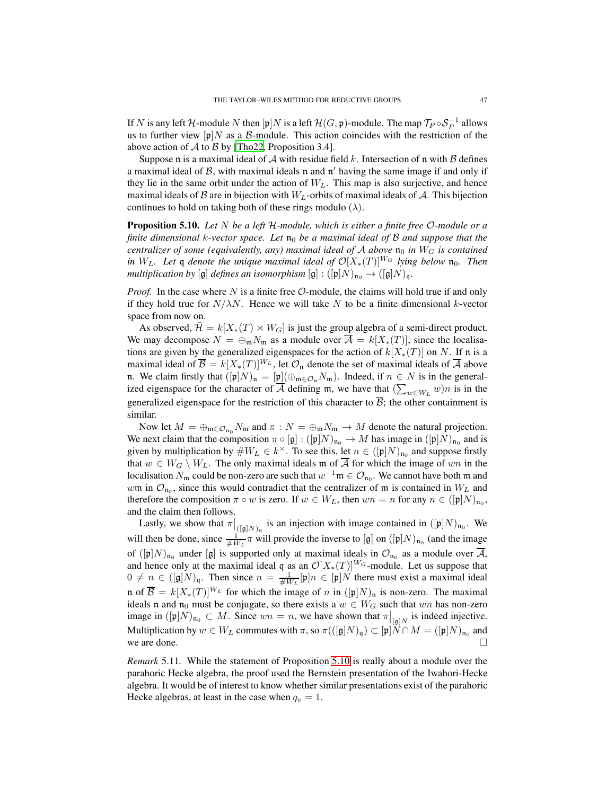If N is any left H-module N then  $[\mathfrak{p}]N$  is a left  $\mathcal{H}(G, \mathfrak{p})$ -module. The map  $\mathcal{T}_P \circ \mathcal{S}_P^{-1}$  allows us to further view  $[p]N$  as a B-module. This action coincides with the restriction of the above action of  $A$  to  $B$  by [\[Tho22](#page-83-1), Proposition 3.4].

Suppose n is a maximal ideal of  $A$  with residue field k. Intersection of n with  $B$  defines a maximal ideal of  $B$ , with maximal ideals n and n' having the same image if and only if they lie in the same orbit under the action of  $W_L$ . This map is also surjective, and hence maximal ideals of B are in bijection with  $W_L$ -orbits of maximal ideals of A. This bijection continues to hold on taking both of these rings modulo  $(\lambda)$ .

<span id="page-46-0"></span>Proposition 5.10. *Let* N *be a left* H*-module, which is either a finite free* O*-module or a finite dimensional k-vector space. Let*  $n_0$  *be a maximal ideal of B and suppose that the centralizer of some (equivalently, any) maximal ideal of*  $A$  *above*  $n_0$  *in*  $W_G$  *is contained in*  $W_L$ . Let q denote the unique maximal ideal of  $\mathcal{O}[X_*(T)]^{W_G}$  lying below  $\mathfrak{n}_0$ . Then *multiplication by* [g] *defines an isomorphism* [g] :  $([\mathfrak{p}]N)_{\mathfrak{n}_0} \to ([\mathfrak{g}]N)_{\mathfrak{q}}$ .

*Proof.* In the case where  $N$  is a finite free  $\mathcal{O}$ -module, the claims will hold true if and only if they hold true for  $N/\lambda N$ . Hence we will take N to be a finite dimensional k-vector space from now on.

As observed,  $\mathcal{H} = k[X_*(T) \rtimes W_G]$  is just the group algebra of a semi-direct product. We may decompose  $N = \bigoplus_{m} N_m$  as a module over  $\overline{A} = k[X_*(T)]$ , since the localisations are given by the generalized eigenspaces for the action of  $k[X_*(T)]$  on N. If n is a maximal ideal of  $\overline{B} = k[X_*(T)]^{W_L}$ , let  $\mathcal{O}_n$  denote the set of maximal ideals of  $\overline{A}$  above n. We claim firstly that  $([p]N)_n = [p](\bigoplus_{m \in \mathcal{O}_n} N_m)$ . Indeed, if  $n \in N$  is in the generalized eigenspace for the character of  $\overline{A}$  defining m, we have that  $(\sum_{w \in W_L} w)n$  is in the generalized eigenspace for the restriction of this character to  $\overline{B}$ ; the other containment is similar.

Now let  $M = \bigoplus_{m \in \mathcal{O}_{n_0}} N_m$  and  $\pi : N = \bigoplus_m N_m \to M$  denote the natural projection. We next claim that the composition  $\pi \circ [g] : ([p]N)_{n_0} \to M$  has image in  $([p]N)_{n_0}$  and is given by multiplication by  $\#W_L \in k^{\times}$ . To see this, let  $n \in ([\mathfrak{p}]N)_{\mathfrak{n}_0}$  and suppose firstly that  $w \in W_G \setminus W_L$ . The only maximal ideals m of  $\overline{A}$  for which the image of wn in the localisation  $N_m$  could be non-zero are such that  $w^{-1}\mathfrak{m} \in \mathcal{O}_{\mathfrak{n}_0}$ . We cannot have both  $\mathfrak{m}$  and wm in  $\mathcal{O}_{\mathfrak{n}_0}$ , since this would contradict that the centralizer of m is contained in  $W_L$  and therefore the composition  $\pi \circ w$  is zero. If  $w \in W_L$ , then  $wn = n$  for any  $n \in ([\mathfrak{p}]N)_{\mathfrak{n}_0}$ , and the claim then follows.

Lastly, we show that  $\pi|_{([{\mathfrak{g}}]N)_{{\mathfrak{q}}}}$  is an injection with image contained in  $([{\mathfrak{p}}]N)_{\mathfrak{n}_0}$ . We will then be done, since  $\frac{1}{\#W_L} \pi$  will provide the inverse to [g] on  $([\mathfrak{p}]N)_{\mathfrak{n}_0}$  (and the image of  $([\mathfrak{p}]N)_{\mathfrak{n}_0}$  under  $[\mathfrak{g}]$  is supported only at maximal ideals in  $\mathcal{O}_{\mathfrak{n}_0}$  as a module over A, and hence only at the maximal ideal q as an  $\mathcal{O}[X_*(T)]^{W_G}$ -module. Let us suppose that  $0 \neq n \in ([\mathfrak{g}]N)_{\mathfrak{q}}$ . Then since  $n = \frac{1}{\#W_L}[\mathfrak{p}]n \in [\mathfrak{p}]N$  there must exist a maximal ideal n of  $\overline{\mathcal{B}} = k[X_*(T)]^{W_L}$  for which the image of n in  $([\mathfrak{p}]N)_{\mathfrak{n}}$  is non-zero. The maximal ideals n and  $\mathfrak{n}_0$  must be conjugate, so there exists a  $w \in W_G$  such that wn has non-zero image in  $([p]N)_{n_0} \subset M$ . Since  $wn = n$ , we have shown that  $\pi|_{[g]N}$  is indeed injective. Multiplication by  $w \in W_L$  commutes with  $\pi$ , so  $\pi(([{\frak g}]N)_{\frak q}) \subset [{\frak p}]N \cap M = ([{\frak p}]N)_{\frak n_0}$  and we are done.

*Remark* 5.11*.* While the statement of Proposition [5.10](#page-46-0) is really about a module over the parahoric Hecke algebra, the proof used the Bernstein presentation of the Iwahori-Hecke algebra. It would be of interest to know whether similar presentations exist of the parahoric Hecke algebras, at least in the case when  $q_v = 1$ .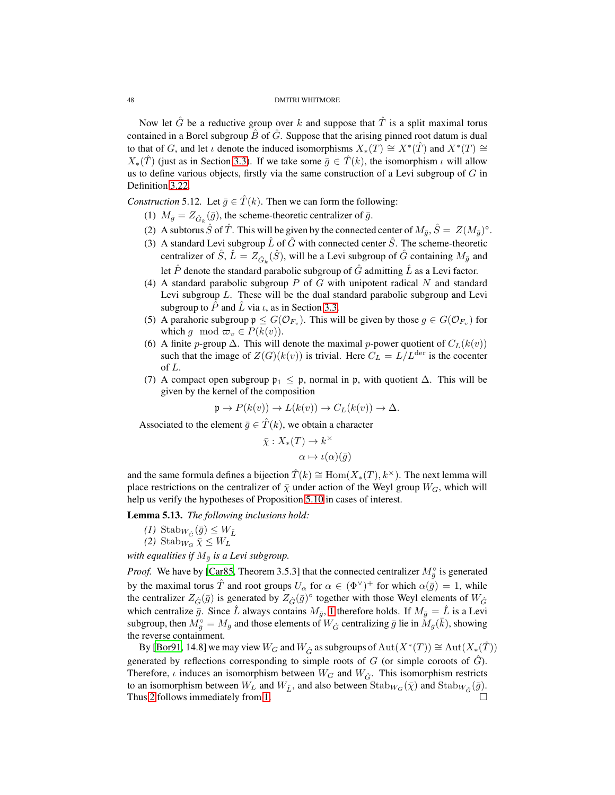Now let  $\hat{G}$  be a reductive group over k and suppose that  $\hat{T}$  is a split maximal torus contained in a Borel subgroup  $\tilde{B}$  of  $\tilde{G}$ . Suppose that the arising pinned root datum is dual to that of G, and let  $\iota$  denote the induced isomorphisms  $X_*(T) \cong X^*(\hat{T})$  and  $X^*(T) \cong$  $X_*(\hat{T})$  (just as in Section [3.3\)](#page-23-0). If we take some  $\bar{q} \in \hat{T}(k)$ , the isomorphism  $\iota$  will allow us to define various objects, firstly via the same construction of a Levi subgroup of  $G$  in Definition [3.22.](#page-24-0)

<span id="page-47-0"></span>*Construction* 5.12*.* Let  $\bar{g} \in \hat{T}(k)$ *.* Then we can form the following:

- (1)  $M_{\bar{g}} = Z_{\hat{G}_k}(\bar{g})$ , the scheme-theoretic centralizer of  $\bar{g}$ .
- (2) A subtorus  $\hat{S}$  of  $\hat{T}$ . This will be given by the connected center of  $M_{\bar{g}}, \hat{S} = Z(M_{\bar{g}})^{\circ}$ .
- (3) A standard Levi subgroup  $\hat{L}$  of  $\hat{G}$  with connected center  $\hat{S}$ . The scheme-theoretic centralizer of  $\hat{S}$ ,  $\hat{L} = Z_{\hat{G}_k}(\hat{S})$ , will be a Levi subgroup of  $\hat{G}$  containing  $M_{\bar{g}}$  and let  $\hat{P}$  denote the standard parabolic subgroup of  $\hat{G}$  admitting  $\hat{L}$  as a Levi factor.
- (4) A standard parabolic subgroup  $P$  of  $G$  with unipotent radical  $N$  and standard Levi subgroup L. These will be the dual standard parabolic subgroup and Levi subgroup to  $\ddot{P}$  and  $\ddot{L}$  via  $\iota$ , as in Section [3.3.](#page-23-0)
- (5) A parahoric subgroup  $\mathfrak{p} \leq G(\mathcal{O}_{F_v})$ . This will be given by those  $g \in G(\mathcal{O}_{F_v})$  for which g mod  $\varpi_v \in P(k(v))$ .
- (6) A finite p-group  $\Delta$ . This will denote the maximal p-power quotient of  $C_L(k(v))$ such that the image of  $Z(G)(k(v))$  is trivial. Here  $C_L = L/L^{\text{der}}$  is the cocenter of L.
- (7) A compact open subgroup  $\mathfrak{p}_1 \leq \mathfrak{p}$ , normal in  $\mathfrak{p}$ , with quotient  $\Delta$ . This will be given by the kernel of the composition

$$
\mathfrak{p} \to P(k(v)) \to L(k(v)) \to C_L(k(v)) \to \Delta.
$$

Associated to the element  $\bar{g} \in \hat{T}(k)$ , we obtain a character

$$
\bar{\chi}: X_*(T) \to k^\times
$$

$$
\alpha \mapsto \iota(\alpha)(\bar{g})
$$

and the same formula defines a bijection  $\hat{T}(k) \cong \text{Hom}(X_*(T), k^\times)$ . The next lemma will place restrictions on the centralizer of  $\bar{\chi}$  under action of the Weyl group  $W_G$ , which will help us verify the hypotheses of Proposition [5.10](#page-46-0) in cases of interest.

<span id="page-47-3"></span><span id="page-47-2"></span><span id="page-47-1"></span>Lemma 5.13. *The following inclusions hold:*

$$
(1) \ \mathrm{Stab}_{W_{\hat{G}}}(\bar{g}) \leq W_{\hat{L}}
$$

$$
(2) \ \mathrm{Stab}_{W_G} \ \bar{\chi} \leq W_L
$$

*with equalities if*  $M_{\bar{q}}$  *is a Levi subgroup.* 

*Proof.* We have by [\[Car85,](#page-81-6) Theorem 3.5.3] that the connected centralizer  $M_{\bar{g}}^{\circ}$  is generated by the maximal torus  $\hat{T}$  and root groups  $U_{\alpha}$  for  $\alpha \in (\Phi^{\vee})^+$  for which  $\alpha(\bar{g}) = 1$ , while the centralizer  $Z_{\hat{G}}(\bar{g})$  is generated by  $Z_{\hat{G}}(\bar{g})^{\circ}$  together with those Weyl elements of  $W_{\hat{G}}$ which centralize  $\bar{g}$ . Since  $\bar{L}$  always contains  $M_{\bar{g}}$ , [1](#page-47-1) therefore holds. If  $M_{\bar{g}} = \hat{L}$  is a Levi subgroup, then  $M_{\bar{g}}^{\circ} = M_{\bar{g}}$  and those elements of  $W_{\hat{G}}$  centralizing  $\bar{g}$  lie in  $M_{\bar{g}}(\bar{k})$ , showing the reverse containment.

By [\[Bor91,](#page-81-7) 14.8] we may view  $W_G$  and  $W_{\hat G}$  as subgroups of  $\mathrm{Aut}(X^*(T)) \cong \mathrm{Aut}(X_*(\hat T))$ generated by reflections corresponding to simple roots of  $G$  (or simple coroots of  $\hat{G}$ ). Therefore,  $\iota$  induces an isomorphism between  $W_G$  and  $W_{\hat{G}}$ . This isomorphism restricts to an isomorphism between  $W_L$  and  $W_{\hat{L}}$ , and also between  $\text{Stab}_{W_G}(\bar{\chi})$  and  $\text{Stab}_{W_{\hat{G}}}(\bar{g})$ . Thus [2](#page-47-2) follows immediately from [1.](#page-47-1)  $\Box$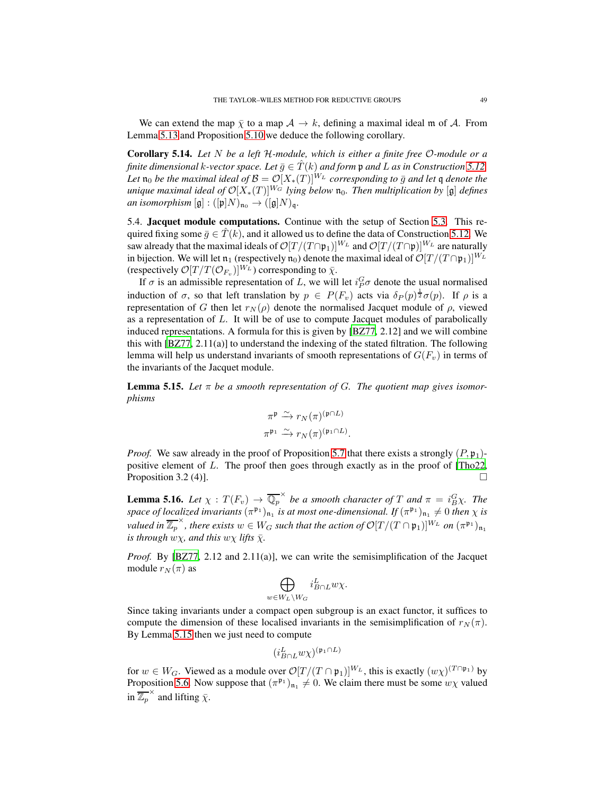We can extend the map  $\bar{\chi}$  to a map  $\mathcal{A} \to k$ , defining a maximal ideal m of  $\mathcal{A}$ . From Lemma [5.13](#page-47-3) and Proposition [5.10](#page-46-0) we deduce the following corollary.

<span id="page-48-2"></span>Corollary 5.14. *Let* N *be a left* H*-module, which is either a finite free* O*-module or a finite dimensional* k-vector space. Let  $\bar{q} \in \hat{T}(k)$  and form p and L as in Construction [5.12.](#page-47-0) *Let*  $\mathfrak{n}_0$  *be the maximal ideal of*  $\mathcal{B} = \mathcal{O}[X_*(T)]^{W_L}$  *corresponding to*  $\bar{g}$  *and let* q *denote the unique maximal ideal of*  $\mathcal{O}[X_*(T)]^{W_G}$  *lying below*  $\mathfrak{n}_0$ *. Then multiplication by* [g] *defines an isomorphism*  $[\mathfrak{g}] : ([\mathfrak{p}]N)_{\mathfrak{n}_0} \to ([\mathfrak{g}]N)_{\mathfrak{q}}.$ 

5.4. Jacquet module computations. Continue with the setup of Section [5.3.](#page-45-0) This required fixing some  $\bar{g} \in \hat{T}(k)$ , and it allowed us to define the data of Construction [5.12.](#page-47-0) We saw already that the maximal ideals of  $\mathcal{O}[T/(T \cap \mathfrak{p}_1)]^{W_L}$  and  $\mathcal{O}[T/(T \cap \mathfrak{p}_1)]^{W_L}$  are naturally in bijection. We will let  $\mathfrak{n}_1$  (respectively  $\mathfrak{n}_0$ ) denote the maximal ideal of  $\mathcal{O}[T/(T \cap \mathfrak{p}_1)]^{W_L}$ (respectively  $\mathcal{O}[T/T(\mathcal{O}_{F_v})]^{W_L}$ ) corresponding to  $\bar{\chi}$ .

If  $\sigma$  is an admissible representation of L, we will let  $i_P^G \sigma$  denote the usual normalised induction of  $\sigma$ , so that left translation by  $p oldsymbol{\in} P(F_v)$  acts via  $\delta_P(p) \frac{1}{2} \sigma(p)$ . If  $\rho$  is a representation of G then let  $r_N(\rho)$  denote the normalised Jacquet module of  $\rho$ , viewed as a representation of L. It will be of use to compute Jacquet modules of parabolically induced representations. A formula for this is given by [\[BZ77,](#page-81-8) 2.12] and we will combine this with  $[BZ77, 2.11(a)]$  to understand the indexing of the stated filtration. The following lemma will help us understand invariants of smooth representations of  $G(F_v)$  in terms of the invariants of the Jacquet module.

<span id="page-48-0"></span>**Lemma 5.15.** Let  $\pi$  be a smooth representation of G. The quotient map gives isomor*phisms*

$$
\pi^{\mathfrak{p}} \xrightarrow{\sim} r_N(\pi)^{(\mathfrak{p} \cap L)}
$$

$$
\pi^{\mathfrak{p}_1} \xrightarrow{\sim} r_N(\pi)^{(\mathfrak{p}_1 \cap L)}.
$$

*Proof.* We saw already in the proof of Proposition [5.7](#page-43-0) that there exists a strongly  $(P, \mathfrak{p}_1)$ positive element of L. The proof then goes through exactly as in the proof of [\[Tho22,](#page-83-1) Proposition 3.2 (4)].

<span id="page-48-1"></span>**Lemma 5.16.** *Let*  $\chi : T(F_v) \to \overline{\mathbb{Q}_p}^{\times}$  *be a smooth character of*  $T$  *and*  $\pi = i_B^G \chi$ *. The space of localized invariants*  $(\pi^{\frak{p}_1})_{\frak{n}_1}$  *is at most one-dimensional. If*  $(\pi^{\frak{p}_1})_{\frak{n}_1} \neq 0$  *then*  $\chi$  *is valued in*  $\overline{\mathbb{Z}_p}^{\times}$ , *there exists*  $w \in W_G$  *such that the action of*  $\mathcal{O}[T/(T \cap \mathfrak{p}_1)]^{W_L}$  *on*  $(\pi^{\mathfrak{p}_1})_{\mathfrak{n}_1}$ *is through*  $w\chi$ *, and this*  $w\chi$  *lifts*  $\bar{\chi}$ *.* 

*Proof.* By [\[BZ77](#page-81-8), 2.12 and 2.11(a)], we can write the semisimplification of the Jacquet module  $r_N(\pi)$  as

$$
\bigoplus_{w\in W_L\backslash W_G} i^L_{B\cap L} w\chi.
$$

Since taking invariants under a compact open subgroup is an exact functor, it suffices to compute the dimension of these localised invariants in the semisimplification of  $r_N(\pi)$ . By Lemma [5.15](#page-48-0) then we just need to compute

$$
(i^L_{B\cap L} w\chi)^{(\mathfrak{p}_1\cap L)}
$$

for  $w \in W_G$ . Viewed as a module over  $\mathcal{O}[T/(T \cap \mathfrak{p}_1)]^{W_L}$ , this is exactly  $(w \chi)^{(T \cap \mathfrak{p}_1)}$  by Proposition [5.6.](#page-42-1) Now suppose that  $(\pi^{\mathfrak{p}_1})_{\mathfrak{n}_1} \neq 0$ . We claim there must be some  $w\chi$  valued in  $\overline{\mathbb{Z}_p}^{\times}$  and lifting  $\bar{\chi}$ .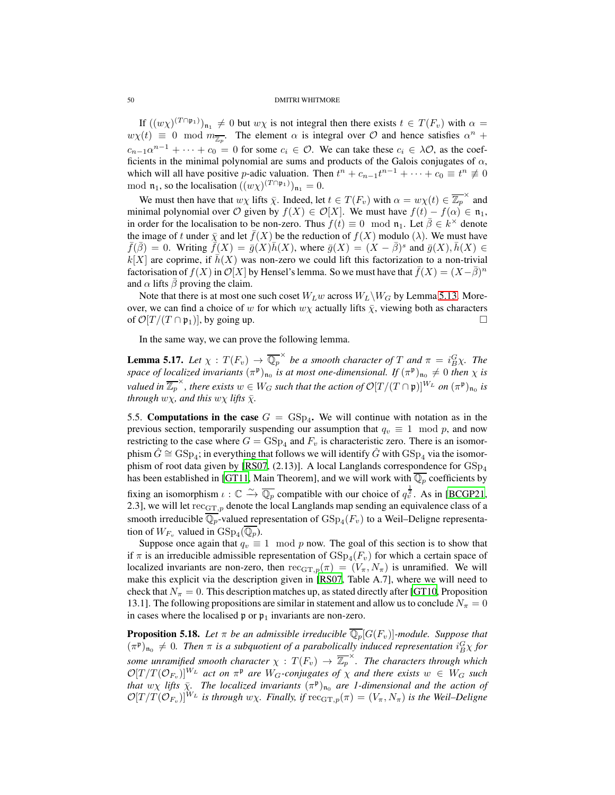If  $((w\chi)^{(T\cap\mathfrak{p}_1)})_{\mathfrak{n}_1}\neq 0$  but  $w\chi$  is not integral then there exists  $t \in T(F_v)$  with  $\alpha =$  $w\chi(t) \equiv 0 \mod m_{\overline{\mathbb{Z}_p}}$ . The element  $\alpha$  is integral over  $\mathcal O$  and hence satisfies  $\alpha^n$  +  $c_{n-1}\alpha^{n-1} + \cdots + c_0 = 0$  for some  $c_i \in \mathcal{O}$ . We can take these  $c_i \in \lambda \mathcal{O}$ , as the coefficients in the minimal polynomial are sums and products of the Galois conjugates of  $\alpha$ , which will all have positive *p*-adic valuation. Then  $t^n + c_{n-1}t^{n-1} + \cdots + c_0 \equiv t^n \not\equiv 0$ mod  $\mathfrak{n}_1$ , so the localisation  $((w\chi)^{(T\cap\mathfrak{p}_1)})_{\mathfrak{n}_1} = 0$ .

We must then have that  $w\chi$  lifts  $\bar{\chi}$ . Indeed, let  $t \in T(F_v)$  with  $\alpha = w\chi(t) \in \overline{\mathbb{Z}_p}^{\times}$  and minimal polynomial over O given by  $f(X) \in \mathcal{O}[X]$ . We must have  $f(t) - f(\alpha) \in \mathfrak{n}_1$ , in order for the localisation to be non-zero. Thus  $f(t) \equiv 0 \mod n_1$ . Let  $\overline{\beta} \in k^{\times}$  denote the image of t under  $\bar{\chi}$  and let  $f(X)$  be the reduction of  $f(X)$  modulo ( $\lambda$ ). We must have  $\bar{f}(\bar{\beta}) = 0$ . Writing  $\bar{f}(X) = \bar{g}(X)\bar{h}(X)$ , where  $\bar{g}(X) = (X - \bar{\beta})^s$  and  $\bar{g}(X), \bar{h}(X) \in$  $k[X]$  are coprime, if  $\bar{h}(X)$  was non-zero we could lift this factorization to a non-trivial factorisation of  $f(X)$  in  $\mathcal{O}[X]$  by Hensel's lemma. So we must have that  $\bar{f}(X) = (X - \bar{\beta})^n$ and  $\alpha$  lifts  $\bar{\beta}$  proving the claim.

Note that there is at most one such coset  $W_Lw$  across  $W_L\backslash W_G$  by Lemma [5.13.](#page-47-3) Moreover, we can find a choice of w for which  $w\chi$  actually lifts  $\bar{\chi}$ , viewing both as characters of  $\mathcal{O}[T/(T \cap \mathfrak{p}_1)]$ , by going up.

In the same way, we can prove the following lemma.

**Lemma 5.17.** Let  $\chi : T(F_v) \to \overline{\mathbb{Q}_p}^{\times}$  be a smooth character of T and  $\pi = i_B^G \chi$ . The *space of localized invariants*  $(\pi^{\mathfrak{p}})_{\mathfrak{n}_0}$  *is at most one-dimensional. If*  $(\pi^{\mathfrak{p}})_{\mathfrak{n}_0} \neq 0$  *then*  $\chi$  *is valued in*  $\overline{\mathbb{Z}_p}^{\times}$ , *there exists*  $w \in W_G$  *such that the action of*  $\mathcal{O}[T/(T \cap \mathfrak{p})]^{W_L}$  *on*  $(\pi^{\mathfrak{p}})_{\mathfrak{n}_0}$  *is through*  $w\chi$ *, and this*  $w\chi$  *lifts*  $\bar{\chi}$ *.* 

<span id="page-49-1"></span>5.5. Computations in the case  $G = \text{GSp}_4$ . We will continue with notation as in the previous section, temporarily suspending our assumption that  $q_v \equiv 1 \mod p$ , and now restricting to the case where  $G = \text{GSp}_4$  and  $F_v$  is characteristic zero. There is an isomorphism  $\hat{G} \cong \mathrm{GSp}_4$ ; in everything that follows we will identify  $\hat{G}$  with  $\mathrm{GSp}_4$  via the isomor-phism of root data given by [\[RS07](#page-83-2), (2.13)]. A local Langlands correspondence for  $GSp<sub>4</sub>$ has been established in [\[GT11,](#page-82-2) Main Theorem], and we will work with  $\mathbb{Q}_p$  coefficients by fixing an isomorphism  $\iota : \mathbb{C} \xrightarrow{\sim} \overline{\mathbb{Q}_p}$  compatible with our choice of  $q_v^{\frac{1}{2}}$ . As in [\[BCGP21,](#page-81-9) 2.3], we will let  $rec_{GT,p}$  denote the local Langlands map sending an equivalence class of a smooth irreducible  $\mathbb{Q}_p$ -valued representation of  $\mathrm{GSp}_4(F_v)$  to a Weil–Deligne representation of  $W_{F_v}$  valued in  $GSp_4(\mathbb{Q}_p)$ .

Suppose once again that  $q_v \equiv 1 \mod p$  now. The goal of this section is to show that if  $\pi$  is an irreducible admissible representation of  $GSp_4(F_v)$  for which a certain space of localized invariants are non-zero, then  $rec_{GT,p}(\pi) = (V_{\pi}, N_{\pi})$  is unramified. We will make this explicit via the description given in [\[RS07,](#page-83-2) Table A.7], where we will need to check that  $N_\pi = 0$ . This description matches up, as stated directly after [\[GT10,](#page-82-3) Proposition 13.1]. The following propositions are similar in statement and allow us to conclude  $N_\pi = 0$ in cases where the localised  $\mathfrak p$  or  $\mathfrak p_1$  invariants are non-zero.

<span id="page-49-0"></span>**Proposition 5.18.** Let  $\pi$  be an admissible irreducible  $\overline{\mathbb{Q}_p}[G(F_v)]$ -module. Suppose that  $(\pi^{\mathfrak{p}})_{\mathfrak{n}_0} \neq 0$ . Then  $\pi$  is a subquotient of a parabolically induced representation  $i_B^G \chi$  for *some unramified smooth character*  $\chi : T(F_v) \to \overline{\mathbb{Z}_p}^{\times}$ *. The characters through which*  $\mathcal{O}[T/T(\mathcal{O}_{F_v})]^{W_L}$  *act on*  $\pi^{\mathfrak{p}}$  *are*  $W_G$ -conjugates of  $\chi$  *and there exists*  $w \in W_G$  *such that*  $w\chi$  *lifts*  $\bar{\chi}$ . The localized invariants  $(\pi^{\mathfrak{p}})_{\mathfrak{n}_0}$  are 1-dimensional and the action of  $\mathcal{O}[T/T(\mathcal{O}_{F_v})]^{W_L}$  *is through*  $w\chi$ *. Finally, if*  $\text{rec}_{\text{GT},p}(\pi) = (V_\pi, N_\pi)$  *is the Weil–Deligne*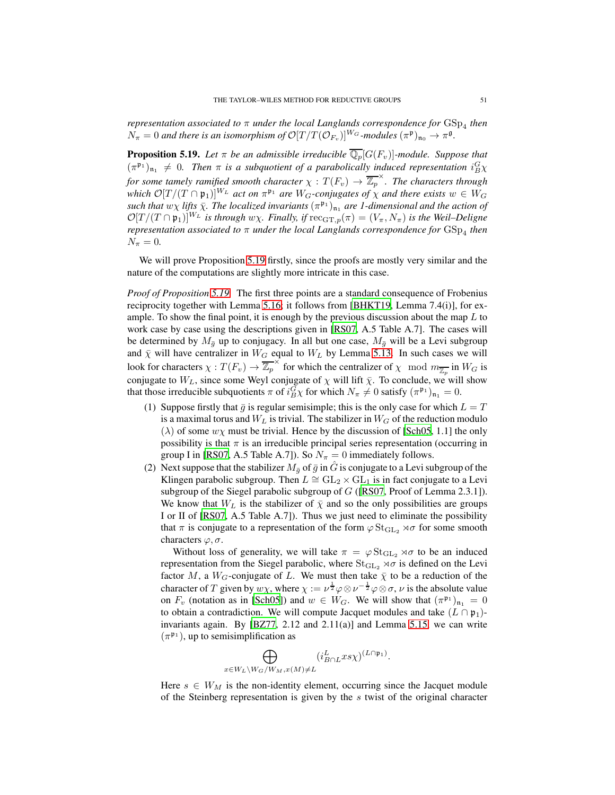*representation associated to* π *under the local Langlands correspondence for*  $GSp<sub>4</sub>$  *then*  $N_{\pi} = 0$  and there is an isomorphism of  $\mathcal{O}[T/T(\mathcal{O}_{F_v})]^{W_G}$ -modules  $(\pi^{\mathfrak{p}})_{\mathfrak{n}_0} \to \pi^{\mathfrak{g}}$ .

<span id="page-50-0"></span>**Proposition 5.19.** Let  $\pi$  be an admissible irreducible  $\overline{\mathbb{Q}_p}[G(F_v)]$ -module. Suppose that  $(\pi^{\mathfrak{p}_1})_{\mathfrak{n}_1} \neq 0$ . Then  $\pi$  is a subquotient of a parabolically induced representation  $i_B^G \chi$ *for some tamely ramified smooth character*  $\chi : T(F_v) \to \overline{\mathbb{Z}_p}^{\times}$ *. The characters through* which  $\mathcal{O}[T/(T \cap \mathfrak{p}_1)]^{W_L}$  *act on*  $\pi^{\mathfrak{p}_1}$  *are*  $W_G$ -conjugates of  $\chi$  *and there exists*  $w \in W_G$  $such$  that  $w\chi$  *lifts*  $\bar{\chi}$ *. The localized invariants*  $(\pi^{\mathfrak{p}_1})_{\mathfrak{n}_1}$  *are 1-dimensional and the action of*  $\mathcal{O}[T/(T \cap \mathfrak{p}_1)]^{W_L}$  *is through*  $w\chi$ . Finally, if  $\operatorname{rec}_{\mathrm{GT},p}(\pi) = (V_\pi, N_\pi)$  *is the Weil–Deligne representation associated to* π *under the local Langlands correspondence for* GSp<sup>4</sup> *then*  $N_{\pi} = 0.$ 

We will prove Proposition [5.19](#page-50-0) firstly, since the proofs are mostly very similar and the nature of the computations are slightly more intricate in this case.

*Proof of Proposition [5.19.](#page-50-0)* The first three points are a standard consequence of Frobenius reciprocity together with Lemma [5.16;](#page-48-1) it follows from [\[BHKT19,](#page-81-5) Lemma 7.4(i)], for example. To show the final point, it is enough by the previous discussion about the map  $L$  to work case by case using the descriptions given in [\[RS07,](#page-83-2) A.5 Table A.7]. The cases will be determined by  $M_{\bar{g}}$  up to conjugacy. In all but one case,  $M_{\bar{g}}$  will be a Levi subgroup and  $\bar{\chi}$  will have centralizer in  $W_G$  equal to  $W_L$  by Lemma [5.13.](#page-47-3) In such cases we will look for characters  $\chi: T(F_v) \to \overline{\mathbb{Z}_p}^{\times}$  for which the centralizer of  $\chi \mod m_{\overline{\mathbb{Z}_p}}$  in  $W_G$  is conjugate to  $W_L$ , since some Weyl conjugate of  $\chi$  will lift  $\bar{\chi}$ . To conclude, we will show that those irreducible subquotients  $\pi$  of  $i_B^G \chi$  for which  $N_{\pi} \neq 0$  satisfy  $(\pi^{\mathfrak{p}_1})_{\mathfrak{n}_1} = 0$ .

- (1) Suppose firstly that  $\bar{g}$  is regular semisimple; this is the only case for which  $L = T$ is a maximal torus and  $W_L$  is trivial. The stabilizer in  $W_G$  of the reduction modulo  $(\lambda)$  of some  $w\chi$  must be trivial. Hence by the discussion of [\[Sch05](#page-83-3), 1.1] the only possibility is that  $\pi$  is an irreducible principal series representation (occurring in group I in [\[RS07,](#page-83-2) A.5 Table A.7]). So  $N_{\pi} = 0$  immediately follows.
- (2) Next suppose that the stabilizer  $M_{\bar{q}}$  of  $\bar{g}$  in  $\hat{G}$  is conjugate to a Levi subgroup of the Klingen parabolic subgroup. Then  $L \cong GL_2 \times GL_1$  is in fact conjugate to a Levi subgroup of the Siegel parabolic subgroup of G ([\[RS07,](#page-83-2) Proof of Lemma 2.3.1]). We know that  $W_L$  is the stabilizer of  $\bar{\chi}$  and so the only possibilities are groups I or II of [\[RS07](#page-83-2), A.5 Table A.7]). Thus we just need to eliminate the possibility that  $\pi$  is conjugate to a representation of the form  $\varphi \operatorname{St}_{GL_2} \rtimes \sigma$  for some smooth characters  $\varphi, \sigma$ .

Without loss of generality, we will take  $\pi = \varphi \operatorname{St}_{\operatorname{GL}_2} \rtimes \sigma$  to be an induced representation from the Siegel parabolic, where  $St_{GL_2} \rtimes \sigma$  is defined on the Levi factor M, a  $W_G$ -conjugate of L. We must then take  $\bar{\chi}$  to be a reduction of the character of T given by  $w\chi$ , where  $\chi := \nu^{\frac{1}{2}} \varphi \otimes \nu^{-\frac{1}{2}} \varphi \otimes \sigma$ ,  $\nu$  is the absolute value on  $F_v$  (notation as in [\[Sch05\]](#page-83-3)) and  $w \in W_G$ . We will show that  $(\pi^{\mathfrak{p}_1})_{\mathfrak{n}_1} = 0$ to obtain a contradiction. We will compute Jacquet modules and take  $(L \cap \mathfrak{p}_1)$ invariants again. By [\[BZ77,](#page-81-8) 2.12 and 2.11(a)] and Lemma [5.15,](#page-48-0) we can write  $(\pi^{\mathfrak{p}_1})$ , up to semisimplification as

$$
\bigoplus_{x \in W_L \backslash W_G / W_M, x(M) \neq L} (i_{B \cap L}^L x s \chi)^{(L \cap \mathfrak{p}_1)}.
$$

Here  $s \in W_M$  is the non-identity element, occurring since the Jacquet module of the Steinberg representation is given by the s twist of the original character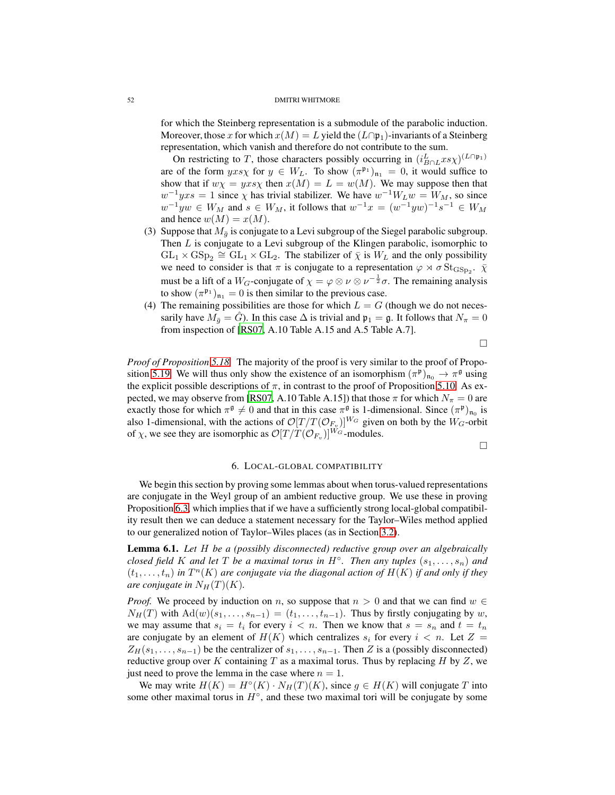for which the Steinberg representation is a submodule of the parabolic induction. Moreover, those x for which  $x(M) = L$  yield the  $(L \cap \mathfrak{p}_1)$ -invariants of a Steinberg representation, which vanish and therefore do not contribute to the sum.

On restricting to T, those characters possibly occurring in  $(i_{B \cap L}^{L} x s \chi)^{(L \cap \mathfrak{p}_1)}$ are of the form  $yxs\chi$  for  $y \in W_L$ . To show  $(\pi^{\mathfrak{p}_1})_{\mathfrak{n}_1} = 0$ , it would suffice to show that if  $w\chi = yxs\chi$  then  $x(M) = L = w(M)$ . We may suppose then that  $w^{-1}yxs = 1$  since  $\chi$  has trivial stabilizer. We have  $w^{-1}W_Lw = W_M$ , so since  $w^{-1}yw \in W_M$  and  $s \in W_M$ , it follows that  $w^{-1}x = (w^{-1}yw)^{-1}s^{-1} \in W_M$ and hence  $w(M) = x(M)$ .

- (3) Suppose that  $M_{\bar{q}}$  is conjugate to a Levi subgroup of the Siegel parabolic subgroup. Then  $L$  is conjugate to a Levi subgroup of the Klingen parabolic, isomorphic to  $GL_1 \times GSp_2 \cong GL_1 \times GL_2$ . The stabilizer of  $\overline{\chi}$  is  $W_L$  and the only possibility we need to consider is that  $\pi$  is conjugate to a representation  $\varphi \rtimes \sigma \operatorname{St}_{\mathrm{GSp}_2}$ .  $\bar{\chi}$ must be a lift of a W<sub>G</sub>-conjugate of  $\chi = \varphi \otimes \nu \otimes \nu^{-\frac{1}{2}}\sigma$ . The remaining analysis to show  $(\pi^{\mathfrak{p}_1})_{\mathfrak{n}_1} = 0$  is then similar to the previous case.
- (4) The remaining possibilities are those for which  $L = G$  (though we do not necessarily have  $M_{\bar{q}} = G$ ). In this case  $\Delta$  is trivial and  $\mathfrak{p}_1 = \mathfrak{g}$ . It follows that  $N_{\pi} = 0$ from inspection of [\[RS07,](#page-83-2) A.10 Table A.15 and A.5 Table A.7].

 $\Box$ 

*Proof of Proposition [5.18.](#page-49-0)* The majority of the proof is very similar to the proof of Propo-sition [5.19.](#page-50-0) We will thus only show the existence of an isomorphism  $(\pi^p)_{n_0} \to \pi^{\mathfrak{g}}$  using the explicit possible descriptions of  $\pi$ , in contrast to the proof of Proposition [5.10.](#page-46-0) As ex-pected, we may observe from [\[RS07,](#page-83-2) A.10 Table A.15]) that those  $\pi$  for which  $N_{\pi} = 0$  are exactly those for which  $\pi^{\mathfrak{g}} \neq 0$  and that in this case  $\pi^{\mathfrak{g}}$  is 1-dimensional. Since  $(\pi^{\mathfrak{p}})_{n_0}$  is also 1-dimensional, with the actions of  $\mathcal{O}[T/T(\mathcal{O}_{F_v})]^{W_G}$  given on both by the  $W_G$ -orbit of  $\chi$ , we see they are isomorphic as  $\mathcal{O}[T/T(\mathcal{O}_{F_v})]^{W_G}$ -modules.

 $\Box$ 

## 6. LOCAL-GLOBAL COMPATIBILITY

We begin this section by proving some lemmas about when torus-valued representations are conjugate in the Weyl group of an ambient reductive group. We use these in proving Proposition [6.3,](#page-53-0) which implies that if we have a sufficiently strong local-global compatibility result then we can deduce a statement necessary for the Taylor–Wiles method applied to our generalized notion of Taylor–Wiles places (as in Section [3.2\)](#page-17-0).

<span id="page-51-0"></span>Lemma 6.1. *Let* H *be a (possibly disconnected) reductive group over an algebraically closed field* K and let T be a maximal torus in  $H^{\circ}$ . Then any tuples  $(s_1, \ldots, s_n)$  and  $(t_1, \ldots, t_n)$  in  $T^n(K)$  are conjugate via the diagonal action of  $H(K)$  if and only if they *are conjugate in*  $N_H(T)(K)$ *.* 

*Proof.* We proceed by induction on n, so suppose that  $n > 0$  and that we can find  $w \in$  $N_H(T)$  with  $\text{Ad}(w)(s_1, \ldots, s_{n-1}) = (t_1, \ldots, t_{n-1})$ . Thus by firstly conjugating by w, we may assume that  $s_i = t_i$  for every  $i < n$ . Then we know that  $s = s_n$  and  $t = t_n$ are conjugate by an element of  $H(K)$  which centralizes  $s_i$  for every  $i < n$ . Let  $Z =$  $Z_H(s_1, \ldots, s_{n-1})$  be the centralizer of  $s_1, \ldots, s_{n-1}$ . Then Z is a (possibly disconnected) reductive group over K containing T as a maximal torus. Thus by replacing H by Z, we just need to prove the lemma in the case where  $n = 1$ .

We may write  $H(K) = H^{\circ}(K) \cdot N_H(T)(K)$ , since  $g \in H(K)$  will conjugate T into some other maximal torus in  $H^{\circ}$ , and these two maximal tori will be conjugate by some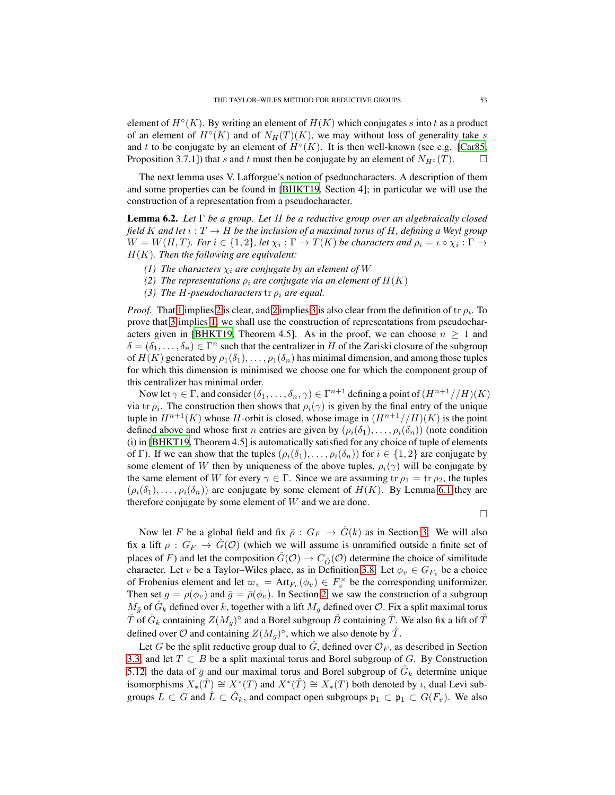element of  $H^{\circ}(K)$ . By writing an element of  $H(K)$  which conjugates s into t as a product of an element of  $H^{\circ}(K)$  and of  $N_H(T)(K)$ , we may without loss of generality take s and t to be conjugate by an element of  $H^{\circ}(K)$ . It is then well-known (see e.g. [\[Car85,](#page-81-6) Proposition 3.7.1]) that s and t must then be conjugate by an element of  $N_{H} \circ (T)$ .

The next lemma uses V. Lafforgue's notion of pseduocharacters. A description of them and some properties can be found in [\[BHKT19](#page-81-5), Section 4]; in particular we will use the construction of a representation from a pseudocharacter.

<span id="page-52-3"></span>Lemma 6.2. *Let* Γ *be a group. Let* H *be a reductive group over an algebraically closed field* K and let  $\iota : T \to H$  be the inclusion of a maximal torus of H, defining a Weyl group  $W = W(H, T)$ *. For*  $i \in \{1, 2\}$ *, let*  $\chi_i : \Gamma \to T(K)$  *be characters and*  $\rho_i = \iota \circ \chi_i : \Gamma \to$ H(K)*. Then the following are equivalent:*

- <span id="page-52-1"></span><span id="page-52-0"></span>*(1) The characters*  $\chi_i$  *are conjugate by an element of* W
- <span id="page-52-2"></span>*(2) The representations*  $\rho_i$  *are conjugate via an element of*  $H(K)$
- *(3) The H-pseudocharacters*  $tr \rho_i$  *are equal.*

*Proof.* That [1](#page-52-0) implies [2](#page-52-1) is clear, and [2](#page-52-1) implies [3](#page-52-2) is also clear from the definition of tr  $\rho_i$ . To prove that [3](#page-52-2) implies [1,](#page-52-0) we shall use the construction of representations from pseudochar-acters given in [\[BHKT19](#page-81-5), Theorem 4.5]. As in the proof, we can choose  $n \geq 1$  and  $\delta = (\delta_1, \ldots, \delta_n) \in \Gamma^n$  such that the centralizer in H of the Zariski closure of the subgroup of  $H(K)$  generated by  $\rho_1(\delta_1), \ldots, \rho_1(\delta_n)$  has minimal dimension, and among those tuples for which this dimension is minimised we choose one for which the component group of this centralizer has minimal order.

Now let  $\gamma \in \Gamma$ , and consider  $(\delta_1, \ldots, \delta_n, \gamma) \in \Gamma^{n+1}$  defining a point of  $(H^{n+1}//H)(K)$ via tr  $\rho_i$ . The construction then shows that  $\rho_i(\gamma)$  is given by the final entry of the unique tuple in  $H^{n+1}(K)$  whose H-orbit is closed, whose image in  $(H^{n+1}//H)(K)$  is the point defined above and whose first *n* entries are given by  $(\rho_i(\delta_1), \ldots, \rho_i(\delta_n))$  (note condition (i) in [\[BHKT19,](#page-81-5) Theorem 4.5] is automatically satisfied for any choice of tuple of elements of Γ). If we can show that the tuples  $(\rho_i(\delta_1), \ldots, \rho_i(\delta_n))$  for  $i \in \{1,2\}$  are conjugate by some element of W then by uniqueness of the above tuples,  $\rho_i(\gamma)$  will be conjugate by the same element of W for every  $\gamma \in \Gamma$ . Since we are assuming tr  $\rho_1 = \text{tr } \rho_2$ , the tuples  $(\rho_i(\delta_1), \ldots, \rho_i(\delta_n))$  are conjugate by some element of  $H(K)$ . By Lemma [6.1](#page-51-0) they are therefore conjugate by some element of  $W$  and we are done.

 $\Box$ 

Now let F be a global field and fix  $\bar{\rho}: G_F \to \hat{G}(k)$  as in Section [3.](#page-14-0) We will also fix a lift  $\rho: G_F \to \hat{G}(\mathcal{O})$  (which we will assume is unramified outside a finite set of places of F) and let the composition  $\hat{G}(\mathcal{O}) \to C_{\hat{G}}(\mathcal{O})$  determine the choice of similitude character. Let v be a Taylor–Wiles place, as in Definition [3.8.](#page-17-1) Let  $\phi_v \in G_{F_v}$  be a choice of Frobenius element and let  $\varpi_v = \text{Art}_{F_v}(\phi_v) \in F_v^\times$  be the corresponding uniformizer. Then set  $g = \rho(\phi_v)$  and  $\bar{g} = \bar{\rho}(\phi_v)$ . In Section [2,](#page-5-0) we saw the construction of a subgroup  $M_{\bar{g}}$  of  $\hat{G}_k$  defined over k, together with a lift  $M_g$  defined over  $\mathcal{O}$ . Fix a split maximal torus  $\hat{T}$  of  $\hat{G}_k$  containing  $Z(M_{\bar{g}})^{\circ}$  and a Borel subgroup  $\hat{B}$  containing  $\hat{T}$ . We also fix a lift of  $\hat{T}$ defined over  $\mathcal O$  and containing  $Z(M_g)^\circ$ , which we also denote by  $\hat T$ .

Let G be the split reductive group dual to  $\hat{G}$ , defined over  $\mathcal{O}_F$ , as described in Section [3.3,](#page-23-0) and let  $T \subset B$  be a split maximal torus and Borel subgroup of G. By Construction [5.12,](#page-47-0) the data of  $\bar{g}$  and our maximal torus and Borel subgroup of  $\hat{G}_k$  determine unique isomorphisms  $X_*(\hat{T}) \cong X^*(T)$  and  $X^*(\hat{T}) \cong X_*(T)$  both denoted by  $\iota$ , dual Levi subgroups  $L \subset G$  and  $\hat{L} \subset \hat{G}_k$ , and compact open subgroups  $\mathfrak{p}_1 \subset \mathfrak{p}_1 \subset G(F_v)$ . We also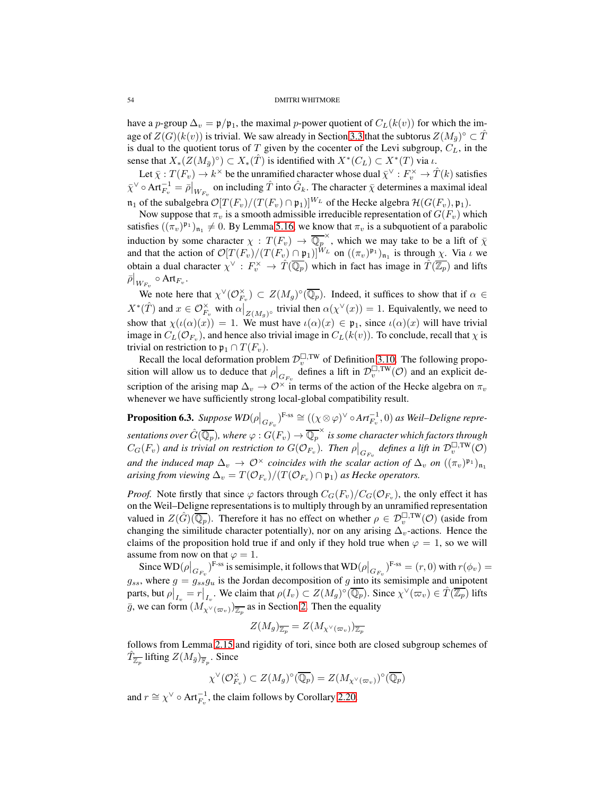have a p-group  $\Delta_v = \mathfrak{p}/\mathfrak{p}_1$ , the maximal p-power quotient of  $C_L(k(v))$  for which the image of  $Z(G)(k(v))$  is trivial. We saw already in Section [3.3](#page-23-0) that the subtorus  $Z(M_{\bar{g}})^{\circ} \subset \hat{T}$ is dual to the quotient torus of T given by the cocenter of the Levi subgroup,  $C_L$ , in the sense that  $X_*(Z(M_{\bar{g}})^{\circ}) \subset X_*(\hat{T})$  is identified with  $X^*(C_L) \subset X^*(T)$  via  $\iota$ .

Let  $\bar{\chi}: T(F_v) \to k^\times$  be the unramified character whose dual  $\bar{\chi}^\vee: F_v^\times \to \hat{T}(k)$  satisfies  $\bar{\chi}^\vee \circ \text{Art}_{F_v}^{-1} = \bar{\rho}\big|_{W_{F_v}}$  on including  $\hat{T}$  into  $\hat{G}_k$ . The character  $\bar{\chi}$  determines a maximal ideal  $\mathfrak{n}_1$  of the subalgebra  $\mathcal{O}[T(F_v)/(T(F_v) \cap \mathfrak{p}_1)]^{W_L}$  of the Hecke algebra  $\mathcal{H}(G(F_v), \mathfrak{p}_1)$ .

Now suppose that  $\pi_v$  is a smooth admissible irreducible representation of  $G(F_v)$  which satisfies  $((\pi_v)^{\mathfrak{p}_1})_{\mathfrak{n}_1} \neq 0$ . By Lemma [5.16,](#page-48-1) we know that  $\pi_v$  is a subquotient of a parabolic induction by some character  $\chi : T(F_v) \to \overline{\mathbb{Q}_p}^{\times}$ , which we may take to be a lift of  $\overline{\chi}$ and that the action of  $\mathcal{O}[T(F_v)/(T(F_v) \cap \mathfrak{p}_1)]^{W_L}$  on  $((\pi_v)^{\mathfrak{p}_1})_{\mathfrak{n}_1}$  is through  $\chi$ . Via  $\iota$  we obtain a dual character  $\chi^{\vee} : F_v^{\times} \to \hat{T}(\overline{\mathbb{Q}_p})$  which in fact has image in  $\hat{T}(\overline{\mathbb{Z}_p})$  and lifts  $\bar{\rho}\Big|_{W_{F_v}} \circ \text{Art}_{F_v}.$ 

We note here that  $\chi^{\vee}(\mathcal{O}_{F_v}^{\times}) \subset Z(M_g)^{\circ}(\overline{\mathbb{Q}_p})$ . Indeed, it suffices to show that if  $\alpha \in$  $X^*(\hat{T})$  and  $x \in \mathcal{O}_{F_v}^{\times}$  with  $\alpha|_{Z(M_g)^{\circ}}$  trivial then  $\alpha(\chi^{\vee}(x)) = 1$ . Equivalently, we need to show that  $\chi(\iota(\alpha)(x)) = 1$ . We must have  $\iota(\alpha)(x) \in \mathfrak{p}_1$ , since  $\iota(\alpha)(x)$  will have trivial image in  $C_L(\mathcal{O}_{F_v})$ , and hence also trivial image in  $C_L(k(v))$ . To conclude, recall that  $\chi$  is trivial on restriction to  $\mathfrak{p}_1 \cap T(F_v)$ .

Recall the local deformation problem  $\mathcal{D}_v^{\square,\text{TW}}$  of Definition [3.10.](#page-17-2) The following proposition will allow us to deduce that  $\rho|_{G_{F_v}}$  defines a lift in  $\mathcal{D}_v^{\square,\text{TW}}(\mathcal{O})$  and an explicit description of the arising map  $\Delta_v \to \mathcal{O}^\times$  in terms of the action of the Hecke algebra on  $\pi_v$ whenever we have sufficiently strong local-global compatibility result.

<span id="page-53-0"></span>**Proposition 6.3.** Suppose  $WD(\rho|_{G_{F_v}})^{F\text{-ss}} \cong ((\chi \otimes \varphi)^{\vee} \circ Art_{F_v}^{-1},0)$  as Weil–Deligne repre $s$ entations over  $\hat G(\overline{\mathbb Q_p})$ , where  $\varphi: G(F_v)\to \overline{\mathbb Q_p^\times}$  is some character which factors through  $C_G(F_v)$  and is trivial on restriction to  $G(\mathcal{O}_{F_v})$ . Then  $\rho|_{G_{F_v}}$  defines a lift in  $\mathcal{D}_v^{\Box,\text{TW}}(\mathcal{O})$ *and the induced map*  $\Delta_v$   $\to$   $\mathcal{O}^\times$  *coincides with the scalar action of*  $\Delta_v$  *on*  $((\pi_v)^{\mathfrak{p}_1})_{\mathfrak{n}_1}$ arising from viewing  $\Delta_v = T(\mathcal{O}_{F_v})/(T(\mathcal{O}_{F_v}) \cap \mathfrak{p}_1)$  as Hecke operators.

*Proof.* Note firstly that since  $\varphi$  factors through  $C_G(F_v)/C_G(\mathcal{O}_{F_v})$ , the only effect it has on the Weil–Deligne representations is to multiply through by an unramified representation valued in  $Z(\hat{G})(\overline{\mathbb{Q}_p})$ . Therefore it has no effect on whether  $\rho \in \mathcal{D}_v^{\square,\text{TW}}(\mathcal{O})$  (aside from changing the similitude character potentially), nor on any arising  $\Delta_v$ -actions. Hence the claims of the proposition hold true if and only if they hold true when  $\varphi = 1$ , so we will assume from now on that  $\varphi = 1$ .

Since  $WD(\rho|_{G_{F_v}})^{F\text{-ss}}$  is semisimple, it follows that  $WD(\rho|_{G_{F_v}})^{F\text{-ss}} = (r,0)$  with  $r(\phi_v) =$  $g_{ss}$ , where  $g = g_{ss}^{g} g_u$  is the Jordan decomposition of g into its semisimple and unipotent parts, but  $\rho|_{I_v} = r|_{I_v}$ . We claim that  $\rho(I_v) \subset Z(M_g)^\circ(\overline{\mathbb{Q}_p})$ . Since  $\chi^\vee(\overline{\omega}_v) \in \hat{T}(\overline{\mathbb{Z}_p})$  lifts  $\bar{g}$ , we can form  $(M_{\chi^\vee(\varpi_v)})_{\overline{\mathbb{Z}_p}}$  as in Section [2.](#page-5-0) Then the equality

$$
Z(M_g)_{\overline{\mathbb{Z}_p}} = Z(M_{\chi^\vee(\varpi_v)})_{\overline{\mathbb{Z}_p}}
$$

follows from Lemma [2.15](#page-12-0) and rigidity of tori, since both are closed subgroup schemes of  $\hat{T}_{\overline{\mathbb{Z}_p}}$  lifting  $Z(M_{\bar{g}})_{\overline{\mathbb{F}_p}}$ . Since

$$
\chi^\vee(\mathcal{O}_{F_v}^\times) \subset Z(M_g)^\circ(\overline{\mathbb{Q}_p}) = Z(M_{\chi^\vee(\varpi_v)})^\circ(\overline{\mathbb{Q}_p})
$$

and  $r \cong \chi^{\vee} \circ \text{Art}_{F_v}^{-1}$ , the claim follows by Corollary [2.20.](#page-14-1)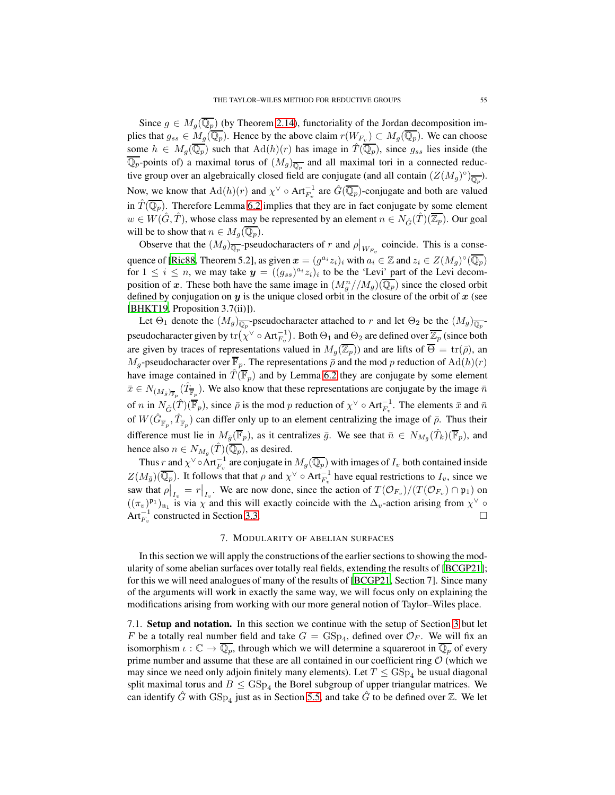Since  $g \in M_q(\overline{\mathbb{Q}_p})$  (by Theorem [2.14\)](#page-11-0), functoriality of the Jordan decomposition implies that  $g_{ss} \in M_g(\mathbb{Q}_p)$ . Hence by the above claim  $r(W_{F_v}) \subset M_g(\mathbb{Q}_p)$ . We can choose some  $h \in M_g(\overline{\mathbb{Q}_p})$  such that  $\text{Ad}(h)(r)$  has image in  $\hat{T}(\overline{\mathbb{Q}_p})$ , since  $g_{ss}$  lies inside (the  $\mathbb{Q}_p$ -points of) a maximal torus of  $(M_g)_{\overline{\mathbb{Q}_p}}$  and all maximal tori in a connected reductive group over an algebraically closed field are conjugate (and all contain  $(Z(M_g)^\circ)_{\overline{\mathbb{Q}_p}}$ ). Now, we know that  $\text{Ad}(h)(r)$  and  $\chi^{\vee} \circ \text{Art}_{F_v}^{-1}$  are  $\hat{G}(\overline{\mathbb{Q}_p})$ -conjugate and both are valued in  $\hat{T}(\overline{\mathbb{Q}_p})$ . Therefore Lemma [6.2](#page-52-3) implies that they are in fact conjugate by some element  $w \in W(\hat{G}, \hat{T})$ , whose class may be represented by an element  $n \in N_{\hat{G}}(\hat{T})(\overline{\mathbb{Z}_p})$ . Our goal will be to show that  $n \in M_q(\overline{\mathbb{Q}_p})$ .

Observe that the  $(M_g)_{\overline{Q_p}}$ -pseudocharacters of r and  $\rho|_{W_{F_v}}$  coincide. This is a conse-quence of [\[Ric88,](#page-82-4) Theorem 5.2], as given  $x = (g^{a_i}z_i)_i$  with  $a_i \in \mathbb{Z}$  and  $z_i \in Z(M_g)^\circ(\overline{\mathbb{Q}_p})$ for  $1 \leq i \leq n$ , we may take  $y = ((g_{ss})^{a_i} z_i)_i$  to be the 'Levi' part of the Levi decomposition of x. These both have the same image in  $(M_g^n//M_g)(\overline{\mathbb{Q}_p})$  since the closed orbit defined by conjugation on  $y$  is the unique closed orbit in the closure of the orbit of  $x$  (see [\[BHKT19](#page-81-5), Proposition 3.7(ii)]).

Let  $\Theta_1$  denote the  $(M_g)_{\overline{\mathbb{Q}_p}}$ -pseudocharacter attached to r and let  $\Theta_2$  be the  $(M_g)_{\overline{\mathbb{Q}_p}}$ pseudocharacter given by  $tr(\chi^{\vee} \circ Art_{F_v}^{-1})$ . Both  $\Theta_1$  and  $\Theta_2$  are defined over  $\overline{\mathbb{Z}_p}$  (since both are given by traces of representations valued in  $M_q(\overline{\mathbb{Z}_p})$  and are lifts of  $\overline{\Theta} = \text{tr}(\overline{\rho})$ , an  $M_q$ -pseudocharacter over  $\overline{\mathbb{F}}_p$ . The representations  $\overline{\rho}$  and the mod p reduction of  $\text{Ad}(h)(r)$ have image contained in  $\hat{T}(\overline{\mathbb{F}}_p)$  and by Lemma [6.2](#page-52-3) they are conjugate by some element  $\bar{x} \in N_{(M_{\bar{g}})_{\overline{\mathbb{F}}_p}}(\hat{T}_{\overline{\mathbb{F}}_p})$ . We also know that these representations are conjugate by the image  $\bar{n}$ of *n* in  $N_{\hat{G}}(\hat{T})(\overline{\mathbb{F}}_p)$ , since  $\bar{\rho}$  is the mod *p* reduction of  $\chi^{\vee} \circ \text{Art}_{F_v}^{-1}$ . The elements  $\bar{x}$  and  $\bar{n}$ of  $W(\hat{G}_{\overline{\mathbb{F}}_p}, \hat{T}_{\overline{\mathbb{F}}_p})$  can differ only up to an element centralizing the image of  $\overline{\rho}$ . Thus their difference must lie in  $M_{\bar{g}}(\overline{\mathbb{F}}_p)$ , as it centralizes  $\bar{g}$ . We see that  $\bar{n} \in N_{M_{\bar{g}}}(\hat{T}_k)(\overline{\mathbb{F}}_p)$ , and hence also  $n \in N_{M_g}(\hat{T})(\overline{\mathbb{Q}_p})$ , as desired.

Thus r and  $\chi^{\vee} \circ \text{Art}_{F_v}^{-1}$  are conjugate in  $M_g(\overline{\mathbb{Q}_p})$  with images of  $I_v$  both contained inside  $Z(M_{\bar{g}})(\overline{\mathbb{Q}_p})$ . It follows that that  $\rho$  and  $\chi^{\vee} \circ \text{Art}_{F_v}^{-1}$  have equal restrictions to  $I_v$ , since we saw that  $\rho|_{I_v} = r|_{I_v}$ . We are now done, since the action of  $T(\mathcal{O}_{F_v})/(T(\mathcal{O}_{F_v}) \cap \mathfrak{p}_1)$  on  $((\pi_v)_i^{\mathfrak{p}_1})_{\mathfrak{n}_1}$  is via  $\chi$  and this will exactly coincide with the  $\Delta_v$ -action arising from  $\chi^\vee$ Art $_{F_v}^{-1}$  constructed in Section [3.3.](#page-23-0)

## 7. MODULARITY OF ABELIAN SURFACES

In this section we will apply the constructions of the earlier sections to showing the modularity of some abelian surfaces over totally real fields, extending the results of [\[BCGP21](#page-81-9)]; for this we will need analogues of many of the results of [\[BCGP21,](#page-81-9) Section 7]. Since many of the arguments will work in exactly the same way, we will focus only on explaining the modifications arising from working with our more general notion of Taylor–Wiles place.

<span id="page-54-0"></span>7.1. Setup and notation. In this section we continue with the setup of Section [3](#page-14-0) but let F be a totally real number field and take  $G = GSp_4$ , defined over  $\mathcal{O}_F$ . We will fix an isomorphism  $\iota : \mathbb{C} \to \overline{\mathbb{Q}_p}$ , through which we will determine a squareroot in  $\overline{\mathbb{Q}_p}$  of every prime number and assume that these are all contained in our coefficient ring  $O$  (which we may since we need only adjoin finitely many elements). Let  $T \leq GSp_4$  be usual diagonal split maximal torus and  $B \leq \text{GSp}_4$  the Borel subgroup of upper triangular matrices. We can identify  $\hat{G}$  with  $GSp_4$  just as in Section [5.5,](#page-49-1) and take  $\hat{G}$  to be defined over  $\mathbb{Z}$ . We let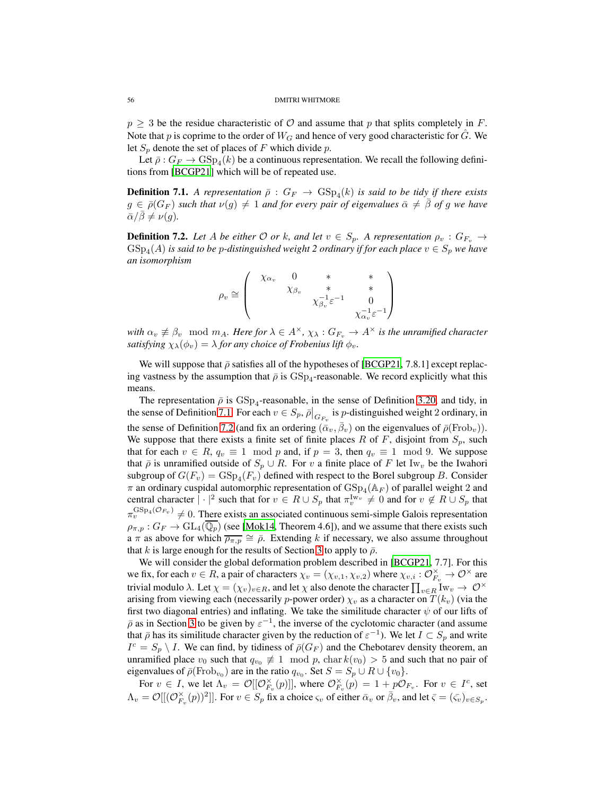$p \geq 3$  be the residue characteristic of O and assume that p that splits completely in F. Note that p is coprime to the order of  $W_G$  and hence of very good characteristic for  $\tilde{G}$ . We let  $S_p$  denote the set of places of F which divide p.

Let  $\bar{\rho}: G_F \to \text{GSp}_4(k)$  be a continuous representation. We recall the following definitions from [\[BCGP21\]](#page-81-9) which will be of repeated use.

<span id="page-55-0"></span>**Definition 7.1.** A representation  $\bar{\rho}$  :  $G_F \rightarrow \text{GSp}_4(k)$  is said to be tidy if there exists  $g \in \bar{\rho}(G_F)$  *such that*  $\nu(g) \neq 1$  *and for every pair of eigenvalues*  $\bar{\alpha} \neq \beta$  *of* g *we have*  $\bar{\alpha}/\beta \neq \nu(q)$ .

<span id="page-55-1"></span>**Definition 7.2.** Let A be either  $\mathcal{O}$  or k, and let  $v \in S_p$ . A representation  $\rho_v : G_{F_v} \to$  $GSp_4(A)$  is said to be p-distinguished weight 2 ordinary if for each place  $v \in S_p$  we have *an isomorphism*

$$
\rho_v \cong \begin{pmatrix} \chi_{\alpha_v} & 0 & * & * \\ & \chi_{\beta_v} & * & * \\ & & \chi_{\beta_v}^{-1} \varepsilon^{-1} & 0 \\ & & & \chi_{\alpha_v}^{-1} \varepsilon^{-1} \end{pmatrix}
$$

*with*  $\alpha_v \neq \beta_v \mod m_A$ *. Here for*  $\lambda \in A^\times$ *,*  $\chi_\lambda : G_{F_v} \to A^\times$  *is the unramified character satisfying*  $\chi_{\lambda}(\phi_v) = \lambda$  *for any choice of Frobenius lift*  $\phi_v$ *.* 

We will suppose that  $\bar{\rho}$  satisfies all of the hypotheses of [\[BCGP21](#page-81-9), 7.8.1] except replacing vastness by the assumption that  $\bar{\rho}$  is  $\text{GSp}_4$ -reasonable. We record explicitly what this means.

The representation  $\bar{\rho}$  is  $GSp_4$ -reasonable, in the sense of Definition [3.20,](#page-22-0) and tidy, in the sense of Definition [7.1.](#page-55-0) For each  $v \in S_p$ ,  $\bar{\rho}|_{G_{F_v}}$  is *p*-distinguished weight 2 ordinary, in the sense of Definition [7.2](#page-55-1) (and fix an ordering  $(\bar{\alpha}_v, \bar{\beta}_v)$  on the eigenvalues of  $\bar{\rho}(\text{Frob}_v)$ ). We suppose that there exists a finite set of finite places R of F, disjoint from  $S_p$ , such that for each  $v \in R$ ,  $q_v \equiv 1 \mod p$  and, if  $p = 3$ , then  $q_v \equiv 1 \mod 9$ . We suppose that  $\bar{\rho}$  is unramified outside of  $S_p \cup R$ . For v a finite place of F let Iw<sub>v</sub> be the Iwahori subgroup of  $G(F_v) = \text{GSp}_4(F_v)$  defined with respect to the Borel subgroup B. Consider  $\pi$  an ordinary cuspidal automorphic representation of  $GSp_4(\mathbb{A}_F)$  of parallel weight 2 and central character  $|\cdot|^2$  such that for  $v \in R \cup S_p$  that  $\pi_v^{\text{Iw}_v} \neq 0$  and for  $v \notin R \cup S_p$  that  $\pi_v^{\text{GSp}_4(\mathcal{O}_{F_v})} \neq 0$ . There exists an associated continuous semi-simple Galois representation  $\rho_{\pi,p}: G_F \to GL_4(\overline{\mathbb{Q}_p})$  (see [\[Mok14,](#page-82-5) Theorem 4.6]), and we assume that there exists such a  $\pi$  as above for which  $\overline{\rho_{\pi,p}} \cong \overline{\rho}$ . Extending k if necessary, we also assume throughout that k is large enough for the results of Section [3](#page-14-0) to apply to  $\bar{\rho}$ .

We will consider the global deformation problem described in [\[BCGP21](#page-81-9), 7.7]. For this we fix, for each  $v \in R$ , a pair of characters  $\chi_v = (\chi_{v,1}, \chi_{v,2})$  where  $\chi_{v,i} : \mathcal{O}_{F_v}^{\times} \to \mathcal{O}^{\times}$  are trivial modulo  $\lambda$ . Let  $\chi = (\chi_v)_{v \in R}$ , and let  $\chi$  also denote the character  $\prod_{v \in R} W_v \to \mathcal{O}^{\times}$ arising from viewing each (necessarily p-power order)  $\chi_v$  as a character on  $T(k_v)$  (via the first two diagonal entries) and inflating. We take the similitude character  $\psi$  of our lifts of  $\bar{\rho}$  as in Section [3](#page-14-0) to be given by  $\epsilon^{-1}$ , the inverse of the cyclotomic character (and assume that  $\bar{\rho}$  has its similitude character given by the reduction of  $\varepsilon^{-1}$ ). We let  $I \subset S_p$  and write  $I^c = S_p \setminus I$ . We can find, by tidiness of  $\bar{\rho}(G_F)$  and the Chebotarev density theorem, an unramified place  $v_0$  such that  $q_{v_0} \not\equiv 1 \mod p$ , char  $k(v_0) > 5$  and such that no pair of eigenvalues of  $\bar{\rho}(\text{Frob}_{v_0})$  are in the ratio  $q_{v_0}$ . Set  $S = S_p \cup R \cup \{v_0\}$ .

For  $v \in I$ , we let  $\Lambda_v = \mathcal{O}[[\mathcal{O}_{F_v}^\times(p)]]$ , where  $\mathcal{O}_{F_v}^\times(p) = 1 + p\mathcal{O}_{F_v}$ . For  $v \in I^c$ , set  $\Lambda_v = \mathcal{O}[[(\mathcal{O}_{F_v}^{\times}(p))^2]]$ . For  $v \in S_p$  fix a choice  $\varsigma_v$  of either  $\bar{\alpha}_v$  or  $\bar{\beta}_v$ , and let  $\bar{\varsigma} = (\bar{\varsigma}_v)_{v \in S_p}$ .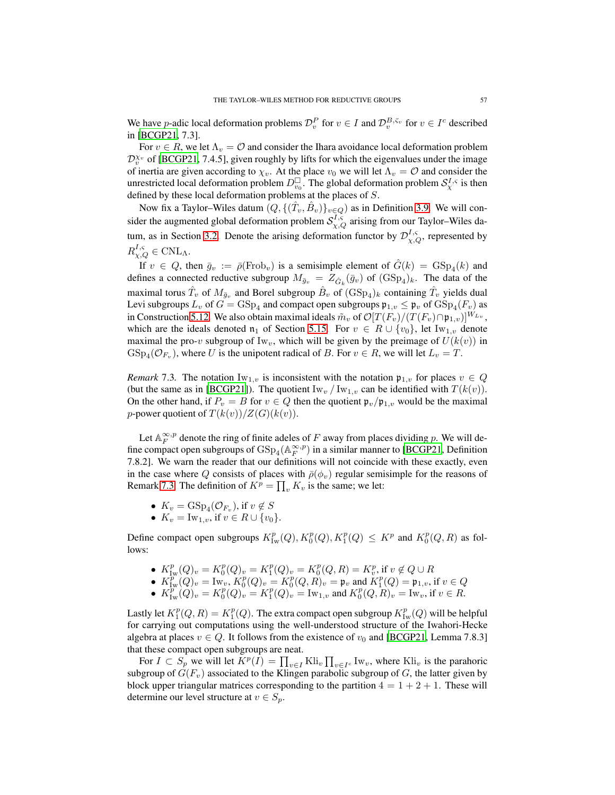We have *p*-adic local deformation problems  $\mathcal{D}_v^P$  for  $v \in I$  and  $\mathcal{D}_v^{B,\bar{c}_v}$  for  $v \in I^c$  described in [\[BCGP21](#page-81-9), 7.3].

For  $v \in R$ , we let  $\Lambda_v = \mathcal{O}$  and consider the Ihara avoidance local deformation problem  $\mathcal{D}_{v}^{\chi_{v}}$  of [\[BCGP21,](#page-81-9) 7.4.5], given roughly by lifts for which the eigenvalues under the image of inertia are given according to  $\chi_v$ . At the place  $v_0$  we will let  $\Lambda_v = \mathcal{O}$  and consider the unrestricted local deformation problem  $D_{v_0}^{\square}$ . The global deformation problem  $S_\chi^{I,s}$  is then defined by these local deformation problems at the places of S.

Now fix a Taylor–Wiles datum  $(Q, \{(\hat{T}_v, \hat{B}_v)\}_{v \in Q})$  as in Definition [3.9.](#page-17-3) We will consider the augmented global deformation problem  $S^{I,\varsigma}_{\chi,Q}$  arising from our Taylor–Wiles da-tum, as in Section [3.2.](#page-17-0) Denote the arising deformation functor by  $\mathcal{D}_{\chi,Q}^{I,s}$ , represented by  $R_{\chi,Q}^{I,\varsigma} \in \text{CNL}_{\Lambda}.$ 

If  $v \in Q$ , then  $\bar{g}_v := \bar{\rho}(\text{Frob}_v)$  is a semisimple element of  $\hat{G}(k) = \text{GSp}_4(k)$  and defines a connected reductive subgroup  $M_{\bar{g}_v} = Z_{\hat{G}_k}(\bar{g}_v)$  of  $(\text{GSp}_4)_k$ . The data of the maximal torus  $\hat{T}_v$  of  $M_{\bar{g}_v}$  and Borel subgroup  $\hat{B}_v$  of  $(\text{GSp}_4)_k$  containing  $\hat{T}_v$  yields dual Levi subgroups  $L_v$  of  $G = \text{GSp}_4$  and compact open subgroups  $\mathfrak{p}_{1,v} \leq \mathfrak{p}_v$  of  $\text{GSp}_4(F_v)$  as in Construction [5.12.](#page-47-0) We also obtain maximal ideals  $\tilde{m}_v$  of  $\mathcal{O}[T(F_v)/(T(F_v)\cap\mathfrak{p}_{1,v})]^{W_{L_v}}$ , which are the ideals denoted  $\mathfrak{n}_1$  of Section [5.15.](#page-48-0) For  $v \in R \cup \{v_0\}$ , let Iw<sub>1,v</sub> denote maximal the pro-v subgroup of Iw<sub>v</sub>, which will be given by the preimage of  $U(k(v))$  in  $GSp_4(\mathcal{O}_{F_v})$ , where U is the unipotent radical of B. For  $v \in R$ , we will let  $L_v = T$ .

<span id="page-56-0"></span>*Remark* 7.3. The notation  $\text{Iw}_{1,v}$  is inconsistent with the notation  $\mathfrak{p}_{1,v}$  for places  $v \in Q$ (but the same as in [\[BCGP21](#page-81-9)]). The quotient  $\text{Iw}_v / \text{Iw}_{1,v}$  can be identified with  $T(k(v))$ . On the other hand, if  $P_v = B$  for  $v \in Q$  then the quotient  $\mathfrak{p}_v / \mathfrak{p}_{1,v}$  would be the maximal *p*-power quotient of  $T(k(v))/Z(G)(k(v))$ .

Let  $\mathbb{A}_F^{\infty,p}$  denote the ring of finite adeles of F away from places dividing p. We will define compact open subgroups of  $GSp_4(\mathbb{A}_F^{\infty,p})$  in a similar manner to [\[BCGP21](#page-81-9), Definition 7.8.2]. We warn the reader that our definitions will not coincide with these exactly, even in the case where Q consists of places with  $\bar{\rho}(\phi_v)$  regular semisimple for the reasons of Remark [7.3.](#page-56-0) The definition of  $K^p = \prod_v K_v$  is the same; we let:

- $K_v = \text{GSp}_4(\mathcal{O}_{F_v}), \text{ if } v \notin S$
- $K_v = \text{Iw}_{1,v}$ , if  $v \in R \cup \{v_0\}.$

Define compact open subgroups  $K^p_{\text{Iw}}(Q), K^p_0(Q), K^p_1(Q) \leq K^p$  and  $K^p_0(Q, R)$  as follows:

- $K_{\text{Iw}}^p(Q)_v = K_0^p(Q)_v = K_1^p(Q)_v = K_0^p(Q, R) = K_v^p$ , if  $v \notin Q \cup R$
- $K_{\text{Iw}}^p(Q)_v = \text{Iw}_v, K_0^p(Q)_v = K_0^p(Q, R)_v = \mathfrak{p}_v$  and  $K_1^p(Q) = \mathfrak{p}_{1,v}$ , if  $v \in Q$
- $K_{\text{Iw}}^p(Q)_v = K_0^p(Q)_v = K_1^p(Q)_v = \text{Iw}_{1,v}$  and  $K_0^p(Q, R)_v = \text{Iw}_v$ , if  $v \in R$ .

Lastly let  $K_1^p(Q,R) = K_1^p(Q)$ . The extra compact open subgroup  $K_{\text{Iw}}^p(Q)$  will be helpful for carrying out computations using the well-understood structure of the Iwahori-Hecke algebra at places  $v \in Q$ . It follows from the existence of  $v_0$  and [\[BCGP21,](#page-81-9) Lemma 7.8.3] that these compact open subgroups are neat.

For  $I \subset S_p$  we will let  $K^p(I) = \prod_{v \in I}$  Kli<sub>v</sub>  $\prod_{v \in I^c} Iw_v$ , where Kli<sub>v</sub> is the parahoric subgroup of  $G(F_v)$  associated to the Klingen parabolic subgroup of G, the latter given by block upper triangular matrices corresponding to the partition  $4 = 1 + 2 + 1$ . These will determine our level structure at  $v \in S_p$ .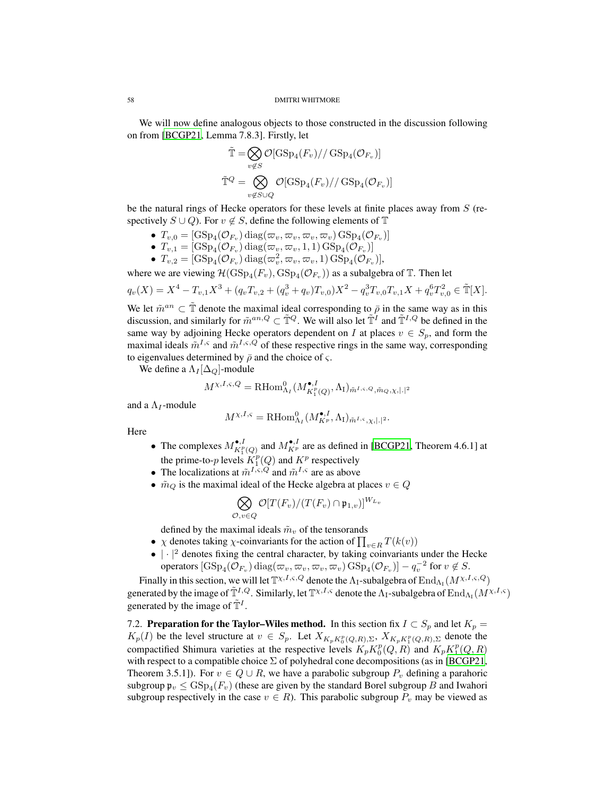We will now define analogous objects to those constructed in the discussion following on from [\[BCGP21](#page-81-9), Lemma 7.8.3]. Firstly, let

$$
\tilde{\mathbb{T}} = \bigotimes_{v \notin S} \mathcal{O}[\text{GSp}_4(F_v)//\text{GSp}_4(\mathcal{O}_{F_v})]
$$

$$
\tilde{\mathbb{T}}^Q = \bigotimes_{v \notin S \cup Q} \mathcal{O}[\text{GSp}_4(F_v)//\text{GSp}_4(\mathcal{O}_{F_v})]
$$

be the natural rings of Hecke operators for these levels at finite places away from  $S$  (respectively  $S \cup Q$ ). For  $v \notin S$ , define the following elements of T

- $\bullet \ \ T_{v,0} = [\mathrm{GSp}_4(\mathcal{O}_{F_v}) \, \mathrm{diag}(\varpi_v, \varpi_v, \varpi_v, \varpi_v) \, \mathrm{GSp}_4(\mathcal{O}_{F_v})]$
- $\bullet$   $T_{v,1} = [\mathrm{GSp}_4(\mathcal{O}_{F_v}) \ \mathrm{diag}(\varpi_v, \varpi_v, 1, 1) \ \mathrm{GSp}_4(\mathcal{O}_{F_v})]$
- $T_{v,2} = [\text{GSp}_4(\mathcal{O}_{F_v}) \text{diag}(\varpi_v^2, \varpi_v, \varpi_v, 1) \text{GSp}_4(\mathcal{O}_{F_v})],$

where we are viewing  $\mathcal{H}(\mathrm{GSp}_4(F_v), \mathrm{GSp}_4(\mathcal{O}_{F_v}))$  as a subalgebra of  $\mathbb{T}$ . Then let

$$
q_v(X) = X^4 - T_{v,1}X^3 + (q_vT_{v,2} + (q_v^3 + q_v)T_{v,0})X^2 - q_v^3T_{v,0}T_{v,1}X + q_v^6T_{v,0}^2 \in \tilde{\mathbb{T}}[X].
$$

We let  $\tilde{m}^{an} \subset \tilde{\mathbb{T}}$  denote the maximal ideal corresponding to  $\overline{\rho}$  in the same way as in this discussion, and similarly for  $\tilde{m}^{an,Q} \subset \tilde{T}^Q$ . We will also let  $\tilde{T}^I$  and  $\tilde{T}^{I,Q}$  be defined in the same way by adjoining Hecke operators dependent on I at places  $v \in S_n$ , and form the maximal ideals  $\tilde{m}^{I,\varsigma}$  and  $\tilde{m}^{I,\varsigma,Q}$  of these respective rings in the same way, corresponding to eigenvalues determined by  $\bar{\rho}$  and the choice of  $\varsigma$ .

We define a  $\Lambda_I[\Delta_Q]$ -module

$$
M^{\chi,I,\varsigma,Q} = \text{RHom}_{\Lambda_I}^0(M_{K_I^p(Q)}^{\bullet,I},\Lambda_I)_{\tilde{m}^{I,\varsigma,Q},\tilde{m}_Q,\chi,|.|^2}
$$

and a  $\Lambda_I$ -module

$$
M^{\chi,I,\varsigma} = \text{RHom}_{\Lambda_I}^0(M^{\bullet,I}_{K^p}, \Lambda_I)_{\tilde{m}^{I,\varsigma}, \chi,|\cdot|^2}.
$$

Here

- The complexes  $M_{K^p_1(Q)}^{\bullet, I}$  and  $M_{K^p}^{\bullet, I}$  are as defined in [\[BCGP21,](#page-81-9) Theorem 4.6.1] at the prime-to-p levels  $K_1^p(Q)$  and  $K^p$  respectively
- The localizations at  $\tilde{m}^{I,\varsigma,Q}$  and  $\tilde{m}^{I,\varsigma}$  are as above
- $\tilde{m}_Q$  is the maximal ideal of the Hecke algebra at places  $v \in Q$

$$
\bigotimes_{\mathcal{O}, v \in Q} \mathcal{O}[T(F_v)/(T(F_v) \cap \mathfrak{p}_{1,v})]^{W_{L_v}}
$$

defined by the maximal ideals  $\tilde{m}_v$  of the tensorands

- $\chi$  denotes taking  $\chi$ -coinvariants for the action of  $\prod_{v \in R} T(k(v))$
- $\bullet$   $|\cdot|^2$  denotes fixing the central character, by taking coinvariants under the Hecke operators  $[\mathrm{GSp}_4(\mathcal{O}_{F_v})$  diag $(\varpi_v, \varpi_v, \varpi_v, \varpi_v)$   $\mathrm{GSp}_4(\mathcal{O}_{F_v})] - q_v^{-2}$  for  $v \notin S$ .

Finally in this section, we will let  $\mathbb{T}^{\chi,I,\varsigma,Q}$  denote the  $\Lambda_{\rm I}$ -subalgebra of  $\mathrm{End}_{\Lambda_{\rm I}}(M^{\chi,I,\varsigma,Q})$ generated by the image of  $\tilde{T}^{I,Q}$ . Similarly, let  $\mathbb{T}^{\chi,I,\varsigma}$  denote the  $\Lambda_I$ -subalgebra of  $\mathrm{End}_{\Lambda_I}(M^{\chi,I,\varsigma})$ generated by the image of  $\tilde{T}^I$ .

7.2. Preparation for the Taylor–Wiles method. In this section fix  $I \subset S_p$  and let  $K_p =$  $K_p(I)$  be the level structure at  $v \in S_p$ . Let  $X_{K_p K_p^p(Q,R), \Sigma}$ ,  $X_{K_p K_1^p(Q,R), \Sigma}$  denote the compactified Shimura varieties at the respective levels  $K_p K_0^p(Q, R)$  and  $K_p K_1^p(Q, R)$ with respect to a compatible choice  $\Sigma$  of polyhedral cone decompositions (as in [\[BCGP21,](#page-81-9) Theorem 3.5.1]). For  $v \in Q \cup R$ , we have a parabolic subgroup  $P_v$  defining a parahoric subgroup  $\mathfrak{p}_v \leq \mathrm{GSp}_4(F_v)$  (these are given by the standard Borel subgroup  $B$  and Iwahori subgroup respectively in the case  $v \in R$ ). This parabolic subgroup  $P_v$  may be viewed as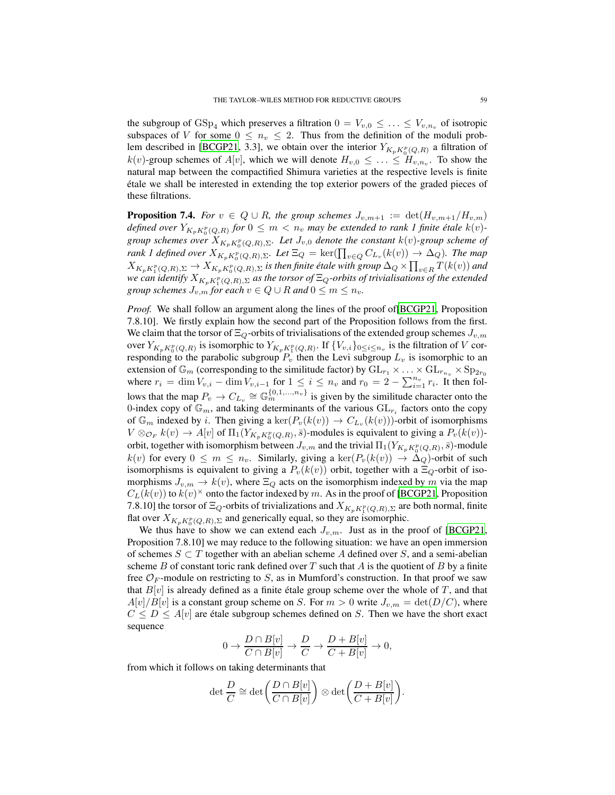the subgroup of  $GSp_4$  which preserves a filtration  $0 = V_{v,0} \leq \ldots \leq V_{v,n_v}$  of isotropic subspaces of V for some  $0 \leq n_v \leq 2$ . Thus from the definition of the moduli prob-lem described in [\[BCGP21](#page-81-9), 3.3], we obtain over the interior  $Y_{K_pK_p^p(Q,R)}$  a filtration of  $k(v)$ -group schemes of  $A[v]$ , which we will denote  $H_{v,0} \leq \ldots \leq H_{v,n_v}$ . To show the natural map between the compactified Shimura varieties at the respective levels is finite ´etale we shall be interested in extending the top exterior powers of the graded pieces of these filtrations.

<span id="page-58-0"></span>**Proposition 7.4.** *For*  $v \in Q \cup R$ *, the group schemes*  $J_{v,m+1} := \det(H_{v,m+1}/H_{v,m})$ defined over  $Y_{K_pK_p^p(Q,R)}$  for  $0 \leq m < n_v$  may be extended to rank 1 finite étale  $k(v)$ *group schemes over*  $X_{K_pK_p^p(Q,R),\Sigma}$ *. Let*  $J_{v,0}$  *denote the constant*  $k(v)$ *-group scheme of rank 1 defined over*  $X_{K_pK_p^p(Q,R),\Sigma}$ *. Let*  $\Xi_Q = \ker(\prod_{v \in Q} C_{L_v}(k(v)) \to \Delta_Q)$ *. The map*  $X_{K_pK_1^p(Q,R),\Sigma} \to X_{K_pK_0^p(Q,R),\Sigma}$  is then finite étale with group  $\Delta_Q \times \prod_{v \in R} T(k(v))$  and we can identify  $X_{K_pK_1^p(Q,R),\Sigma}$  as the torsor of  $\Xi_Q$ -orbits of trivialisations of the extended *group schemes*  $J_{v,m}$  *for each*  $v \in Q \cup R$  *and*  $0 \le m \le n_v$ *.* 

*Proof.* We shall follow an argument along the lines of the proof of [\[BCGP21](#page-81-9), Proposition 7.8.10]. We firstly explain how the second part of the Proposition follows from the first. We claim that the torsor of  $\Xi_{\mathcal{O}}$ -orbits of trivialisations of the extended group schemes  $J_{v,m}$ over  $Y_{K_pK_0^p(Q,R)}$  is isomorphic to  $Y_{K_pK_1^p(Q,R)}$ . If  $\{V_{v,i}\}_{0\leq i\leq n_v}$  is the filtration of V corresponding to the parabolic subgroup  $P_v$  then the Levi subgroup  $L_v$  is isomorphic to an extension of  $\mathbb{G}_m$  (corresponding to the similitude factor) by  $\text{GL}_{r_1} \times \ldots \times \text{GL}_{r_{n_v}} \times \text{Sp}_{2r_0}$ where  $r_i = \dim V_{v,i} - \dim V_{v,i-1}$  for  $1 \leq i \leq n_v$  and  $r_0 = 2 - \sum_{i=1}^{n_v} r_i$ . It then follows that the map  $P_v \to C_{L_v} \cong \mathbb{G}_m^{\{0,1,\ldots,n_v\}}$  is given by the similitude character onto the 0-index copy of  $\mathbb{G}_m$ , and taking determinants of the various  $GL_{r_i}$  factors onto the copy of  $\mathbb{G}_m$  indexed by *i*. Then giving a ker $(P_v(k(v)) \to C_{L_v}(k(v)))$ -orbit of isomorphisms  $V \otimes_{\mathcal{O}_F} k(v) \to A[v]$  of  $\Pi_1(Y_{K_pK_p^p(Q,R)}, \bar{s})$ -modules is equivalent to giving a  $P_v(k(v))$ orbit, together with isomorphism between  $J_{v,m}$  and the trivial  $\Pi_1(Y_{K_pK_p^p(Q,R)},\bar s)$ -module  $k(v)$  for every  $0 \leq m \leq n_v$ . Similarly, giving a  $\ker(P_v(k(v)) \to \Delta_Q)$ -orbit of such isomorphisms is equivalent to giving a  $P_v(k(v))$  orbit, together with a  $\Xi_Q$ -orbit of isomorphisms  $J_{v,m} \to k(v)$ , where  $\Xi_Q$  acts on the isomorphism indexed by m via the map  $C_L(k(v))$  to  $k(v)^\times$  onto the factor indexed by m. As in the proof of [\[BCGP21,](#page-81-9) Proposition 7.8.10] the torsor of  $\Xi_Q$ -orbits of trivializations and  $X_{K_p K_1^p(Q,R), \Sigma}$  are both normal, finite flat over  $X_{K_p K_0^p(Q,R), \Sigma}$  and generically equal, so they are isomorphic.

We thus have to show we can extend each  $J_{v,m}$ . Just as in the proof of [\[BCGP21,](#page-81-9) Proposition 7.8.10] we may reduce to the following situation: we have an open immersion of schemes  $S \subset T$  together with an abelian scheme A defined over S, and a semi-abelian scheme B of constant toric rank defined over T such that A is the quotient of B by a finite free  $\mathcal{O}_F$ -module on restricting to S, as in Mumford's construction. In that proof we saw that  $B[v]$  is already defined as a finite étale group scheme over the whole of T, and that  $A[v]/B[v]$  is a constant group scheme on S. For  $m > 0$  write  $J_{v,m} = \det(D/C)$ , where  $C \leq D \leq A[v]$  are étale subgroup schemes defined on S. Then we have the short exact sequence

$$
0 \to \frac{D \cap B[v]}{C \cap B[v]} \to \frac{D}{C} \to \frac{D + B[v]}{C + B[v]} \to 0,
$$

from which it follows on taking determinants that

$$
\det \frac{D}{C} \cong \det \biggl( \frac{D \cap B[v]}{C \cap B[v]} \biggr) \otimes \det \biggl( \frac{D + B[v]}{C + B[v]} \biggr).
$$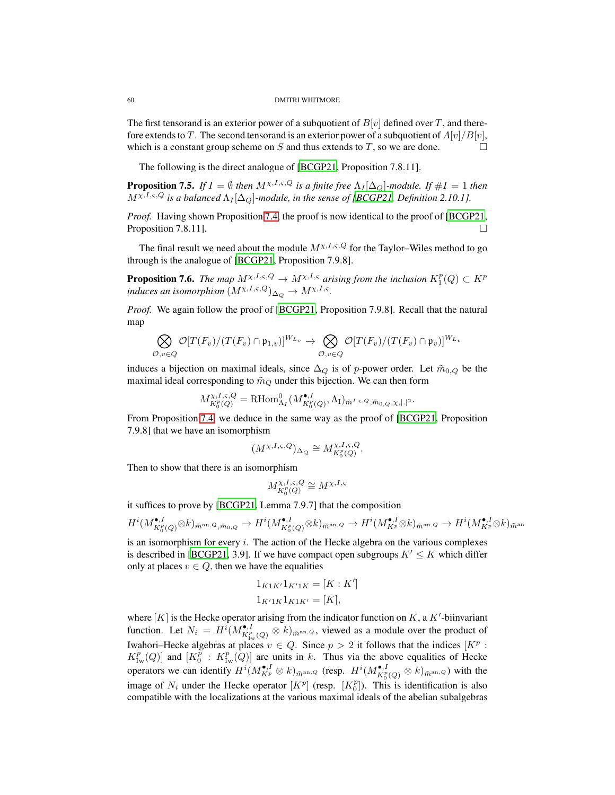The first tensorand is an exterior power of a subquotient of  $B[v]$  defined over T, and therefore extends to T. The second tensorand is an exterior power of a subquotient of  $A[v]/B[v]$ , which is a constant group scheme on S and thus extends to T, so we are done.  $\Box$ 

The following is the direct analogue of [\[BCGP21](#page-81-9), Proposition 7.8.11].

<span id="page-59-0"></span>**Proposition 7.5.** *If*  $I = \emptyset$  *then*  $M^{\chi, I, \varsigma, Q}$  *is a finite free*  $\Lambda_I[\Delta_Q]$ *-module. If*  $\#I = 1$  *then*  $M^{\chi,I,\varsigma,Q}$  is a balanced  $\Lambda_I[\Delta_O]$ -module, in the sense of [\[BCGP21,](#page-81-9) Definition 2.10.1].

*Proof.* Having shown Proposition [7.4,](#page-58-0) the proof is now identical to the proof of [\[BCGP21,](#page-81-9) Proposition 7.8.11].

The final result we need about the module  $M^{\chi,I,\varsigma,Q}$  for the Taylor–Wiles method to go through is the analogue of [\[BCGP21,](#page-81-9) Proposition 7.9.8].

<span id="page-59-1"></span>**Proposition 7.6.** *The map*  $M^{\chi,I,\varsigma,Q} \to M^{\chi,I,\varsigma}$  *arising from the inclusion*  $K_1^p(Q) \subset K^p$ *induces an isomorphism*  $(M^{\chi,I,\varsigma,Q})_{\Delta_Q} \to M^{\chi,I,\varsigma}.$ 

*Proof.* We again follow the proof of [\[BCGP21,](#page-81-9) Proposition 7.9.8]. Recall that the natural map

$$
\bigotimes_{\mathcal{O},v\in Q} \mathcal{O}[T(F_v)/(T(F_v)\cap\mathfrak{p}_{1,v})]^{W_{L_v}} \to \bigotimes_{\mathcal{O},v\in Q} \mathcal{O}[T(F_v)/(T(F_v)\cap\mathfrak{p}_v)]^{W_{L_v}}
$$

induces a bijection on maximal ideals, since  $\Delta_Q$  is of p-power order. Let  $\tilde{m}_{0,Q}$  be the maximal ideal corresponding to  $\tilde{m}_Q$  under this bijection. We can then form

$$
M_{K_0^p(Q)}^{\chi,I,\varsigma,Q} = \text{RHom}_{\Lambda_I}^0(M_{K_0^p(Q)}^{\bullet,I},\Lambda_I)_{\tilde{m}^{I,\varsigma,Q},\tilde{m}_{0,Q},\chi,|.|^2}.
$$

From Proposition [7.4,](#page-58-0) we deduce in the same way as the proof of [\[BCGP21,](#page-81-9) Proposition 7.9.8] that we have an isomorphism

$$
(M^{\chi,I,\varsigma,Q})_{\Delta_Q}\cong M_{K_0^p(Q)}^{\chi,I,\varsigma,Q}.
$$

Then to show that there is an isomorphism

$$
M_{K_0^p(Q)}^{\chi,I,\varsigma,Q} \cong M^{\chi,I,\varsigma}
$$

it suffices to prove by [\[BCGP21](#page-81-9), Lemma 7.9.7] that the composition

$$
H^i(M^{\bullet,I}_{K^p_0(Q)}\otimes k)_{\tilde{m}^{\mathrm{an},Q},\tilde{m}_{0,Q}}\rightarrow H^i(M^{\bullet,I}_{K^p_0(Q)}\otimes k)_{\tilde{m}^{\mathrm{an},Q}}\rightarrow H^i(M^{\bullet,I}_{K^p}\otimes k)_{\tilde{m}^{\mathrm{an},Q}}\rightarrow H^i(M^{\bullet,I}_{K^p}\otimes k)_{\tilde{m}^{\mathrm{an}}}
$$

is an isomorphism for every  $i$ . The action of the Hecke algebra on the various complexes is described in [\[BCGP21](#page-81-9), 3.9]. If we have compact open subgroups  $K' \leq K$  which differ only at places  $v \in Q$ , then we have the equalities

$$
1_{K1K'}1_{K'1K} = [K:K']
$$
  

$$
1_{K'1K}1_{K1K'} = [K],
$$

where  $[K]$  is the Hecke operator arising from the indicator function on  $K$ , a  $K'$ -biinvariant function. Let  $N_i = H^i(M^{\bullet, I}_{K^p_{\text{Iw}}(Q)} \otimes k)_{\tilde{m}^{\text{an}}, Q}$ , viewed as a module over the product of Iwahori–Hecke algebras at places  $v \in Q$ . Since  $p > 2$  it follows that the indices  $[K^p :$  $K_{\text{Iw}}^p(Q)$  and  $[K_0^p : K_{\text{Iw}}^p(Q)]$  are units in k. Thus via the above equalities of Hecke operators we can identify  $H^i(M^{\bullet,I}_{K^p} \otimes k)_{\tilde{m}^{\text{an}},Q}$  (resp.  $H^i(M^{\bullet,I}_{K^p_Q(Q)} \otimes k)_{\tilde{m}^{\text{an}},Q}$ ) with the image of  $N_i$  under the Hecke operator  $[K^p]$  (resp.  $[K_0^p]$ ). This is identification is also compatible with the localizations at the various maximal ideals of the abelian subalgebras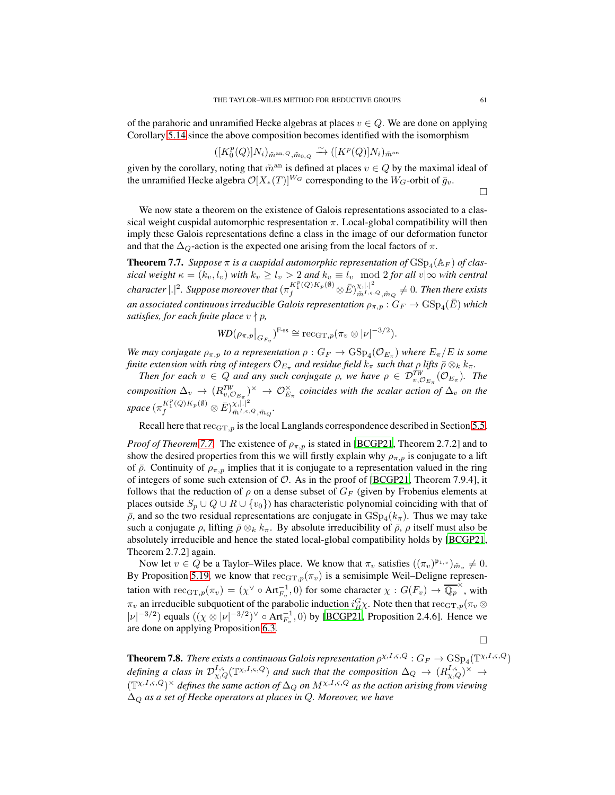of the parahoric and unramified Hecke algebras at places  $v \in Q$ . We are done on applying Corollary [5.14](#page-48-2) since the above composition becomes identified with the isomorphism

$$
([K_0^p(Q)]N_i)_{\tilde{m}^{\mathrm{an},Q},\tilde{m}_{0,Q}} \xrightarrow{\sim} ([K^p(Q)]N_i)_{\tilde{m}^{\mathrm{an}}}
$$

given by the corollary, noting that  $\tilde{m}^{\text{an}}$  is defined at places  $v \in Q$  by the maximal ideal of the unramified Hecke algebra  $\mathcal{O}[X_*(T)]^{W_G}$  corresponding to the  $W_G$ -orbit of  $\bar{g}_v$ .

 $\Box$ 

We now state a theorem on the existence of Galois representations associated to a classical weight cuspidal automorphic respresentation  $\pi$ . Local-global compatibility will then imply these Galois representations define a class in the image of our deformation functor and that the  $\Delta_{\mathcal{Q}}$ -action is the expected one arising from the local factors of  $\pi$ .

<span id="page-60-0"></span>**Theorem 7.7.** Suppose  $\pi$  is a cuspidal automorphic representation of  $\text{GSp}_4(\mathbb{A}_F)$  of clas*sical weight*  $\kappa = (k_v, l_v)$  *with*  $k_v \ge l_v > 2$  *and*  $k_v \equiv l_v \mod 2$  *for all*  $v | \infty$  *with central*  $\emph{character} \ |.|^2$ *. Suppose moreover that*  $(\pi_f^{K_1^p(Q)K_p(\emptyset)}\otimes \bar{E})_{\tilde{m}^{I,s,0}}^{\chi,|.|^2}$  $\frac{\chi, \left| \cdot \right|}{\tilde{m}^{I, \varsigma, Q}, \tilde{m}_Q} \neq 0$ . Then there exists an associated continuous irreducible Galois representation  $\rho_{\pi,p}: G_F \to \mathrm{GSp}_4(\bar{E})$  which *satisfies, for each finite place*  $v \nmid p$ ,

$$
WD(\rho_{\pi,p}|_{G_{F_v}})^{\text{F-ss}} \cong \text{rec}_{\text{GT},p}(\pi_v \otimes |\nu|^{-3/2}).
$$

We may conjugate  $\rho_{\pi,p}$  to a representation  $\rho: G_F \to \text{GSp}_4(\mathcal{O}_{E_{\pi}})$  where  $E_{\pi}/E$  is some *finite extension with ring of integers*  $\mathcal{O}_{E_{\pi}}$  *and residue field*  $k_{\pi}$  *such that*  $\rho$  *lifts*  $\bar{\rho} \otimes_k k_{\pi}$ *.* 

*Then for each*  $v \in Q$  *and any such conjugate*  $\rho$ , we have  $\rho \in \mathcal{D}_{v,\mathcal{O}_{E_{\pi}}}^{TW}(\mathcal{O}_{E_{\pi}})$ . The  $composition \Delta_v \to (R_{v,\mathcal{O}_{E_{\pi}}}^{TW})^{\times} \to \mathcal{O}_{E_{\pi}}^{\times}$  *coincides with the scalar action of*  $\Delta_v$  *on the*  $space\left(\pi_{f}^{K_{1}^{p}(Q)K_{p}(\emptyset)}\otimes\bar{E}\right)_{\tilde{m}^{I,\varsigma,\{1,2\}}}^{\chi,\left|.\right|^{2}}$  $\stackrel{\chi,|\cdot|}{\tilde{m}^{I,\varsigma,Q},\tilde{m}_Q}.$ 

Recall here that  $rec_{GT,p}$  is the local Langlands correspondence described in Section [5.5.](#page-49-1)

*Proof of Theorem* [7.7.](#page-60-0) The existence of  $\rho_{\pi,p}$  is stated in [\[BCGP21](#page-81-9), Theorem 2.7.2] and to show the desired properties from this we will firstly explain why  $\rho_{\pi,p}$  is conjugate to a lift of  $\bar{\rho}$ . Continuity of  $\rho_{\pi,p}$  implies that it is conjugate to a representation valued in the ring of integers of some such extension of  $O$ . As in the proof of [\[BCGP21](#page-81-9), Theorem 7.9.4], it follows that the reduction of  $\rho$  on a dense subset of  $G_F$  (given by Frobenius elements at places outside  $S_p \cup Q \cup R \cup \{v_0\}$  has characteristic polynomial coinciding with that of  $\bar{\rho}$ , and so the two residual representations are conjugate in  $GSp_4(k_{\pi})$ . Thus we may take such a conjugate  $\rho$ , lifting  $\bar{\rho} \otimes_k k_\pi$ . By absolute irreducibility of  $\bar{\rho}$ ,  $\rho$  itself must also be absolutely irreducible and hence the stated local-global compatibility holds by [\[BCGP21,](#page-81-9) Theorem 2.7.2] again.

Now let  $v \in Q$  be a Taylor–Wiles place. We know that  $\pi_v$  satisfies  $((\pi_v)^{\mathfrak{p}_{1,v}})_{\tilde{m}_v} \neq 0$ . By Proposition [5.19,](#page-50-0) we know that  $rec_{GT,p}(\pi_v)$  is a semisimple Weil–Deligne representation with  $\mathrm{rec}_{\mathrm{GT},p}(\pi_v) = (\chi^{\vee} \circ \mathrm{Art}_{F_v}^{-1}, 0)$  for some character  $\chi : G(F_v) \to \overline{\mathbb{Q}_p}^{\times}$ , with  $\pi_v$  an irreducible subquotient of the parabolic induction  $i_B^G \chi$ . Note then that  $\text{rec}_{\text{GT},p}(\pi_v \otimes \pi_v)$  $|\nu|^{-3/2}$ ) equals  $((\chi \otimes |\nu|^{-3/2})^{\vee} \circ \text{Art}_{F_v}^{-1}, 0)$  by [\[BCGP21,](#page-81-9) Proposition 2.4.6]. Hence we are done on applying Proposition [6.3.](#page-53-0)

 $\Box$ 

<span id="page-60-1"></span>**Theorem 7.8.** *There exists a continuous Galois representation*  $\rho^{\chi,I,\varsigma,Q}$  :  $G_F \to \text{GSp}_4(\mathbb{T}^{\chi,I,\varsigma,Q})$ defining a class in  $\mathcal{D}^{I,\varsigma}_{\chi,Q}(\mathbb{T}^{\chi,I,\varsigma,Q})$  and such that the composition  $\Delta_Q\to (R^{I,\varsigma}_{\chi,Q})^\times\to$  $(\mathbb{T}^{\chi,I,\varsigma,Q})^{\times}$  defines the same action of  $\Delta_Q$  on  $M^{\chi,I,\varsigma,Q}$  as the action arising from viewing ∆<sup>Q</sup> *as a set of Hecke operators at places in* Q*. Moreover, we have*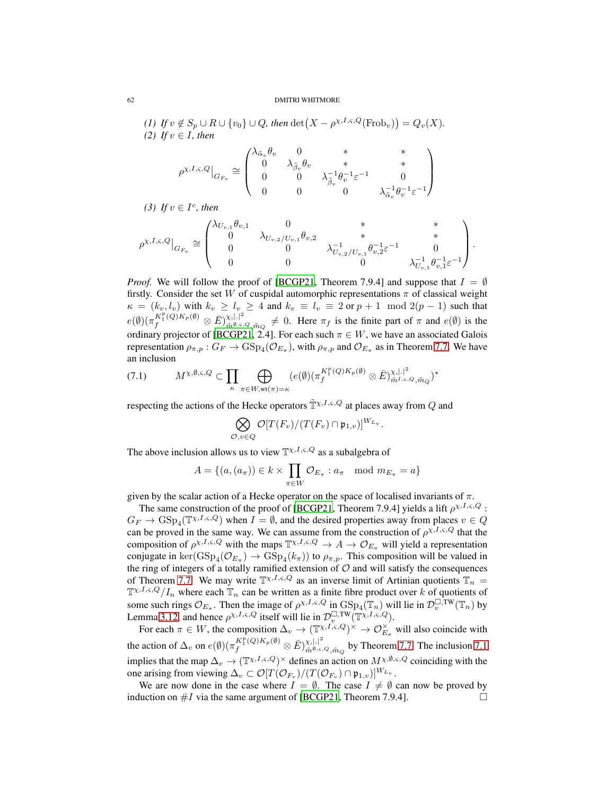*(1)* If  $v \notin S_p \cup R \cup \{v_0\} \cup Q$ , then  $\det(X - \rho^{\chi, I, \varsigma, Q}(\text{Frob}_v)) = Q_v(X)$ . *(2) If*  $v \in I$ *, then* 

$$
\rho^{\chi,I,\varsigma,Q}\big|_{G_{F_v}}\cong \begin{pmatrix} \lambda_{\tilde{\alpha}_v}\theta_v & 0 & * & *\\ 0 & \lambda_{\tilde{\beta}_v}\theta_v & * & *\\ 0 & 0 & \lambda_{\tilde{\beta}_v}^{-1}\theta_v^{-1}\varepsilon^{-1} & 0\\ 0 & 0 & 0 & \lambda_{\tilde{\alpha}_v}^{-1}\theta_v^{-1}\varepsilon^{-1}\end{pmatrix}
$$

(3) If  $v \in I^c$ , then

$$
\rho^{\chi,I,\varsigma,Q}\big|_{G_{F_v}} \cong \begin{pmatrix} \lambda_{U_{v,1}}\theta_{v,1} & 0 & * & * & * \\ 0 & \lambda_{U_{v,2}/U_{v,1}}\theta_{v,2} & * & * & * \\ 0 & 0 & \lambda_{U_{v,2}/U_{v,1}}^{-1}\theta_{v,2}^{-1}\varepsilon^{-1} & 0 \\ 0 & 0 & 0 & \lambda_{U_{v,1}}^{-1}\theta_{v,1}^{-1}\varepsilon^{-1} \end{pmatrix}.
$$

*Proof.* We will follow the proof of [\[BCGP21](#page-81-9), Theorem 7.9.4] and suppose that  $I = \emptyset$ firstly. Consider the set W of cuspidal automorphic representations  $\pi$  of classical weight  $\kappa = (k_v, l_v)$  with  $k_v \ge l_v \ge 4$  and  $k_v \equiv l_v \equiv 2$  or  $p + 1 \mod 2(p - 1)$  such that  $e(\emptyset)(\pi_{f}^{K_1^p(Q)K_p(\emptyset)}\otimes \bar{E})_{\tilde{m}^{\emptyset,s},\tau}^{\chi,|.|^2}$  $\tilde{m}^{\theta,\varsigma,Q},\tilde{m}_Q \neq 0$ . Here  $\pi_f$  is the finite part of  $\pi$  and  $e(\emptyset)$  is the ordinary projector of [\[BCGP21](#page-81-9), 2.4]. For each such  $\pi \in W$ , we have an associated Galois representation  $\rho_{\pi,p}: G_F \to \text{GSp}_4(\mathcal{O}_{E_{\pi}})$ , with  $\rho_{\pi,p}$  and  $\mathcal{O}_{E_{\pi}}$  as in Theorem [7.7.](#page-60-0) We have an inclusion

<span id="page-61-0"></span>
$$
(7.1) \qquad M^{\chi,\emptyset,\varsigma,Q} \subset \prod_{\kappa} \bigoplus_{\pi \in W, \mathrm{wt}(\pi) = \kappa} (e(\emptyset)(\pi_f^{K_1^p(Q)K_p(\emptyset)} \otimes \bar{E})_{\tilde{m}^{I,\varsigma,Q},\tilde{m}_Q}^{\chi,|\cdot|^2})^*
$$

respecting the actions of the Hecke operators  $\tilde{\mathbb{T}}^{x,I,\varsigma,Q}$  at places away from Q and

$$
\bigotimes_{\mathcal{O}, v \in Q} \mathcal{O}[T(F_v)/(T(F_v) \cap \mathfrak{p}_{1,v})]^{W_{L_v}}.
$$

The above inclusion allows us to view  $\mathbb{T}^{\chi,I,\varsigma,Q}$  as a subalgebra of

$$
A = \{(a, (a_{\pi})) \in k \times \prod_{\pi \in W} \mathcal{O}_{E_{\pi}} : a_{\pi} \mod m_{E_{\pi}} = a\}
$$

given by the scalar action of a Hecke operator on the space of localised invariants of  $\pi$ .

The same construction of the proof of [\[BCGP21](#page-81-9), Theorem 7.9.4] yields a lift  $\rho^{\chi,I,\varsigma,Q}$ :  $G_F \to \text{GSp}_4(\mathbb{T}^{\chi,I,\varsigma,Q})$  when  $I = \emptyset$ , and the desired properties away from places  $v \in Q$ can be proved in the same way. We can assume from the construction of  $\rho^{\chi,I,\varsigma,Q}$  that the composition of  $\rho^{x,I,s,Q}$  with the maps  $\mathbb{T}^{x,I,s,Q} \to A \to \mathcal{O}_{E_{\pi}}$  will yield a representation conjugate in  $\ker(\text{GSp}_4(\mathcal{O}_{E_{\pi}}) \to \text{GSp}_4(k_{\pi}))$  to  $\rho_{\pi,p}$ . This composition will be valued in the ring of integers of a totally ramified extension of  $O$  and will satisfy the consequences of Theorem [7.7.](#page-60-0) We may write  $\mathbb{T}^{\chi,I,\varsigma,Q}$  as an inverse limit of Artinian quotients  $\mathbb{T}_n =$  $\mathbb{T}^{\chi,I,\varsigma,Q}/I_n$  where each  $\mathbb{T}_n$  can be written as a finite fibre product over k of quotients of some such rings  $\mathcal{O}_{E_{\pi}}$ . Then the image of  $\rho^{\chi,I,\varsigma,Q}$  in  $\operatorname{GSp}_4(\mathbb{T}_n)$  will lie in  $\mathcal{D}_v^{\square,\mathrm{TW}}(\mathbb{T}_n)$  by Lemma [3.12,](#page-18-0) and hence  $\rho^{\chi,I,\varsigma,Q}$  itself will lie in  $\mathcal{D}^{\square,\text{TW}}_{\nu}(\mathbb{T}^{\chi,I,\varsigma,Q})$ .

For each  $\pi \in W$ , the composition  $\Delta_v \to (\mathbb{T}^{\chi, I, \varsigma, Q})^{\times} \to \mathcal{O}_{E_{\pi}}^{\times}$  will also coincide with  $E_\pi$ the action of  $\Delta_v$  on  $e(\emptyset) (\pi_f^{K_1^p(Q)K_p(\emptyset)} \otimes \bar{E})_{\tilde{m}^{\emptyset,\varsigma}}^{\chi,|\cdot|^2}$  $\tilde{m}^{\chi_1|\cdot|}$  by Theorem [7.7.](#page-60-0) The inclusion [7.1](#page-61-0) implies that the map  $\Delta_v \to (\mathbb{T}^{\chi,I,\varsigma,Q})^{\times}$  defines an action on  $M^{\chi,\emptyset,\varsigma,Q}$  coinciding with the one arising from viewing  $\Delta_v \subset \mathcal{O}[T(\mathcal{O}_{F_v})/(T(\mathcal{O}_{F_v}) \cap \mathfrak{p}_{1,v})]^{W_{L_v}}$ .

We are now done in the case where  $I = \emptyset$ . The case  $I \neq \emptyset$  can now be proved by luction on  $\#I$  via the same argument of [BCGP21, Theorem 7.9.4]. induction on  $#I$  via the same argument of [\[BCGP21,](#page-81-9) Theorem 7.9.4].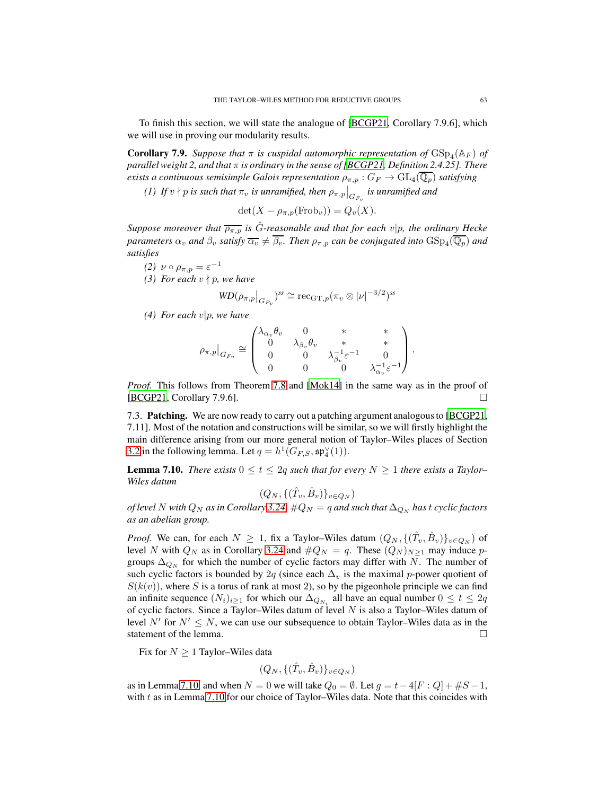To finish this section, we will state the analogue of [\[BCGP21,](#page-81-9) Corollary 7.9.6], which we will use in proving our modularity results.

<span id="page-62-1"></span>**Corollary 7.9.** Suppose that  $\pi$  is cuspidal automorphic representation of  $GSp_4(\mathbb{A}_F)$  of *parallel weight 2, and that* π *is ordinary in the sense of [\[BCGP21,](#page-81-9) Definition 2.4.25]. There exists a continuous semisimple Galois representation*  $\rho_{\pi,p}: G_F \to GL_4(\mathbb{Q}_p)$  *satisfying* 

*(1) If*  $v \nmid p$  *is such that*  $\pi_v$  *is unramified, then*  $\rho_{\pi,p}\big|_{G_{F_v}}$  *is unramified and* 

$$
\det(X - \rho_{\pi, p}(\text{Frob}_v)) = Q_v(X).
$$

*Suppose moreover that*  $\overline{\rho_{\pi,p}}$  *is G*-*reasonable and that for each v*|*p, the ordinary Hecke parameters*  $\alpha_v$  *and*  $\beta_v$  *satisfy*  $\overline{\alpha_v} \neq \beta_v$ . Then  $\rho_{\pi,p}$  can be conjugated into GSp<sub>4</sub>( $\mathbb{Q}_p$ ) *and satisfies*

- (2)  $\nu \circ \rho_{\pi,p} = \varepsilon^{-1}$
- *(3) For each* v ∤ p*, we have*

$$
\textit{WD}(\rho_{\pi,p}\big|_{G_{F_v}})^{ss}\cong \mathrm{rec}_{\mathrm{GT},p}(\pi_v\otimes |\nu|^{-3/2})^{ss}
$$

*(4) For each* v|p*, we have*

$$
\rho_{\pi,p}|_{G_{F_v}}\cong\begin{pmatrix} \lambda_{\alpha_v}\theta_v & 0 & * & *\\ 0 & \lambda_{\beta_v}\theta_v & * & *\\ 0 & 0 & \lambda_{\beta_v}^{-1}\varepsilon^{-1} & 0\\ 0 & 0 & 0 & \lambda_{\alpha_v}^{-1}\varepsilon^{-1}\end{pmatrix}.
$$

*Proof.* This follows from Theorem [7.8](#page-60-1) and [\[Mok14\]](#page-82-5) in the same way as in the proof of [\[BCGP21,](#page-81-9) Corollary 7.9.6].

7.3. Patching. We are now ready to carry out a patching argument analogous to [\[BCGP21](#page-81-9), 7.11]. Most of the notation and constructions will be similar, so we will firstly highlight the main difference arising from our more general notion of Taylor–Wiles places of Section [3.2](#page-17-0) in the following lemma. Let  $q = h^1(G_{F,S}, \mathfrak{sp}_4^{\vee}(1)).$ 

<span id="page-62-0"></span>**Lemma 7.10.** *There exists*  $0 \le t \le 2q$  *such that for every*  $N \ge 1$  *there exists a Taylor– Wiles datum*

$$
(Q_N, \{(\hat{T}_v, \hat{B}_v)\}_{v \in Q_N})
$$

*of level* N *with*  $Q_N$  *as in Corollary* [3.24,](#page-27-0)  $\#Q_N = q$  *and such that*  $\Delta_{Q_N}$  *has t cyclic factors as an abelian group.*

*Proof.* We can, for each  $N \ge 1$ , fix a Taylor–Wiles datum  $(Q_N, \{(\hat{T}_v, \hat{B}_v)\}_{v \in Q_N})$  of level N with  $Q_N$  as in Corollary [3.24](#page-27-0) and  $\#Q_N = q$ . These  $(Q_N)_{N \geq 1}$  may induce pgroups  $\Delta_{Q_N}$  for which the number of cyclic factors may differ with N. The number of such cyclic factors is bounded by 2q (since each  $\Delta_v$  is the maximal p-power quotient of  $S(k(v))$ , where S is a torus of rank at most 2), so by the pigeonhole principle we can find an infinite sequence  $(N_i)_{i\geq 1}$  for which our  $\Delta_{Q_{N_i}}$  all have an equal number  $0 \leq t \leq 2q$ of cyclic factors. Since a Taylor–Wiles datum of level  $N$  is also a Taylor–Wiles datum of level N' for  $N' \leq N$ , we can use our subsequence to obtain Taylor–Wiles data as in the statement of the lemma.

Fix for  $N \geq 1$  Taylor–Wiles data

$$
(Q_N, \{(\hat{T}_v, \hat{B}_v)\}_{v \in Q_N})
$$

as in Lemma [7.10,](#page-62-0) and when  $N = 0$  we will take  $Q_0 = \emptyset$ . Let  $q = t - 4[F: Q] + \#S - 1$ , with  $t$  as in Lemma [7.10](#page-62-0) for our choice of Taylor–Wiles data. Note that this coincides with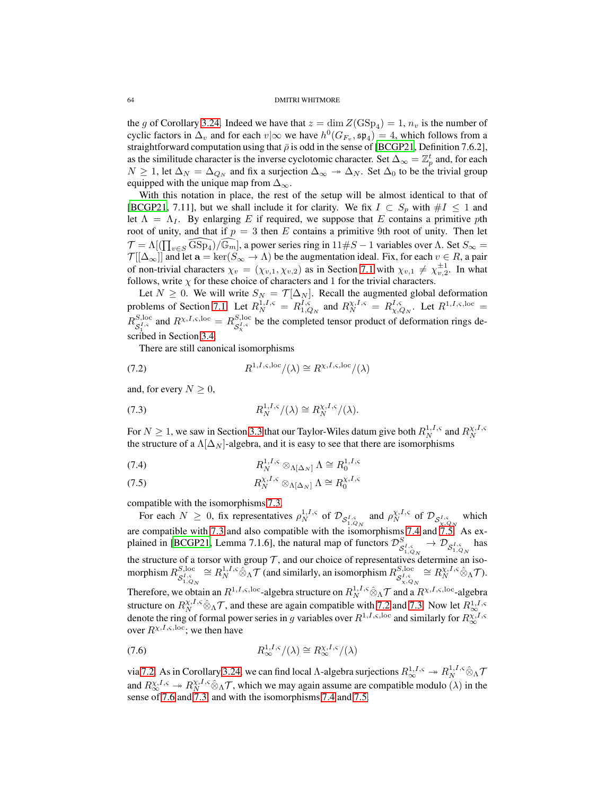the g of Corollary [3.24.](#page-27-0) Indeed we have that  $z = \dim Z(\text{GSp}_4) = 1$ ,  $n_v$  is the number of cyclic factors in  $\Delta_v$  and for each  $v \mid \infty$  we have  $h^0(G_{F_v}, \mathfrak{sp}_4) = 4$ , which follows from a straightforward computation using that  $\bar{\rho}$  is odd in the sense of [\[BCGP21,](#page-81-9) Definition 7.6.2], as the similitude character is the inverse cyclotomic character. Set  $\Delta_{\infty} = \mathbb{Z}_p^t$  and, for each  $N \ge 1$ , let  $\Delta_N = \Delta_{Q_N}$  and fix a surjection  $\Delta_\infty \to \Delta_N$ . Set  $\Delta_0$  to be the trivial group equipped with the unique map from  $\Delta_{\infty}$ .

With this notation in place, the rest of the setup will be almost identical to that of [\[BCGP21,](#page-81-9) 7.11], but we shall include it for clarity. We fix  $I \subset S_p$  with  $\#I \leq 1$  and let  $\Lambda = \Lambda_I$ . By enlarging E if required, we suppose that E contains a primitive pth root of unity, and that if  $p = 3$  then E contains a primitive 9th root of unity. Then let  $\mathcal{T} = \Lambda[(\prod_{v \in S} \widehat{\text{GSp}_4})/\widehat{\mathbb{G}_m}]$ , a power series ring in  $11 \# S - 1$  variables over  $\Lambda$ . Set  $S_{\infty} =$  $\mathcal{T}[[\Delta_{\infty}]]$  and let  $\mathbf{a} = \ker(S_{\infty} \to \Lambda)$  be the augmentation ideal. Fix, for each  $v \in R$ , a pair of non-trivial characters  $\chi_v = (\chi_{v,1}, \chi_{v,2})$  as in Section [7.1](#page-54-0) with  $\chi_{v,1} \neq \chi_{v,2}^{\pm 1}$ . In what follows, write  $\chi$  for these choice of characters and 1 for the trivial characters.

Let  $N \geq 0$ . We will write  $S_N = \mathcal{T}[\Delta_N]$ . Recall the augmented global deformation problems of Section [7.1.](#page-54-0) Let  $R_N^{1,I,\varsigma} = R_{1,Q_N}^{I,\varsigma}$  and  $R_N^{\chi,I,\varsigma} = R_{\chi,Q_N}^{I,\varsigma}$ . Let  $R^{1,I,\varsigma,\text{loc}} =$  $R_{\sigma I,\varsigma}^{S,\text{loc}}$  $S_1^{\text{I},\text{c}}$  and  $R^{\chi,I,\varsigma,\text{loc}} = R_{\mathcal{S}_{\chi}^{I,\varsigma}}^{S,\text{loc}}$  $S_{\mathcal{S}_{\mathcal{X}}^{J,\varsigma}}^{S,\text{loc}}$  be the completed tensor product of deformation rings described in Section [3.4.](#page-25-0)

<span id="page-63-3"></span>There are still canonical isomorphisms

(7.2) 
$$
R^{1,I,\varsigma,\mathrm{loc}}/(\lambda) \cong R^{\chi,I,\varsigma,\mathrm{loc}}/(\lambda)
$$

and, for every  $N \geq 0$ ,

<span id="page-63-0"></span>(7.3) 
$$
R_N^{1,I,\varsigma}/(\lambda) \cong R_N^{\chi,I,\varsigma}/(\lambda).
$$

For  $N \ge 1$ , we saw in Section [3.3](#page-23-0) that our Taylor-Wiles datum give both  $R_N^{1,I,\varsigma}$  and  $R_N^{\chi,I,\varsigma}$ the structure of a  $\Lambda[\Delta_N]$ -algebra, and it is easy to see that there are isomorphisms

<span id="page-63-1"></span>
$$
(7.4) \t\t R_N^{1,I,\varsigma} \otimes_{\Lambda[\Delta_N]} \Lambda \cong R_0^{1,I,\varsigma}
$$

<span id="page-63-2"></span>
$$
(7.5) \t\t R_N^{\chi, I, \varsigma} \otimes_{\Lambda[\Delta_N]} \Lambda \cong R_0^{\chi, I, \varsigma}
$$

compatible with the isomorphisms [7.3.](#page-63-0)

For each  $N \ge 0$ , fix representatives  $\rho_N^{1,I,\varsigma}$  of  $\mathcal{D}_{\mathcal{S}_{1,\varsigma_{N}}^{I,\varsigma}}$  and  $\rho_N^{\chi,I,\varsigma}$  of  $\mathcal{D}_{\mathcal{S}_{\chi,\varsigma_{N}}^{I,\varsigma}}$  which are compatible with [7.3](#page-63-0) and also compatible with the isomorphisms [7.4](#page-63-1) and [7.5.](#page-63-2) As ex-plained in [\[BCGP21](#page-81-9), Lemma 7.1.6], the natural map of functors  $\mathcal{D}^{S}_{\mathcal{S}^{I,\varsigma}_{1,Q_N}} \to \mathcal{D}_{\mathcal{S}^{I,\varsigma}_{1,Q_N}}$  has the structure of a torsor with group T, and our choice of representatives determine an isomorphism  $R_{\mathcal{S}^{I,\mathrm{c}}_{I,\varsigma}}^{S,\mathrm{loc}}$  $S_{1,\varsigma_N}^{S,\text{loc}} \cong R_N^{1,I,\varsigma} \hat{\otimes}_{\Lambda} \mathcal{T}$  (and similarly, an isomorphism  $R_{\mathcal{S}_{\chi,\varsigma_N}^{I,\varsigma}}^{S,\text{loc}}$  $S^{S,\mathrm{loc}}_{S^{I,\varsigma}_{\chi,Q_N}} \cong R_N^{\chi,I,\varsigma} \hat{\otimes}_{\Lambda} \mathcal{T}.$ Therefore, we obtain an  $R^{1,I,\varsigma,\text{loc}}$ -algebra structure on  $R^{1,I,\varsigma}_N \hat{\otimes}_\Lambda \mathcal{T}$  and a  $R^{\chi,I,\varsigma,\text{loc}}$ -algebra structure on  $R_N^{\chi,I,\varsigma} \hat{\otimes}_{\Lambda} \mathcal{T}$ , and these are again compatible with [7.2](#page-63-3) and [7.3.](#page-63-0) Now let  $R_{\infty}^{1,I,\varsigma}$ , denote the ring of formal power series in g variables over  $R^{1,I,\varsigma,\mathrm{loc}}$  and similarly for  $R_{\infty}^{\chi,I,\varsigma$ over  $R^{\chi,I,\varsigma,\text{loc}}$ ; we then have

<span id="page-63-4"></span>
$$
(7.6) \t\t R_{\infty}^{1,I,\varsigma}/(\lambda) \cong R_{\infty}^{\chi,I,\varsigma}/(\lambda)
$$

via [7.2.](#page-63-3) As in Corollary [3.24,](#page-27-0) we can find local Λ-algebra surjections  $R^{1,I,\varsigma}_{\infty} \to R^{1,I,\varsigma}_{N} \hat{\otimes}_{\Lambda} \mathcal{T}$ and  $R_{\infty}^{\chi,I,\varsigma} \to R_N^{\chi,I,\varsigma} \hat{\otimes}_{\Lambda} \mathcal{T}$ , which we may again assume are compatible modulo  $(\lambda)$  in the sense of [7.6](#page-63-4) and [7.3,](#page-63-0) and with the isomorphisms [7.4](#page-63-1) and [7.5.](#page-63-2)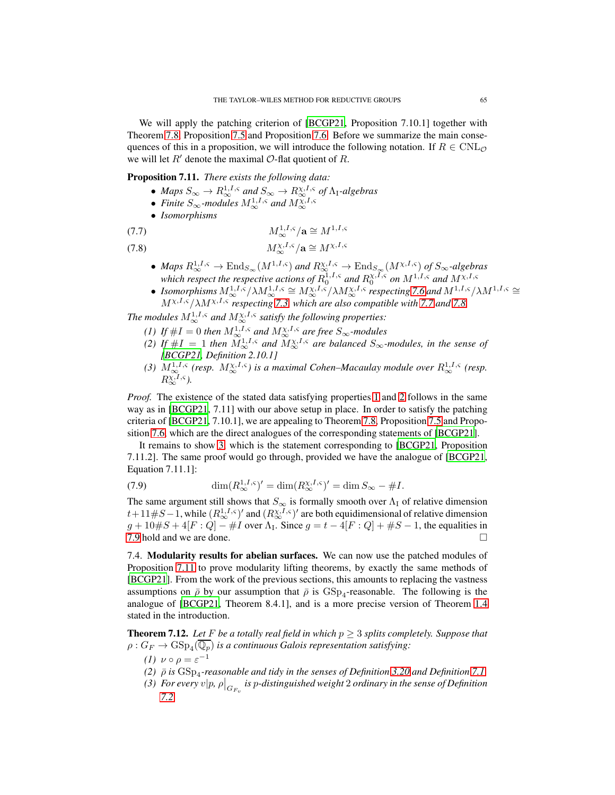We will apply the patching criterion of [\[BCGP21](#page-81-9), Proposition 7.10.1] together with Theorem [7.8,](#page-60-1) Proposition [7.5](#page-59-0) and Proposition [7.6.](#page-59-1) Before we summarize the main consequences of this in a proposition, we will introduce the following notation. If  $R \in \text{CNL}_{\mathcal{O}}$ we will let  $R'$  denote the maximal  $\mathcal{O}$ -flat quotient of R.

<span id="page-64-6"></span>Proposition 7.11. *There exists the following data:*

- Maps  $S_{\infty} \to R_{\infty}^{1,I,s}$  and  $S_{\infty} \to R_{\infty}^{\chi,I,s}$  of  $\Lambda_{\rm I}$ -algebras
- *Finite*  $S_{\infty}$ -modules  $M_{\infty}^{1, I, \varsigma}$  and  $M_{\infty}^{\chi, I, \varsigma}$
- *Isomorphisms*

<span id="page-64-0"></span>
$$
(7.7) \t\t\t M_{\infty}^{1,I,\varsigma}/\mathbf{a} \cong M^{1,I,\varsigma}
$$

<span id="page-64-1"></span>
$$
(7.8) \t\t\t M_{\infty}^{\chi, I, \varsigma}/\mathbf{a} \cong M^{\chi, I, \varsigma}
$$

- *Maps*  $R_\infty^{1,I,\varsigma} \to \text{End}_{S_\infty}(M^{1,I,\varsigma})$  and  $R_{\infty}^{\chi,I,\varsigma} \to \text{End}_{S_\infty}(M^{\chi,I,\varsigma})$  of  $S_\infty$ -algebras *which respect the respective actions of*  $R_0^{1, I, \varsigma}$  and  $R_0^{\chi, I, \varsigma}$  *on*  $M^{1, I, \varsigma}$  and  $M^{\chi, I, \varsigma}$
- *Isomorphisms*  $M_{\infty}^{1,I,s}/\lambda M_{\infty}^{1,I,s} \cong M_{\infty}^{\chi,I,s}/\lambda M_{\infty}^{\chi,I,s}$  respecting [7.6](#page-63-4) and  $M^{1,I,s}/\lambda M^{1,I,s} \cong$ Mχ,I,ς/λMχ,I,ς *respecting [7.3,](#page-63-0) which are also compatible with [7.7](#page-64-0) and [7.8.](#page-64-1)*

<span id="page-64-3"></span><span id="page-64-2"></span>The modules  $M^{1,I,s}_{\infty}$  and  $M^{X,I,s}_{\infty}$  satisfy the following properties:

- *(1)* If  $\#I = 0$  then  $M^{1,I,s}_{\infty}$  and  $M^{X,I,s}_{\infty}$  are free  $S_{\infty}$ -modules
- (2) If  $\#I = 1$  then  $M_\infty^{1,I,s}$  and  $M_\infty^{\chi,I,s}$  are balanced  $S_\infty$ -modules, in the sense of *[\[BCGP21](#page-81-9), Definition 2.10.1]*
- <span id="page-64-4"></span>(3)  $M^{1,I,\varsigma}_{\infty}$  (resp.  $M^{X,I,\varsigma}_{\infty}$ ) is a maximal Cohen–Macaulay module over  $R^{1,I,\varsigma}_{\infty}$  (resp.  $R_\infty^{\chi,I,\varsigma}$ ).

*Proof.* The existence of the stated data satisfying properties [1](#page-64-2) and [2](#page-64-3) follows in the same way as in [\[BCGP21](#page-81-9), 7.11] with our above setup in place. In order to satisfy the patching criteria of [\[BCGP21,](#page-81-9) 7.10.1], we are appealing to Theorem [7.8,](#page-60-1) Proposition [7.5](#page-59-0) and Proposition [7.6,](#page-59-1) which are the direct analogues of the corresponding statements of [\[BCGP21\]](#page-81-9).

It remains to show [3,](#page-64-4) which is the statement corresponding to [\[BCGP21,](#page-81-9) Proposition 7.11.2]. The same proof would go through, provided we have the analogue of [\[BCGP21,](#page-81-9) Equation 7.11.1]:

<span id="page-64-5"></span>(7.9) 
$$
\dim(R^{1,I,\varsigma}_{\infty})' = \dim(R^{X,I,\varsigma}_{\infty})' = \dim S_{\infty} - \#I.
$$

The same argument still shows that  $S_{\infty}$  is formally smooth over  $\Lambda_I$  of relative dimension  $t+11\#S-1$ , while  $(R^{1,I,\varsigma}_{\infty})'$  and  $(R^{X,I,\varsigma}_{\infty})'$  are both equidimensional of relative dimension  $g + 10 \#S + 4[F: Q] - \#I$  over  $\Lambda_I$ . Since  $g = t - 4[F: Q] + \#S - 1$ , the equalities in [7.9](#page-64-5) hold and we are done.

<span id="page-64-8"></span>7.4. Modularity results for abelian surfaces. We can now use the patched modules of Proposition [7.11](#page-64-6) to prove modularity lifting theorems, by exactly the same methods of [\[BCGP21\]](#page-81-9). From the work of the previous sections, this amounts to replacing the vastness assumptions on  $\bar{\rho}$  by our assumption that  $\bar{\rho}$  is  $GSp_4$ -reasonable. The following is the analogue of [\[BCGP21,](#page-81-9) Theorem 8.4.1], and is a more precise version of Theorem [1.4](#page-3-0) stated in the introduction.

<span id="page-64-7"></span>**Theorem 7.12.** Let F be a totally real field in which  $p \geq 3$  splits completely. Suppose that  $\rho: G_F \to \mathrm{GSp}_4(\mathbb{Q}_p)$  is a continuous Galois representation satisfying:

- *(1)*  $\nu \circ \rho = \varepsilon^{-1}$
- *(2)*  $\bar{\rho}$  *is*  $GSp_4$ -reasonable and tidy in the senses of Definition [3.20](#page-22-0) and Definition [7.1](#page-55-0)
- (3) For every  $v|p$ ,  $\rho\big|_{G_{F_v}}$  is  $p$ -distinguished weight  $2$  ordinary in the sense of Definition *[7.2](#page-55-1)*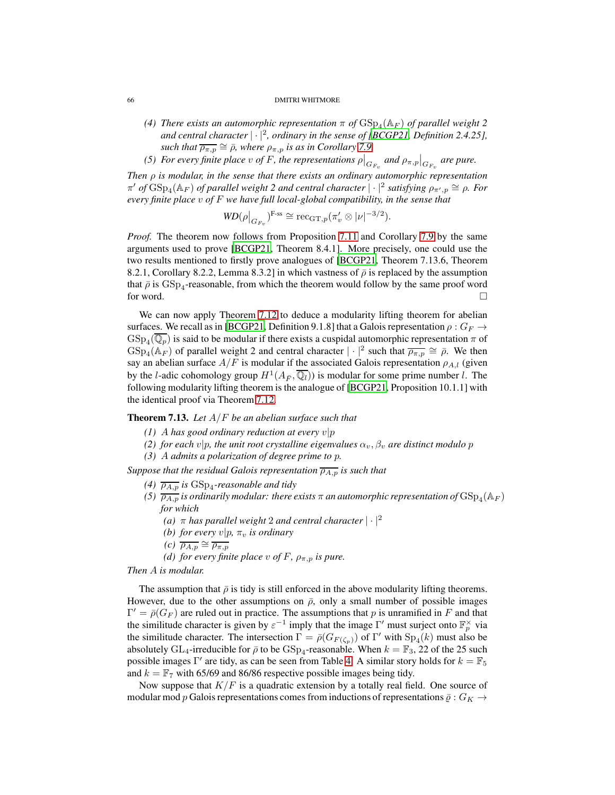- (4) There exists an automorphic representation  $\pi$  of  $\mathrm{GSp}_4(\mathbb{A}_F)$  of parallel weight 2 *and central character* | · |<sup>2</sup> *, ordinary in the sense of [\[BCGP21,](#page-81-9) Definition 2.4.25], such that*  $\overline{\rho_{\pi,p}} \cong \overline{\rho}$ *, where*  $\rho_{\pi,p}$  *is as in Corollary* [7.9.](#page-62-1)
- *(5) For every finite place v of F, the representations*  $\rho|_{G_{F_v}}$  and  $\rho_{\pi,p}|_{G_{F_v}}$  are pure.

*Then* ρ *is modular, in the sense that there exists an ordinary automorphic representation*  $\pi'$  *of*  $GSp_4(\mathbb{A}_F)$  *of parallel weight 2 and central character*  $|\cdot|^2$  *satisfying*  $ρ_{\pi',p} \cong ρ$ *. For every finite place* v *of* F *we have full local-global compatibility, in the sense that*

$$
WD(\rho|_{G_{F_v}})^{\text{F-ss}} \cong \text{rec}_{\text{GT},p}(\pi'_v \otimes |\nu|^{-3/2}).
$$

*Proof.* The theorem now follows from Proposition [7.11](#page-64-6) and Corollary [7.9](#page-62-1) by the same arguments used to prove [\[BCGP21,](#page-81-9) Theorem 8.4.1]. More precisely, one could use the two results mentioned to firstly prove analogues of [\[BCGP21](#page-81-9), Theorem 7.13.6, Theorem 8.2.1, Corollary 8.2.2, Lemma 8.3.2] in which vastness of  $\bar{\rho}$  is replaced by the assumption that  $\bar{\rho}$  is  $GSp_4$ -reasonable, from which the theorem would follow by the same proof word for word.  $\square$ 

We can now apply Theorem [7.12](#page-64-7) to deduce a modularity lifting theorem for abelian surfaces. We recall as in [\[BCGP21,](#page-81-9) Definition 9.1.8] that a Galois representation  $\rho: G_F \to$  $GSp_4(\mathbb{Q}_p)$  is said to be modular if there exists a cuspidal automorphic representation  $\pi$  of  $GSp_4(\mathbb{A}_F)$  of parallel weight 2 and central character  $|\cdot|^2$  such that  $\overline{\rho_{\pi,p}} \cong \overline{\rho}$ . We then say an abelian surface  $A/F$  is modular if the associated Galois representation  $\rho_{A,l}$  (given by the *l*-adic cohomology group  $H^1(A_{\bar{F}}, \overline{\mathbb{Q}_l})$  is modular for some prime number *l*. The following modularity lifting theorem is the analogue of [\[BCGP21,](#page-81-9) Proposition 10.1.1] with the identical proof via Theorem [7.12.](#page-64-7)

<span id="page-65-0"></span>Theorem 7.13. *Let* A/F *be an abelian surface such that*

- *(1)* A has good ordinary reduction at every  $v|p$
- *(2) for each*  $v|p$ *, the unit root crystalline eigenvalues*  $\alpha_v$ *,*  $\beta_v$  *are distinct modulo* p
- *(3)* A *admits a polarization of degree prime to* p*.*

*Suppose that the residual Galois representation*  $\overline{\rho_{A,p}}$  *is such that* 

- *(4)*  $\overline{\rho_{A,p}}$  *is* GSp<sub>4</sub>-reasonable and tidy
- (5)  $\overline{\rho_{A,p}}$  is ordinarily modular: there exists  $\pi$  an automorphic representation of  $\mathrm{GSp}_4(\mathbb{A}_F)$ *for which*
	- *(a)* <sup>π</sup> *has parallel weight* <sup>2</sup> *and central character* | · |<sup>2</sup>
	- *(b) for every*  $v|p, \pi_v$  *is ordinary*
	- *(c)*  $\overline{\rho_{A,p}} \cong \overline{\rho_{\pi,p}}$
	- *(d) for every finite place*  $v$  *of*  $F$ *,*  $\rho_{\pi, p}$  *is pure.*

*Then* A *is modular.*

The assumption that  $\bar{\rho}$  is tidy is still enforced in the above modularity lifting theorems. However, due to the other assumptions on  $\bar{\rho}$ , only a small number of possible images  $\Gamma' = \bar{\rho}(G_F)$  are ruled out in practice. The assumptions that p is unramified in F and that the similitude character is given by  $\varepsilon^{-1}$  imply that the image  $\Gamma'$  must surject onto  $\mathbb{F}_p^{\times}$  via the similitude character. The intersection  $\Gamma = \bar{\rho}(G_{F(\zeta_p)})$  of  $\Gamma'$  with  $Sp_4(k)$  must also be absolutely  $GL_4$ -irreducible for  $\bar{\rho}$  to be  $GSp_4$ -reasonable. When  $k = \mathbb{F}_3$ , 22 of the 25 such possible images Γ' are tidy, as can be seen from Table [4.](#page-80-0) A similar story holds for  $k = \mathbb{F}_5$ and  $k = \mathbb{F}_7$  with 65/69 and 86/86 respective possible images being tidy.

Now suppose that  $K/F$  is a quadratic extension by a totally real field. One source of modular mod p Galois representations comes from inductions of representations  $\bar{\varrho}: G_K \to$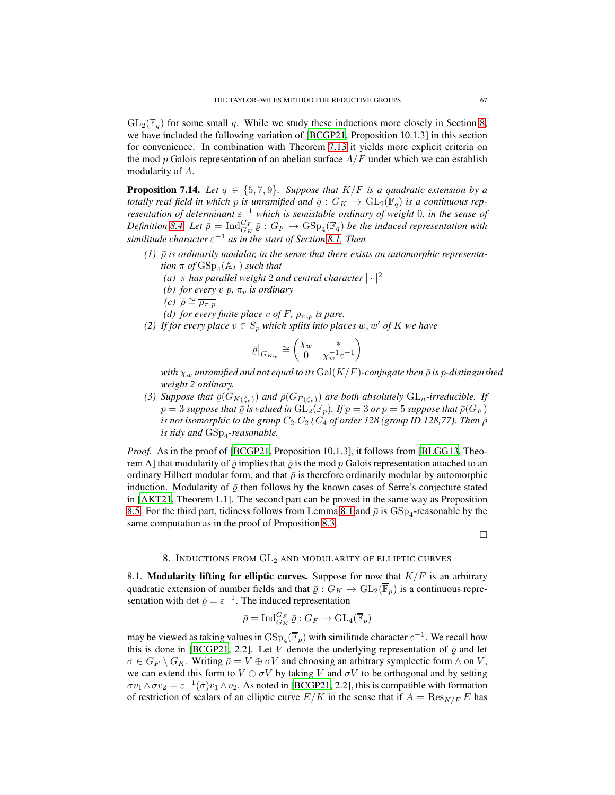$GL_2(\mathbb{F}_q)$  for some small q. While we study these inductions more closely in Section [8,](#page-66-0) we have included the following variation of [\[BCGP21](#page-81-9), Proposition 10.1.3] in this section for convenience. In combination with Theorem [7.13](#page-65-0) it yields more explicit criteria on the mod p Galois representation of an abelian surface  $A/F$  under which we can establish modularity of A.

**Proposition 7.14.** *Let*  $q \in \{5, 7, 9\}$ *. Suppose that*  $K/F$  *is a quadratic extension by a totally real field in which p is unramified and*  $\bar{\varrho}: G_K \to GL_2(\mathbb{F}_q)$  *is a continuous representation of determinant* ε<sup>-1</sup> *which is semistable ordinary of weight* 0*, in the sense of* Definition [8.4.](#page-69-0) Let  $\bar{\rho} = \text{Ind}_{G_K}^{G_F} \bar{\varrho} : G_F \to \text{GSp}_4(\mathbb{F}_q)$  be the induced representation with *similitude character* ε <sup>−</sup><sup>1</sup> *as in the start of Section [8.1.](#page-66-1) Then*

- $(1)$   $\bar{\rho}$  *is ordinarily modular, in the sense that there exists an automorphic representa-* $\it{tion\,\,\pi\,\,of}\,\mathrm{GSp}_4(\mathbb{A}_F)\; such\; that$ 
	- *(a)*  $\pi$  *has parallel weight* 2 *and central character*  $|\cdot|^2$
	- *(b) for every*  $v|p, \pi_v$  *is ordinary*
	- *(c)*  $\bar{\rho} \cong \overline{\rho_{\pi,p}}$
	- *(d) for every finite place* v of F,  $\rho_{\pi, p}$  *is pure.*
- *(2) If for every place*  $v \in S_p$  *which splits into places*  $w, w'$  *of*  $K$  *we have*

$$
\bar{\varrho}\big|_{G_{K_w}} \cong \begin{pmatrix} \chi_w & * \\ 0 & \chi_w^{-1}\varepsilon^{-1} \end{pmatrix}
$$

*with*  $\chi_w$  *unramified and not equal to its* Gal( $K/F$ )-conjugate then  $\bar{\rho}$  is p-distinguished *weight 2 ordinary.*

*(3) Suppose that*  $\bar{\varrho}(G_{K(\zeta_p)})$  *and*  $\bar{\varrho}(G_{F(\zeta_p)})$  *are both absolutely*  $GL_n$ *-irreducible. If*  $p = 3$  *suppose that*  $\overline{\rho}$  *is valued in*  $GL_2(\mathbb{F}_p)$ *. If*  $p = 3$  *or*  $p = 5$  *suppose that*  $\overline{\rho}(G_F)$ *is not isomorphic to the group*  $C_2$ . $C_2$   $\wr$   $C_4$  *of order 128 (group ID 128,77). Then*  $\bar{\rho}$ *is tidy and* GSp<sup>4</sup> *-reasonable.*

*Proof.* As in the proof of [\[BCGP21](#page-81-9), Proposition 10.1.3], it follows from [\[BLGG13,](#page-81-10) Theorem A] that modularity of  $\bar{\rho}$  implies that  $\bar{\rho}$  is the mod p Galois representation attached to an ordinary Hilbert modular form, and that  $\bar{\rho}$  is therefore ordinarily modular by automorphic induction. Modularity of  $\bar{\rho}$  then follows by the known cases of Serre's conjecture stated in [\[AKT21,](#page-80-1) Theorem 1.1]. The second part can be proved in the same way as Proposition [8.5.](#page-69-1) For the third part, tidiness follows from Lemma [8.1](#page-67-0) and  $\bar{\rho}$  is  $\text{GSp}_4$ -reasonable by the same computation as in the proof of Proposition [8.3.](#page-68-0)

 $\Box$ 

# 8. INDUCTIONS FROM  $GL_2$  AND MODULARITY OF ELLIPTIC CURVES

<span id="page-66-1"></span><span id="page-66-0"></span>8.1. Modularity lifting for elliptic curves. Suppose for now that  $K/F$  is an arbitrary quadratic extension of number fields and that  $\bar{\varrho}: G_K \to GL_2(\overline{\mathbb{F}}_p)$  is a continuous representation with det  $\bar{\varrho} = \varepsilon^{-1}$ . The induced representation

$$
\bar{\rho} = \operatorname{Ind}_{G_K}^{G_F} \bar{\varrho} : G_F \to \operatorname{GL}_4(\overline{\mathbb{F}}_p)
$$

may be viewed as taking values in  $\mathrm{GSp}_4(\overline{\mathbb{F}}_p)$  with similitude character  $\varepsilon^{-1}$ . We recall how this is done in [\[BCGP21,](#page-81-9) 2.2]. Let V denote the underlying representation of  $\bar{\varrho}$  and let  $\sigma \in G_F \setminus G_K$ . Writing  $\bar{\rho} = V \oplus \sigma V$  and choosing an arbitrary symplectic form  $\wedge$  on  $V$ , we can extend this form to  $V \oplus \sigma V$  by taking V and  $\sigma V$  to be orthogonal and by setting  $\sigma v_1 \wedge \sigma v_2 = \varepsilon^{-1}(\sigma) v_1 \wedge v_2$ . As noted in [\[BCGP21,](#page-81-9) 2.2], this is compatible with formation of restriction of scalars of an elliptic curve  $E/K$  in the sense that if  $A = \text{Res}_{K/F} E$  has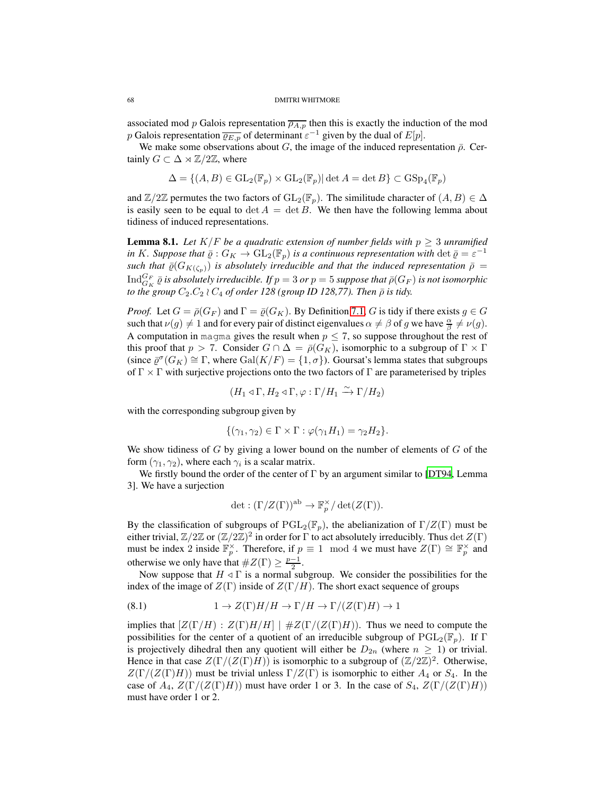associated mod p Galois representation  $\overline{\rho_{A,p}}$  then this is exactly the induction of the mod p Galois representation  $\overline{\varrho_{E,p}}$  of determinant  $\varepsilon^{-1}$  given by the dual of  $E[p]$ .

We make some observations about G, the image of the induced representation  $\bar{\rho}$ . Certainly  $G \subset \Delta \rtimes \mathbb{Z}/2\mathbb{Z}$ , where

$$
\Delta = \{(A, B) \in \mathrm{GL}_2(\mathbb{F}_p) \times \mathrm{GL}_2(\mathbb{F}_p) | \det A = \det B\} \subset \mathrm{GSp}_4(\mathbb{F}_p)
$$

and  $\mathbb{Z}/2\mathbb{Z}$  permutes the two factors of  $GL_2(\mathbb{F}_p)$ . The similitude character of  $(A, B) \in \Delta$ is easily seen to be equal to det  $A = \det B$ . We then have the following lemma about tidiness of induced representations.

<span id="page-67-0"></span>**Lemma 8.1.** Let  $K/F$  be a quadratic extension of number fields with  $p \geq 3$  unramified *in* K*.* Suppose that  $\bar{\varrho}: G_K \to GL_2(\mathbb{F}_p)$  *is a continuous representation with* det  $\bar{\varrho} = \varepsilon^{-1}$ *such that*  $\bar{\varrho}(G_{K(\zeta_p)})$  *is absolutely irreducible and that the induced representation*  $\bar{\rho}$  =  ${\rm Ind}_{G_K}^{G_F}$   $\bar \varrho$  *is absolutely irreducible. If*  $p=3$  *or*  $p=5$  *suppose that*  $\bar \rho (G_F)$  *is not isomorphic to the group*  $C_2$ . $C_2 \wr C_4$  *of order 128 (group ID 128,77). Then*  $\bar{\rho}$  *is tidy.* 

*Proof.* Let  $G = \overline{\rho}(G_F)$  and  $\Gamma = \overline{\rho}(G_K)$ . By Definition [7.1,](#page-55-0) G is tidy if there exists  $g \in G$ such that  $\nu(g) \neq 1$  and for every pair of distinct eigenvalues  $\alpha \neq \beta$  of g we have  $\frac{\alpha}{\beta} \neq \nu(g)$ . A computation in magma gives the result when  $p \leq 7$ , so suppose throughout the rest of this proof that  $p > 7$ . Consider  $G \cap \Delta = \overline{\rho}(G_K)$ , isomorphic to a subgroup of  $\Gamma \times \Gamma$ (since  $\bar{\varrho}^{\sigma}(G_K) \cong \Gamma$ , where  $Gal(K/F) = \{1, \sigma\})$ . Goursat's lemma states that subgroups of  $\Gamma \times \Gamma$  with surjective projections onto the two factors of  $\Gamma$  are parameterised by triples

$$
(H_1 \triangleleft \Gamma, H_2 \triangleleft \Gamma, \varphi : \Gamma/H_1 \xrightarrow{\sim} \Gamma/H_2)
$$

with the corresponding subgroup given by

$$
\{(\gamma_1, \gamma_2) \in \Gamma \times \Gamma : \varphi(\gamma_1 H_1) = \gamma_2 H_2\}.
$$

We show tidiness of  $G$  by giving a lower bound on the number of elements of  $G$  of the form  $(\gamma_1, \gamma_2)$ , where each  $\gamma_i$  is a scalar matrix.

We firstly bound the order of the center of  $\Gamma$  by an argument similar to [\[DT94,](#page-82-6) Lemma 3]. We have a surjection

$$
\det : (\Gamma/Z(\Gamma))^{\rm ab} \to \mathbb{F}_p^{\times}/\det(Z(\Gamma)).
$$

By the classification of subgroups of  $PGL_2(\mathbb{F}_p)$ , the abelianization of  $\Gamma/Z(\Gamma)$  must be either trivial,  $\mathbb{Z}/2\mathbb{Z}$  or  $(\mathbb{Z}/2\mathbb{Z})^2$  in order for  $\Gamma$  to act absolutely irreducibly. Thus  $\det Z(\Gamma)$ must be index 2 inside  $\mathbb{F}_p^{\times}$ . Therefore, if  $p \equiv 1 \mod 4$  we must have  $Z(\Gamma) \cong \mathbb{F}_p^{\times}$  and otherwise we only have that  $#Z(\Gamma) \geq \frac{p-1}{2}$ .

Now suppose that  $H \triangleleft \Gamma$  is a normal subgroup. We consider the possibilities for the index of the image of  $Z(\Gamma)$  inside of  $Z(\Gamma/H)$ . The short exact sequence of groups

<span id="page-67-1"></span>(8.1) 
$$
1 \to Z(\Gamma)H/H \to \Gamma/H \to \Gamma/(Z(\Gamma)H) \to 1
$$

implies that  $Z(\Gamma/H)$  :  $Z(\Gamma)H/H$  |  $\#Z(\Gamma/(Z(\Gamma)H))$ . Thus we need to compute the possibilities for the center of a quotient of an irreducible subgroup of  $PGL_2(\mathbb{F}_p)$ . If  $\Gamma$ is projectively dihedral then any quotient will either be  $D_{2n}$  (where  $n \geq 1$ ) or trivial. Hence in that case  $Z(\Gamma/(Z(\Gamma)H))$  is isomorphic to a subgroup of  $(\mathbb{Z}/2\mathbb{Z})^2$ . Otherwise,  $Z(\Gamma/(Z(\Gamma)H))$  must be trivial unless  $\Gamma/Z(\Gamma)$  is isomorphic to either  $A_4$  or  $S_4$ . In the case of  $A_4$ ,  $Z(\Gamma/(Z(\Gamma)H))$  must have order 1 or 3. In the case of  $S_4$ ,  $Z(\Gamma/(Z(\Gamma)H))$ must have order 1 or 2.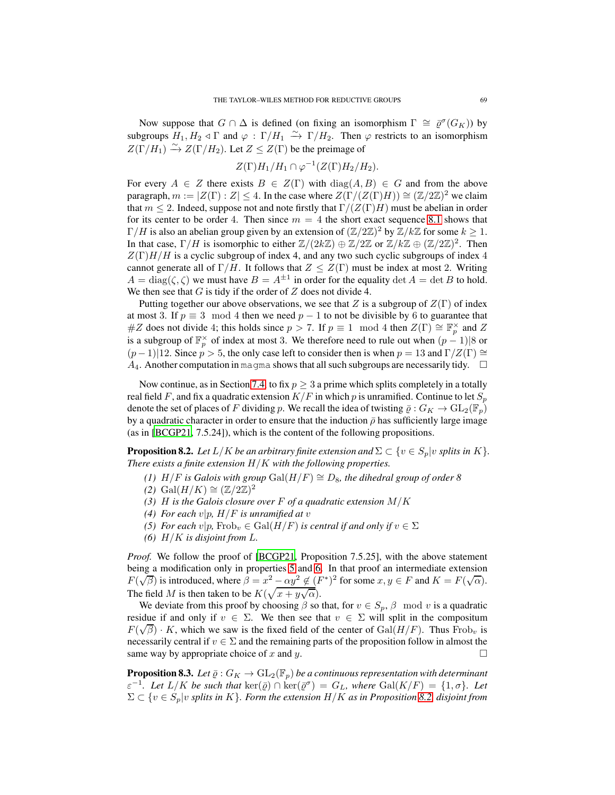Now suppose that  $G \cap \Delta$  is defined (on fixing an isomorphism  $\Gamma \cong \overline{\varrho}^{\sigma}(G_K)$ ) by subgroups  $H_1, H_2 \triangleleft \Gamma$  and  $\varphi : \Gamma/H_1 \stackrel{\sim}{\to} \Gamma/H_2$ . Then  $\varphi$  restricts to an isomorphism  $Z(\Gamma/H_1) \xrightarrow{\sim} Z(\Gamma/H_2)$ . Let  $Z \leq Z(\Gamma)$  be the preimage of

$$
Z(\Gamma)H_1/H_1 \cap \varphi^{-1}(Z(\Gamma)H_2/H_2).
$$

For every  $A \in Z$  there exists  $B \in Z(\Gamma)$  with  $diag(A, B) \in G$  and from the above paragraph,  $m := |Z(\Gamma) : Z| \le 4$ . In the case where  $Z(\Gamma/(Z(\Gamma)H)) \cong (Z/2\mathbb{Z})^2$  we claim that  $m \leq 2$ . Indeed, suppose not and note firstly that  $\Gamma/(Z(\Gamma)H)$  must be abelian in order for its center to be order 4. Then since  $m = 4$  the short exact sequence [8.1](#page-67-1) shows that  $\Gamma/H$  is also an abelian group given by an extension of  $(\mathbb{Z}/2\mathbb{Z})^2$  by  $\mathbb{Z}/k\mathbb{Z}$  for some  $k \geq 1$ . In that case,  $\Gamma/H$  is isomorphic to either  $\mathbb{Z}/(2k\mathbb{Z}) \oplus \mathbb{Z}/2\mathbb{Z}$  or  $\mathbb{Z}/k\mathbb{Z} \oplus (\mathbb{Z}/2\mathbb{Z})^2$ . Then  $Z(\Gamma)H/H$  is a cyclic subgroup of index 4, and any two such cyclic subgroups of index 4 cannot generate all of  $\Gamma/H$ . It follows that  $Z \leq Z(\Gamma)$  must be index at most 2. Writing  $A = \text{diag}(\zeta, \zeta)$  we must have  $B = A^{\pm 1}$  in order for the equality  $\det A = \det B$  to hold. We then see that  $G$  is tidy if the order of  $Z$  does not divide 4.

Putting together our above observations, we see that Z is a subgroup of  $Z(\Gamma)$  of index at most 3. If  $p \equiv 3 \mod 4$  then we need  $p - 1$  to not be divisible by 6 to guarantee that #Z does not divide 4; this holds since  $p > 7$ . If  $p \equiv 1 \mod 4$  then  $Z(\Gamma) \cong \mathbb{F}_p^{\times}$  and Z is a subgroup of  $\mathbb{F}_p^{\times}$  of index at most 3. We therefore need to rule out when  $(p-1)|8$  or  $(p-1)|12$ . Since  $p > 5$ , the only case left to consider then is when  $p = 13$  and  $\Gamma/Z(\Gamma) \cong$  $A_4$ . Another computation in magma shows that all such subgroups are necessarily tidy.  $\square$ 

Now continue, as in Section [7.4,](#page-64-8) to fix  $p > 3$  a prime which splits completely in a totally real field F, and fix a quadratic extension  $K/F$  in which p is unramified. Continue to let  $S_p$ denote the set of places of F dividing p. We recall the idea of twisting  $\bar{\varrho}: G_K \to GL_2(\mathbb{F}_p)$ by a quadratic character in order to ensure that the induction  $\bar{\rho}$  has sufficiently large image (as in [\[BCGP21](#page-81-9), 7.5.24]), which is the content of the following propositions.

<span id="page-68-3"></span>**Proposition 8.2.** *Let*  $L/K$  *be an arbitrary finite extension and*  $\Sigma \subset \{v \in S_p | v \text{ splits in } K\}.$ *There exists a finite extension* H/K *with the following properties.*

- *(1)*  $H/F$  *is Galois with group* Gal $(H/F) \cong D_8$ *, the dihedral group of order 8*
- *(2)* Gal( $H/K$ ) ≅  $(\mathbb{Z}/2\mathbb{Z})^2$
- *(3)* H *is the Galois closure over* F *of a quadratic extension* M/K
- <span id="page-68-1"></span>*(4) For each*  $v|p$ *, H/F is unramified at*  $v$
- <span id="page-68-2"></span>*(5) For each*  $v|p$ , Frob<sub>v</sub>  $\in$  Gal $(H/F)$  *is central if and only if*  $v \in \Sigma$
- *(6)* H/K *is disjoint from* L*.*

*Proof.* We follow the proof of [\[BCGP21,](#page-81-9) Proposition 7.5.25], with the above statement being a modification only in properties [5](#page-68-1) and [6.](#page-68-2) In that proof an intermediate extension  $F(\sqrt{\beta})$  is introduced, where  $\beta = x^2 - \alpha y^2 \notin (F^*)^2$  for some  $x, y \in F$  and  $K = F(\sqrt{\alpha})$ . The field M is then taken to be  $K(\sqrt{x+y\sqrt{\alpha}})$ .

We deviate from this proof by choosing  $\beta$  so that, for  $v \in S_p$ ,  $\beta \mod v$  is a quadratic residue if and only if  $v \in \Sigma$ . We then see that  $v \in \Sigma$  will split in the compositum  $F(\sqrt{\beta}) \cdot K$ , which we saw is the fixed field of the center of  $Gal(H/F)$ . Thus Frob<sub>v</sub> is necessarily central if  $v \in \Sigma$  and the remaining parts of the proposition follow in almost the same way by appropriate choice of x and u. same way by appropriate choice of  $x$  and  $y$ .

<span id="page-68-0"></span>**Proposition 8.3.** Let  $\bar{\varrho}: G_K \to GL_2(\mathbb{F}_p)$  be a continuous representation with determinant  $\varepsilon^{-1}$ *. Let*  $L/K$  *be such that*  $\ker(\bar{\varrho}) \cap \ker(\bar{\varrho}^{\sigma}) = G_L$ *, where*  $Gal(K/F) = \{1, \sigma\}$ *. Let*  $\Sigma \subset \{v \in S_p | v \text{ splits in } K\}$ . Form the extension  $H/K$  *as in Proposition* [8.2,](#page-68-3) *disjoint from*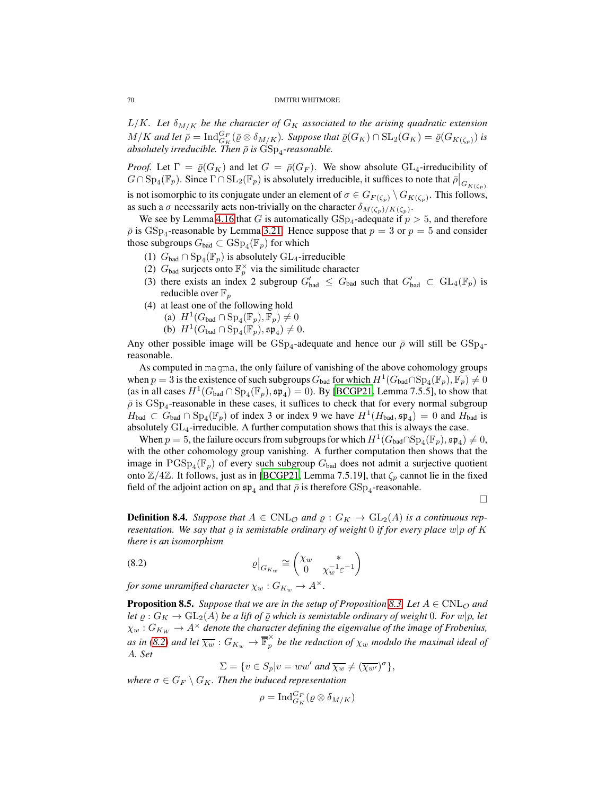$L/K$ *. Let*  $\delta_{M/K}$  be the character of  $G_K$  associated to the arising quadratic extension  $M/K$  and let  $\bar{\rho} = \text{Ind}_{G_K}^{G_F}(\bar{\varrho} \otimes \delta_{M/K})$ . Suppose that  $\bar{\varrho}(G_K) \cap \text{SL}_2(G_K) = \bar{\varrho}(G_{K(\zeta_p)})$  is absolutely irreducible. Then  $\bar{\rho}$  is  $\mathrm{GSp}_4$ -reasonable.

*Proof.* Let  $\Gamma = \overline{\varrho}(G_K)$  and let  $G = \overline{\rho}(G_F)$ . We show absolute  $GL_4$ -irreducibility of  $G \cap \mathrm{Sp}_4(\mathbb{F}_p)$ . Since  $\Gamma \cap \mathrm{SL}_2(\mathbb{F}_p)$  is absolutely irreducible, it suffices to note that  $\bar{\rho}|_{G_{K(\zeta_p)}}$ is not isomorphic to its conjugate under an element of  $\sigma \in G_{F(\zeta_p)} \setminus G_{K(\zeta_p)}$ . This follows,

as such a  $\sigma$  necessarily acts non-trivially on the character  $\delta_{M(\zeta_p)/K(\zeta_p)}$ . We see by Lemma [4.16](#page-35-0) that G is automatically  $GSp_4$ -adequate if  $p > 5$ , and therefore  $\bar{\rho}$  is  $GSp_4$ -reasonable by Lemma [3.21.](#page-22-1) Hence suppose that  $p = 3$  or  $p = 5$  and consider those subgroups  $G_{bad} \subset \text{GSp}_4(\mathbb{F}_p)$  for which

- (1)  $G_{bad} \cap \mathrm{Sp}_4(\mathbb{F}_p)$  is absolutely  $\mathrm{GL}_4$ -irreducible
- (2)  $G_{bad}$  surjects onto  $\mathbb{F}_p^{\times}$  via the similitude character
- (3) there exists an index 2 subgroup  $G'_{bad} \leq G_{bad}$  such that  $G'_{bad} \subset GL_4(\mathbb{F}_p)$  is reducible over  $\mathbb{F}_p$
- (4) at least one of the following hold
	- (a)  $H^1(G_{bad} \cap \mathrm{Sp}_4(\mathbb{F}_p), \mathbb{F}_p) \neq 0$
	- (b)  $H^1(G_{bad} \cap \mathrm{Sp}_4(\mathbb{F}_p), \mathfrak{sp}_4) \neq 0.$

Any other possible image will be  $GSp_4$ -adequate and hence our  $\bar{\rho}$  will still be  $GSp_4$ reasonable.

As computed in magma, the only failure of vanishing of the above cohomology groups when  $p = 3$  is the existence of such subgroups  $G_{bad}$  for which  $H^1(G_{bad} \cap Sp_4(\mathbb{F}_p), \mathbb{F}_p) \neq 0$ (as in all cases  $H^1(G_{bad} \cap \text{Sp}_4(\mathbb{F}_p), \mathfrak{sp}_4) = 0$ ). By [\[BCGP21,](#page-81-9) Lemma 7.5.5], to show that  $\bar{\rho}$  is  $GSp_4$ -reasonable in these cases, it suffices to check that for every normal subgroup  $H_{bad} \subset G_{bad} \cap \mathrm{Sp}_4(\mathbb{F}_p)$  of index 3 or index 9 we have  $H^1(H_{bad}, \mathfrak{sp}_4) = 0$  and  $H_{bad}$  is absolutely  $GL_4$ -irreducible. A further computation shows that this is always the case.

When  $p = 5$ , the failure occurs from subgroups for which  $H^1(G_{bad} \cap Sp_4(\mathbb{F}_p), \mathfrak{sp}_4) \neq 0$ , with the other cohomology group vanishing. A further computation then shows that the image in  $PGSp_4(\mathbb{F}_p)$  of every such subgroup  $G_{bad}$  does not admit a surjective quotient onto  $\mathbb{Z}/4\mathbb{Z}$ . It follows, just as in [\[BCGP21,](#page-81-9) Lemma 7.5.19], that  $\zeta_p$  cannot lie in the fixed field of the adjoint action on  $\mathfrak{sp}_4$  and that  $\bar{\rho}$  is therefore  $\mathrm{GSp}_4$ -reasonable.

 $\Box$ 

<span id="page-69-0"></span>**Definition 8.4.** Suppose that  $A \in \text{CNL}_{\mathcal{O}}$  and  $\varrho : G_K \to \text{GL}_2(A)$  is a continuous rep*resentation. We say that* ̺ *is semistable ordinary of weight* 0 *if for every place* w|p *of* K *there is an isomorphism*

(8.2) 
$$
\left. \varrho \right|_{G_{K_w}} \cong \begin{pmatrix} \chi_w & * \\ 0 & \chi_w^{-1} \varepsilon^{-1} \end{pmatrix}
$$

*for some unramified character*  $\chi_w$  :  $G_{K_w} \to A^{\times}$ .

<span id="page-69-1"></span>**Proposition 8.5.** Suppose that we are in the setup of Proposition [8.3.](#page-68-0) Let  $A \in CNL_{\mathcal{O}}$  and *let*  $\varrho$  :  $G_K \to GL_2(A)$  *be a lift of*  $\overline{\varrho}$  *which is semistable ordinary of weight* 0*. For* w|p, let  $\chi_w: G_{K_W} \to A^\times$  denote the character defining the eigenvalue of the image of Frobenius, *as in [\(8.2\)](#page-69-2) and let*  $\overline{\chi_w}$  :  $G_{K_w} \rightarrow \overline{\mathbb{F}}_p^{\times}$  $\hat{p}$  be the reduction of  $\chi_w$  modulo the maximal ideal of A*. Set*

<span id="page-69-2"></span>
$$
\Sigma = \{ v \in S_p | v = ww' \text{ and } \overline{\chi_w} \neq (\overline{\chi_{w'}})^\sigma \},
$$

*where*  $\sigma \in G_F \setminus G_K$ *. Then the induced representation* 

$$
\rho = \operatorname{Ind}_{G_K}^{G_F} (\varrho \otimes \delta_{M/K})
$$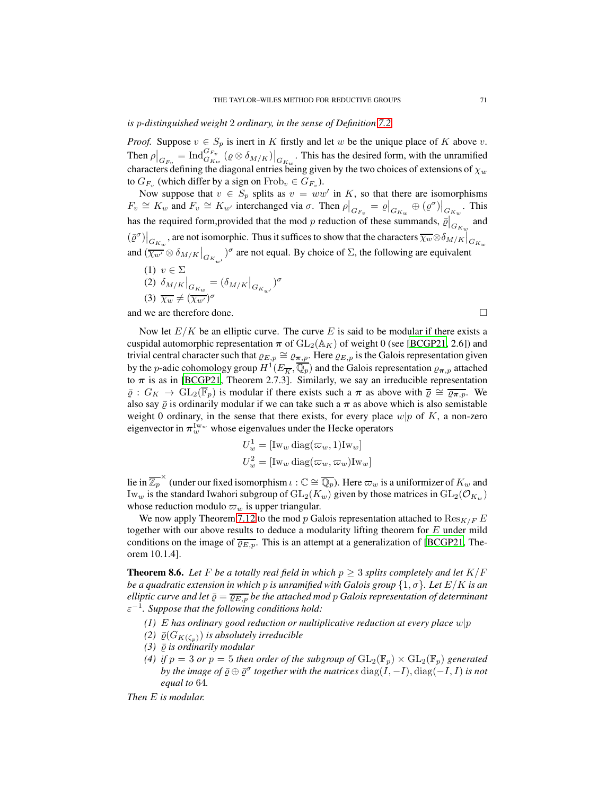## *is* p*-distinguished weight* 2 *ordinary, in the sense of Definition [7.2.](#page-55-1)*

*Proof.* Suppose  $v \in S_p$  is inert in K firstly and let w be the unique place of K above v. Then  $\rho|_{G_{F_v}} = \text{Ind}_{G_{K_w}}^{G_{F_v}} (\varrho \otimes \delta_{M/K})|_{G_{K_w}}$ . This has the desired form, with the unramified characters defining the diagonal entries being given by the two choices of extensions of  $\chi_w$ to  $G_{F_v}$  (which differ by a sign on  $Frob_v \in G_{F_v}$ ).

Now suppose that  $v \in S_p$  splits as  $v = ww'$  in K, so that there are isomorphisms  $F_v \cong K_w$  and  $F_v \cong K_{w'}$  interchanged via  $\sigma$ . Then  $\rho|_{G_{F_v}} = \varrho|_{G_{K_w}} \oplus (\varrho^{\sigma})|_{G_{K_w}}$ . This has the required form, provided that the mod p reduction of these summands,  $\overline{\varrho}|_{G_{K_w}}^{\bullet}$  and  $(\bar{\varrho}^{\sigma})|_{G_{K_w}}$ , are not isomorphic. Thus it suffices to show that the characters  $\overline{\chi_w} \otimes \delta_{M/K}|_{G_{K_w}}$ and  $(\overline{\chi_{w'}} \otimes \delta_{M/K}|_{G_{K_{w'}}})^{\sigma}$  are not equal. By choice of  $\Sigma$ , the following are equivalent

(1)  $v \in \Sigma$ (2)  $\delta_{M/K}|_{G_{K_w}} = (\delta_{M/K}|_{G_{K_{w'}}})^{\sigma}$ (3)  $\overline{\chi_w} \neq (\overline{\chi_{w'}})^{\sigma}$ 

and we are therefore done.

Now let  $E/K$  be an elliptic curve. The curve E is said to be modular if there exists a cuspidal automorphic representation  $\pi$  of  $GL_2(\mathbb{A}_K)$  of weight 0 (see [\[BCGP21](#page-81-9), 2.6]) and trivial central character such that  $\varrho_{E,p} \cong \varrho_{\pi,p}$ . Here  $\varrho_{E,p}$  is the Galois representation given by the *p*-adic cohomology group  $H^1(E_{\overline{K}}, \overline{\mathbb{Q}_p})$  and the Galois representation  $\varrho_{\boldsymbol{\pi},p}$  attached to  $\pi$  is as in [\[BCGP21,](#page-81-9) Theorem 2.7.3]. Similarly, we say an irreducible representation  $\overline{\varrho}: G_K \to GL_2(\overline{\mathbb{F}}_p)$  is modular if there exists such a  $\pi$  as above with  $\overline{\varrho} \cong \overline{\varrho_{\pi,p}}$ . We also say  $\bar{\varrho}$  is ordinarily modular if we can take such a  $\pi$  as above which is also semistable weight 0 ordinary, in the sense that there exists, for every place  $w|p$  of K, a non-zero eigenvector in  $\pi_w^{\mathrm{Iw}_w}$  whose eigenvalues under the Hecke operators

$$
U_w^1 = [\text{Iw}_w \text{ diag}(\varpi_w, 1) \text{Iw}_w]
$$
  

$$
U_w^2 = [\text{Iw}_w \text{ diag}(\varpi_w, \varpi_w) \text{Iw}_w]
$$

lie in  $\overline{\mathbb{Z}_p}^{\times}$  (under our fixed isomorphism  $\iota : \mathbb{C} \cong \overline{\mathbb{Q}_p}$ ). Here  $\varpi_w$  is a uniformizer of  $K_w$  and Iw<sub>w</sub> is the standard Iwahori subgroup of  $GL_2(K_w)$  given by those matrices in  $GL_2(\mathcal{O}_{K_w})$ whose reduction modulo  $\varpi_w$  is upper triangular.

We now apply Theorem [7.12](#page-64-7) to the mod p Galois representation attached to  $\text{Res}_{K/F} E$ together with our above results to deduce a modularity lifting theorem for  $E$  under mild conditions on the image of  $\overline{\varrho_{E,p}}$ . This is an attempt at a generalization of [\[BCGP21](#page-81-9), Theorem 10.1.4].

**Theorem 8.6.** Let F be a totally real field in which  $p \geq 3$  splits completely and let  $K/F$ *be a quadratic extension in which* p *is unramified with Galois group*  $\{1, \sigma\}$ *. Let*  $E/K$  *is an elliptic curve and let*  $\overline{\varrho} = \overline{\varrho_{E,p}}$  *be the attached mod p Galois representation of determinant* ε −1 *. Suppose that the following conditions hold:*

- *(1)* E has ordinary good reduction or multiplicative reduction at every place  $w|p$
- *(2)*  $\bar{\varrho}(G_{K(\zeta_n)})$  *is absolutely irreducible*
- $(3)$   $\bar{\varrho}$  *is ordinarily modular*
- *(4) if*  $p = 3$  *or*  $p = 5$  *then order of the subgroup of*  $GL_2(\mathbb{F}_p) \times GL_2(\mathbb{F}_p)$  *generated by the image of*  $\bar{\varrho} \oplus \bar{\varrho}^{\sigma}$  *together with the matrices*  $\mathrm{diag}(I, -I), \mathrm{diag}(-I, I)$  *is not equal to* 64*.*

*Then* E *is modular.*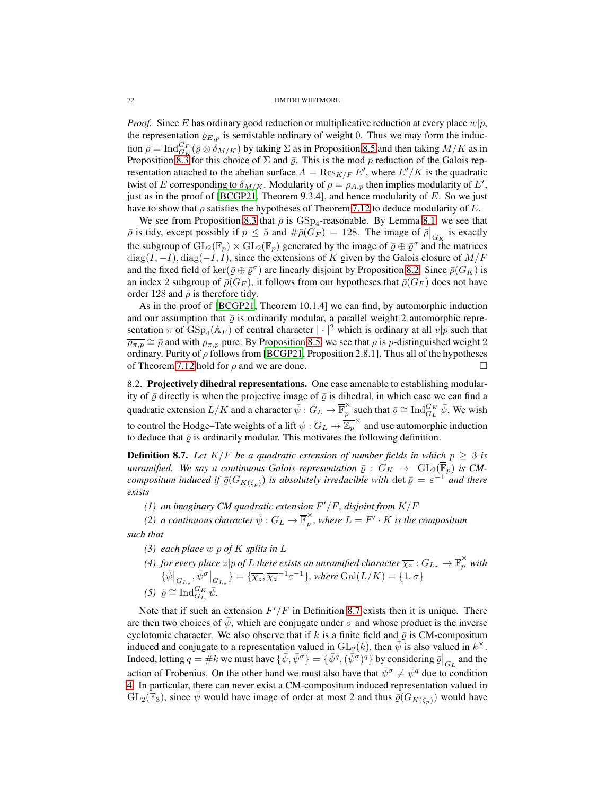*Proof.* Since E has ordinary good reduction or multiplicative reduction at every place  $w|p$ , the representation  $\varrho_{E,p}$  is semistable ordinary of weight 0. Thus we may form the induction  $\bar{\rho} = \text{Ind}_{G_K}^{G_F}(\bar{\varrho} \otimes \delta_{M/K})$  by taking  $\Sigma$  as in Proposition [8.5](#page-69-1) and then taking  $M/K$  as in Proposition [8.3](#page-68-0) for this choice of  $\Sigma$  and  $\overline{\varrho}$ . This is the mod p reduction of the Galois representation attached to the abelian surface  $A = \text{Res}_{K/F} E'$ , where  $E'/K$  is the quadratic twist of E corresponding to  $\delta_{M/K}$ . Modularity of  $\rho = \rho_{A,p}$  then implies modularity of E', just as in the proof of [\[BCGP21](#page-81-9), Theorem 9.3.4], and hence modularity of  $E$ . So we just have to show that  $\rho$  satisfies the hypotheses of Theorem [7.12](#page-64-7) to deduce modularity of E.

We see from Proposition [8.3](#page-68-0) that  $\bar{\rho}$  is  $GSp_4$ -reasonable. By Lemma [8.1,](#page-67-0) we see that  $\bar{\rho}$  is tidy, except possibly if  $p \le 5$  and  $\#\bar{\rho}(G_F) = 128$ . The image of  $\bar{\rho}|_{G_K}$  is exactly the subgroup of  $GL_2(\mathbb{F}_p) \times GL_2(\mathbb{F}_p)$  generated by the image of  $\overline{\varrho} \oplus \overline{\varrho}^{\sigma}$  and the matrices  $\text{diag}(I, -I), \text{diag}(-I, I)$ , since the extensions of K given by the Galois closure of  $M/F$ and the fixed field of  $\ker(\bar{\varrho} \oplus \bar{\varrho}^{\sigma})$  are linearly disjoint by Proposition [8.2.](#page-68-3) Since  $\bar{\rho}(G_K)$  is an index 2 subgroup of  $\bar{\rho}(G_F)$ , it follows from our hypotheses that  $\bar{\rho}(G_F)$  does not have order 128 and  $\bar{\rho}$  is therefore tidy.

As in the proof of [\[BCGP21,](#page-81-9) Theorem 10.1.4] we can find, by automorphic induction and our assumption that  $\bar{\rho}$  is ordinarily modular, a parallel weight 2 automorphic representation  $\pi$  of  $GSp_4(\mathbb{A}_F)$  of central character  $|\cdot|^2$  which is ordinary at all  $v|p$  such that  $\overline{\rho_{\pi,p}} \cong \overline{\rho}$  and with  $\rho_{\pi,p}$  pure. By Proposition [8.5,](#page-69-1) we see that  $\rho$  is  $p$ -distinguished weight 2 ordinary. Purity of  $\rho$  follows from [\[BCGP21](#page-81-9), Proposition 2.8.1]. Thus all of the hypotheses of Theorem [7.12](#page-64-7) hold for  $\rho$  and we are done.

8.2. Projectively dihedral representations. One case amenable to establishing modularity of  $\bar{\varrho}$  directly is when the projective image of  $\bar{\varrho}$  is dihedral, in which case we can find a quadratic extension  $L/K$  and a character  $\bar{\psi}: G_L \to \overline{\mathbb{F}}_p^{\times}$  $\sum_{p}^{\infty}$  such that  $\bar{\varrho} \cong \text{Ind}_{G_L}^{G_K} \bar{\psi}$ . We wish to control the Hodge–Tate weights of a lift  $\psi$  :  $G_L \to \overline{\mathbb{Z}_p}^{\times}$  and use automorphic induction to deduce that  $\bar{\rho}$  is ordinarily modular. This motivates the following definition.

<span id="page-71-0"></span>**Definition 8.7.** Let  $K/F$  be a quadratic extension of number fields in which  $p \geq 3$  is *unramified. We say a continuous Galois representation*  $\bar{\varrho}: G_K \to GL_2(\overline{\mathbb{F}}_p)$  *is CMcompositum induced if*  $\bar{\varrho}(G_{K(\zeta_p)})$  *is absolutely irreducible with*  $\det \bar{\varrho} = \varepsilon^{-1}$  *and there exists*

*(1) an imaginary CM quadratic extension* F ′/F*, disjoint from* K/F

*(2) a continuous character*  $\bar{\psi}: G_L \rightarrow \overline{\mathbb{F}}_p^\times$  $\sum_{p}^{\infty}$ , where  $L = F' \cdot K$  is the compositum *such that*

- <span id="page-71-1"></span>*(3) each place* w|p *of* K *splits in* L
- *(4) for every place*  $z|p$  *of L there exists an unramified character*  $\overline{\chi_z}:G_{L_z}\to \overline{\mathbb{F}}_p^\times$  with  $\{\bar{\psi}\big|_{G_{L_z}},\bar{\psi}^{\sigma}\big|_{G_{L_z}}\}=\{\overline{\chi_z},\overline{\chi_z}^{-1}\varepsilon^{-1}\},$  where  $\mathrm{Gal}(L/K)=\{1,\sigma\}$  $(5)$   $\bar{\varrho} \cong \text{Ind}_{G_L}^{G_K} \bar{\psi}.$

Note that if such an extension  $F'/F$  in Definition [8.7](#page-71-0) exists then it is unique. There are then two choices of  $\psi$ , which are conjugate under  $\sigma$  and whose product is the inverse cyclotomic character. We also observe that if k is a finite field and  $\bar{\varrho}$  is CM-compositum induced and conjugate to a representation valued in  $GL_2(k)$ , then  $\bar{\psi}$  is also valued in  $k^{\times}$ . Indeed, letting  $q = \#k$  we must have  $\{\bar{\psi}, \bar{\psi}^{\sigma}\} = \{\bar{\psi}^q, (\bar{\psi}^{\sigma})^q\}$  by considering  $\bar{\varrho}|_{G_L}$  and the action of Frobenius. On the other hand we must also have that  $\bar{\psi}^{\sigma} \neq \bar{\psi}^{\bar{q}}$  due to condition [4.](#page-71-1) In particular, there can never exist a CM-compositum induced representation valued in  $GL_2(\mathbb{F}_3)$ , since  $\psi$  would have image of order at most 2 and thus  $\bar{\varrho}(G_{K(\zeta_p)})$  would have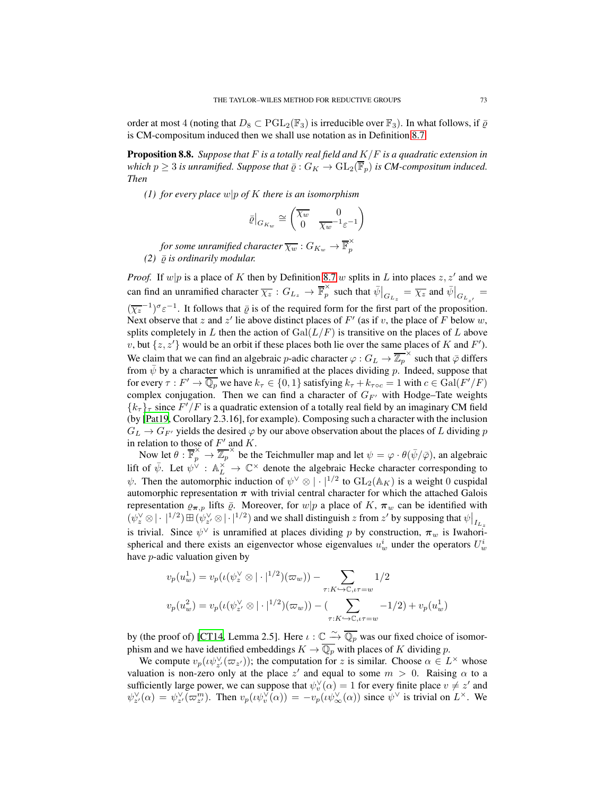order at most 4 (noting that  $D_8 \subset \text{PGL}_2(\mathbb{F}_3)$  is irreducible over  $\mathbb{F}_3$ ). In what follows, if  $\overline{\varrho}$ is CM-compositum induced then we shall use notation as in Definition [8.7.](#page-71-0)

<span id="page-72-0"></span>Proposition 8.8. *Suppose that* F *is a totally real field and* K/F *is a quadratic extension in which*  $p \geq 3$  *is unramified. Suppose that*  $\overline{\varrho}: G_K \to GL_2(\overline{\mathbb{F}}_p)$  *is CM-compositum induced. Then*

*(1) for every place* w|p *of* K *there is an isomorphism*

$$
\bar{\varrho}\big|_{G_{K_w}} \cong \begin{pmatrix} \overline{\chi_w} & 0 \\ 0 & \overline{\chi_w}^{-1}\varepsilon^{-1} \end{pmatrix}
$$

*for some unramified character*  $\overline{\chi_w}:G_{K_w}\rightarrow \overline{\mathbb{F}}_p^{\times}$ p *(2)*  $\bar{\rho}$  *is ordinarily modular.* 

*Proof.* If  $w|p$  is a place of K then by Definition [8.7](#page-71-0) w splits in L into places  $z, z'$  and we can find an unramified character  $\overline{\chi_z}$  :  $G_{L_z} \rightarrow \overline{\mathbb{F}}_p^{\times}$  $\int_{p}^{\infty}$  such that  $\bar{\psi}\Big|_{G_{L_z}} = \overline{\chi_z}$  and  $\bar{\psi}\Big|_{G_{L_{z'}}} =$  $(\overline{\chi_z}^{-1})^{\sigma_z-1}$ . It follows that  $\overline{\varrho}$  is of the required form for the first part of the proposition. Next observe that z and z' lie above distinct places of  $F'$  (as if v, the place of F below w, splits completely in L then the action of  $Gal(L/F)$  is transitive on the places of L above v, but  $\{z, z'\}$  would be an orbit if these places both lie over the same places of K and F'). We claim that we can find an algebraic p-adic character  $\varphi: G_L \to \overline{\mathbb{Z}_p}^\times$  such that  $\bar{\varphi}$  differs from  $\bar{\psi}$  by a character which is unramified at the places dividing p. Indeed, suppose that for every  $\tau: F' \to \overline{\mathbb{Q}_p}$  we have  $k_{\tau} \in \{0, 1\}$  satisfying  $k_{\tau} + k_{\tau \circ c} = 1$  with  $c \in \text{Gal}(F'/F)$ complex conjugation. Then we can find a character of  $G_{F'}$  with Hodge–Tate weights  ${k_{\tau}}_{\tau}$  since  $F'/F$  is a quadratic extension of a totally real field by an imaginary CM field (by [\[Pat19,](#page-82-0) Corollary 2.3.16], for example). Composing such a character with the inclusion  $G_L \rightarrow G_{F'}$  yields the desired  $\varphi$  by our above observation about the places of L dividing p in relation to those of  $F'$  and  $K$ .

Now let  $\theta : \overline{\mathbb{F}}_p^{\times} \to \overline{\mathbb{Z}_p}^{\times}$  be the Teichmuller map and let  $\psi = \varphi \cdot \theta(\bar{\psi}/\bar{\varphi})$ , an algebraic lift of  $\bar{\psi}$ . Let  $\psi^{\vee}$  :  $\mathbb{A}_{L}^{\times} \to \mathbb{C}^{\times}$  denote the algebraic Hecke character corresponding to  $\psi$ . Then the automorphic induction of  $\psi^{\vee} \otimes | \cdot |^{1/2}$  to  $GL_2(\mathbb{A}_K)$  is a weight 0 cuspidal automorphic representation  $\pi$  with trivial central character for which the attached Galois representation  $\varrho_{\pi,p}$  lifts  $\bar{\varrho}$ . Moreover, for  $w|p$  a place of K,  $\pi_w$  can be identified with  $(\psi_z^{\vee} \otimes | \cdot |^{1/2}) \boxplus (\psi_z^{\vee} \otimes | \cdot |^{1/2})$  and we shall distinguish z from z' by supposing that  $\psi|_{I_{L_z}}$ is trivial. Since  $\psi^{\vee}$  is unramified at places dividing p by construction,  $\pi_w$  is Iwahorispherical and there exists an eigenvector whose eigenvalues  $u_w^i$  under the operators  $U_w^i$ have p-adic valuation given by

$$
v_p(u_w^1) = v_p(\iota(\psi_z^{\vee} \otimes |\cdot|^{1/2})(\varpi_w)) - \sum_{\tau:K \hookrightarrow \mathbb{C},\iota\tau=w} 1/2
$$
  

$$
v_p(u_w^2) = v_p(\iota(\psi_{z'}^{\vee} \otimes |\cdot|^{1/2})(\varpi_w)) - (\sum_{\tau:K \hookrightarrow \mathbb{C},\iota\tau=w} -1/2) + v_p(u_w^1)
$$

by (the proof of) [\[CT14](#page-81-0), Lemma 2.5]. Here  $\iota : \mathbb{C} \longrightarrow \overline{\mathbb{Q}_p}$  was our fixed choice of isomorphism and we have identified embeddings  $K \to \overline{\mathbb{Q}_p}$  with places of K dividing p.

We compute  $v_p(\iota \psi_z^{\vee}(\varpi_{z'}))$ ; the computation for z is similar. Choose  $\alpha \in L^{\times}$  whose valuation is non-zero only at the place z' and equal to some  $m > 0$ . Raising  $\alpha$  to a sufficiently large power, we can suppose that  $\psi_v^{\vee}(\alpha) = 1$  for every finite place  $v \neq z'$  and  $\psi_{z'}^{\vee}(\alpha) = \psi_{z'}^{\vee}(\varpi_{z'}^{m})$ . Then  $v_p(\psi_{v}^{\vee}(\alpha)) = -v_p(\psi_{\infty}^{\vee}(\alpha))$  since  $\psi^{\vee}$  is trivial on  $L^{\times}$ . We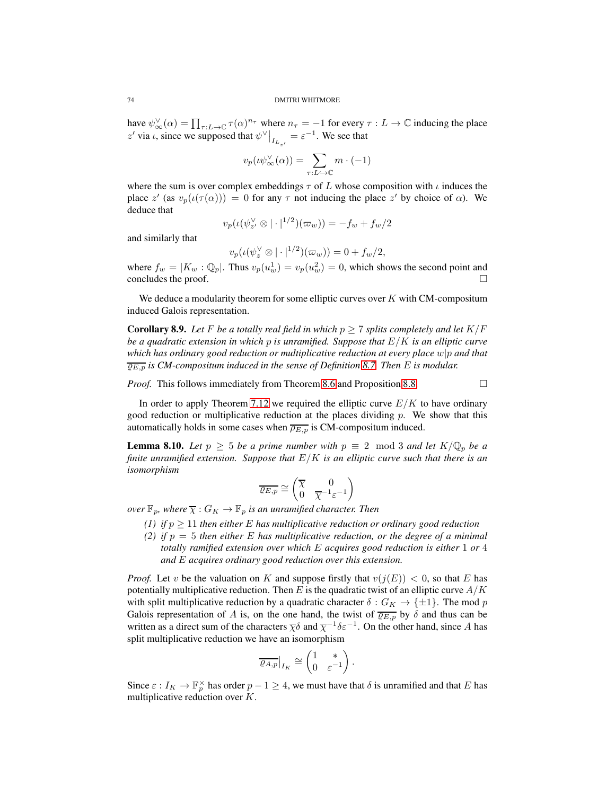have  $\psi_{\infty}^{\vee}(\alpha) = \prod_{\tau:L\to\mathbb{C}} \tau(\alpha)^{n_{\tau}}$  where  $n_{\tau} = -1$  for every  $\tau:L\to\mathbb{C}$  inducing the place z' via  $\iota$ , since we supposed that  $\psi^{\vee}|_{I_{L_{z'}}} = \varepsilon^{-1}$ . We see that

$$
v_p(\iota\psi_\infty^{\vee}(\alpha)) = \sum_{\tau:L\hookrightarrow\mathbb{C}} m \cdot (-1)
$$

where the sum is over complex embeddings  $\tau$  of L whose composition with  $\iota$  induces the place z' (as  $v_p(\iota(\tau(\alpha))) = 0$  for any  $\tau$  not inducing the place z' by choice of  $\alpha$ ). We deduce that

$$
v_p(\iota(\psi_z^{\vee} \otimes |\cdot|^{1/2})(\varpi_w)) = -f_w + f_w/2
$$

and similarly that

$$
v_p(\iota(\psi_z^{\vee} \otimes |\cdot|^{1/2})(\varpi_w)) = 0 + f_w/2,
$$

where  $f_w = |K_w : \mathbb{Q}_p|$ . Thus  $v_p(u_w^1) = v_p(u_w^2) = 0$ , which shows the second point and concludes the proof.  $\Box$ 

We deduce a modularity theorem for some elliptic curves over  $K$  with CM-compositum induced Galois representation.

**Corollary 8.9.** Let F be a totally real field in which  $p \ge 7$  splits completely and let  $K/F$ *be a quadratic extension in which* p *is unramified. Suppose that* E/K *is an elliptic curve which has ordinary good reduction or multiplicative reduction at every place* w|p *and that*  $\overline{\rho_{E,n}}$  *is CM-compositum induced in the sense of Definition* [8.7.](#page-71-0) *Then E is modular.* 

*Proof.* This follows immediately from Theorem [8.6](#page-70-0) and Proposition [8.8.](#page-72-0)

In order to apply Theorem [7.12](#page-64-0) we required the elliptic curve  $E/K$  to have ordinary good reduction or multiplicative reduction at the places dividing p. We show that this automatically holds in some cases when  $\overline{\rho_{E,p}}$  is CM-compositum induced.

<span id="page-73-0"></span>**Lemma 8.10.** *Let*  $p \ge 5$  *be a prime number with*  $p \equiv 2 \mod 3$  *and let*  $K/\mathbb{Q}_p$  *be a finite unramified extension. Suppose that* E/K *is an elliptic curve such that there is an isomorphism*

$$
\overline{\varrho_{E,p}} \cong \begin{pmatrix} \overline{\chi} & 0\\ 0 & \overline{\chi}^{-1} \varepsilon^{-1} \end{pmatrix}
$$

*over*  $\mathbb{F}_p$ *, where*  $\overline{\chi}: G_K \to \mathbb{F}_p$  *is an unramified character. Then* 

- *(1) if*  $p \geq 11$  *then either* E *has multiplicative reduction or ordinary good reduction* 
	- *(2) if* p = 5 *then either* E *has multiplicative reduction, or the degree of a minimal totally ramified extension over which* E *acquires good reduction is either* 1 *or* 4 *and* E *acquires ordinary good reduction over this extension.*

*Proof.* Let v be the valuation on K and suppose firstly that  $v(j(E)) < 0$ , so that E has potentially multiplicative reduction. Then E is the quadratic twist of an elliptic curve  $A/K$ with split multiplicative reduction by a quadratic character  $\delta: G_K \to {\pm 1}$ . The mod p Galois representation of A is, on the one hand, the twist of  $\overline{\varrho_{E,p}}$  by  $\delta$  and thus can be written as a direct sum of the characters  $\overline{\chi} \delta$  and  $\overline{\chi}^{-1} \delta \varepsilon^{-1}$ . On the other hand, since A has split multiplicative reduction we have an isomorphism

$$
\overline{\varrho_{A,p}}\big|_{I_{K}}\cong \begin{pmatrix}1&*\\0&\varepsilon^{-1}\end{pmatrix}.
$$

Since  $\varepsilon: I_K \to \mathbb{F}_p^{\times}$  has order  $p-1 \geq 4$ , we must have that  $\delta$  is unramified and that E has multiplicative reduction over K.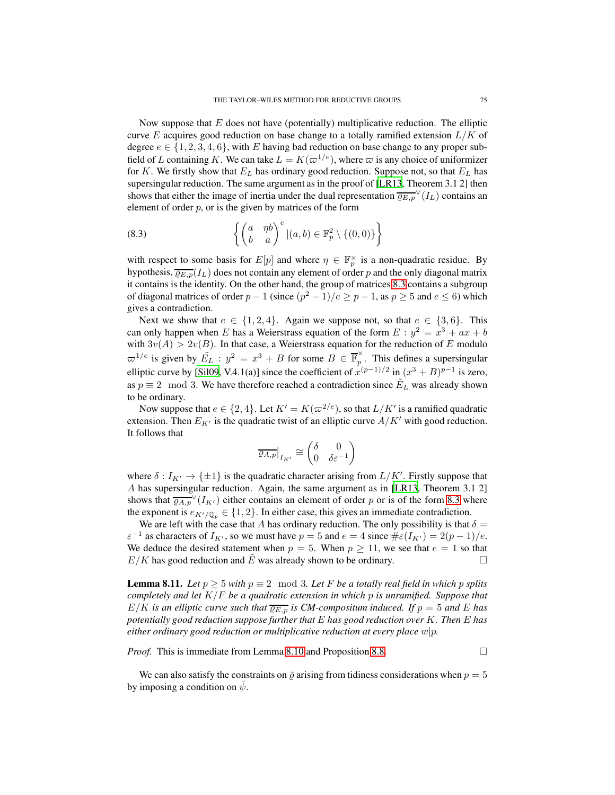Now suppose that  $E$  does not have (potentially) multiplicative reduction. The elliptic curve E acquires good reduction on base change to a totally ramified extension  $L/K$  of degree  $e \in \{1, 2, 3, 4, 6\}$ , with E having bad reduction on base change to any proper subfield of L containing K. We can take  $L = K(\varpi^{1/e})$ , where  $\varpi$  is any choice of uniformizer for K. We firstly show that  $E_L$  has ordinary good reduction. Suppose not, so that  $E_L$  has supersingular reduction. The same argument as in the proof of [\[LR13](#page-82-1), Theorem 3.1 2] then shows that either the image of inertia under the dual representation  $\overline{\varrho_{E,p}}^{\vee}(I_L)$  contains an element of order  $p$ , or is the given by matrices of the form

<span id="page-74-0"></span>(8.3) 
$$
\left\{ \begin{pmatrix} a & \eta b \\ b & a \end{pmatrix}^e | (a, b) \in \mathbb{F}_p^2 \setminus \{ (0, 0) \} \right\}
$$

with respect to some basis for  $E[p]$  and where  $\eta \in \mathbb{F}_p^{\times}$  is a non-quadratic residue. By hypothesis,  $\overline{\varrho_{E,p}}(I_L)$  does not contain any element of order p and the only diagonal matrix it contains is the identity. On the other hand, the group of matrices [8.3](#page-74-0) contains a subgroup of diagonal matrices of order  $p - 1$  (since  $\left(\frac{p^2 - 1}{e \ge p - 1}\right)$ , as  $p \ge 5$  and  $e \le 6$ ) which gives a contradiction.

Next we show that  $e \in \{1, 2, 4\}$ . Again we suppose not, so that  $e \in \{3, 6\}$ . This can only happen when E has a Weierstrass equation of the form  $E: y^2 = x^3 + ax + b$ with  $3v(A) > 2v(B)$ . In that case, a Weierstrass equation for the reduction of E modulo  $\varpi^{1/e}$  is given by  $\tilde{E}_L : y^2 = x^3 + B$  for some  $B \in \overline{\mathbb{F}}_p^{\times}$  $\hat{p}$ . This defines a supersingular elliptic curve by [\[Sil09](#page-83-0), V.4.1(a)] since the coefficient of  $x^{(p-1)/2}$  in  $(x^3 + B)^{p-1}$  is zero, as  $p \equiv 2 \mod 3$ . We have therefore reached a contradiction since  $\tilde{E}_L$  was already shown to be ordinary.

Now suppose that  $e \in \{2, 4\}$ . Let  $K' = K(\varpi^{2/e})$ , so that  $L/K'$  is a ramified quadratic extension. Then  $E_{K'}$  is the quadratic twist of an elliptic curve  $A/K'$  with good reduction. It follows that

$$
\overline{\varrho_{A,p}}|_{I_{K'}} \cong \begin{pmatrix} \delta & 0 \\ 0 & \delta \varepsilon^{-1} \end{pmatrix}
$$

where  $\delta: I_{K'} \to {\pm 1}$  is the quadratic character arising from  $L/K'$ . Firstly suppose that A has supersingular reduction. Again, the same argument as in [\[LR13,](#page-82-1) Theorem 3.1 2] shows that  $\overline{\varrho_{A,p}}^{\vee}(I_{K'})$  either contains an element of order p or is of the form [8.3](#page-74-0) where the exponent is  $e_{K' / \mathbb{Q}_p} \in \{1, 2\}$ . In either case, this gives an immediate contradiction.

We are left with the case that A has ordinary reduction. The only possibility is that  $\delta =$  $\varepsilon^{-1}$  as characters of  $I_{K'}$ , so we must have  $p = 5$  and  $e = 4$  since  $\#\varepsilon(I_{K'}) = 2(p-1)/e$ . We deduce the desired statement when  $p = 5$ . When  $p \ge 11$ , we see that  $e = 1$  so that  $E/K$  has good reduction and  $\tilde{E}$  was already shown to be ordinary.  $E/K$  has good reduction and E was already shown to be ordinary.

**Lemma 8.11.** Let  $p \ge 5$  with  $p \equiv 2 \mod 3$ . Let F be a totally real field in which p splits *completely and let* K/F *be a quadratic extension in which* p *is unramified. Suppose that*  $E/K$  *is an elliptic curve such that*  $\overline{QE,p}$  *is CM-compositum induced. If*  $p = 5$  *and E has potentially good reduction suppose further that* E *has good reduction over* K*. Then* E *has either ordinary good reduction or multiplicative reduction at every place* w|p*.*

*Proof.* This is immediate from Lemma [8.10](#page-73-0) and Proposition [8.8.](#page-72-0) □

We can also satisfy the constraints on  $\bar{\rho}$  arising from tidiness considerations when  $p = 5$ by imposing a condition on  $\bar{\psi}$ .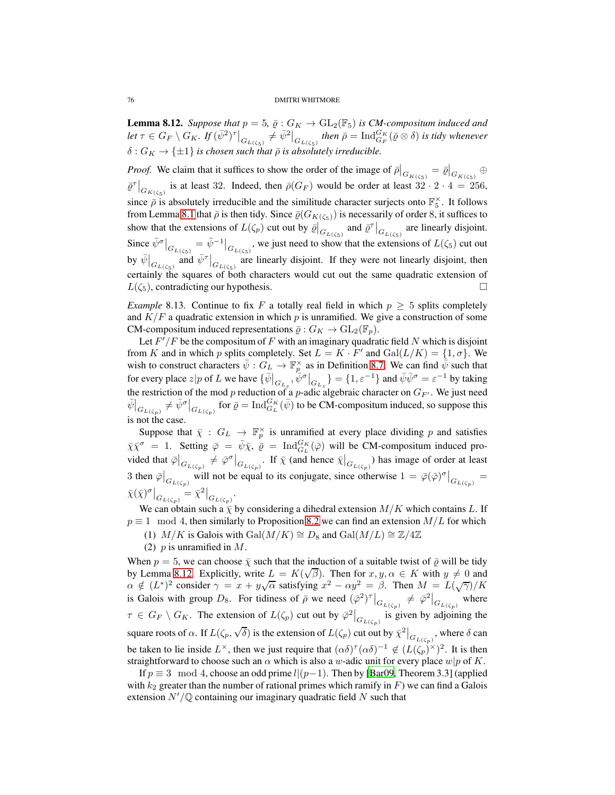<span id="page-75-0"></span>**Lemma 8.12.** *Suppose that*  $p = 5$ ,  $\bar{\varrho}$  :  $G_K \to GL_2(\mathbb{F}_5)$  *is CM-compositum induced and*  $\det\tau\in G_F\setminus G_K$ . If  $(\bar\psi^2)^\tau\big|_{G_{L(\zeta_5)}}\neq \bar\psi^2\big|_{G_{L(\zeta_5)}}$  then  $\bar\rho=\mathrm{Ind}_{G_F}^{G_K}(\bar\varrho\otimes \delta)$  is tidy whenever  $\delta: G_K \to {\{\pm 1\}}$  *is chosen such that*  $\bar{\rho}$  *is absolutely irreducible.* 

*Proof.* We claim that it suffices to show the order of the image of  $\bar{\rho}|_{G_{K(\zeta_5)}} = \bar{\varrho}|_{G_{K(\zeta_5)}} \oplus$  $\overline{\varrho}^{\tau}|_{G_{K(\zeta_5)}}$  is at least 32. Indeed, then  $\overline{\rho}(G_F)$  would be order at least  $32 \cdot 2 \cdot 4 = 256$ , since  $\bar{\rho}$  is absolutely irreducible and the similitude character surjects onto  $\mathbb{F}_5^{\times}$ . It follows from Lemma [8.1](#page-67-0) that  $\bar{\rho}$  is then tidy. Since  $\bar{\varrho}(G_{K(\zeta_5)})$  is necessarily of order 8, it suffices to show that the extensions of  $L(\zeta_p)$  cut out by  $\overline{\varrho}|_{G_{L(\zeta_5)}}^{\overline{\varrho}}$  and  $\overline{\varrho}^{\tau}|_{G_{L(\zeta_5)}}$  are linearly disjoint. Since  $\bar{\psi}^{\sigma}|_{G_{L(\zeta_5)}} = \bar{\psi}^{-1}|_{G_{L(\zeta_5)}},$  we just need to show that the extensions of  $L(\zeta_5)$  cut out by  $\bar{\psi}|_{G_{L(\zeta_5)}}$  and  $\bar{\psi}^{\tau}|_{G_{L(\zeta_5)}}$  are linearly disjoint. If they were not linearly disjoint, then certainly the squares of both characters would cut out the same quadratic extension of  $L(\zeta_5)$ , contradicting our hypothesis.

<span id="page-75-1"></span>*Example* 8.13*.* Continue to fix F a totally real field in which  $p \geq 5$  splits completely and  $K/F$  a quadratic extension in which p is unramified. We give a construction of some CM-compositum induced representations  $\bar{\varrho}: G_K \to GL_2(\mathbb{F}_p)$ .

Let  $F'/F$  be the compositum of F with an imaginary quadratic field N which is disjoint from K and in which p splits completely. Set  $L = K \cdot F'$  and  $Gal(L/K) = \{1, \sigma\}$ . We wish to construct characters  $\bar{\psi}: G_L \to \mathbb{F}_p^{\times}$  as in Definition [8.7.](#page-71-0) We can find  $\bar{\psi}$  such that for every place  $z|p$  of L we have  $\{\overline{\psi}\big|_{G_{L_z}}, \overline{\psi}^{\sigma}\big|_{G_{L_z}}\} = \{1, \varepsilon^{-1}\}$  and  $\overline{\psi}\overline{\psi}^{\sigma} = \varepsilon^{-1}$  by taking the restriction of the mod p reduction of a p-adic algebraic character on  $G_{F'}$ . We just need  $\bar{\psi}\Big|_{G_{L(\zeta_p)}} \neq \bar{\psi}^{\sigma}\Big|_{G_{L(\zeta_p)}}$  for  $\bar{\varrho} = \text{Ind}_{G_L}^{G_K}(\bar{\psi})$  to be CM-compositum induced, so suppose this is not the case.

Suppose that  $\bar{\chi}$  :  $G_L \to \mathbb{F}_p^{\times}$  is unramified at every place dividing p and satisfies  $\bar{\chi}\bar{\chi}^{\sigma} = 1$ . Setting  $\bar{\varphi} = \bar{\psi}\bar{\chi}, \bar{\varrho} = \text{Ind}_{G_L}^{G_K}(\bar{\varphi})$  will be CM-compositum induced provided that  $\bar{\varphi}|_{G_{L(\zeta_p)}} \neq \bar{\varphi}^{\sigma}|_{G_{L(\zeta_p)}}$ . If  $\bar{\chi}$  (and hence  $\bar{\chi}|_{G_{L(\zeta_p)}}$ ) has image of order at least 3 then  $\overline{\varphi}|_{G_{L(\zeta_p)}}$  will not be equal to its conjugate, since otherwise  $1 = \overline{\varphi}(\overline{\varphi})^{\sigma}|_{G_{L(\zeta_p)}} =$  $\bar{\chi}(\bar{\chi})^{\sigma}|_{G_{L(\zeta_p)}} = \bar{\chi}^2|_{G_{L(\zeta_p)}}.$ 

We can obtain such a  $\bar{\chi}$  by considering a dihedral extension  $M/K$  which contains L. If  $p \equiv 1 \mod 4$ , then similarly to Proposition [8.2](#page-68-0) we can find an extension  $M/L$  for which

- (1)  $M/K$  is Galois with Gal $(M/K) \cong D_8$  and Gal $(M/L) \cong \mathbb{Z}/4\mathbb{Z}$
- (2)  $p$  is unramified in  $M$ .

When  $p = 5$ , we can choose  $\bar{\chi}$  such that the induction of a suitable twist of  $\bar{\rho}$  will be tidy by Lemma [8.12.](#page-75-0) Explicitly, write  $L = K(\sqrt{\beta})$ . Then for  $x, y, \alpha \in K$  with  $y \neq 0$  and  $\alpha \notin (L^*)^2$  consider  $\gamma = x + y\sqrt{\alpha}$  satisfying  $x^2 - \alpha y^2 = \beta$ . Then  $M = L(\sqrt{\gamma})/K$ is Galois with group  $D_8$ . For tidiness of  $\bar{\rho}$  we need  $({\bar{\varphi}}^2)^{\tau}\big|_{G_{L(\zeta_p)}} \neq {\bar{\varphi}}^2\big|_{G_{L(\zeta_p)}}$  where  $\tau \in G_F \setminus G_K$ . The extension of  $L(\zeta_p)$  cut out by  $\overline{\varphi}^2|_{G_{L(\zeta_p)}}$  is given by adjoining the square roots of  $\alpha$ . If  $L(\zeta_p, \sqrt{\delta})$  is the extension of  $L(\zeta_p)$  cut out by  $\bar{\chi}^2\Big|_{G_{L(\zeta_p)}},$  where  $\delta$  can be taken to lie inside  $L^{\times}$ , then we just require that  $(\alpha \delta)^{\tau} (\alpha \delta)^{-1} \notin (L(\zeta_p)^{\times})^2$ . It is then straightforward to choose such an  $\alpha$  which is also a w-adic unit for every place w|p of K.

If  $p \equiv 3 \mod 4$ , choose an odd prime  $l|(p-1)$ . Then by [\[Bar09,](#page-81-1) Theorem 3.3] (applied with  $k_2$  greater than the number of rational primes which ramify in F) we can find a Galois extension  $N'/\mathbb{Q}$  containing our imaginary quadratic field N such that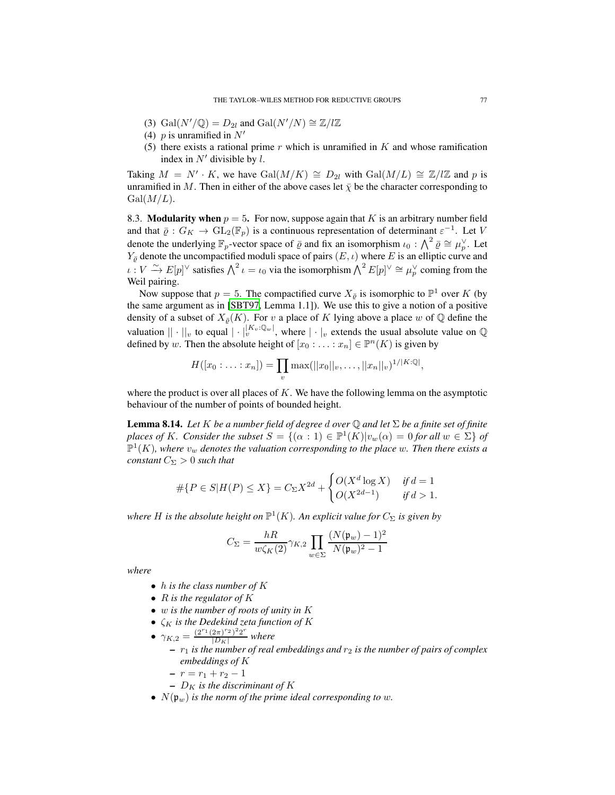- (3) Gal $(N' / Q) = D_{2l}$  and Gal $(N' / N) \cong \mathbb{Z} / l \mathbb{Z}$
- (4)  $p$  is unramified in  $N'$
- (5) there exists a rational prime  $r$  which is unramified in  $K$  and whose ramification index in  $N'$  divisible by  $l$ .

Taking  $M = N' \cdot K$ , we have  $Gal(M/K) \cong D_{2l}$  with  $Gal(M/L) \cong \mathbb{Z}/l\mathbb{Z}$  and p is unramified in M. Then in either of the above cases let  $\bar{\chi}$  be the character corresponding to  $Gal(M/L).$ 

8.3. **Modularity when**  $p = 5$ . For now, suppose again that K is an arbitrary number field and that  $\overline{\varrho}: G_K \to GL_2(\mathbb{F}_p)$  is a continuous representation of determinant  $\varepsilon^{-1}$ . Let V denote the underlying  $\mathbb{F}_p$ -vector space of  $\bar{\varrho}$  and fix an isomorphism  $\iota_0$  :  $\bigwedge^2 \bar{\varrho} \cong \mu_p^{\vee}$ . Let  $Y_{\bar{e}}$  denote the uncompactified moduli space of pairs  $(E, \iota)$  where E is an elliptic curve and  $\iota: V \xrightarrow{\sim} E[p]^\vee$  satisfies  $\bigwedge^2 \iota = \iota_0$  via the isomorphism  $\bigwedge^2 E[p]^\vee \cong \mu_p^\vee$  coming from the Weil pairing.

Now suppose that  $p = 5$ . The compactified curve  $X_{\bar{g}}$  is isomorphic to  $\mathbb{P}^1$  over K (by the same argument as in [\[SBT97,](#page-83-1) Lemma 1.1]). We use this to give a notion of a positive density of a subset of  $X_{\bar{\rho}}(K)$ . For v a place of K lying above a place w of Q define the valuation  $|| \cdot ||_v$  to equal  $|| \cdot ||_v^{K_v \cdot \mathbb{Q}_w}$ , where  $|| \cdot ||_v$  extends the usual absolute value on  $\mathbb{Q}$ defined by w. Then the absolute height of  $[x_0 : \ldots : x_n] \in \mathbb{P}^n(K)$  is given by

$$
H([x_0:\ldots:x_n])=\prod_v \max(||x_0||_v,\ldots,||x_n||_v)^{1/|K:\mathbb{Q}|},
$$

where the product is over all places of  $K$ . We have the following lemma on the asymptotic behaviour of the number of points of bounded height.

<span id="page-76-0"></span>Lemma 8.14. *Let* K *be a number field of degree* d *over* Q *and let* Σ *be a finite set of finite places of* K*.* Consider the subset  $S = \{(\alpha : 1) \in \mathbb{P}^1(K)|v_w(\alpha) = 0$  for all  $w \in \Sigma\}$  of  $\mathbb{P}^1(K)$ , where  $v_w$  denotes the valuation corresponding to the place w. Then there exists a *constant*  $C_{\Sigma} > 0$  *such that* 

$$
\# \{ P \in S | H(P) \le X \} = C_{\Sigma} X^{2d} + \begin{cases} O(X^d \log X) & \text{if } d = 1 \\ O(X^{2d-1}) & \text{if } d > 1. \end{cases}
$$

where  $H$  is the absolute height on  $\mathbb{P}^1(K)$ . An explicit value for  $C_{\Sigma}$  is given by

$$
C_{\Sigma} = \frac{hR}{w\zeta_{K}(2)} \gamma_{K,2} \prod_{w \in \Sigma} \frac{(N(\mathfrak{p}_{w}) - 1)^{2}}{N(\mathfrak{p}_{w})^{2} - 1}
$$

*where*

- h *is the class number of* K
- R *is the regulator of* K
- w *is the number of roots of unity in* K
- $\zeta_K$  *is the Dedekind zeta function of* K
- $\gamma_{K,2} = \frac{(2^{r_1}(2\pi)^{r_2})^2 2^r}{|D_K|}$  $\frac{2\pi i^2}{|D_K|}$  where
	- $r_1$  *is the number of real embeddings and*  $r_2$  *is the number of pairs of complex embeddings of* K
	- $-r = r_1 + r_2 1$
	- $D<sub>K</sub>$  *is the discriminant of* K
- $N(\mathfrak{p}_w)$  *is the norm of the prime ideal corresponding to w.*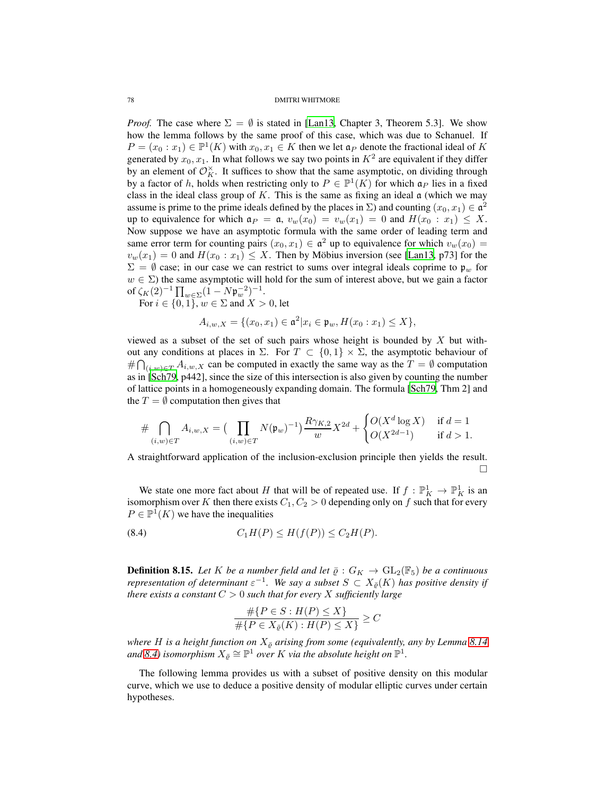*Proof.* The case where  $\Sigma = \emptyset$  is stated in [\[Lan13,](#page-82-2) Chapter 3, Theorem 5.3]. We show how the lemma follows by the same proof of this case, which was due to Schanuel. If  $P = (x_0 : x_1) \in \mathbb{P}^1(K)$  with  $x_0, x_1 \in K$  then we let  $a_P$  denote the fractional ideal of K generated by  $x_0, x_1$ . In what follows we say two points in  $K^2$  are equivalent if they differ by an element of  $\mathcal{O}_K^{\times}$ . It suffices to show that the same asymptotic, on dividing through by a factor of h, holds when restricting only to  $P \in \mathbb{P}^1(K)$  for which  $\mathfrak{a}_P$  lies in a fixed class in the ideal class group of K. This is the same as fixing an ideal  $\alpha$  (which we may assume is prime to the prime ideals defined by the places in  $\Sigma$ ) and counting  $(x_0, x_1) \in \mathfrak{a}^2$ up to equivalence for which  $a_P = a$ ,  $v_w(x_0) = v_w(x_1) = 0$  and  $H(x_0 : x_1) \leq X$ . Now suppose we have an asymptotic formula with the same order of leading term and same error term for counting pairs  $(x_0, x_1) \in \mathfrak{a}^2$  up to equivalence for which  $v_w(x_0) =$  $v_w(x_1) = 0$  and  $H(x_0 : x_1) \leq X$ . Then by Möbius inversion (see [\[Lan13,](#page-82-2) p73] for the  $\Sigma = \emptyset$  case; in our case we can restrict to sums over integral ideals coprime to  $\mathfrak{p}_w$  for  $w \in \Sigma$ ) the same asymptotic will hold for the sum of interest above, but we gain a factor of  $\zeta_K(2)^{-1} \prod_{w \in \Sigma} (1 - N \mathfrak{p}_w^{-2})^{-1}$ .

For  $i \in \{0, 1\}$ ,  $w \in \Sigma$  and  $X > 0$ , let

$$
A_{i,w,X} = \{(x_0, x_1) \in \mathfrak{a}^2 | x_i \in \mathfrak{p}_w, H(x_0 : x_1) \le X\},\
$$

viewed as a subset of the set of such pairs whose height is bounded by  $X$  but without any conditions at places in Σ. For  $T \subset \{0,1\} \times \Sigma$ , the asymptotic behaviour of #  $\bigcap_{(i,w)\in T} A_{i,w,X}$  can be computed in exactly the same way as the  $T = \emptyset$  computation as in [\[Sch79,](#page-83-2) p442], since the size of this intersection is also given by counting the number of lattice points in a homogeneously expanding domain. The formula [\[Sch79,](#page-83-2) Thm 2] and the  $T = \emptyset$  computation then gives that

$$
\# \bigcap_{(i,w)\in T} A_{i,w,X} = \big(\prod_{(i,w)\in T} N(\mathfrak{p}_w)^{-1}\big) \frac{R\gamma_{K,2}}{w} X^{2d} + \begin{cases} O(X^d \log X) & \text{if } d = 1 \\ O(X^{2d-1}) & \text{if } d > 1. \end{cases}
$$

A straightforward application of the inclusion-exclusion principle then yields the result.  $\Box$ 

We state one more fact about H that will be of repeated use. If  $f: \mathbb{P}^1_K \to \mathbb{P}^1_K$  is an isomorphism over K then there exists  $C_1, C_2 > 0$  depending only on f such that for every  $P \in \mathbb{P}^1(K)$  we have the inequalities

$$
(8.4) \tC1H(P) \le H(f(P)) \le C2H(P).
$$

<span id="page-77-1"></span>**Definition 8.15.** Let K be a number field and let  $\bar{\varrho}: G_K \to GL_2(\mathbb{F}_5)$  be a continuous *representation of determinant*  $\varepsilon^{-1}$ . We say a subset  $S \subset X_{\bar{\varrho}}(K)$  has positive density if *there exists a constant*  $C > 0$  *such that for every* X *sufficiently large* 

<span id="page-77-0"></span>
$$
\frac{\#\{P \in S : H(P) \le X\}}{\#\{P \in X_{\bar{e}}(K) : H(P) \le X\}} \ge C
$$

*where H* is a height function on  $X_{\bar{\rho}}$  arising from some (equivalently, any by Lemma [8.14](#page-76-0) and [8.4\)](#page-77-0) isomorphism  $X_{\bar{\varrho}} \cong \mathbb{P}^1$  over  $K$  via the absolute height on  $\mathbb{P}^1$ .

The following lemma provides us with a subset of positive density on this modular curve, which we use to deduce a positive density of modular elliptic curves under certain hypotheses.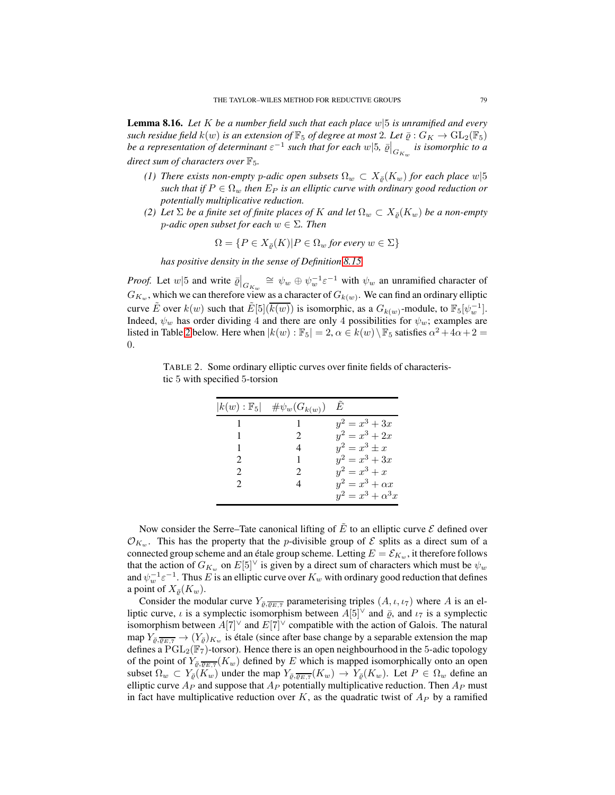<span id="page-78-1"></span>Lemma 8.16. *Let* K *be a number field such that each place* w|5 *is unramified and every such residue field*  $k(w)$  *is an extension of*  $\mathbb{F}_5$  *of degree at most* 2*. Let*  $\bar{\varrho}: G_K \to GL_2(\mathbb{F}_5)$ *be a representation of determinant*  $\varepsilon^{-1}$  such that for each  $w|5$ ,  $\bar{\varrho}|_{G_{K_w}}$  is isomorphic to a *direct sum of characters over*  $\mathbb{F}_5$ *.* 

- *(1) There exists non-empty p-adic open subsets*  $\Omega_w \subset X_{\bar{\rho}}(K_w)$  *for each place*  $w|5$ *such that if*  $P \in \Omega_w$  *then*  $E_P$  *is an elliptic curve with ordinary good reduction or potentially multiplicative reduction.*
- *(2) Let*  $\Sigma$  *be a finite set of finite places of* K *and let*  $\Omega_w \subset X_{\overline{\rho}}(K_w)$  *be a non-empty* p*-adic open subset for each* w ∈ Σ*. Then*

$$
\Omega = \{ P \in X_{\bar{\varrho}}(K) | P \in \Omega_w \text{ for every } w \in \Sigma \}
$$

*has positive density in the sense of Definition [8.15.](#page-77-1)*

*Proof.* Let  $w \mid 5$  and write  $\bar{\varrho}|_{G_{K_w}} \cong \psi_w \oplus \psi_w^{-1} \varepsilon^{-1}$  with  $\psi_w$  an unramified character of  $G_{K_w}$ , which we can therefore view as a character of  $G_{k(w)}$ . We can find an ordinary elliptic curve  $\tilde{E}$  over  $k(w)$  such that  $\tilde{E}[5](\overline{k(w)})$  is isomorphic, as a  $G_{k(w)}$ -module, to  $\mathbb{F}_5[\psi_w^{-1}]$ . Indeed,  $\psi_w$  has order dividing 4 and there are only 4 possibilities for  $\psi_w$ ; examples are listed in Table [2](#page-78-0) below. Here when  $|k(w): \mathbb{F}_5| = 2, \alpha \in k(w) \setminus \mathbb{F}_5$  satisfies  $\alpha^2 + 4\alpha + 2 =$ 0.

TABLE 2. Some ordinary elliptic curves over finite fields of characteristic 5 with specified 5-torsion

<span id="page-78-0"></span>

|                             | $ k(w): \mathbb{F}_5  \quad # \psi_w(G_{k(w)})$ | E                        |
|-----------------------------|-------------------------------------------------|--------------------------|
|                             |                                                 | $y^2 = x^3 + 3x$         |
|                             | $\mathcal{D}_{\mathcal{L}}$                     | $y^2 = x^3 + 2x$         |
|                             | 4                                               | $y^2 = x^3 \pm x$        |
| $\mathcal{D}_{\mathcal{L}}$ | 1                                               | $y^2 = x^3 + 3x$         |
| $\mathcal{D}_{\mathcal{A}}$ | 2                                               | $y^2 = x^3 + x$          |
| $\mathcal{D}$               | 4                                               | $y^2 = x^3 + \alpha x$   |
|                             |                                                 | $y^2 = x^3 + \alpha^3 x$ |

Now consider the Serre–Tate canonical lifting of  $\tilde{E}$  to an elliptic curve  $\mathcal E$  defined over  $\mathcal{O}_{K_w}$ . This has the property that the *p*-divisible group of  $\mathcal E$  splits as a direct sum of a connected group scheme and an étale group scheme. Letting  $E = \mathcal{E}_{K_w}$ , it therefore follows that the action of  $G_{K_w}$  on  $E[5]^\vee$  is given by a direct sum of characters which must be  $\psi_w$ and  $\psi_w^{-1} \varepsilon^{-1}$ . Thus E is an elliptic curve over  $K_w$  with ordinary good reduction that defines a point of  $X_{\bar{\rho}}(K_w)$ .

Consider the modular curve  $Y_{\bar{\rho}, \overline{\rho_{E,T}}}$  parameterising triples  $(A, \iota, \iota_7)$  where A is an elliptic curve,  $\iota$  is a symplectic isomorphism between  $A[5]^\vee$  and  $\bar{\varrho}$ , and  $\iota_7$  is a symplectic isomorphism between  $A[7]^\vee$  and  $E[7]^\vee$  compatible with the action of Galois. The natural map  $Y_{\bar{\rho}, \overline{\rho_{E,T}}} \to (Y_{\bar{\rho}})_{K_w}$  is étale (since after base change by a separable extension the map defines a  $PGL_2(\mathbb{F}_7)$ -torsor). Hence there is an open neighbourhood in the 5-adic topology of the point of  $Y_{\bar{\varrho}, \overline{\varrho_{E,7}}}(K_w)$  defined by E which is mapped isomorphically onto an open subset  $\Omega_w \subset Y_{\bar{\varrho}}(K_w)$  under the map  $Y_{\bar{\varrho}, \overline{\varrho_{E, 7}}}(K_w) \to Y_{\bar{\varrho}}(K_w)$ . Let  $P \in \Omega_w$  define an elliptic curve  $A_P$  and suppose that  $A_P$  potentially multiplicative reduction. Then  $A_P$  must in fact have multiplicative reduction over K, as the quadratic twist of  $A_P$  by a ramified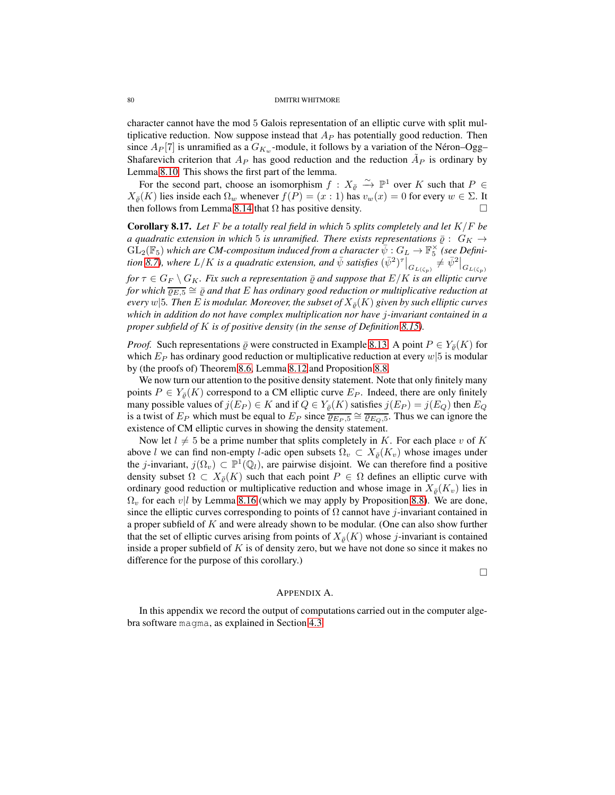character cannot have the mod 5 Galois representation of an elliptic curve with split multiplicative reduction. Now suppose instead that  $A<sub>P</sub>$  has potentially good reduction. Then since  $A_P[7]$  is unramified as a  $G_{K_w}$ -module, it follows by a variation of the Néron–Ogg– Shafarevich criterion that  $A_P$  has good reduction and the reduction  $\tilde{A}_P$  is ordinary by Lemma [8.10.](#page-73-0) This shows the first part of the lemma.

For the second part, choose an isomorphism  $f: X_{\bar{e}} \stackrel{\sim}{\to} \mathbb{P}^1$  over K such that  $P \in$  $X_{\overline{\varrho}}(K)$  lies inside each  $\Omega_w$  whenever  $f(P) = (x : 1)$  has  $v_w(x) = 0$  for every  $w \in \Sigma$ . It then follows from Lemma 8.14 that  $\Omega$  has positive density then follows from Lemma [8.14](#page-76-0) that  $\Omega$  has positive density.

Corollary 8.17. *Let* F *be a totally real field in which* 5 *splits completely and let* K/F *be a quadratic extension in which* 5 *is unramified. There exists representations*  $\bar{\rho}$  :  $G_K \rightarrow$  $\widehat{\mathrm{GL}}_2(\mathbb{F}_5)$  which are CM-compositum induced from a character  $\overline{\psi}: G_L \to \mathbb{F}_5^\times$  (see Defini- $\frac{1}{2}$ ( $\frac{1}{2}$ ) which are CM-composition matter appoint a character  $\psi : GL \to \mathbb{F}_5$  (see Definition [8.7\)](#page-71-0), where  $L/K$  is a quadratic extension, and  $\bar{\psi}$  satisfies  $(\bar{\psi}^2)^{\tau} \big|_{G_{L(\zeta_p)}} \neq \bar{\psi}^2 \big|_{G_{L(\zeta_p)}}$ 

*for*  $\tau \in G_F \setminus G_K$ *. Fix such a representation*  $\overline{\varrho}$  *and suppose that*  $E/K$  *is an elliptic curve* for which  $\overline{\varrho_{E,5}}\cong\overline{\varrho}$  and that  $E$  has ordinary good reduction or multiplicative reduction at *every*  $w|5$ *. Then E is modular. Moreover, the subset of*  $X_{\overline{\rho}}(K)$  *given by such elliptic curves which in addition do not have complex multiplication nor have* j*-invariant contained in a proper subfield of* K *is of positive density (in the sense of Definition [8.15\)](#page-77-1).*

*Proof.* Such representations  $\overline{\varrho}$  were constructed in Example [8.13.](#page-75-1) A point  $P \in Y_{\overline{\varrho}}(K)$  for which  $E_P$  has ordinary good reduction or multiplicative reduction at every  $w/5$  is modular by (the proofs of) Theorem [8.6,](#page-70-0) Lemma [8.12](#page-75-0) and Proposition [8.8.](#page-72-0)

We now turn our attention to the positive density statement. Note that only finitely many points  $P \in Y_{\overline{\theta}}(K)$  correspond to a CM elliptic curve  $E_P$ . Indeed, there are only finitely many possible values of  $j(E_P) \in K$  and if  $Q \in Y_{\overline{\varrho}}(K)$  satisfies  $j(E_P) = j(E_Q)$  then  $E_Q$ is a twist of  $E_P$  which must be equal to  $E_P$  since  $\overline{\varrho_{E_P,5}} \cong \overline{\varrho_{E_Q,5}}$ . Thus we can ignore the existence of CM elliptic curves in showing the density statement.

Now let  $l \neq 5$  be a prime number that splits completely in K. For each place v of K above l we can find non-empty l-adic open subsets  $\Omega_v \subset X_{\bar{\rho}}(K_v)$  whose images under the *j*-invariant,  $j(\Omega_v) \subset \mathbb{P}^1(\mathbb{Q}_l)$ , are pairwise disjoint. We can therefore find a positive density subset  $\Omega \subset X_{\bar{\rho}}(K)$  such that each point  $P \in \Omega$  defines an elliptic curve with ordinary good reduction or multiplicative reduction and whose image in  $X_{\bar{\rho}}(K_v)$  lies in  $\Omega_v$  for each v|l by Lemma [8.16](#page-78-1) (which we may apply by Proposition [8.8\)](#page-72-0). We are done, since the elliptic curves corresponding to points of  $\Omega$  cannot have j-invariant contained in a proper subfield of K and were already shown to be modular. (One can also show further that the set of elliptic curves arising from points of  $X_{\bar{\rho}}(K)$  whose j-invariant is contained inside a proper subfield of  $K$  is of density zero, but we have not done so since it makes no difference for the purpose of this corollary.)

 $\Box$ 

## APPENDIX A.

In this appendix we record the output of computations carried out in the computer algebra software magma, as explained in Section [4.3.](#page-35-0)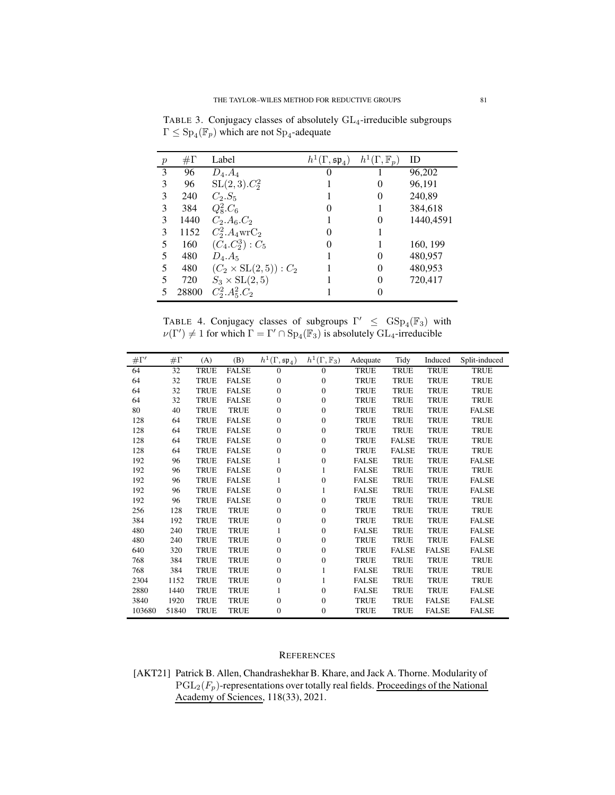TABLE 3. Conjugacy classes of absolutely GL<sub>4</sub>-irreducible subgroups  $\Gamma \leq \mathrm{Sp}_4(\mathbb{F}_p)$  which are not  $\mathrm{Sp}_4$ -adequate

| $\boldsymbol{p}$ | $\#\Gamma$ | Label                        | $h^1(\Gamma, \mathfrak{sp}_4)$ | $h^1(\Gamma, \mathbb{F}_p)$ | ID        |
|------------------|------------|------------------------------|--------------------------------|-----------------------------|-----------|
| 3                | 96         | $D_4.A_4$                    | 0                              |                             | 96,202    |
| 3                | 96         | $SL(2,3)$ . $C_2^2$          |                                | $\Omega$                    | 96,191    |
| 3                | 240        | $C_2.S_5$                    |                                | 0                           | 240,89    |
| 3                | 384        | $Q_8^2.C_6$                  | $\Omega$                       |                             | 384,618   |
| 3                | 1440       | $C_2.A_6.C_2$                |                                | 0                           | 1440,4591 |
| 3                | 1152       | $C_2^2.A_4$ wr $C_2$         | $\Omega$                       |                             |           |
| 5                | 160        | $(C_4.C_2^3): C_5$           | 0                              |                             | 160, 199  |
| 5                | 480        | $D_4.A_5$                    |                                | 0                           | 480,957   |
| 5                | 480        | $(C_2 \times SL(2,5)) : C_2$ |                                | 0                           | 480,953   |
| 5                | 720        | $S_3 \times SL(2,5)$         |                                | 0                           | 720,417   |
|                  | 28800      | $C_2^2.A_5^2.C_2$            |                                | 0                           |           |

TABLE 4. Conjugacy classes of subgroups  $\Gamma' \leq \text{GSp}_4(\mathbb{F}_3)$  with  $\nu(\Gamma') \neq 1$  for which  $\Gamma = \Gamma' \cap \mathrm{Sp}_4(\mathbb{F}_3)$  is absolutely  $\mathrm{GL}_4$ -irreducible

| $\#\Gamma'$ | $\#\Gamma$ | (A)         | (B)          | $h^1(\Gamma, \mathfrak{sp}_4)$ | $h^1(\Gamma, \mathbb{F}_3)$ | Adequate     | Tidy         | Induced      | Split-induced |
|-------------|------------|-------------|--------------|--------------------------------|-----------------------------|--------------|--------------|--------------|---------------|
| 64          | 32         | <b>TRUE</b> | <b>FALSE</b> | $\Omega$                       | $\Omega$                    | <b>TRUE</b>  | <b>TRUE</b>  | <b>TRUE</b>  | <b>TRUE</b>   |
| 64          | 32         | <b>TRUE</b> | <b>FALSE</b> | $\theta$                       | $\Omega$                    | <b>TRUE</b>  | <b>TRUE</b>  | <b>TRUE</b>  | <b>TRUE</b>   |
| 64          | 32         | TRUE        | <b>FALSE</b> | $\boldsymbol{0}$               | $\Omega$                    | <b>TRUE</b>  | <b>TRUE</b>  | <b>TRUE</b>  | <b>TRUE</b>   |
| 64          | 32         | <b>TRUE</b> | <b>FALSE</b> | $\theta$                       | 0                           | <b>TRUE</b>  | <b>TRUE</b>  | <b>TRUE</b>  | <b>TRUE</b>   |
| 80          | 40         | <b>TRUE</b> | <b>TRUE</b>  | $\boldsymbol{0}$               | $\Omega$                    | <b>TRUE</b>  | <b>TRUE</b>  | <b>TRUE</b>  | <b>FALSE</b>  |
| 128         | 64         | <b>TRUE</b> | <b>FALSE</b> | $\theta$                       | $\Omega$                    | <b>TRUE</b>  | <b>TRUE</b>  | <b>TRUE</b>  | <b>TRUE</b>   |
| 128         | 64         | <b>TRUE</b> | <b>FALSE</b> | $\theta$                       | $\Omega$                    | <b>TRUE</b>  | <b>TRUE</b>  | <b>TRUE</b>  | <b>TRUE</b>   |
| 128         | 64         | <b>TRUE</b> | <b>FALSE</b> | $\theta$                       | $\mathbf{0}$                | <b>TRUE</b>  | <b>FALSE</b> | <b>TRUE</b>  | <b>TRUE</b>   |
| 128         | 64         | <b>TRUE</b> | <b>FALSE</b> | $\mathbf{0}$                   | $\Omega$                    | <b>TRUE</b>  | <b>FALSE</b> | <b>TRUE</b>  | <b>TRUE</b>   |
| 192         | 96         | <b>TRUE</b> | <b>FALSE</b> | 1                              | 0                           | <b>FALSE</b> | <b>TRUE</b>  | <b>TRUE</b>  | <b>FALSE</b>  |
| 192         | 96         | <b>TRUE</b> | <b>FALSE</b> | $\theta$                       | 1                           | <b>FALSE</b> | <b>TRUE</b>  | <b>TRUE</b>  | <b>TRUE</b>   |
| 192         | 96         | <b>TRUE</b> | <b>FALSE</b> | 1                              | $\mathbf{0}$                | <b>FALSE</b> | <b>TRUE</b>  | <b>TRUE</b>  | <b>FALSE</b>  |
| 192         | 96         | <b>TRUE</b> | <b>FALSE</b> | $\theta$                       | 1                           | <b>FALSE</b> | <b>TRUE</b>  | <b>TRUE</b>  | <b>FALSE</b>  |
| 192         | 96         | <b>TRUE</b> | <b>FALSE</b> | $\mathbf{0}$                   | 0                           | <b>TRUE</b>  | <b>TRUE</b>  | <b>TRUE</b>  | <b>TRUE</b>   |
| 256         | 128        | <b>TRUE</b> | <b>TRUE</b>  | $\mathbf{0}$                   | $\Omega$                    | <b>TRUE</b>  | <b>TRUE</b>  | <b>TRUE</b>  | <b>TRUE</b>   |
| 384         | 192        | <b>TRUE</b> | <b>TRUE</b>  | $\theta$                       | $\Omega$                    | <b>TRUE</b>  | <b>TRUE</b>  | <b>TRUE</b>  | <b>FALSE</b>  |
| 480         | 240        | <b>TRUE</b> | <b>TRUE</b>  | 1                              | $\Omega$                    | <b>FALSE</b> | <b>TRUE</b>  | <b>TRUE</b>  | <b>FALSE</b>  |
| 480         | 240        | <b>TRUE</b> | <b>TRUE</b>  | $\boldsymbol{0}$               | $\Omega$                    | <b>TRUE</b>  | <b>TRUE</b>  | <b>TRUE</b>  | <b>FALSE</b>  |
| 640         | 320        | <b>TRUE</b> | <b>TRUE</b>  | $\mathbf{0}$                   | $\Omega$                    | <b>TRUE</b>  | <b>FALSE</b> | <b>FALSE</b> | <b>FALSE</b>  |
| 768         | 384        | <b>TRUE</b> | <b>TRUE</b>  | $\mathbf{0}$                   | $\Omega$                    | <b>TRUE</b>  | <b>TRUE</b>  | <b>TRUE</b>  | <b>TRUE</b>   |
| 768         | 384        | <b>TRUE</b> | <b>TRUE</b>  | $\theta$                       | 1                           | <b>FALSE</b> | <b>TRUE</b>  | <b>TRUE</b>  | <b>TRUE</b>   |
| 2304        | 1152       | <b>TRUE</b> | <b>TRUE</b>  | $\boldsymbol{0}$               |                             | <b>FALSE</b> | <b>TRUE</b>  | <b>TRUE</b>  | <b>TRUE</b>   |
| 2880        | 1440       | <b>TRUE</b> | <b>TRUE</b>  | 1                              | $\Omega$                    | <b>FALSE</b> | <b>TRUE</b>  | <b>TRUE</b>  | <b>FALSE</b>  |
| 3840        | 1920       | <b>TRUE</b> | <b>TRUE</b>  | $\boldsymbol{0}$               | $\Omega$                    | <b>TRUE</b>  | <b>TRUE</b>  | <b>FALSE</b> | <b>FALSE</b>  |
| 103680      | 51840      | <b>TRUE</b> | <b>TRUE</b>  | $\theta$                       | $\mathbf{0}$                | <b>TRUE</b>  | <b>TRUE</b>  | <b>FALSE</b> | <b>FALSE</b>  |

# **REFERENCES**

[AKT21] Patrick B. Allen, Chandrashekhar B. Khare, and Jack A. Thorne. Modularity of  $PGL_2(F_p)$ -representations over totally real fields. Proceedings of the National Academy of Sciences, 118(33), 2021.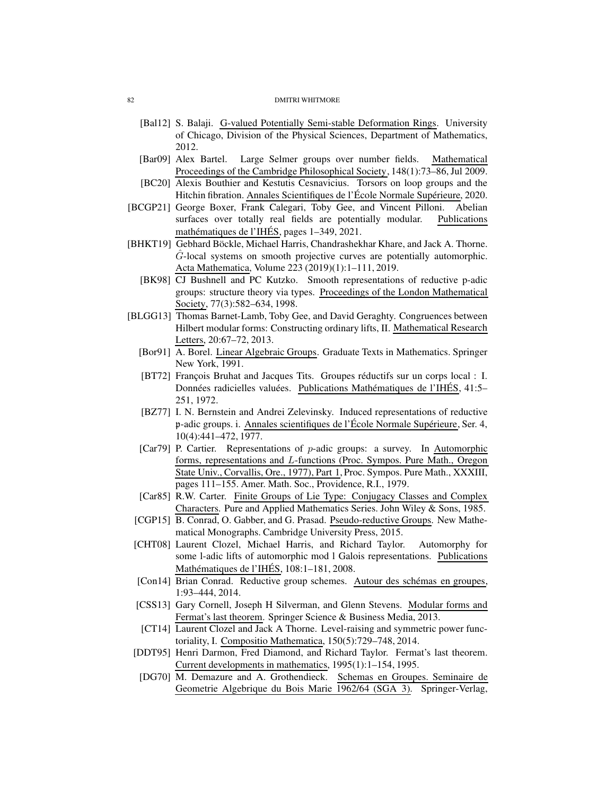- [Bal12] S. Balaji. G-valued Potentially Semi-stable Deformation Rings. University of Chicago, Division of the Physical Sciences, Department of Mathematics, 2012.
- <span id="page-81-1"></span>[Bar09] Alex Bartel. Large Selmer groups over number fields. Mathematical Proceedings of the Cambridge Philosophical Society, 148(1):73–86, Jul 2009.
- [BC20] Alexis Bouthier and Kestutis Cesnavicius. Torsors on loop groups and the Hitchin fibration. Annales Scientifiques de l'École Normale Supérieure, 2020.
- [BCGP21] George Boxer, Frank Calegari, Toby Gee, and Vincent Pilloni. Abelian surfaces over totally real fields are potentially modular. Publications mathématiques de l'IHÉS, pages 1–349, 2021.
- [BHKT19] Gebhard Böckle, Michael Harris, Chandrashekhar Khare, and Jack A. Thorne.  $\hat{G}$ -local systems on smooth projective curves are potentially automorphic. Acta Mathematica, Volume 223 (2019)(1):1–111, 2019.
	- [BK98] CJ Bushnell and PC Kutzko. Smooth representations of reductive p-adic groups: structure theory via types. Proceedings of the London Mathematical Society, 77(3):582–634, 1998.
- <span id="page-81-0"></span>[BLGG13] Thomas Barnet-Lamb, Toby Gee, and David Geraghty. Congruences between Hilbert modular forms: Constructing ordinary lifts, II. Mathematical Research Letters, 20:67–72, 2013.
	- [Bor91] A. Borel. Linear Algebraic Groups. Graduate Texts in Mathematics. Springer New York, 1991.
	- [BT72] François Bruhat and Jacques Tits. Groupes réductifs sur un corps local : I. Données radicielles valuées. Publications Mathématiques de l'IHÉS, 41:5– 251, 1972.
	- [BZ77] I. N. Bernstein and Andrei Zelevinsky. Induced representations of reductive p-adic groups. i. Annales scientifiques de l'École Normale Supérieure, Ser. 4, 10(4):441–472, 1977.
	- [Car79] P. Cartier. Representations of p-adic groups: a survey. In Automorphic forms, representations and L-functions (Proc. Sympos. Pure Math., Oregon State Univ., Corvallis, Ore., 1977), Part 1, Proc. Sympos. Pure Math., XXXIII, pages 111–155. Amer. Math. Soc., Providence, R.I., 1979.
	- [Car85] R.W. Carter. Finite Groups of Lie Type: Conjugacy Classes and Complex Characters. Pure and Applied Mathematics Series. John Wiley & Sons, 1985.
	- [CGP15] B. Conrad, O. Gabber, and G. Prasad. Pseudo-reductive Groups. New Mathematical Monographs. Cambridge University Press, 2015.
	- [CHT08] Laurent Clozel, Michael Harris, and Richard Taylor. Automorphy for some l-adic lifts of automorphic mod l Galois representations. Publications Mathématiques de l'IHÉS, 108:1-181, 2008.
	- [Con14] Brian Conrad. Reductive group schemes. Autour des schémas en groupes, 1:93–444, 2014.
	- [CSS13] Gary Cornell, Joseph H Silverman, and Glenn Stevens. Modular forms and Fermat's last theorem. Springer Science & Business Media, 2013.
	- [CT14] Laurent Clozel and Jack A Thorne. Level-raising and symmetric power functoriality, I. Compositio Mathematica, 150(5):729–748, 2014.
	- [DDT95] Henri Darmon, Fred Diamond, and Richard Taylor. Fermat's last theorem. Current developments in mathematics, 1995(1):1–154, 1995.
	- [DG70] M. Demazure and A. Grothendieck. Schemas en Groupes. Seminaire de Geometrie Algebrique du Bois Marie 1962/64 (SGA 3). Springer-Verlag,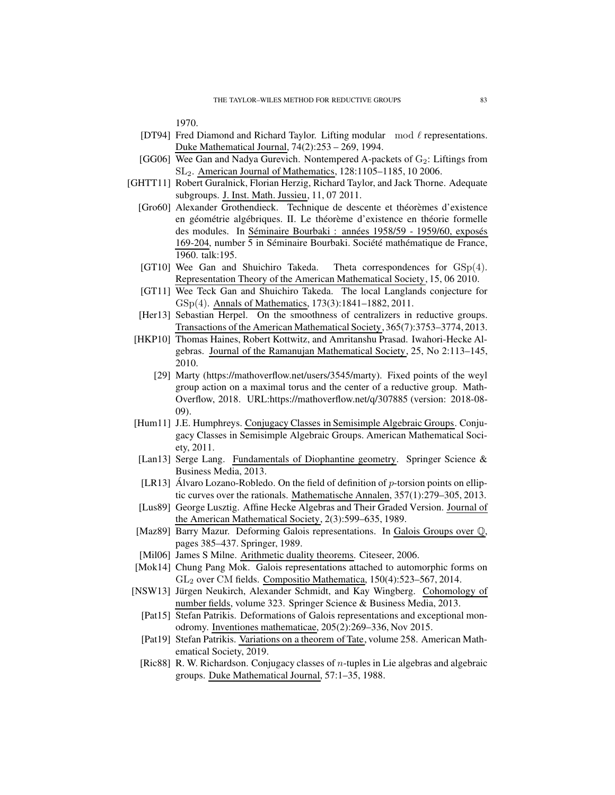1970.

- [DT94] Fred Diamond and Richard Taylor. Lifting modular  $\mod \ell$  representations. Duke Mathematical Journal, 74(2):253 – 269, 1994.
- [GG06] Wee Gan and Nadya Gurevich. Nontempered A-packets of  $G_2$ : Liftings from SL2. American Journal of Mathematics, 128:1105–1185, 10 2006.
- [GHTT11] Robert Guralnick, Florian Herzig, Richard Taylor, and Jack Thorne. Adequate subgroups. J. Inst. Math. Jussieu, 11, 07 2011.
	- [Gro60] Alexander Grothendieck. Technique de descente et théorèmes d'existence en géométrie algébriques. II. Le théorème d'existence en théorie formelle des modules. In Séminaire Bourbaki : années 1958/59 - 1959/60, exposés 169-204, number 5 in Séminaire Bourbaki. Société mathématique de France, 1960. talk:195.
	- [GT10] Wee Gan and Shuichiro Takeda. Theta correspondences for  $GSp(4)$ . Representation Theory of the American Mathematical Society, 15, 06 2010.
	- [GT11] Wee Teck Gan and Shuichiro Takeda. The local Langlands conjecture for GSp(4). Annals of Mathematics, 173(3):1841–1882, 2011.
	- [Her13] Sebastian Herpel. On the smoothness of centralizers in reductive groups. Transactions ofthe American Mathematical Society, 365(7):3753–3774, 2013.
	- [HKP10] Thomas Haines, Robert Kottwitz, and Amritanshu Prasad. Iwahori-Hecke Algebras. Journal of the Ramanujan Mathematical Society, 25, No 2:113–145, 2010.
		- [29] Marty (https://mathoverflow.net/users/3545/marty). Fixed points of the weyl group action on a maximal torus and the center of a reductive group. Math-Overflow, 2018. URL:https://mathoverflow.net/q/307885 (version: 2018-08- 09).
	- [Hum11] J.E. Humphreys. Conjugacy Classes in Semisimple Algebraic Groups. Conjugacy Classes in Semisimple Algebraic Groups. American Mathematical Society, 2011.
	- [Lan13] Serge Lang. Fundamentals of Diophantine geometry. Springer Science & Business Media, 2013.
	- [LR13] Álvaro Lozano-Robledo. On the field of definition of  $p$ -torsion points on elliptic curves over the rationals. Mathematische Annalen, 357(1):279–305, 2013.
	- [Lus89] George Lusztig. Affine Hecke Algebras and Their Graded Version. Journal of the American Mathematical Society, 2(3):599–635, 1989.
	- [Maz89] Barry Mazur. Deforming Galois representations. In Galois Groups over Q, pages 385–437. Springer, 1989.
	- [Mil06] James S Milne. Arithmetic duality theorems. Citeseer, 2006.
	- [Mok14] Chung Pang Mok. Galois representations attached to automorphic forms on GL<sup>2</sup> over CM fields. Compositio Mathematica, 150(4):523–567, 2014.
- <span id="page-82-2"></span><span id="page-82-1"></span><span id="page-82-0"></span>[NSW13] Jürgen Neukirch, Alexander Schmidt, and Kay Wingberg. Cohomology of number fields, volume 323. Springer Science & Business Media, 2013.
	- [Pat15] Stefan Patrikis. Deformations of Galois representations and exceptional monodromy. Inventiones mathematicae, 205(2):269–336, Nov 2015.
	- [Pat19] Stefan Patrikis. Variations on a theorem of Tate, volume 258. American Mathematical Society, 2019.
	- [Ric88] R. W. Richardson. Conjugacy classes of  $n$ -tuples in Lie algebras and algebraic groups. Duke Mathematical Journal, 57:1–35, 1988.